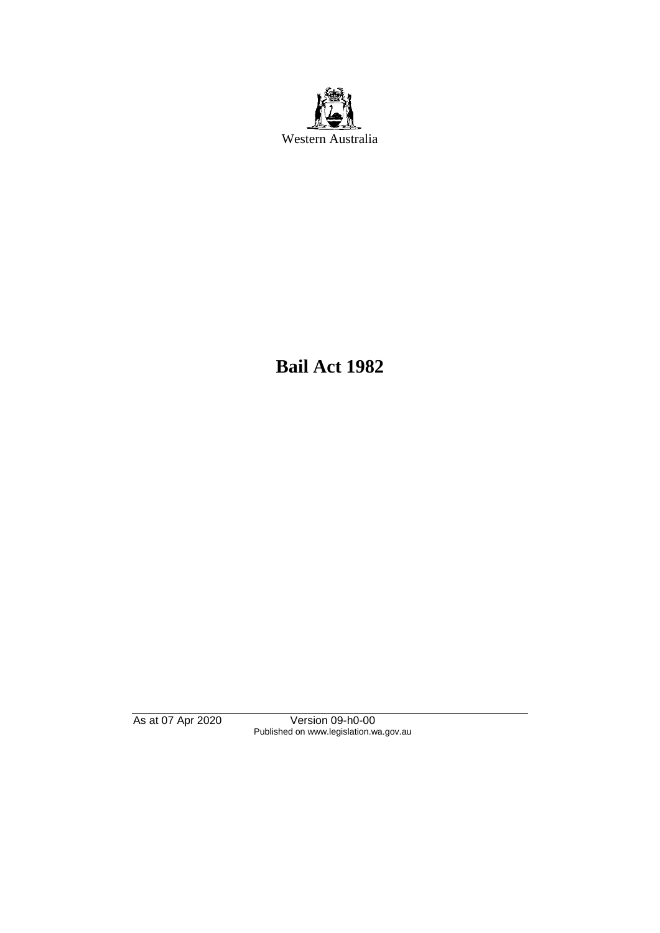

**Bail Act 1982**

As at 07 Apr 2020 Version 09-h0-00 Published on www.legislation.wa.gov.au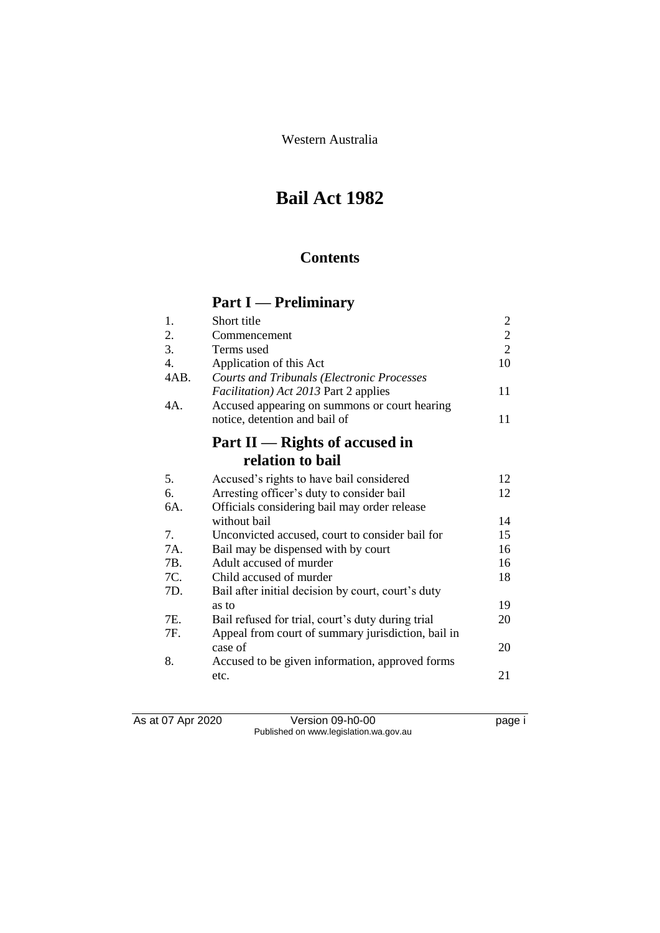Western Australia

# **Bail Act 1982**

## **Contents**

# **Part I — Preliminary**

| 1.               | Short title                                          | 2              |
|------------------|------------------------------------------------------|----------------|
| 2.               | Commencement                                         | $\sqrt{2}$     |
| 3.               | Terms used                                           | $\overline{2}$ |
| $\overline{4}$ . | Application of this Act                              | 10             |
| 4AB.             | <b>Courts and Tribunals (Electronic Processes</b>    |                |
|                  | <i>Facilitation</i> ) <i>Act 2013</i> Part 2 applies | 11             |
| 4A.              | Accused appearing on summons or court hearing        |                |
|                  | notice, detention and bail of                        | 11             |
|                  | Part $II$ — Rights of accused in                     |                |
|                  | relation to bail                                     |                |
| 5.               | Accused's rights to have bail considered             | 12             |
| 6.               | Arresting officer's duty to consider bail            | 12             |
| 6A.              | Officials considering bail may order release         |                |
|                  | without bail                                         | 14             |
| 7.               | Unconvicted accused, court to consider bail for      | 15             |
| 7A.              | Bail may be dispensed with by court                  | 16             |
| 7B.              | Adult accused of murder                              | 16             |
| 7C.              | Child accused of murder                              | 18             |
| 7D.              | Bail after initial decision by court, court's duty   |                |
|                  | as to                                                | 19             |
| 7E.              | Bail refused for trial, court's duty during trial    | 20             |
| 7F.              | Appeal from court of summary jurisdiction, bail in   |                |
|                  | case of                                              | 20             |
| 8.               | Accused to be given information, approved forms      |                |
|                  | etc.                                                 | 21             |

As at 07 Apr 2020 Version 09-h0-00 page i Published on www.legislation.wa.gov.au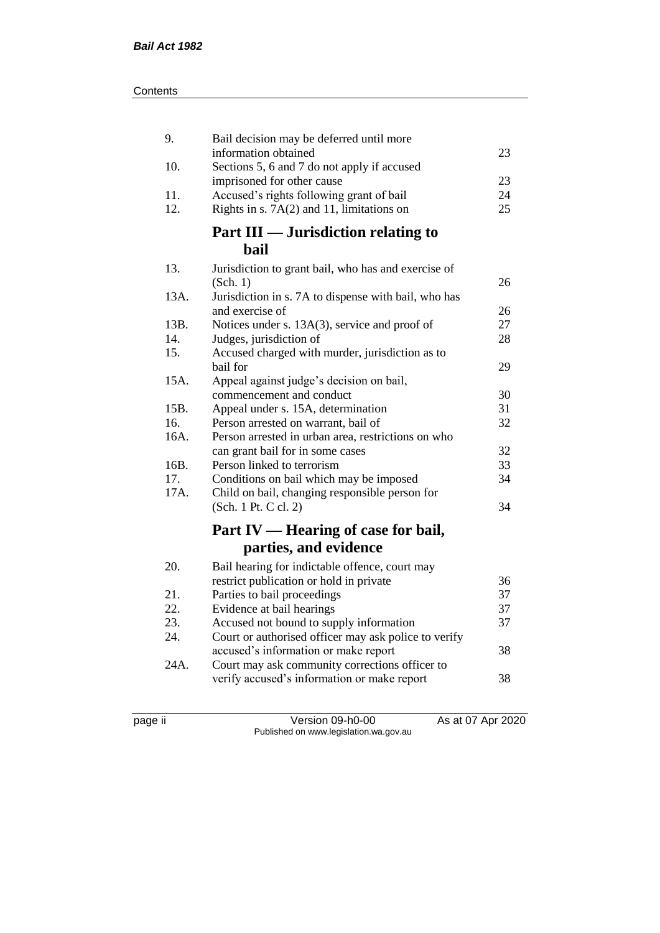| 9.   | Bail decision may be deferred until more                                  |    |
|------|---------------------------------------------------------------------------|----|
|      | information obtained                                                      | 23 |
| 10.  | Sections 5, 6 and 7 do not apply if accused<br>imprisoned for other cause | 23 |
| 11.  | Accused's rights following grant of bail                                  | 24 |
| 12.  | Rights in s. $7A(2)$ and 11, limitations on                               | 25 |
|      | Part III — Jurisdiction relating to                                       |    |
|      | bail                                                                      |    |
|      |                                                                           |    |
| 13.  | Jurisdiction to grant bail, who has and exercise of                       | 26 |
| 13A. | (Sch. 1)<br>Jurisdiction in s. 7A to dispense with bail, who has          |    |
|      | and exercise of                                                           | 26 |
| 13B. | Notices under s. 13A(3), service and proof of                             | 27 |
| 14.  | Judges, jurisdiction of                                                   | 28 |
| 15.  | Accused charged with murder, jurisdiction as to                           |    |
|      | bail for                                                                  | 29 |
| 15A. | Appeal against judge's decision on bail,                                  |    |
|      | commencement and conduct                                                  | 30 |
| 15B. | Appeal under s. 15A, determination                                        | 31 |
| 16.  | Person arrested on warrant, bail of                                       | 32 |
| 16A. | Person arrested in urban area, restrictions on who                        |    |
|      | can grant bail for in some cases                                          | 32 |
| 16B. | Person linked to terrorism                                                | 33 |
| 17.  | Conditions on bail which may be imposed                                   | 34 |
| 17A. | Child on bail, changing responsible person for                            |    |
|      | (Sch. 1 Pt. C cl. 2)                                                      | 34 |
|      | Part IV — Hearing of case for bail,                                       |    |
|      | parties, and evidence                                                     |    |
| 20.  | Bail hearing for indictable offence, court may                            |    |
|      | restrict publication or hold in private                                   | 36 |
| 21.  | Parties to bail proceedings                                               | 37 |
| 22.  | Evidence at bail hearings                                                 | 37 |
| 23.  | Accused not bound to supply information                                   | 37 |
| 24.  | Court or authorised officer may ask police to verify                      |    |
|      | accused's information or make report                                      | 38 |
| 24A. | Court may ask community corrections officer to                            |    |
|      | verify accused's information or make report                               | 38 |
|      |                                                                           |    |

page ii Version 09-h0-00 As at 07 Apr 2020 Published on www.legislation.wa.gov.au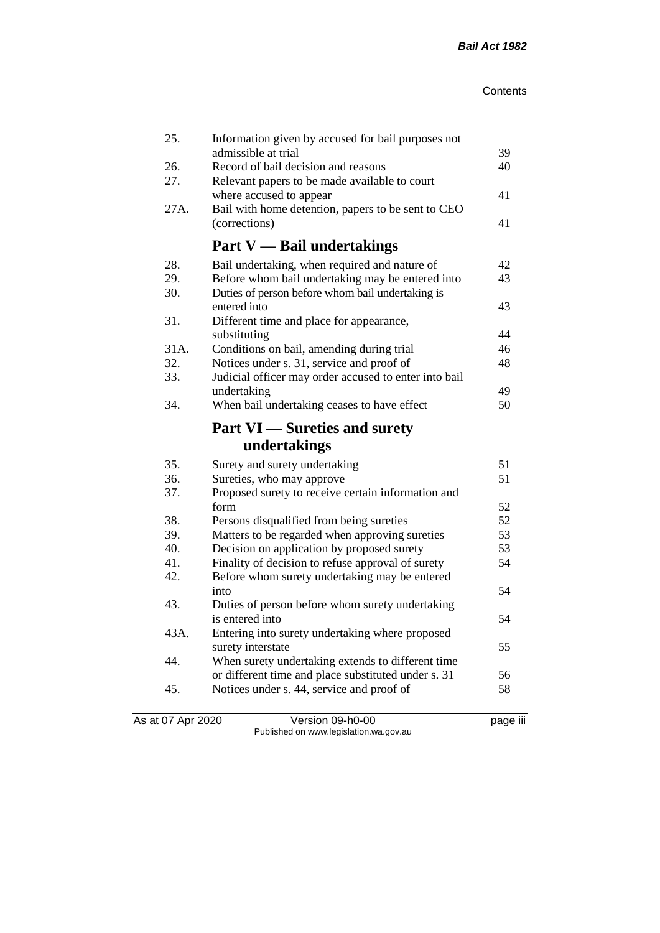| 25.  | Information given by accused for bail purposes not         |          |
|------|------------------------------------------------------------|----------|
| 26.  | admissible at trial<br>Record of bail decision and reasons | 39<br>40 |
| 27.  | Relevant papers to be made available to court              |          |
|      | where accused to appear                                    | 41       |
| 27A. | Bail with home detention, papers to be sent to CEO         |          |
|      | (corrections)                                              | 41       |
|      |                                                            |          |
|      | <b>Part V</b> — Bail undertakings                          |          |
| 28.  | Bail undertaking, when required and nature of              | 42       |
| 29.  | Before whom bail undertaking may be entered into           | 43       |
| 30.  | Duties of person before whom bail undertaking is           |          |
|      | entered into                                               | 43       |
| 31.  | Different time and place for appearance,                   |          |
|      | substituting                                               | 44       |
| 31A. | Conditions on bail, amending during trial                  | 46       |
| 32.  | Notices under s. 31, service and proof of                  | 48       |
| 33.  | Judicial officer may order accused to enter into bail      |          |
|      | undertaking                                                | 49       |
| 34.  | When bail undertaking ceases to have effect                | 50       |
|      | <b>Part VI</b> — Sureties and surety                       |          |
|      | undertakings                                               |          |
| 35.  | Surety and surety undertaking                              | 51       |
| 36.  | Sureties, who may approve                                  | 51       |
| 37.  | Proposed surety to receive certain information and         |          |
|      | form                                                       | 52       |
| 38.  | Persons disqualified from being sureties                   | 52       |
| 39.  | Matters to be regarded when approving sureties             | 53       |
| 40.  | Decision on application by proposed surety                 | 53       |
| 41.  | Finality of decision to refuse approval of surety          | 54       |
| 42.  | Before whom surety undertaking may be entered              |          |
|      | into                                                       | 54       |
| 43.  | Duties of person before whom surety undertaking            |          |
|      | is entered into                                            | 54       |
| 43A. | Entering into surety undertaking where proposed            |          |
|      | surety interstate                                          | 55       |
| 44.  | When surety undertaking extends to different time          |          |
|      | or different time and place substituted under s. 31        | 56       |
| 45.  | Notices under s. 44, service and proof of                  | 58       |
|      |                                                            |          |

As at 07 Apr 2020 Version 09-h0-00 page iii Published on www.legislation.wa.gov.au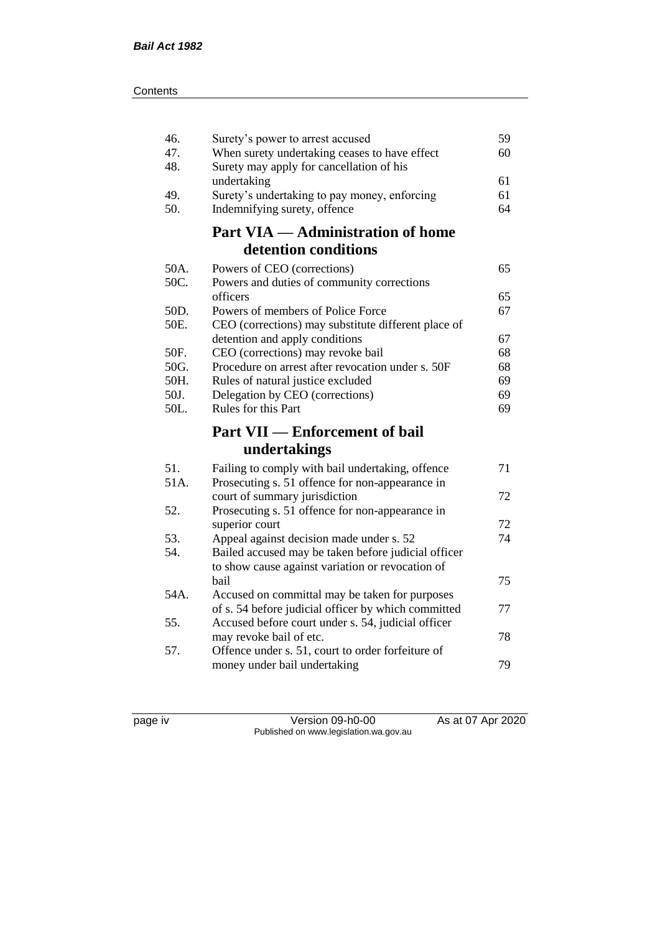| 46.<br>47.<br>48. | Surety's power to arrest accused<br>When surety undertaking ceases to have effect<br>Surety may apply for cancellation of his | 59<br>60 |
|-------------------|-------------------------------------------------------------------------------------------------------------------------------|----------|
| 49.               | undertaking<br>Surety's undertaking to pay money, enforcing                                                                   | 61<br>61 |
| 50.               | Indemnifying surety, offence                                                                                                  | 64       |
|                   | <b>Part VIA — Administration of home</b>                                                                                      |          |
|                   | detention conditions                                                                                                          |          |
| 50A.<br>50C.      | Powers of CEO (corrections)<br>Powers and duties of community corrections                                                     | 65       |
|                   | officers                                                                                                                      | 65       |
| 50D.<br>50E.      | Powers of members of Police Force<br>CEO (corrections) may substitute different place of                                      | 67       |
|                   | detention and apply conditions                                                                                                | 67       |
| 50F.              | CEO (corrections) may revoke bail                                                                                             | 68       |
| 50G.              | Procedure on arrest after revocation under s. 50F                                                                             | 68       |
| 50H.              | Rules of natural justice excluded                                                                                             | 69       |
| 50J.              | Delegation by CEO (corrections)                                                                                               | 69       |
| 50L.              | Rules for this Part                                                                                                           | 69       |
|                   | <b>Part VII — Enforcement of bail</b>                                                                                         |          |
|                   | undertakings                                                                                                                  |          |
| 51.<br>51A.       | Failing to comply with bail undertaking, offence<br>Prosecuting s. 51 offence for non-appearance in                           | 71       |
|                   | court of summary jurisdiction                                                                                                 | 72       |
| 52.               | Prosecuting s. 51 offence for non-appearance in                                                                               |          |
|                   | superior court                                                                                                                | 72       |
| 53.               | Appeal against decision made under s. 52                                                                                      | 74       |
| 54.               | Bailed accused may be taken before judicial officer<br>to show cause against variation or revocation of                       |          |
|                   | bail                                                                                                                          | 75       |
| 54A.              | Accused on committal may be taken for purposes                                                                                |          |
| 55.               | of s. 54 before judicial officer by which committed<br>Accused before court under s. 54, judicial officer                     | 77       |
|                   | may revoke bail of etc.                                                                                                       | 78       |
| 57.               | Offence under s. 51, court to order forfeiture of<br>money under bail undertaking                                             | 79       |
|                   |                                                                                                                               |          |

page iv Version 09-h0-00 As at 07 Apr 2020 Published on www.legislation.wa.gov.au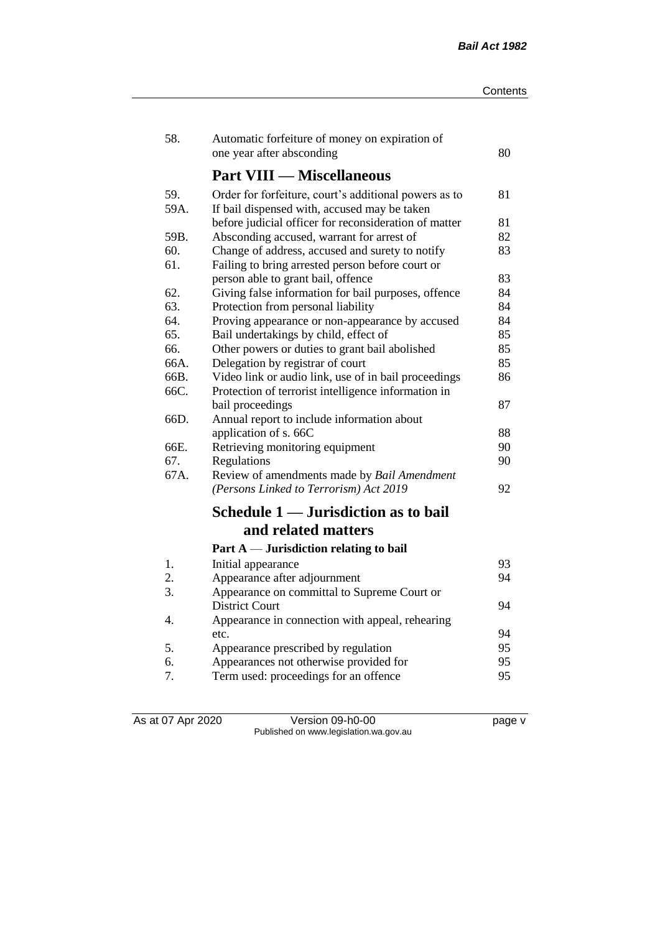| 58.  | Automatic forfeiture of money on expiration of        |    |
|------|-------------------------------------------------------|----|
|      | one year after absconding                             | 80 |
|      | <b>Part VIII — Miscellaneous</b>                      |    |
| 59.  | Order for forfeiture, court's additional powers as to | 81 |
| 59A. | If bail dispensed with, accused may be taken          |    |
|      | before judicial officer for reconsideration of matter | 81 |
| 59B. | Absconding accused, warrant for arrest of             | 82 |
| 60.  | Change of address, accused and surety to notify       | 83 |
| 61.  | Failing to bring arrested person before court or      |    |
|      | person able to grant bail, offence                    | 83 |
| 62.  | Giving false information for bail purposes, offence   | 84 |
| 63.  | Protection from personal liability                    | 84 |
| 64.  | Proving appearance or non-appearance by accused       | 84 |
| 65.  | Bail undertakings by child, effect of                 | 85 |
| 66.  | Other powers or duties to grant bail abolished        | 85 |
| 66A. | Delegation by registrar of court                      | 85 |
| 66B. | Video link or audio link, use of in bail proceedings  | 86 |
| 66C. | Protection of terrorist intelligence information in   |    |
|      | bail proceedings                                      | 87 |
| 66D. | Annual report to include information about            |    |
|      | application of s. 66C                                 | 88 |
| 66E. | Retrieving monitoring equipment                       | 90 |
| 67.  | Regulations                                           | 90 |
| 67A. | Review of amendments made by Bail Amendment           |    |
|      | (Persons Linked to Terrorism) Act 2019                | 92 |
|      | Schedule 1 — Jurisdiction as to bail                  |    |
|      | and related matters                                   |    |
|      | Part $A$ — Jurisdiction relating to bail              |    |
| 1.   | Initial appearance                                    | 93 |
| 2.   | Appearance after adjournment                          | 94 |
| 3.   | Appearance on committal to Supreme Court or           |    |
|      | <b>District Court</b>                                 | 94 |
| 4.   | Appearance in connection with appeal, rehearing       |    |
|      | etc.                                                  | 94 |
| 5.   | Appearance prescribed by regulation                   | 95 |
| 6.   | Appearances not otherwise provided for                | 95 |
| 7.   | Term used: proceedings for an offence                 | 95 |

As at 07 Apr 2020 Version 09-h0-00 page v Published on www.legislation.wa.gov.au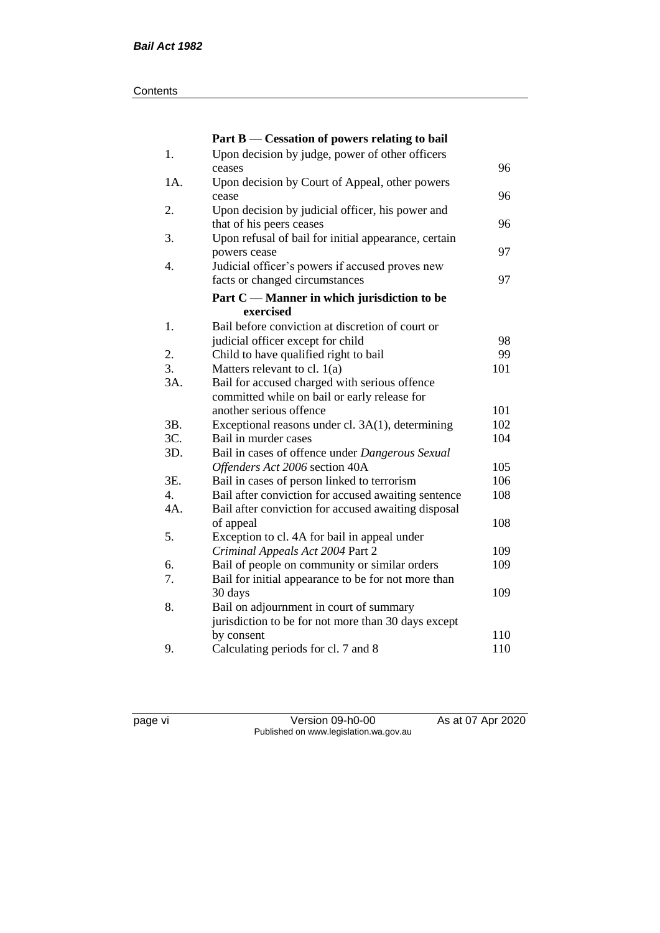#### **Contents**

|     | Part B — Cessation of powers relating to bail        |     |
|-----|------------------------------------------------------|-----|
| 1.  | Upon decision by judge, power of other officers      |     |
|     | ceases                                               | 96  |
| 1A. | Upon decision by Court of Appeal, other powers       |     |
|     | cease                                                | 96  |
| 2.  | Upon decision by judicial officer, his power and     |     |
|     | that of his peers ceases                             | 96  |
| 3.  | Upon refusal of bail for initial appearance, certain |     |
|     | powers cease                                         | 97  |
| 4.  | Judicial officer's powers if accused proves new      |     |
|     | facts or changed circumstances                       | 97  |
|     | Part C — Manner in which jurisdiction to be          |     |
|     | exercised                                            |     |
| 1.  | Bail before conviction at discretion of court or     |     |
|     | judicial officer except for child                    | 98  |
| 2.  | Child to have qualified right to bail                | 99  |
| 3.  | Matters relevant to cl. $1(a)$                       | 101 |
| 3A. | Bail for accused charged with serious offence        |     |
|     | committed while on bail or early release for         |     |
|     | another serious offence                              | 101 |
| 3B. | Exceptional reasons under cl. 3A(1), determining     | 102 |
| 3C. | Bail in murder cases                                 | 104 |
| 3D. | Bail in cases of offence under Dangerous Sexual      |     |
|     | Offenders Act 2006 section 40A                       | 105 |
| 3E. | Bail in cases of person linked to terrorism          | 106 |
| 4.  | Bail after conviction for accused awaiting sentence  | 108 |
| 4A. | Bail after conviction for accused awaiting disposal  |     |
|     | of appeal                                            | 108 |
| 5.  | Exception to cl. 4A for bail in appeal under         |     |
|     | Criminal Appeals Act 2004 Part 2                     | 109 |
| 6.  | Bail of people on community or similar orders        | 109 |
| 7.  | Bail for initial appearance to be for not more than  |     |
|     | 30 days                                              | 109 |
| 8.  | Bail on adjournment in court of summary              |     |
|     | jurisdiction to be for not more than 30 days except  |     |
|     | by consent                                           | 110 |
| 9.  | Calculating periods for cl. 7 and 8                  | 110 |

page vi Version 09-h0-00 As at 07 Apr 2020 Published on www.legislation.wa.gov.au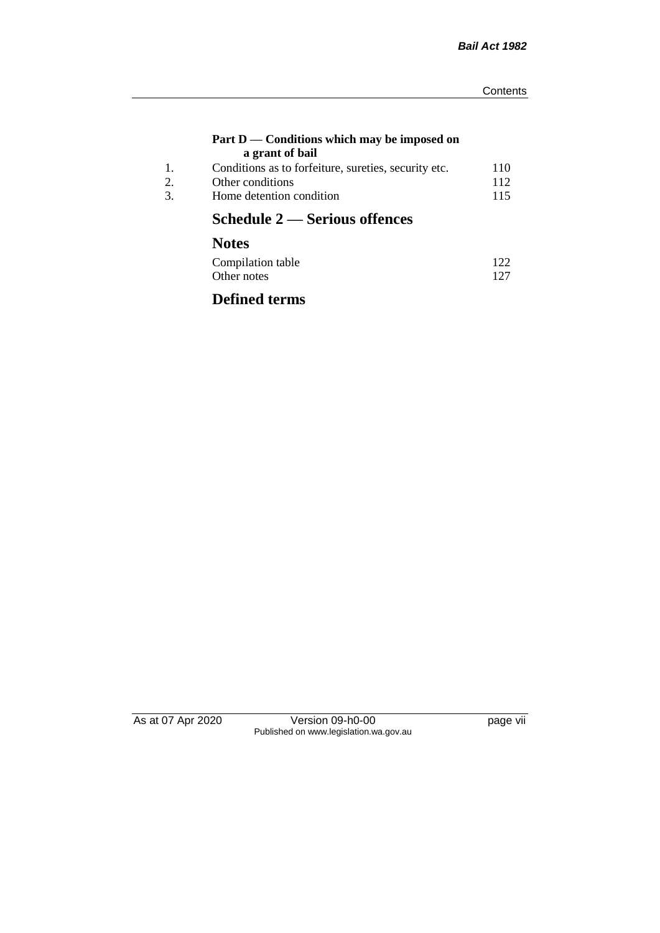#### **Part D — Conditions which may be imposed on a grant of bail**

| Conditions as to forfeiture, sureties, security etc. | 110 |
|------------------------------------------------------|-----|
| Other conditions                                     | 112 |
| Home detention condition                             | 115 |
|                                                      |     |

## **Schedule 2 — Serious offences**

## **Notes**

| Compilation table | 122 |
|-------------------|-----|
| Other notes       | 127 |

## **Defined terms**

As at 07 Apr 2020 Version 09-h0-00 page vii Published on www.legislation.wa.gov.au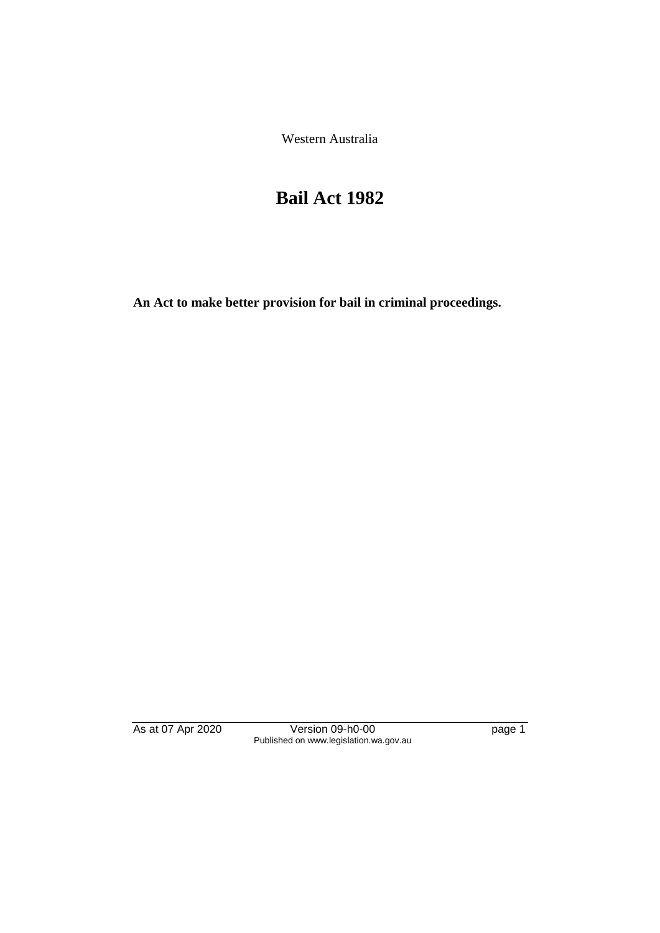Western Australia

# **Bail Act 1982**

**An Act to make better provision for bail in criminal proceedings.** 

As at 07 Apr 2020 Version 09-h0-00 page 1 Published on www.legislation.wa.gov.au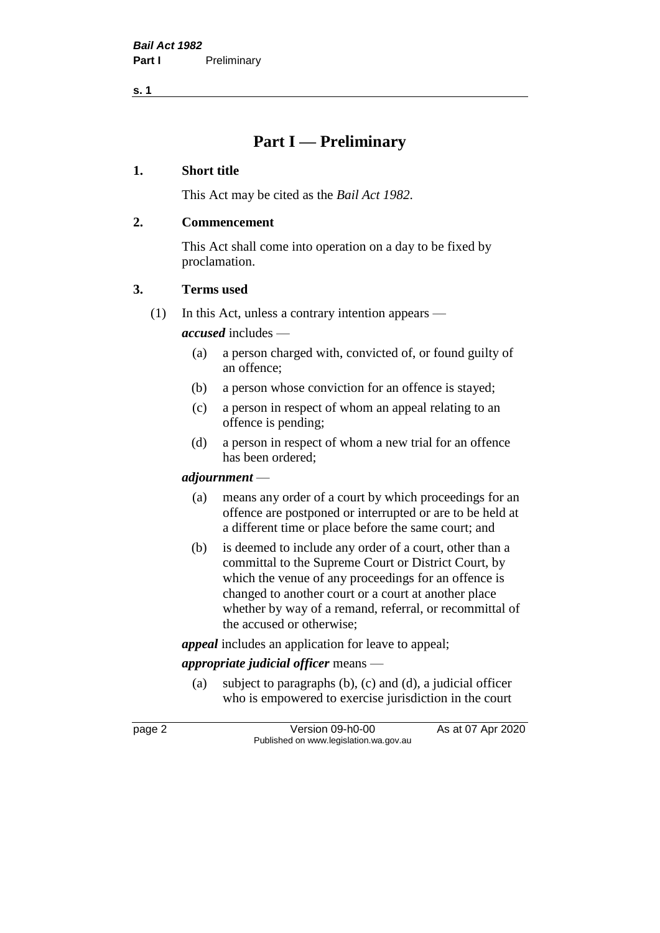**s. 1**

## **Part I — Preliminary**

### **1. Short title**

This Act may be cited as the *Bail Act 1982*.

### **2. Commencement**

This Act shall come into operation on a day to be fixed by proclamation.

### **3. Terms used**

(1) In this Act, unless a contrary intention appears —

*accused* includes —

- (a) a person charged with, convicted of, or found guilty of an offence;
- (b) a person whose conviction for an offence is stayed;
- (c) a person in respect of whom an appeal relating to an offence is pending;
- (d) a person in respect of whom a new trial for an offence has been ordered;

#### *adjournment* —

- (a) means any order of a court by which proceedings for an offence are postponed or interrupted or are to be held at a different time or place before the same court; and
- (b) is deemed to include any order of a court, other than a committal to the Supreme Court or District Court, by which the venue of any proceedings for an offence is changed to another court or a court at another place whether by way of a remand, referral, or recommittal of the accused or otherwise;

*appeal* includes an application for leave to appeal;

## *appropriate judicial officer* means —

(a) subject to paragraphs (b), (c) and (d), a judicial officer who is empowered to exercise jurisdiction in the court

page 2 Version 09-h0-00 As at 07 Apr 2020 Published on www.legislation.wa.gov.au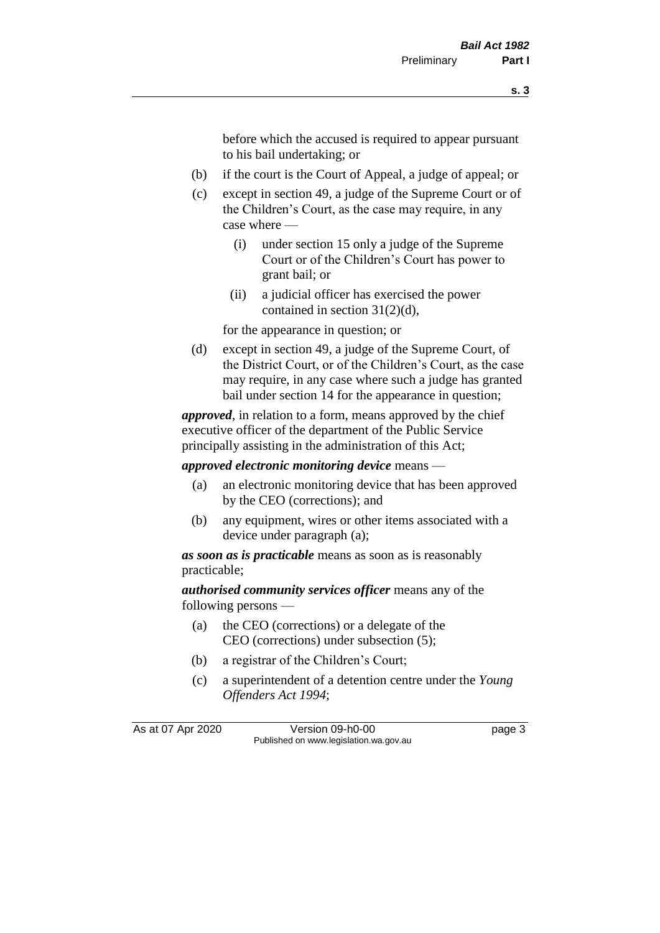before which the accused is required to appear pursuant to his bail undertaking; or

- (b) if the court is the Court of Appeal, a judge of appeal; or
- (c) except in section 49, a judge of the Supreme Court or of the Children's Court, as the case may require, in any case where —
	- (i) under section 15 only a judge of the Supreme Court or of the Children's Court has power to grant bail; or
	- (ii) a judicial officer has exercised the power contained in section 31(2)(d),

for the appearance in question; or

(d) except in section 49, a judge of the Supreme Court, of the District Court, or of the Children's Court, as the case may require, in any case where such a judge has granted bail under section 14 for the appearance in question;

*approved*, in relation to a form, means approved by the chief executive officer of the department of the Public Service principally assisting in the administration of this Act;

*approved electronic monitoring device* means —

- (a) an electronic monitoring device that has been approved by the CEO (corrections); and
- (b) any equipment, wires or other items associated with a device under paragraph (a);

*as soon as is practicable* means as soon as is reasonably practicable;

*authorised community services officer* means any of the following persons —

- (a) the CEO (corrections) or a delegate of the CEO (corrections) under subsection (5);
- (b) a registrar of the Children's Court;
- (c) a superintendent of a detention centre under the *Young Offenders Act 1994*;

As at 07 Apr 2020 Version 09-h0-00 page 3 Published on www.legislation.wa.gov.au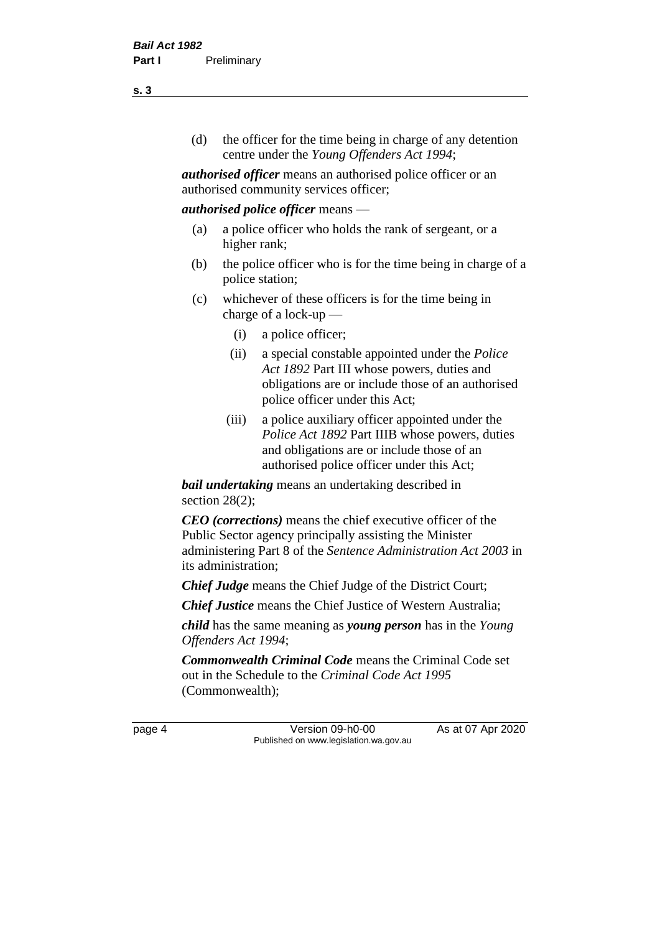(d) the officer for the time being in charge of any detention centre under the *Young Offenders Act 1994*;

*authorised officer* means an authorised police officer or an authorised community services officer;

#### *authorised police officer* means —

- (a) a police officer who holds the rank of sergeant, or a higher rank;
- (b) the police officer who is for the time being in charge of a police station;
- (c) whichever of these officers is for the time being in charge of a lock-up —
	- (i) a police officer;
	- (ii) a special constable appointed under the *Police Act 1892* Part III whose powers, duties and obligations are or include those of an authorised police officer under this Act;
	- (iii) a police auxiliary officer appointed under the *Police Act 1892* Part IIIB whose powers, duties and obligations are or include those of an authorised police officer under this Act;

*bail undertaking* means an undertaking described in section 28(2);

*CEO (corrections)* means the chief executive officer of the Public Sector agency principally assisting the Minister administering Part 8 of the *Sentence Administration Act 2003* in its administration;

*Chief Judge* means the Chief Judge of the District Court;

*Chief Justice* means the Chief Justice of Western Australia;

*child* has the same meaning as *young person* has in the *Young Offenders Act 1994*;

*Commonwealth Criminal Code* means the Criminal Code set out in the Schedule to the *Criminal Code Act 1995* (Commonwealth);

page 4 Version 09-h0-00 As at 07 Apr 2020 Published on www.legislation.wa.gov.au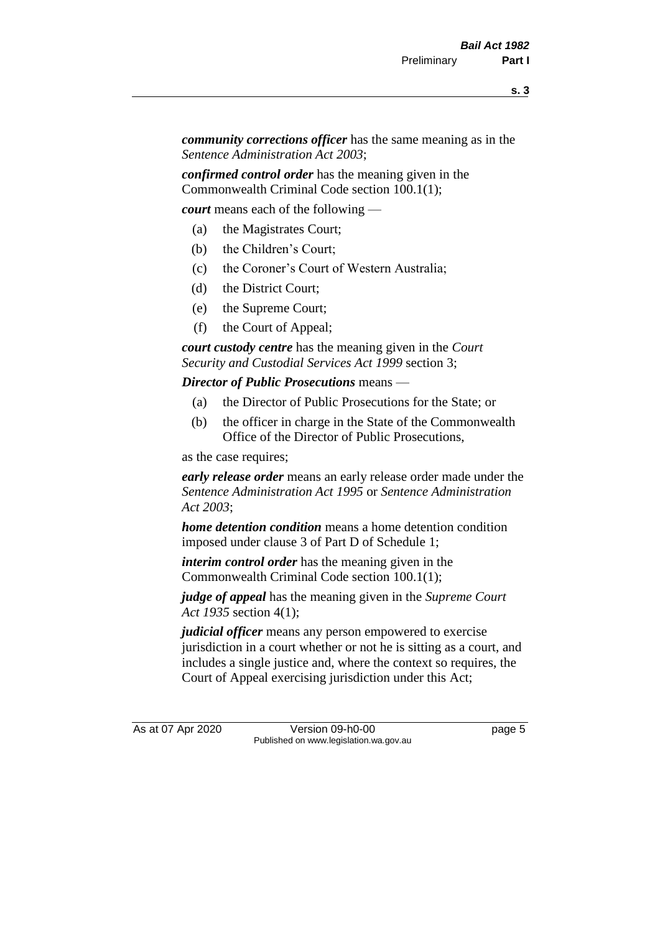*community corrections officer* has the same meaning as in the *Sentence Administration Act 2003*;

*confirmed control order* has the meaning given in the Commonwealth Criminal Code section 100.1(1);

*court* means each of the following —

- (a) the Magistrates Court;
- (b) the Children's Court;
- (c) the Coroner's Court of Western Australia;
- (d) the District Court;
- (e) the Supreme Court;
- (f) the Court of Appeal;

*court custody centre* has the meaning given in the *Court Security and Custodial Services Act 1999* section 3;

*Director of Public Prosecutions* means —

- (a) the Director of Public Prosecutions for the State; or
- (b) the officer in charge in the State of the Commonwealth Office of the Director of Public Prosecutions,

as the case requires;

*early release order* means an early release order made under the *Sentence Administration Act 1995* or *Sentence Administration Act 2003*;

*home detention condition* means a home detention condition imposed under clause 3 of Part D of Schedule 1;

*interim control order* has the meaning given in the Commonwealth Criminal Code section 100.1(1);

*judge of appeal* has the meaning given in the *Supreme Court Act 1935* section 4(1);

*judicial officer* means any person empowered to exercise jurisdiction in a court whether or not he is sitting as a court, and includes a single justice and, where the context so requires, the Court of Appeal exercising jurisdiction under this Act;

As at 07 Apr 2020 Version 09-h0-00 page 5 Published on www.legislation.wa.gov.au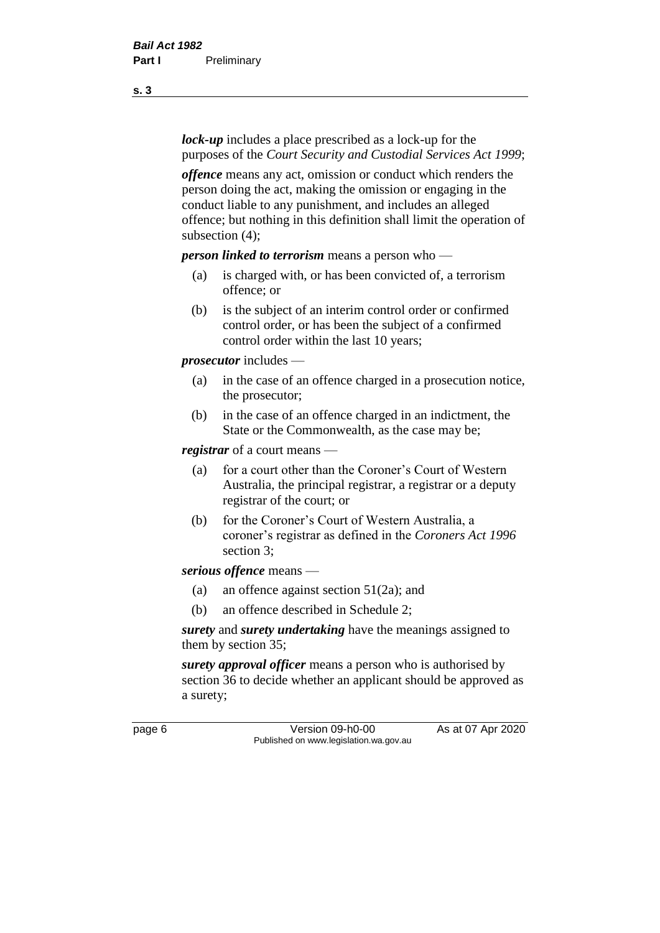*lock-up* includes a place prescribed as a lock-up for the purposes of the *Court Security and Custodial Services Act 1999*;

*offence* means any act, omission or conduct which renders the person doing the act, making the omission or engaging in the conduct liable to any punishment, and includes an alleged offence; but nothing in this definition shall limit the operation of subsection (4);

*person linked to terrorism* means a person who —

- (a) is charged with, or has been convicted of, a terrorism offence; or
- (b) is the subject of an interim control order or confirmed control order, or has been the subject of a confirmed control order within the last 10 years;

*prosecutor* includes —

- (a) in the case of an offence charged in a prosecution notice, the prosecutor;
- (b) in the case of an offence charged in an indictment, the State or the Commonwealth, as the case may be;

*registrar* of a court means —

- (a) for a court other than the Coroner's Court of Western Australia, the principal registrar, a registrar or a deputy registrar of the court; or
- (b) for the Coroner's Court of Western Australia, a coroner's registrar as defined in the *Coroners Act 1996* section 3;

*serious offence* means —

- (a) an offence against section 51(2a); and
- (b) an offence described in Schedule 2;

*surety* and *surety undertaking* have the meanings assigned to them by section 35;

*surety approval officer* means a person who is authorised by section 36 to decide whether an applicant should be approved as a surety;

page 6 Version 09-h0-00 As at 07 Apr 2020 Published on www.legislation.wa.gov.au

**s. 3**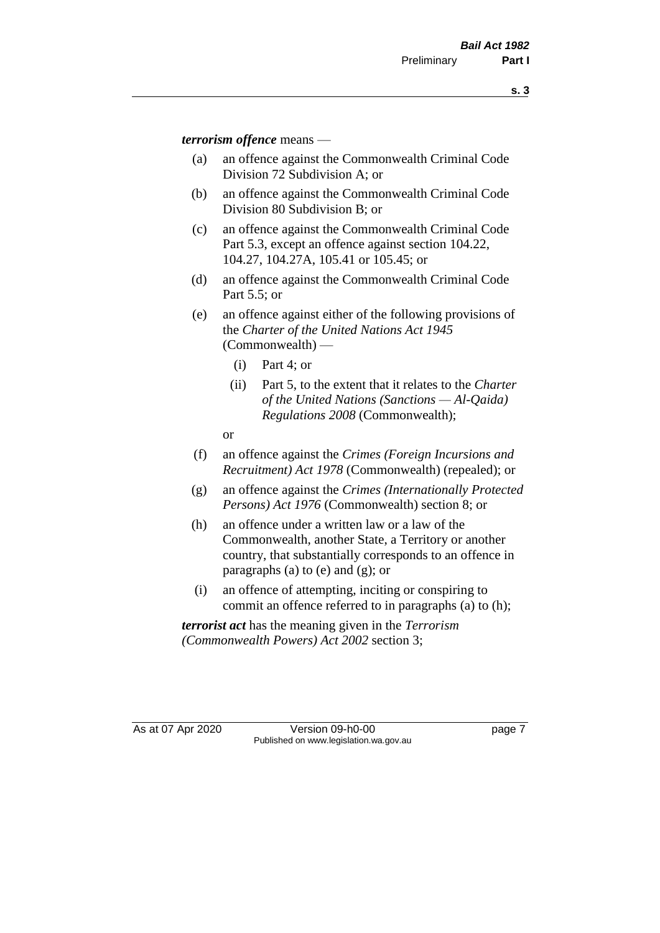*terrorism offence* means —

- (a) an offence against the Commonwealth Criminal Code Division 72 Subdivision A; or
- (b) an offence against the Commonwealth Criminal Code Division 80 Subdivision B; or
- (c) an offence against the Commonwealth Criminal Code Part 5.3, except an offence against section 104.22, 104.27, 104.27A, 105.41 or 105.45; or
- (d) an offence against the Commonwealth Criminal Code Part 5.5; or
- (e) an offence against either of the following provisions of the *Charter of the United Nations Act 1945*  (Commonwealth) —
	- (i) Part 4; or
	- (ii) Part 5, to the extent that it relates to the *Charter of the United Nations (Sanctions — Al-Qaida) Regulations 2008* (Commonwealth);
	- or
- (f) an offence against the *Crimes (Foreign Incursions and Recruitment) Act 1978* (Commonwealth) (repealed); or
- (g) an offence against the *Crimes (Internationally Protected Persons) Act 1976* (Commonwealth) section 8; or
- (h) an offence under a written law or a law of the Commonwealth, another State, a Territory or another country, that substantially corresponds to an offence in paragraphs (a) to (e) and (g); or
- (i) an offence of attempting, inciting or conspiring to commit an offence referred to in paragraphs (a) to (h);

*terrorist act* has the meaning given in the *Terrorism (Commonwealth Powers) Act 2002* section 3;

As at 07 Apr 2020 Version 09-h0-00 page 7 Published on www.legislation.wa.gov.au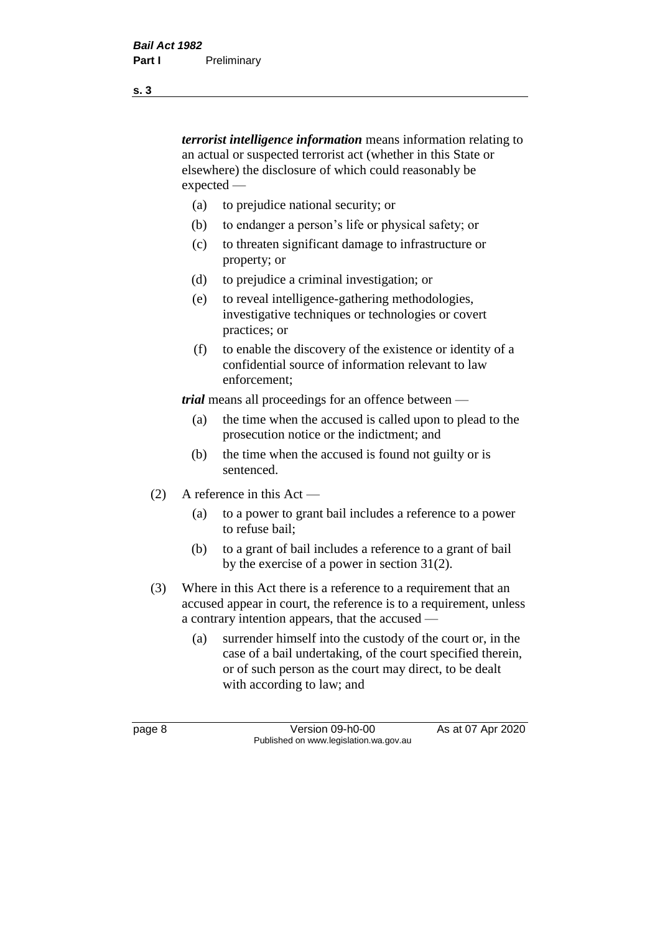*terrorist intelligence information* means information relating to an actual or suspected terrorist act (whether in this State or elsewhere) the disclosure of which could reasonably be expected —

- (a) to prejudice national security; or
- (b) to endanger a person's life or physical safety; or
- (c) to threaten significant damage to infrastructure or property; or
- (d) to prejudice a criminal investigation; or
- (e) to reveal intelligence-gathering methodologies, investigative techniques or technologies or covert practices; or
- (f) to enable the discovery of the existence or identity of a confidential source of information relevant to law enforcement;

*trial* means all proceedings for an offence between —

- (a) the time when the accused is called upon to plead to the prosecution notice or the indictment; and
- (b) the time when the accused is found not guilty or is sentenced.
- (2) A reference in this Act
	- (a) to a power to grant bail includes a reference to a power to refuse bail;
	- (b) to a grant of bail includes a reference to a grant of bail by the exercise of a power in section 31(2).
- (3) Where in this Act there is a reference to a requirement that an accused appear in court, the reference is to a requirement, unless a contrary intention appears, that the accused —
	- (a) surrender himself into the custody of the court or, in the case of a bail undertaking, of the court specified therein, or of such person as the court may direct, to be dealt with according to law; and

page 8 Version 09-h0-00 As at 07 Apr 2020 Published on www.legislation.wa.gov.au

**s. 3**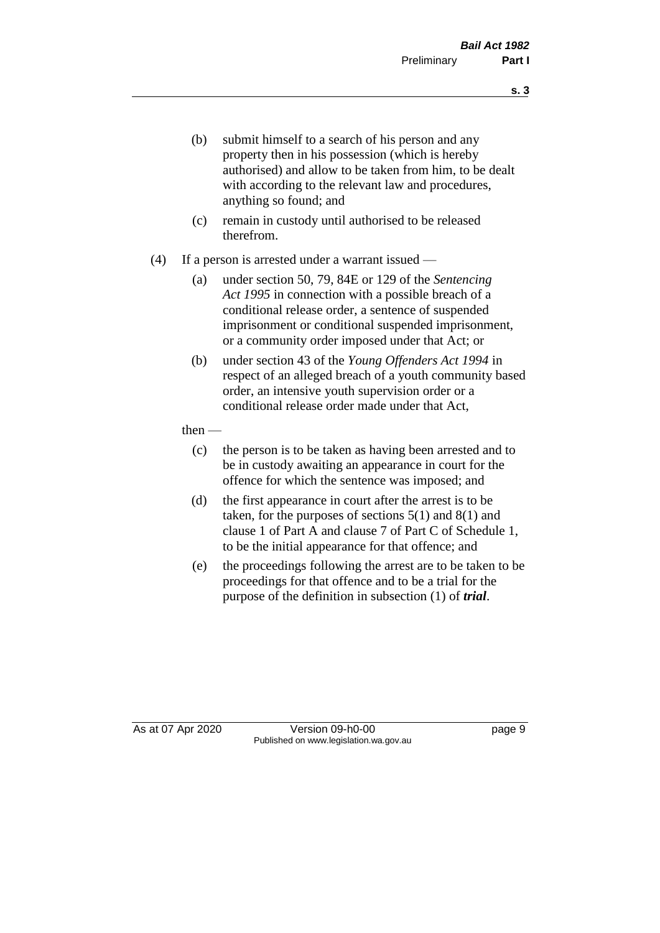- (b) submit himself to a search of his person and any property then in his possession (which is hereby authorised) and allow to be taken from him, to be dealt with according to the relevant law and procedures, anything so found; and
- (c) remain in custody until authorised to be released therefrom.
- (4) If a person is arrested under a warrant issued
	- (a) under section 50, 79, 84E or 129 of the *Sentencing Act 1995* in connection with a possible breach of a conditional release order, a sentence of suspended imprisonment or conditional suspended imprisonment, or a community order imposed under that Act; or
	- (b) under section 43 of the *Young Offenders Act 1994* in respect of an alleged breach of a youth community based order, an intensive youth supervision order or a conditional release order made under that Act,
	- then
		- (c) the person is to be taken as having been arrested and to be in custody awaiting an appearance in court for the offence for which the sentence was imposed; and
		- (d) the first appearance in court after the arrest is to be taken, for the purposes of sections  $5(1)$  and  $8(1)$  and clause 1 of Part A and clause 7 of Part C of Schedule 1, to be the initial appearance for that offence; and
		- (e) the proceedings following the arrest are to be taken to be proceedings for that offence and to be a trial for the purpose of the definition in subsection (1) of *trial*.

As at 07 Apr 2020 Version 09-h0-00 page 9 Published on www.legislation.wa.gov.au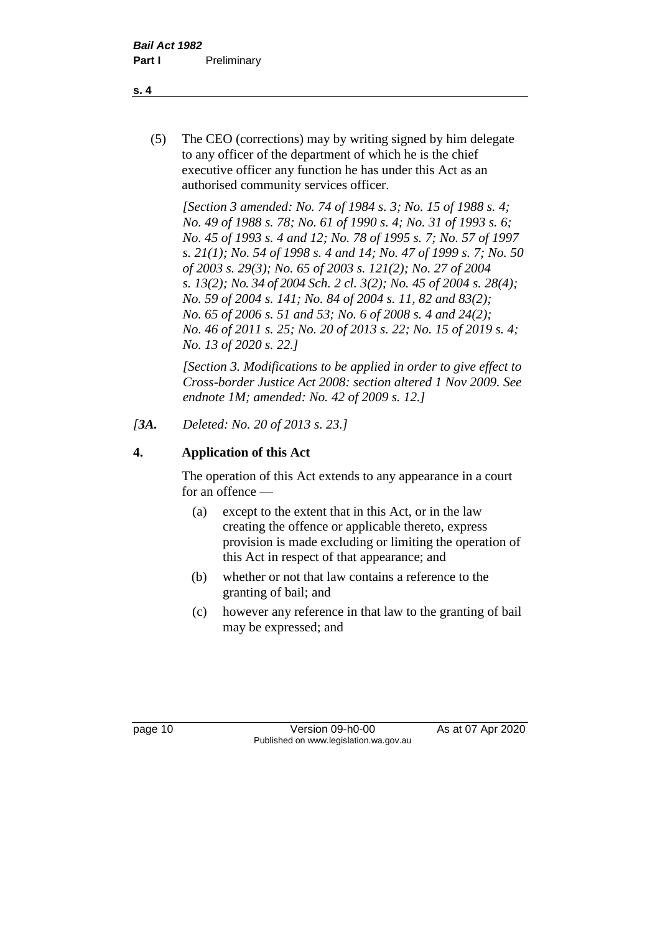(5) The CEO (corrections) may by writing signed by him delegate to any officer of the department of which he is the chief executive officer any function he has under this Act as an authorised community services officer.

*[Section 3 amended: No. 74 of 1984 s. 3; No. 15 of 1988 s. 4; No. 49 of 1988 s. 78; No. 61 of 1990 s. 4; No. 31 of 1993 s. 6; No. 45 of 1993 s. 4 and 12; No. 78 of 1995 s. 7; No. 57 of 1997 s. 21(1); No. 54 of 1998 s. 4 and 14; No. 47 of 1999 s. 7; No. 50 of 2003 s. 29(3); No. 65 of 2003 s. 121(2); No. 27 of 2004 s. 13(2); No. 34 of 2004 Sch. 2 cl. 3(2); No. 45 of 2004 s. 28(4); No. 59 of 2004 s. 141; No. 84 of 2004 s. 11, 82 and 83(2); No. 65 of 2006 s. 51 and 53; No. 6 of 2008 s. 4 and 24(2); No. 46 of 2011 s. 25; No. 20 of 2013 s. 22; No. 15 of 2019 s. 4; No. 13 of 2020 s. 22.]* 

*[Section 3. Modifications to be applied in order to give effect to Cross-border Justice Act 2008: section altered 1 Nov 2009. See endnote 1M; amended: No. 42 of 2009 s. 12.]*

*[3A. Deleted: No. 20 of 2013 s. 23.]*

## **4. Application of this Act**

The operation of this Act extends to any appearance in a court for an offence —

- (a) except to the extent that in this Act, or in the law creating the offence or applicable thereto, express provision is made excluding or limiting the operation of this Act in respect of that appearance; and
- (b) whether or not that law contains a reference to the granting of bail; and
- (c) however any reference in that law to the granting of bail may be expressed; and

page 10 Version 09-h0-00 As at 07 Apr 2020 Published on www.legislation.wa.gov.au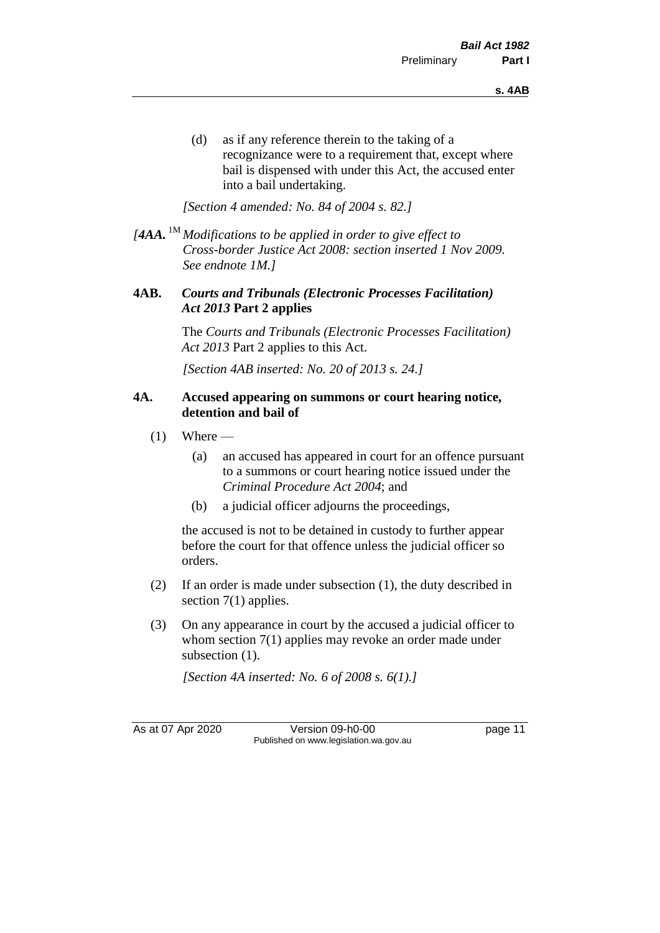(d) as if any reference therein to the taking of a recognizance were to a requirement that, except where bail is dispensed with under this Act, the accused enter into a bail undertaking.

*[Section 4 amended: No. 84 of 2004 s. 82.]*

*[4AA.* 1M *Modifications to be applied in order to give effect to Cross-border Justice Act 2008: section inserted 1 Nov 2009. See endnote 1M.]*

### **4AB.** *Courts and Tribunals (Electronic Processes Facilitation) Act 2013* **Part 2 applies**

The *Courts and Tribunals (Electronic Processes Facilitation) Act 2013* Part 2 applies to this Act.

*[Section 4AB inserted: No. 20 of 2013 s. 24.]*

#### **4A. Accused appearing on summons or court hearing notice, detention and bail of**

- $(1)$  Where
	- (a) an accused has appeared in court for an offence pursuant to a summons or court hearing notice issued under the *Criminal Procedure Act 2004*; and
	- (b) a judicial officer adjourns the proceedings,

the accused is not to be detained in custody to further appear before the court for that offence unless the judicial officer so orders.

- (2) If an order is made under subsection (1), the duty described in section 7(1) applies.
- (3) On any appearance in court by the accused a judicial officer to whom section 7(1) applies may revoke an order made under subsection  $(1)$ .

*[Section 4A inserted: No. 6 of 2008 s. 6(1).]*

As at 07 Apr 2020 Version 09-h0-00 page 11 Published on www.legislation.wa.gov.au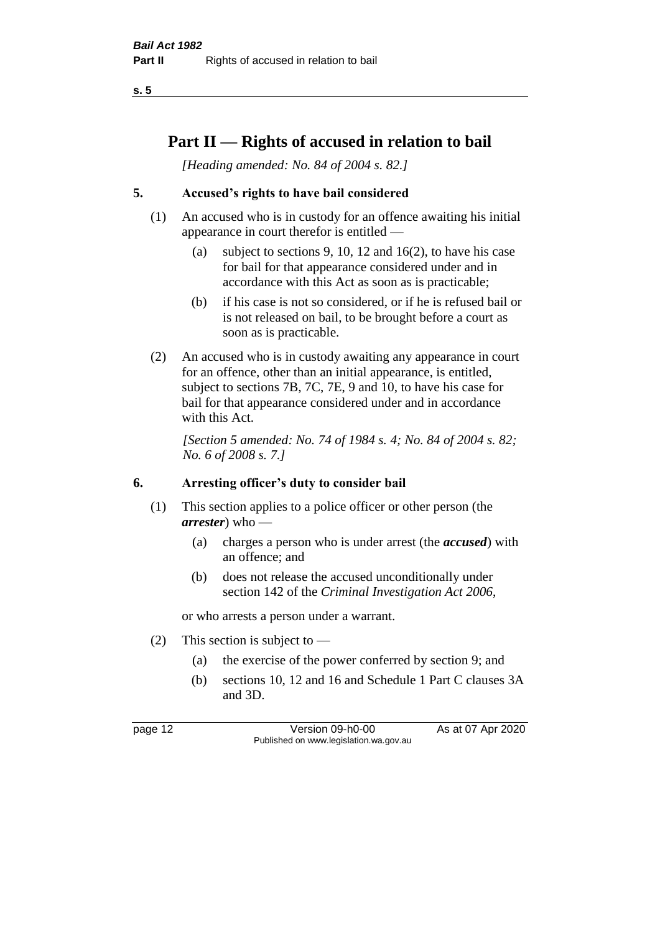**s. 5**

## **Part II — Rights of accused in relation to bail**

*[Heading amended: No. 84 of 2004 s. 82.]* 

## **5. Accused's rights to have bail considered**

- (1) An accused who is in custody for an offence awaiting his initial appearance in court therefor is entitled —
	- (a) subject to sections 9, 10, 12 and 16(2), to have his case for bail for that appearance considered under and in accordance with this Act as soon as is practicable;
	- (b) if his case is not so considered, or if he is refused bail or is not released on bail, to be brought before a court as soon as is practicable.
- (2) An accused who is in custody awaiting any appearance in court for an offence, other than an initial appearance, is entitled, subject to sections 7B, 7C, 7E, 9 and 10, to have his case for bail for that appearance considered under and in accordance with this Act.

*[Section 5 amended: No. 74 of 1984 s. 4; No. 84 of 2004 s. 82; No. 6 of 2008 s. 7.]* 

#### **6. Arresting officer's duty to consider bail**

- (1) This section applies to a police officer or other person (the *arrester*) who —
	- (a) charges a person who is under arrest (the *accused*) with an offence; and
	- (b) does not release the accused unconditionally under section 142 of the *Criminal Investigation Act 2006*,

or who arrests a person under a warrant.

- (2) This section is subject to  $-$ 
	- (a) the exercise of the power conferred by section 9; and
	- (b) sections 10, 12 and 16 and Schedule 1 Part C clauses 3A and 3D.

page 12 Version 09-h0-00 As at 07 Apr 2020 Published on www.legislation.wa.gov.au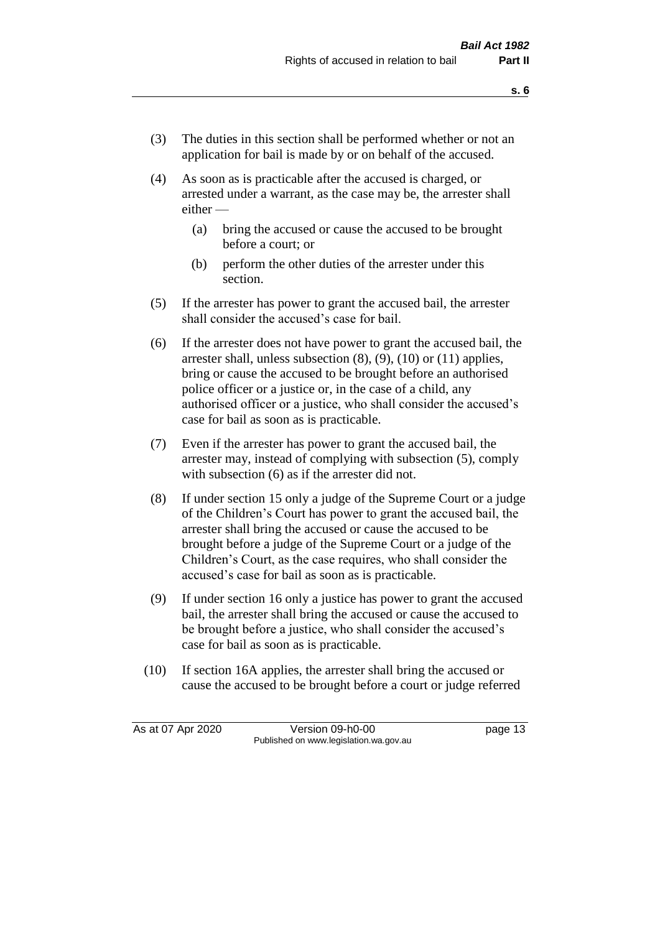- (3) The duties in this section shall be performed whether or not an application for bail is made by or on behalf of the accused.
- (4) As soon as is practicable after the accused is charged, or arrested under a warrant, as the case may be, the arrester shall either —
	- (a) bring the accused or cause the accused to be brought before a court; or
	- (b) perform the other duties of the arrester under this section.
- (5) If the arrester has power to grant the accused bail, the arrester shall consider the accused's case for bail.
- (6) If the arrester does not have power to grant the accused bail, the arrester shall, unless subsection (8), (9), (10) or (11) applies, bring or cause the accused to be brought before an authorised police officer or a justice or, in the case of a child, any authorised officer or a justice, who shall consider the accused's case for bail as soon as is practicable.
- (7) Even if the arrester has power to grant the accused bail, the arrester may, instead of complying with subsection (5), comply with subsection  $(6)$  as if the arrester did not.
- (8) If under section 15 only a judge of the Supreme Court or a judge of the Children's Court has power to grant the accused bail, the arrester shall bring the accused or cause the accused to be brought before a judge of the Supreme Court or a judge of the Children's Court, as the case requires, who shall consider the accused's case for bail as soon as is practicable.
- (9) If under section 16 only a justice has power to grant the accused bail, the arrester shall bring the accused or cause the accused to be brought before a justice, who shall consider the accused's case for bail as soon as is practicable.
- (10) If section 16A applies, the arrester shall bring the accused or cause the accused to be brought before a court or judge referred

As at 07 Apr 2020 Version 09-h0-00 page 13 Published on www.legislation.wa.gov.au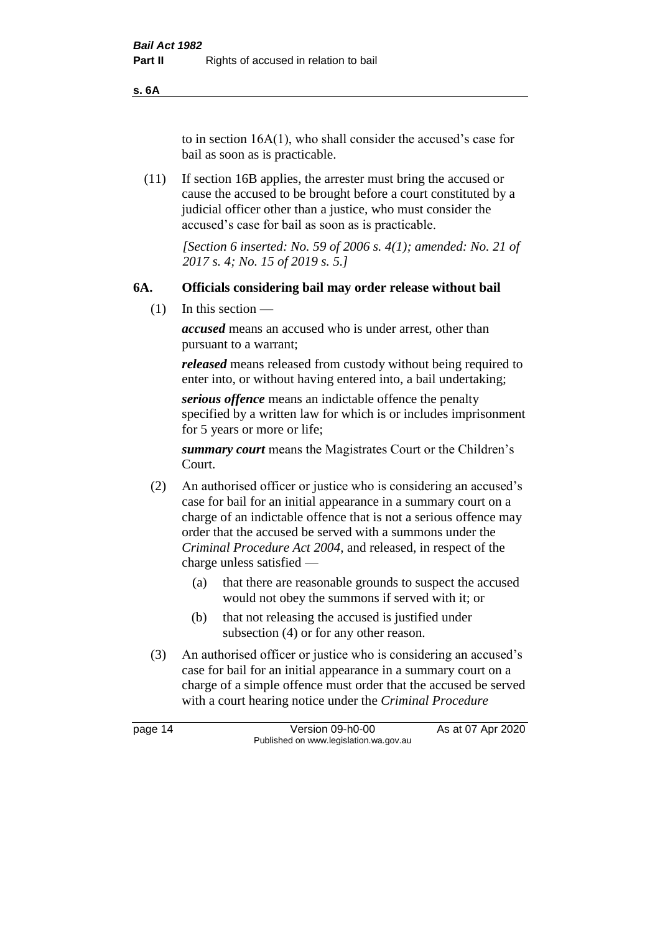**s. 6A**

to in section 16A(1), who shall consider the accused's case for bail as soon as is practicable.

(11) If section 16B applies, the arrester must bring the accused or cause the accused to be brought before a court constituted by a judicial officer other than a justice, who must consider the accused's case for bail as soon as is practicable.

> *[Section 6 inserted: No. 59 of 2006 s. 4(1); amended: No. 21 of 2017 s. 4; No. 15 of 2019 s. 5.]*

### **6A. Officials considering bail may order release without bail**

(1) In this section —

*accused* means an accused who is under arrest, other than pursuant to a warrant;

*released* means released from custody without being required to enter into, or without having entered into, a bail undertaking;

*serious offence* means an indictable offence the penalty specified by a written law for which is or includes imprisonment for 5 years or more or life;

*summary court* means the Magistrates Court or the Children's Court.

- (2) An authorised officer or justice who is considering an accused's case for bail for an initial appearance in a summary court on a charge of an indictable offence that is not a serious offence may order that the accused be served with a summons under the *Criminal Procedure Act 2004*, and released, in respect of the charge unless satisfied —
	- (a) that there are reasonable grounds to suspect the accused would not obey the summons if served with it; or
	- (b) that not releasing the accused is justified under subsection (4) or for any other reason.
- (3) An authorised officer or justice who is considering an accused's case for bail for an initial appearance in a summary court on a charge of a simple offence must order that the accused be served with a court hearing notice under the *Criminal Procedure*

page 14 Version 09-h0-00 As at 07 Apr 2020 Published on www.legislation.wa.gov.au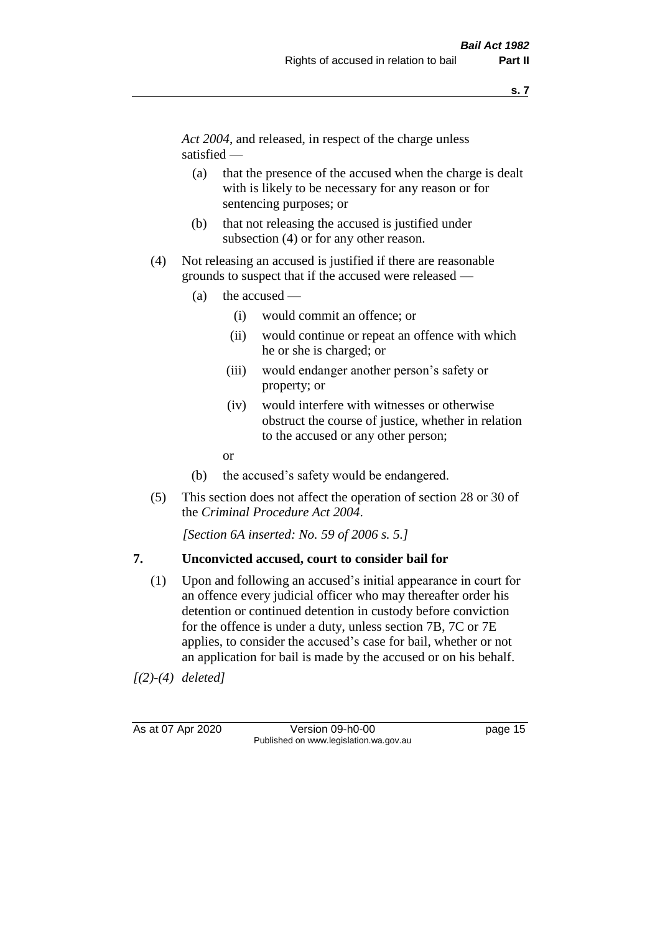*Act 2004*, and released, in respect of the charge unless satisfied —

- (a) that the presence of the accused when the charge is dealt with is likely to be necessary for any reason or for sentencing purposes; or
- (b) that not releasing the accused is justified under subsection (4) or for any other reason.
- (4) Not releasing an accused is justified if there are reasonable grounds to suspect that if the accused were released —
	- (a) the accused
		- (i) would commit an offence; or
		- (ii) would continue or repeat an offence with which he or she is charged; or
		- (iii) would endanger another person's safety or property; or
		- (iv) would interfere with witnesses or otherwise obstruct the course of justice, whether in relation to the accused or any other person;
		- or
	- (b) the accused's safety would be endangered.
- (5) This section does not affect the operation of section 28 or 30 of the *Criminal Procedure Act 2004*.

*[Section 6A inserted: No. 59 of 2006 s. 5.]* 

#### **7. Unconvicted accused, court to consider bail for**

(1) Upon and following an accused's initial appearance in court for an offence every judicial officer who may thereafter order his detention or continued detention in custody before conviction for the offence is under a duty, unless section 7B, 7C or 7E applies, to consider the accused's case for bail, whether or not an application for bail is made by the accused or on his behalf.

*[(2)-(4) deleted]*

As at 07 Apr 2020 Version 09-h0-00 page 15 Published on www.legislation.wa.gov.au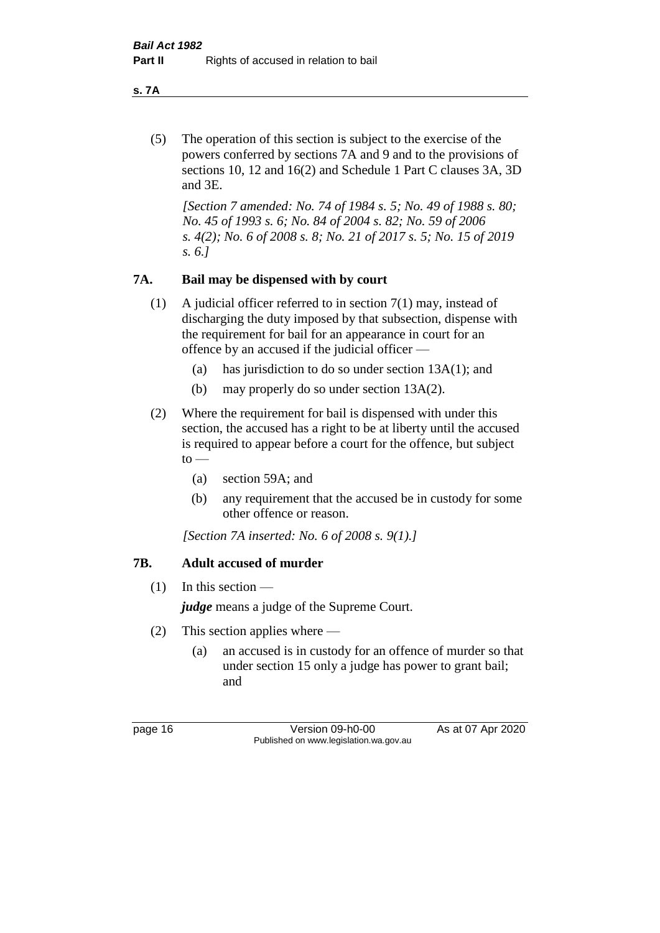**s. 7A**

(5) The operation of this section is subject to the exercise of the powers conferred by sections 7A and 9 and to the provisions of sections 10, 12 and 16(2) and Schedule 1 Part C clauses 3A, 3D and 3E.

*[Section 7 amended: No. 74 of 1984 s. 5; No. 49 of 1988 s. 80; No. 45 of 1993 s. 6; No. 84 of 2004 s. 82; No. 59 of 2006 s. 4(2); No. 6 of 2008 s. 8; No. 21 of 2017 s. 5; No. 15 of 2019 s. 6.]* 

## **7A. Bail may be dispensed with by court**

- (1) A judicial officer referred to in section 7(1) may, instead of discharging the duty imposed by that subsection, dispense with the requirement for bail for an appearance in court for an offence by an accused if the judicial officer —
	- (a) has jurisdiction to do so under section 13A(1); and
	- (b) may properly do so under section 13A(2).
- (2) Where the requirement for bail is dispensed with under this section, the accused has a right to be at liberty until the accused is required to appear before a court for the offence, but subject  $to -$ 
	- (a) section 59A; and
	- (b) any requirement that the accused be in custody for some other offence or reason.

*[Section 7A inserted: No. 6 of 2008 s. 9(1).]*

## **7B. Adult accused of murder**

 $(1)$  In this section —

*judge* means a judge of the Supreme Court.

- (2) This section applies where
	- (a) an accused is in custody for an offence of murder so that under section 15 only a judge has power to grant bail; and

page 16 Version 09-h0-00 As at 07 Apr 2020 Published on www.legislation.wa.gov.au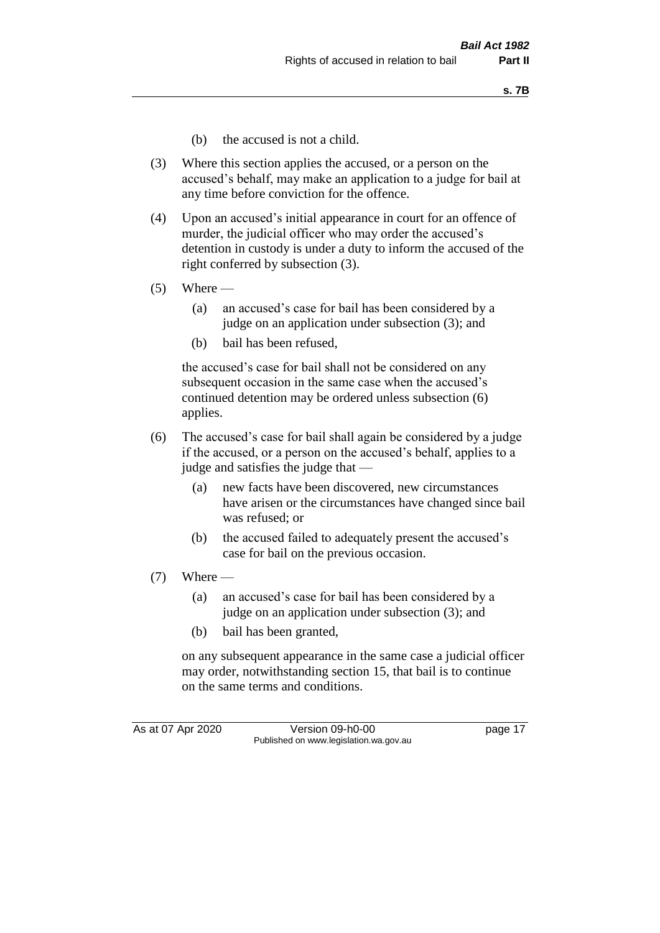- (b) the accused is not a child.
- (3) Where this section applies the accused, or a person on the accused's behalf, may make an application to a judge for bail at any time before conviction for the offence.
- (4) Upon an accused's initial appearance in court for an offence of murder, the judicial officer who may order the accused's detention in custody is under a duty to inform the accused of the right conferred by subsection (3).
- $(5)$  Where
	- (a) an accused's case for bail has been considered by a judge on an application under subsection (3); and
	- (b) bail has been refused,

the accused's case for bail shall not be considered on any subsequent occasion in the same case when the accused's continued detention may be ordered unless subsection (6) applies.

- (6) The accused's case for bail shall again be considered by a judge if the accused, or a person on the accused's behalf, applies to a judge and satisfies the judge that —
	- (a) new facts have been discovered, new circumstances have arisen or the circumstances have changed since bail was refused; or
	- (b) the accused failed to adequately present the accused's case for bail on the previous occasion.
- $(7)$  Where
	- (a) an accused's case for bail has been considered by a judge on an application under subsection (3); and
	- (b) bail has been granted,

on any subsequent appearance in the same case a judicial officer may order, notwithstanding section 15, that bail is to continue on the same terms and conditions.

As at 07 Apr 2020 Version 09-h0-00 page 17 Published on www.legislation.wa.gov.au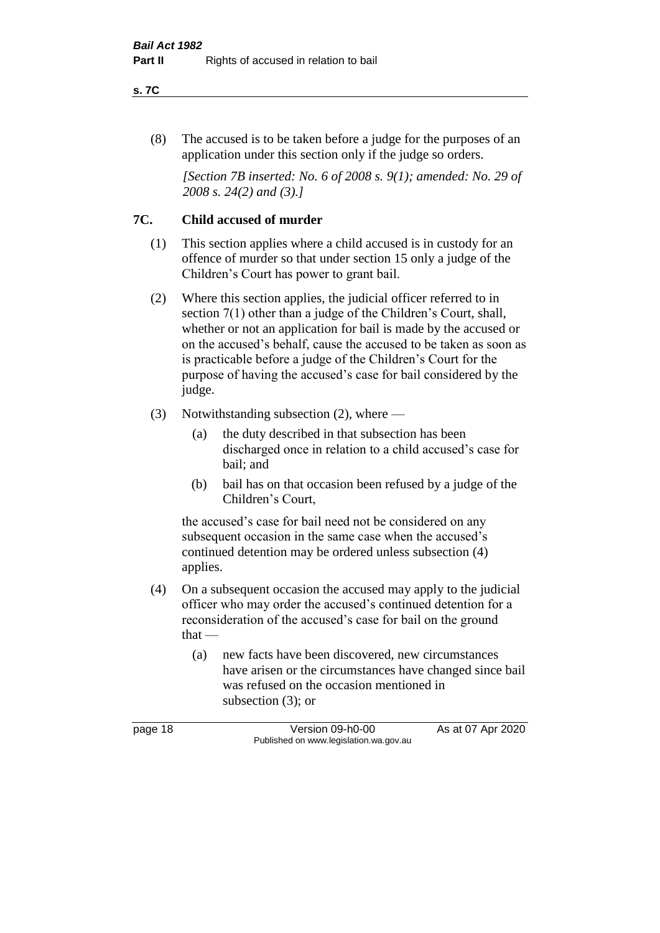#### **s. 7C**

(8) The accused is to be taken before a judge for the purposes of an application under this section only if the judge so orders.

*[Section 7B inserted: No. 6 of 2008 s. 9(1); amended: No. 29 of 2008 s. 24(2) and (3).]*

## **7C. Child accused of murder**

- (1) This section applies where a child accused is in custody for an offence of murder so that under section 15 only a judge of the Children's Court has power to grant bail.
- (2) Where this section applies, the judicial officer referred to in section 7(1) other than a judge of the Children's Court, shall, whether or not an application for bail is made by the accused or on the accused's behalf, cause the accused to be taken as soon as is practicable before a judge of the Children's Court for the purpose of having the accused's case for bail considered by the judge.
- (3) Notwithstanding subsection (2), where
	- (a) the duty described in that subsection has been discharged once in relation to a child accused's case for bail; and
	- (b) bail has on that occasion been refused by a judge of the Children's Court,

the accused's case for bail need not be considered on any subsequent occasion in the same case when the accused's continued detention may be ordered unless subsection (4) applies.

- (4) On a subsequent occasion the accused may apply to the judicial officer who may order the accused's continued detention for a reconsideration of the accused's case for bail on the ground that —
	- (a) new facts have been discovered, new circumstances have arisen or the circumstances have changed since bail was refused on the occasion mentioned in subsection (3); or

page 18 Version 09-h0-00 As at 07 Apr 2020 Published on www.legislation.wa.gov.au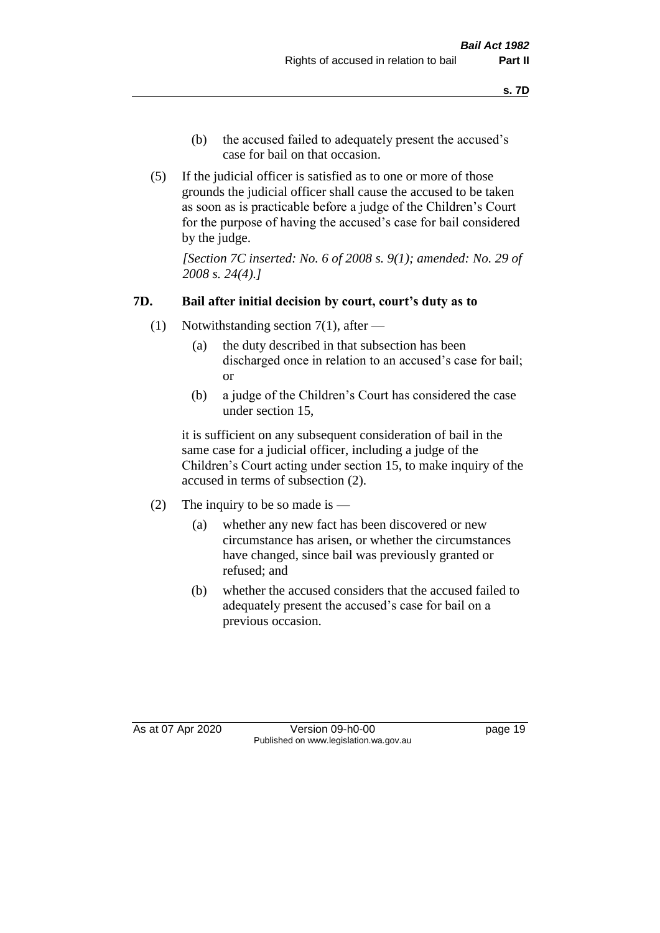- (b) the accused failed to adequately present the accused's case for bail on that occasion.
- (5) If the judicial officer is satisfied as to one or more of those grounds the judicial officer shall cause the accused to be taken as soon as is practicable before a judge of the Children's Court for the purpose of having the accused's case for bail considered by the judge.

*[Section 7C inserted: No. 6 of 2008 s. 9(1); amended: No. 29 of 2008 s. 24(4).]*

### **7D. Bail after initial decision by court, court's duty as to**

- (1) Notwithstanding section 7(1), after
	- (a) the duty described in that subsection has been discharged once in relation to an accused's case for bail; or
	- (b) a judge of the Children's Court has considered the case under section 15,

it is sufficient on any subsequent consideration of bail in the same case for a judicial officer, including a judge of the Children's Court acting under section 15, to make inquiry of the accused in terms of subsection (2).

- (2) The inquiry to be so made is  $-$ 
	- (a) whether any new fact has been discovered or new circumstance has arisen, or whether the circumstances have changed, since bail was previously granted or refused; and
	- (b) whether the accused considers that the accused failed to adequately present the accused's case for bail on a previous occasion.

As at 07 Apr 2020 Version 09-h0-00 page 19 Published on www.legislation.wa.gov.au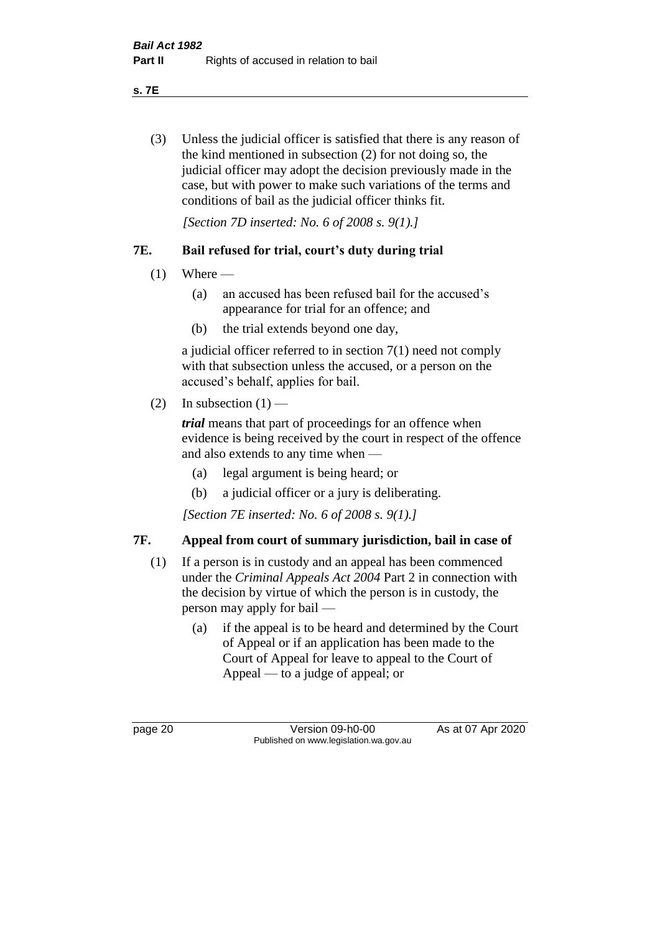**s. 7E**

(3) Unless the judicial officer is satisfied that there is any reason of the kind mentioned in subsection (2) for not doing so, the judicial officer may adopt the decision previously made in the case, but with power to make such variations of the terms and conditions of bail as the judicial officer thinks fit.

*[Section 7D inserted: No. 6 of 2008 s. 9(1).]*

## **7E. Bail refused for trial, court's duty during trial**

- $(1)$  Where
	- (a) an accused has been refused bail for the accused's appearance for trial for an offence; and
	- (b) the trial extends beyond one day,

a judicial officer referred to in section 7(1) need not comply with that subsection unless the accused, or a person on the accused's behalf, applies for bail.

(2) In subsection  $(1)$  —

*trial* means that part of proceedings for an offence when evidence is being received by the court in respect of the offence and also extends to any time when —

- (a) legal argument is being heard; or
- (b) a judicial officer or a jury is deliberating.

*[Section 7E inserted: No. 6 of 2008 s. 9(1).]*

## **7F. Appeal from court of summary jurisdiction, bail in case of**

- (1) If a person is in custody and an appeal has been commenced under the *Criminal Appeals Act 2004* Part 2 in connection with the decision by virtue of which the person is in custody, the person may apply for bail —
	- (a) if the appeal is to be heard and determined by the Court of Appeal or if an application has been made to the Court of Appeal for leave to appeal to the Court of Appeal — to a judge of appeal; or

page 20 Version 09-h0-00 As at 07 Apr 2020 Published on www.legislation.wa.gov.au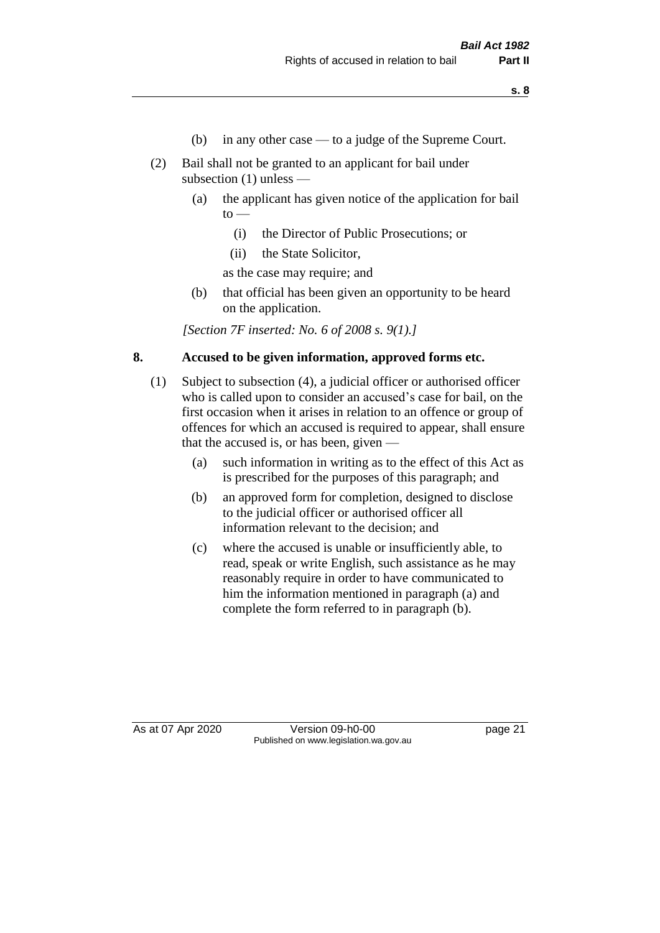- (b) in any other case to a judge of the Supreme Court.
- (2) Bail shall not be granted to an applicant for bail under subsection (1) unless —
	- (a) the applicant has given notice of the application for bail  $\mathrm{to}$  —
		- (i) the Director of Public Prosecutions; or
		- (ii) the State Solicitor,

as the case may require; and

(b) that official has been given an opportunity to be heard on the application.

*[Section 7F inserted: No. 6 of 2008 s. 9(1).]*

#### **8. Accused to be given information, approved forms etc.**

- (1) Subject to subsection (4), a judicial officer or authorised officer who is called upon to consider an accused's case for bail, on the first occasion when it arises in relation to an offence or group of offences for which an accused is required to appear, shall ensure that the accused is, or has been, given —
	- (a) such information in writing as to the effect of this Act as is prescribed for the purposes of this paragraph; and
	- (b) an approved form for completion, designed to disclose to the judicial officer or authorised officer all information relevant to the decision; and
	- (c) where the accused is unable or insufficiently able, to read, speak or write English, such assistance as he may reasonably require in order to have communicated to him the information mentioned in paragraph (a) and complete the form referred to in paragraph (b).

As at 07 Apr 2020 Version 09-h0-00 page 21 Published on www.legislation.wa.gov.au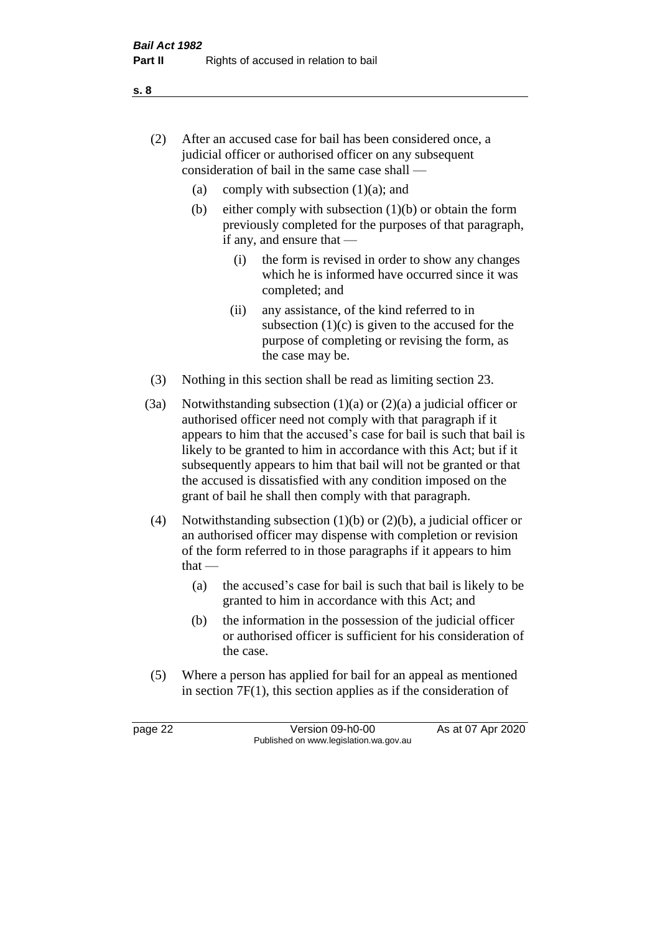- (2) After an accused case for bail has been considered once, a judicial officer or authorised officer on any subsequent consideration of bail in the same case shall —
	- (a) comply with subsection  $(1)(a)$ ; and
	- (b) either comply with subsection  $(1)(b)$  or obtain the form previously completed for the purposes of that paragraph, if any, and ensure that —
		- (i) the form is revised in order to show any changes which he is informed have occurred since it was completed; and
		- (ii) any assistance, of the kind referred to in subsection  $(1)(c)$  is given to the accused for the purpose of completing or revising the form, as the case may be.
- (3) Nothing in this section shall be read as limiting section 23.
- (3a) Notwithstanding subsection  $(1)(a)$  or  $(2)(a)$  a judicial officer or authorised officer need not comply with that paragraph if it appears to him that the accused's case for bail is such that bail is likely to be granted to him in accordance with this Act; but if it subsequently appears to him that bail will not be granted or that the accused is dissatisfied with any condition imposed on the grant of bail he shall then comply with that paragraph.
- (4) Notwithstanding subsection (1)(b) or (2)(b), a judicial officer or an authorised officer may dispense with completion or revision of the form referred to in those paragraphs if it appears to him  $that -$ 
	- (a) the accused's case for bail is such that bail is likely to be granted to him in accordance with this Act; and
	- (b) the information in the possession of the judicial officer or authorised officer is sufficient for his consideration of the case.
- (5) Where a person has applied for bail for an appeal as mentioned in section 7F(1), this section applies as if the consideration of

page 22 Version 09-h0-00 As at 07 Apr 2020 Published on www.legislation.wa.gov.au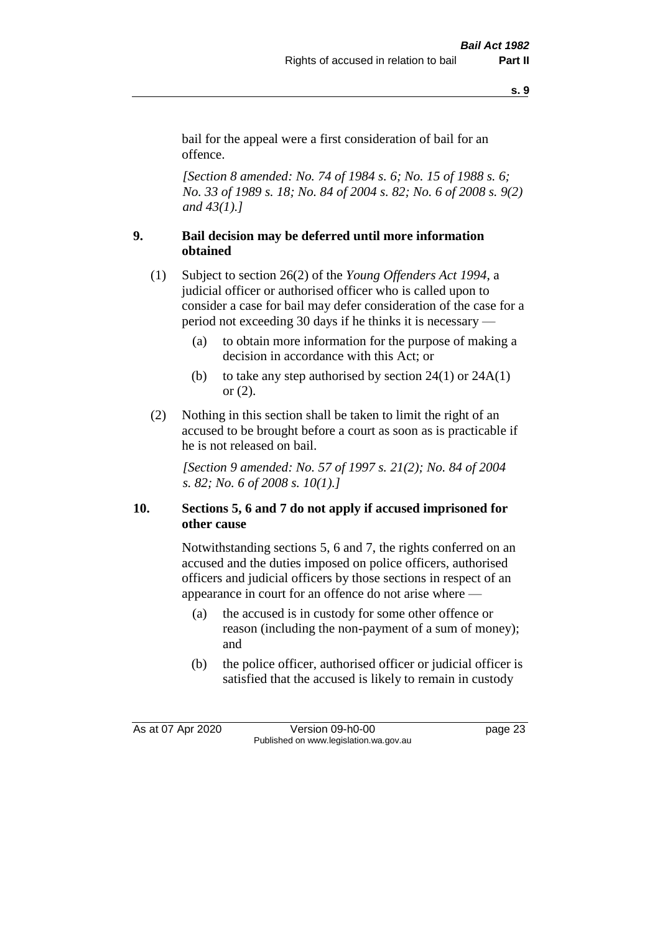**s. 9**

bail for the appeal were a first consideration of bail for an offence.

*[Section 8 amended: No. 74 of 1984 s. 6; No. 15 of 1988 s. 6; No. 33 of 1989 s. 18; No. 84 of 2004 s. 82; No. 6 of 2008 s. 9(2) and 43(1).]* 

## **9. Bail decision may be deferred until more information obtained**

- (1) Subject to section 26(2) of the *Young Offenders Act 1994*, a judicial officer or authorised officer who is called upon to consider a case for bail may defer consideration of the case for a period not exceeding 30 days if he thinks it is necessary —
	- (a) to obtain more information for the purpose of making a decision in accordance with this Act; or
	- (b) to take any step authorised by section  $24(1)$  or  $24A(1)$ or (2).
- (2) Nothing in this section shall be taken to limit the right of an accused to be brought before a court as soon as is practicable if he is not released on bail.

*[Section 9 amended: No. 57 of 1997 s. 21(2); No. 84 of 2004 s. 82; No. 6 of 2008 s. 10(1).]*

## **10. Sections 5, 6 and 7 do not apply if accused imprisoned for other cause**

Notwithstanding sections 5, 6 and 7, the rights conferred on an accused and the duties imposed on police officers, authorised officers and judicial officers by those sections in respect of an appearance in court for an offence do not arise where —

- (a) the accused is in custody for some other offence or reason (including the non-payment of a sum of money); and
- (b) the police officer, authorised officer or judicial officer is satisfied that the accused is likely to remain in custody

As at 07 Apr 2020 Version 09-h0-00 page 23 Published on www.legislation.wa.gov.au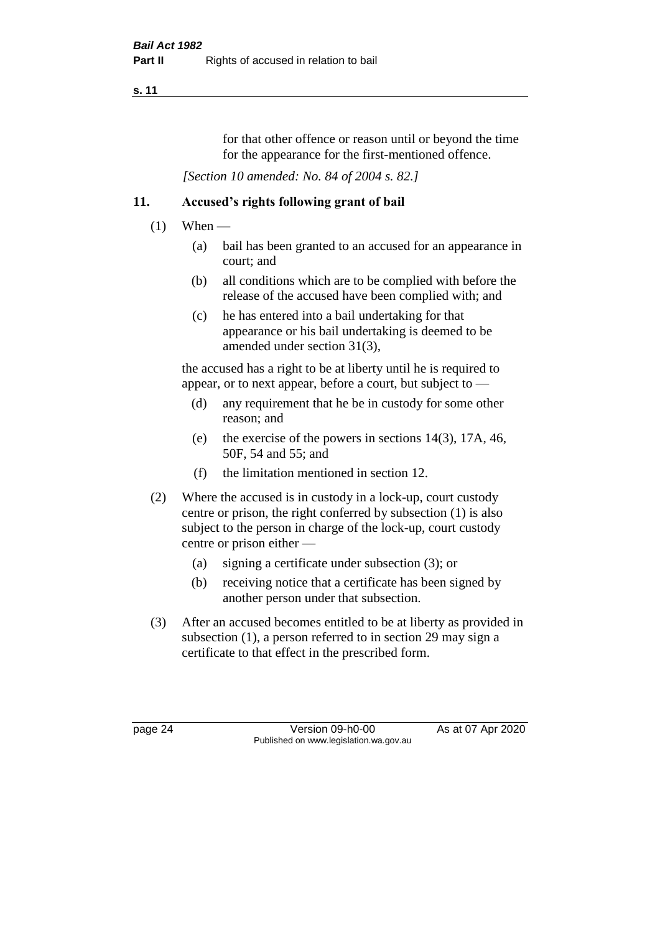#### **s. 11**

for that other offence or reason until or beyond the time for the appearance for the first-mentioned offence.

*[Section 10 amended: No. 84 of 2004 s. 82.]*

## **11. Accused's rights following grant of bail**

- $(1)$  When
	- (a) bail has been granted to an accused for an appearance in court; and
	- (b) all conditions which are to be complied with before the release of the accused have been complied with; and
	- (c) he has entered into a bail undertaking for that appearance or his bail undertaking is deemed to be amended under section 31(3),

the accused has a right to be at liberty until he is required to appear, or to next appear, before a court, but subject to —

- (d) any requirement that he be in custody for some other reason; and
- (e) the exercise of the powers in sections 14(3), 17A, 46, 50F, 54 and 55; and
- (f) the limitation mentioned in section 12.
- (2) Where the accused is in custody in a lock-up, court custody centre or prison, the right conferred by subsection (1) is also subject to the person in charge of the lock-up, court custody centre or prison either —
	- (a) signing a certificate under subsection (3); or
	- (b) receiving notice that a certificate has been signed by another person under that subsection.
- (3) After an accused becomes entitled to be at liberty as provided in subsection (1), a person referred to in section 29 may sign a certificate to that effect in the prescribed form.

page 24 Version 09-h0-00 As at 07 Apr 2020 Published on www.legislation.wa.gov.au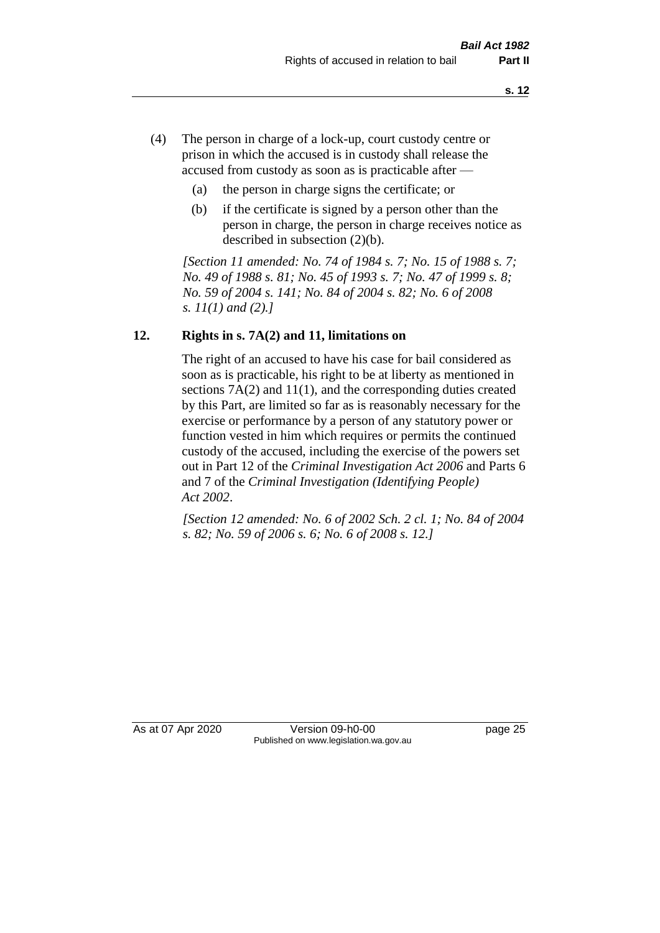- (4) The person in charge of a lock-up, court custody centre or prison in which the accused is in custody shall release the accused from custody as soon as is practicable after —
	- (a) the person in charge signs the certificate; or
	- (b) if the certificate is signed by a person other than the person in charge, the person in charge receives notice as described in subsection (2)(b).

*[Section 11 amended: No. 74 of 1984 s. 7; No. 15 of 1988 s. 7; No. 49 of 1988 s. 81; No. 45 of 1993 s. 7; No. 47 of 1999 s. 8; No. 59 of 2004 s. 141; No. 84 of 2004 s. 82; No. 6 of 2008 s. 11(1) and (2).]* 

## **12. Rights in s. 7A(2) and 11, limitations on**

The right of an accused to have his case for bail considered as soon as is practicable, his right to be at liberty as mentioned in sections 7A(2) and 11(1), and the corresponding duties created by this Part, are limited so far as is reasonably necessary for the exercise or performance by a person of any statutory power or function vested in him which requires or permits the continued custody of the accused, including the exercise of the powers set out in Part 12 of the *Criminal Investigation Act 2006* and Parts 6 and 7 of the *Criminal Investigation (Identifying People) Act 2002*.

*[Section 12 amended: No. 6 of 2002 Sch. 2 cl. 1; No. 84 of 2004 s. 82; No. 59 of 2006 s. 6; No. 6 of 2008 s. 12.]*

As at 07 Apr 2020 Version 09-h0-00 page 25 Published on www.legislation.wa.gov.au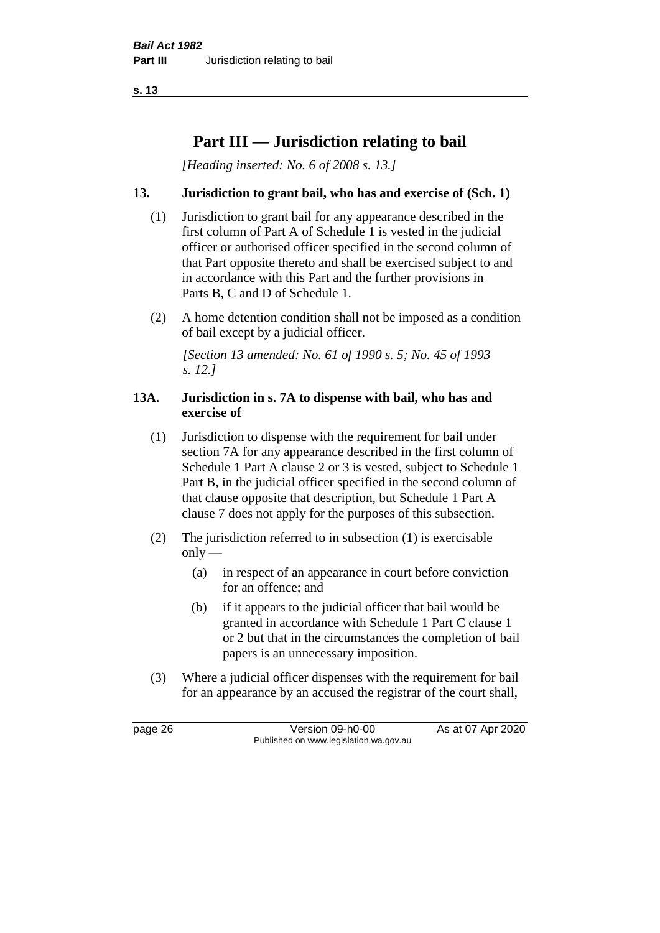**s. 13**

## **Part III — Jurisdiction relating to bail**

*[Heading inserted: No. 6 of 2008 s. 13.]*

## **13. Jurisdiction to grant bail, who has and exercise of (Sch. 1)**

- (1) Jurisdiction to grant bail for any appearance described in the first column of Part A of Schedule 1 is vested in the judicial officer or authorised officer specified in the second column of that Part opposite thereto and shall be exercised subject to and in accordance with this Part and the further provisions in Parts B, C and D of Schedule 1.
- (2) A home detention condition shall not be imposed as a condition of bail except by a judicial officer.

*[Section 13 amended: No. 61 of 1990 s. 5; No. 45 of 1993 s. 12.]* 

#### **13A. Jurisdiction in s. 7A to dispense with bail, who has and exercise of**

- (1) Jurisdiction to dispense with the requirement for bail under section 7A for any appearance described in the first column of Schedule 1 Part A clause 2 or 3 is vested, subject to Schedule 1 Part B, in the judicial officer specified in the second column of that clause opposite that description, but Schedule 1 Part A clause 7 does not apply for the purposes of this subsection.
- (2) The jurisdiction referred to in subsection (1) is exercisable  $only$ —
	- (a) in respect of an appearance in court before conviction for an offence; and
	- (b) if it appears to the judicial officer that bail would be granted in accordance with Schedule 1 Part C clause 1 or 2 but that in the circumstances the completion of bail papers is an unnecessary imposition.
- (3) Where a judicial officer dispenses with the requirement for bail for an appearance by an accused the registrar of the court shall,

page 26 Version 09-h0-00 As at 07 Apr 2020 Published on www.legislation.wa.gov.au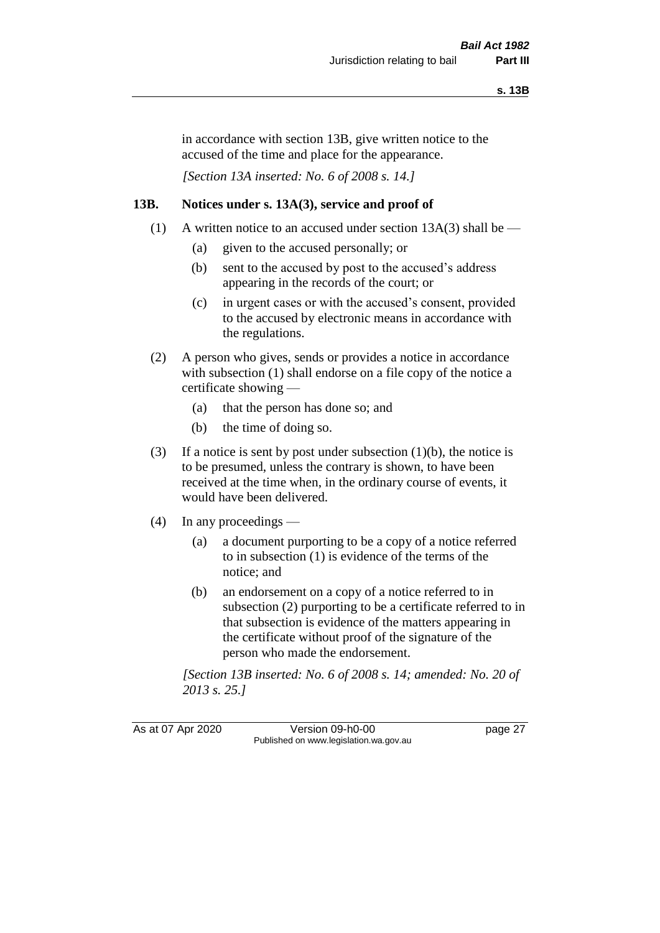in accordance with section 13B, give written notice to the accused of the time and place for the appearance.

*[Section 13A inserted: No. 6 of 2008 s. 14.]*

## **13B. Notices under s. 13A(3), service and proof of**

- (1) A written notice to an accused under section  $13A(3)$  shall be
	- (a) given to the accused personally; or
	- (b) sent to the accused by post to the accused's address appearing in the records of the court; or
	- (c) in urgent cases or with the accused's consent, provided to the accused by electronic means in accordance with the regulations.
- (2) A person who gives, sends or provides a notice in accordance with subsection (1) shall endorse on a file copy of the notice a certificate showing —
	- (a) that the person has done so; and
	- (b) the time of doing so.
- (3) If a notice is sent by post under subsection  $(1)(b)$ , the notice is to be presumed, unless the contrary is shown, to have been received at the time when, in the ordinary course of events, it would have been delivered.
- (4) In any proceedings
	- (a) a document purporting to be a copy of a notice referred to in subsection (1) is evidence of the terms of the notice; and
	- (b) an endorsement on a copy of a notice referred to in subsection (2) purporting to be a certificate referred to in that subsection is evidence of the matters appearing in the certificate without proof of the signature of the person who made the endorsement.

*[Section 13B inserted: No. 6 of 2008 s. 14; amended: No. 20 of 2013 s. 25.]*

As at 07 Apr 2020 Version 09-h0-00 page 27 Published on www.legislation.wa.gov.au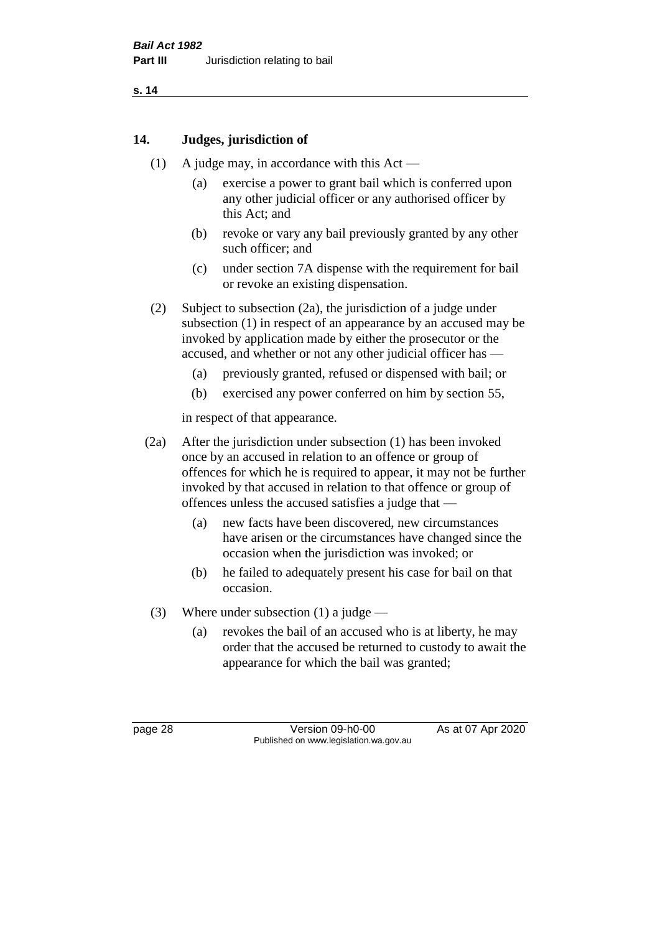## **14. Judges, jurisdiction of**

- (1) A judge may, in accordance with this Act
	- (a) exercise a power to grant bail which is conferred upon any other judicial officer or any authorised officer by this Act; and
	- (b) revoke or vary any bail previously granted by any other such officer; and
	- (c) under section 7A dispense with the requirement for bail or revoke an existing dispensation.
- (2) Subject to subsection (2a), the jurisdiction of a judge under subsection (1) in respect of an appearance by an accused may be invoked by application made by either the prosecutor or the accused, and whether or not any other judicial officer has —
	- (a) previously granted, refused or dispensed with bail; or
	- (b) exercised any power conferred on him by section 55,

in respect of that appearance.

- (2a) After the jurisdiction under subsection (1) has been invoked once by an accused in relation to an offence or group of offences for which he is required to appear, it may not be further invoked by that accused in relation to that offence or group of offences unless the accused satisfies a judge that —
	- (a) new facts have been discovered, new circumstances have arisen or the circumstances have changed since the occasion when the jurisdiction was invoked; or
	- (b) he failed to adequately present his case for bail on that occasion.
- (3) Where under subsection (1) a judge
	- (a) revokes the bail of an accused who is at liberty, he may order that the accused be returned to custody to await the appearance for which the bail was granted;

page 28 Version 09-h0-00 As at 07 Apr 2020 Published on www.legislation.wa.gov.au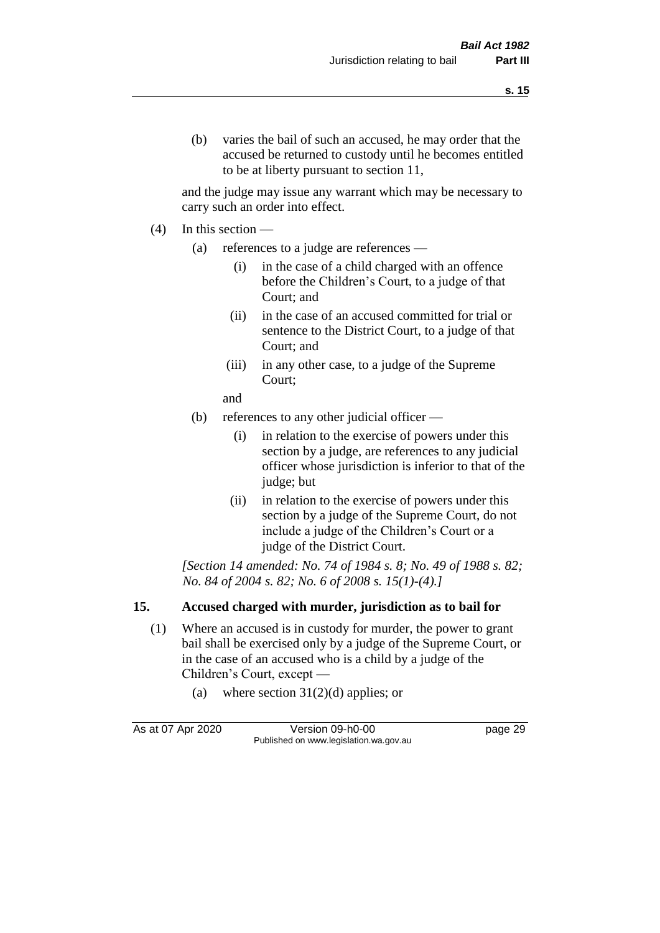and the judge may issue any warrant which may be necessary to carry such an order into effect.

- (4) In this section
	- (a) references to a judge are references
		- (i) in the case of a child charged with an offence before the Children's Court, to a judge of that Court; and
		- (ii) in the case of an accused committed for trial or sentence to the District Court, to a judge of that Court; and
		- (iii) in any other case, to a judge of the Supreme Court;
		- and
	- (b) references to any other judicial officer
		- (i) in relation to the exercise of powers under this section by a judge, are references to any judicial officer whose jurisdiction is inferior to that of the judge; but
		- (ii) in relation to the exercise of powers under this section by a judge of the Supreme Court, do not include a judge of the Children's Court or a judge of the District Court.

*[Section 14 amended: No. 74 of 1984 s. 8; No. 49 of 1988 s. 82; No. 84 of 2004 s. 82; No. 6 of 2008 s. 15(1)-(4).]* 

## **15. Accused charged with murder, jurisdiction as to bail for**

- (1) Where an accused is in custody for murder, the power to grant bail shall be exercised only by a judge of the Supreme Court, or in the case of an accused who is a child by a judge of the Children's Court, except —
	- (a) where section  $31(2)(d)$  applies; or

As at 07 Apr 2020 Version 09-h0-00 page 29 Published on www.legislation.wa.gov.au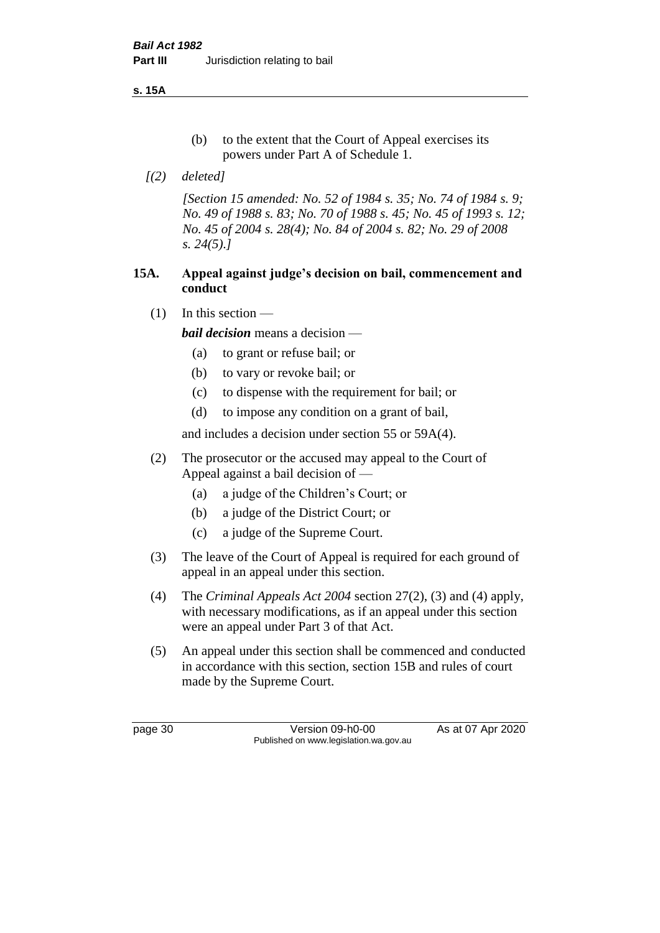**s. 15A**

- (b) to the extent that the Court of Appeal exercises its powers under Part A of Schedule 1.
- *[(2) deleted]*

*[Section 15 amended: No. 52 of 1984 s. 35; No. 74 of 1984 s. 9; No. 49 of 1988 s. 83; No. 70 of 1988 s. 45; No. 45 of 1993 s. 12; No. 45 of 2004 s. 28(4); No. 84 of 2004 s. 82; No. 29 of 2008 s. 24(5).]* 

## **15A. Appeal against judge's decision on bail, commencement and conduct**

 $(1)$  In this section —

*bail decision* means a decision —

- (a) to grant or refuse bail; or
- (b) to vary or revoke bail; or
- (c) to dispense with the requirement for bail; or
- (d) to impose any condition on a grant of bail,

and includes a decision under section 55 or 59A(4).

- (2) The prosecutor or the accused may appeal to the Court of Appeal against a bail decision of —
	- (a) a judge of the Children's Court; or
	- (b) a judge of the District Court; or
	- (c) a judge of the Supreme Court.
- (3) The leave of the Court of Appeal is required for each ground of appeal in an appeal under this section.
- (4) The *Criminal Appeals Act 2004* section 27(2), (3) and (4) apply, with necessary modifications, as if an appeal under this section were an appeal under Part 3 of that Act.
- (5) An appeal under this section shall be commenced and conducted in accordance with this section, section 15B and rules of court made by the Supreme Court.

page 30 Version 09-h0-00 As at 07 Apr 2020 Published on www.legislation.wa.gov.au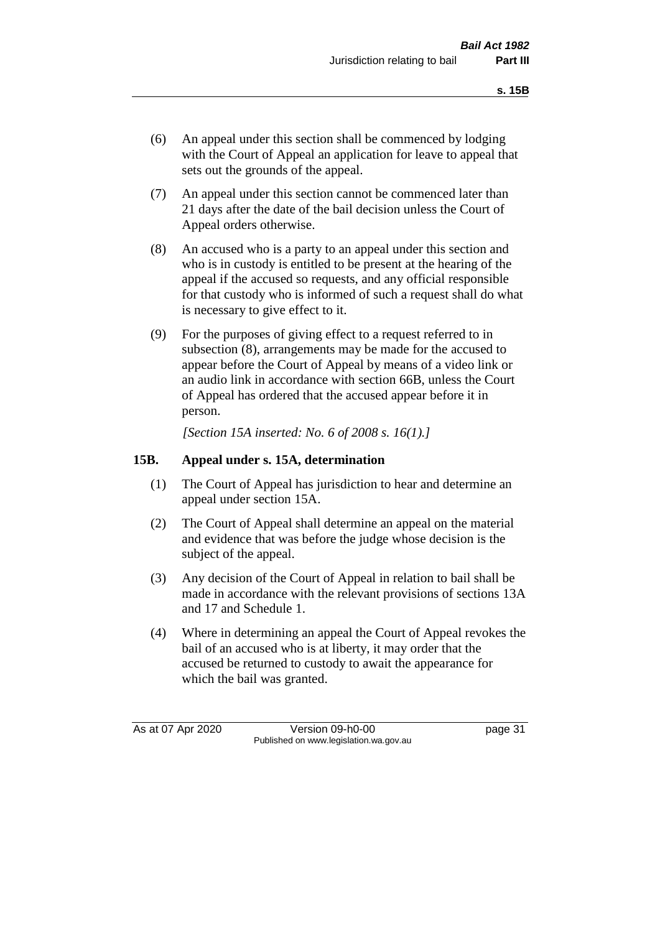- (6) An appeal under this section shall be commenced by lodging with the Court of Appeal an application for leave to appeal that sets out the grounds of the appeal.
- (7) An appeal under this section cannot be commenced later than 21 days after the date of the bail decision unless the Court of Appeal orders otherwise.
- (8) An accused who is a party to an appeal under this section and who is in custody is entitled to be present at the hearing of the appeal if the accused so requests, and any official responsible for that custody who is informed of such a request shall do what is necessary to give effect to it.
- (9) For the purposes of giving effect to a request referred to in subsection (8), arrangements may be made for the accused to appear before the Court of Appeal by means of a video link or an audio link in accordance with section 66B, unless the Court of Appeal has ordered that the accused appear before it in person.

*[Section 15A inserted: No. 6 of 2008 s. 16(1).]*

## **15B. Appeal under s. 15A, determination**

- (1) The Court of Appeal has jurisdiction to hear and determine an appeal under section 15A.
- (2) The Court of Appeal shall determine an appeal on the material and evidence that was before the judge whose decision is the subject of the appeal.
- (3) Any decision of the Court of Appeal in relation to bail shall be made in accordance with the relevant provisions of sections 13A and 17 and Schedule 1.
- (4) Where in determining an appeal the Court of Appeal revokes the bail of an accused who is at liberty, it may order that the accused be returned to custody to await the appearance for which the bail was granted.

As at 07 Apr 2020 Version 09-h0-00 page 31 Published on www.legislation.wa.gov.au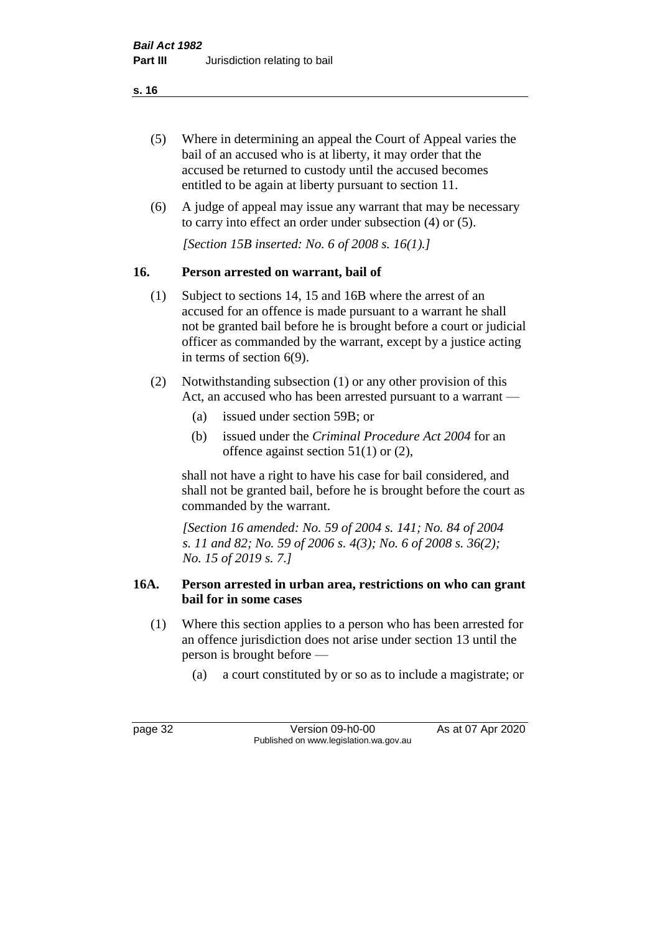- (5) Where in determining an appeal the Court of Appeal varies the bail of an accused who is at liberty, it may order that the accused be returned to custody until the accused becomes entitled to be again at liberty pursuant to section 11.
- (6) A judge of appeal may issue any warrant that may be necessary to carry into effect an order under subsection (4) or (5).

*[Section 15B inserted: No. 6 of 2008 s. 16(1).]*

## **16. Person arrested on warrant, bail of**

- (1) Subject to sections 14, 15 and 16B where the arrest of an accused for an offence is made pursuant to a warrant he shall not be granted bail before he is brought before a court or judicial officer as commanded by the warrant, except by a justice acting in terms of section 6(9).
- (2) Notwithstanding subsection (1) or any other provision of this Act, an accused who has been arrested pursuant to a warrant —
	- (a) issued under section 59B; or
	- (b) issued under the *Criminal Procedure Act 2004* for an offence against section 51(1) or (2),

shall not have a right to have his case for bail considered, and shall not be granted bail, before he is brought before the court as commanded by the warrant.

*[Section 16 amended: No. 59 of 2004 s. 141; No. 84 of 2004 s. 11 and 82; No. 59 of 2006 s. 4(3); No. 6 of 2008 s. 36(2); No. 15 of 2019 s. 7.]*

## **16A. Person arrested in urban area, restrictions on who can grant bail for in some cases**

- (1) Where this section applies to a person who has been arrested for an offence jurisdiction does not arise under section 13 until the person is brought before —
	- (a) a court constituted by or so as to include a magistrate; or

page 32 Version 09-h0-00 As at 07 Apr 2020 Published on www.legislation.wa.gov.au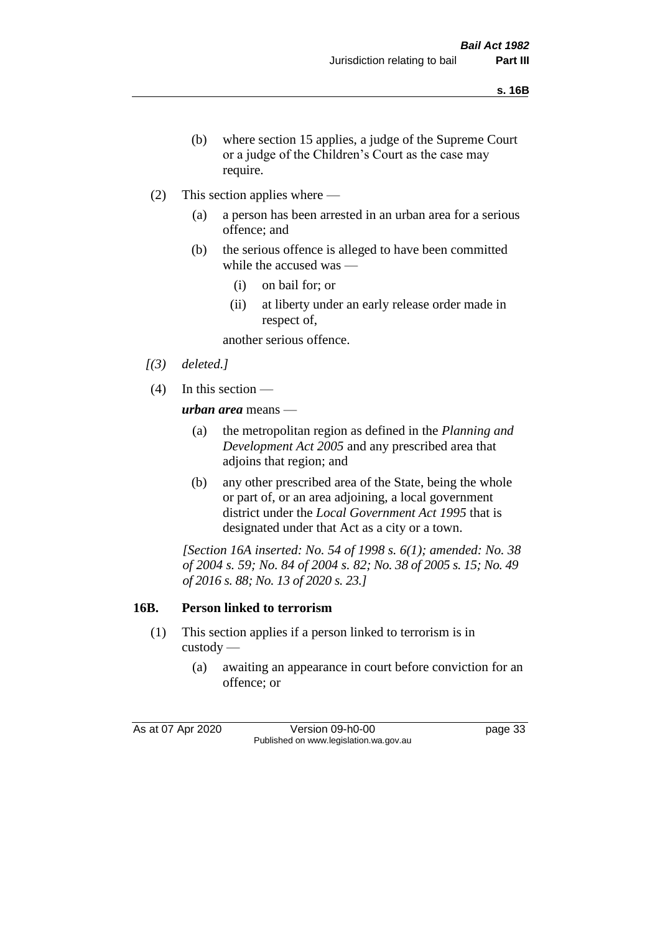- (b) where section 15 applies, a judge of the Supreme Court or a judge of the Children's Court as the case may require.
- (2) This section applies where
	- (a) a person has been arrested in an urban area for a serious offence; and
	- (b) the serious offence is alleged to have been committed while the accused was —
		- (i) on bail for; or
		- (ii) at liberty under an early release order made in respect of,

another serious offence.

- *[(3) deleted.]*
- (4) In this section —

*urban area* means —

- (a) the metropolitan region as defined in the *Planning and Development Act 2005* and any prescribed area that adjoins that region; and
- (b) any other prescribed area of the State, being the whole or part of, or an area adjoining, a local government district under the *Local Government Act 1995* that is designated under that Act as a city or a town.

*[Section 16A inserted: No. 54 of 1998 s. 6(1); amended: No. 38 of 2004 s. 59; No. 84 of 2004 s. 82; No. 38 of 2005 s. 15; No. 49 of 2016 s. 88; No. 13 of 2020 s. 23.]*

## **16B. Person linked to terrorism**

- (1) This section applies if a person linked to terrorism is in custody —
	- (a) awaiting an appearance in court before conviction for an offence; or

As at 07 Apr 2020 Version 09-h0-00 page 33 Published on www.legislation.wa.gov.au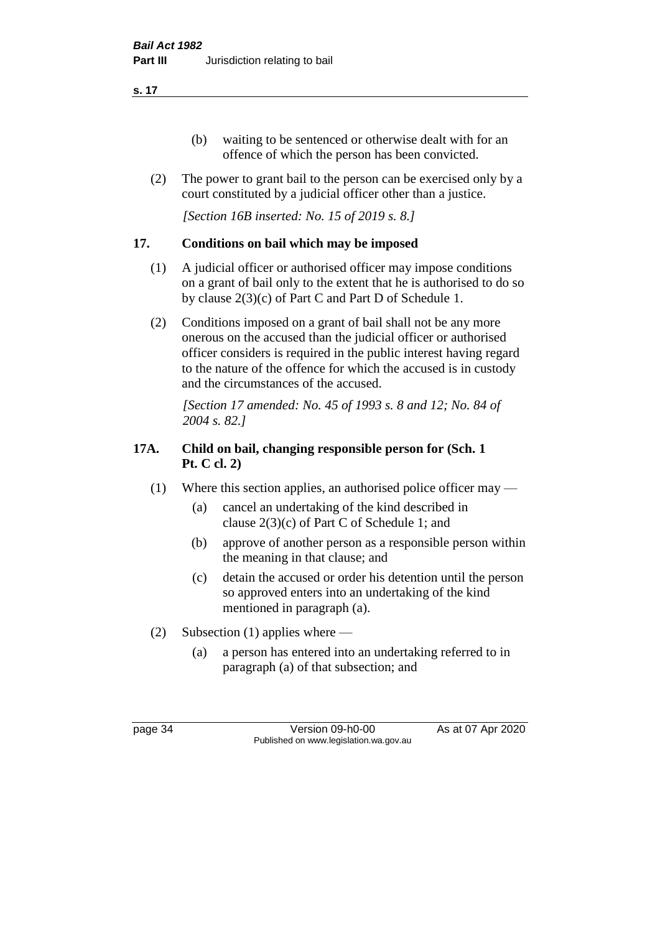- (b) waiting to be sentenced or otherwise dealt with for an offence of which the person has been convicted.
- (2) The power to grant bail to the person can be exercised only by a court constituted by a judicial officer other than a justice.

*[Section 16B inserted: No. 15 of 2019 s. 8.]*

## **17. Conditions on bail which may be imposed**

- (1) A judicial officer or authorised officer may impose conditions on a grant of bail only to the extent that he is authorised to do so by clause 2(3)(c) of Part C and Part D of Schedule 1.
- (2) Conditions imposed on a grant of bail shall not be any more onerous on the accused than the judicial officer or authorised officer considers is required in the public interest having regard to the nature of the offence for which the accused is in custody and the circumstances of the accused.

*[Section 17 amended: No. 45 of 1993 s. 8 and 12; No. 84 of 2004 s. 82.]* 

## **17A. Child on bail, changing responsible person for (Sch. 1 Pt. C cl. 2)**

- (1) Where this section applies, an authorised police officer may
	- (a) cancel an undertaking of the kind described in clause 2(3)(c) of Part C of Schedule 1; and
	- (b) approve of another person as a responsible person within the meaning in that clause; and
	- (c) detain the accused or order his detention until the person so approved enters into an undertaking of the kind mentioned in paragraph (a).
- (2) Subsection (1) applies where
	- (a) a person has entered into an undertaking referred to in paragraph (a) of that subsection; and

page 34 Version 09-h0-00 As at 07 Apr 2020 Published on www.legislation.wa.gov.au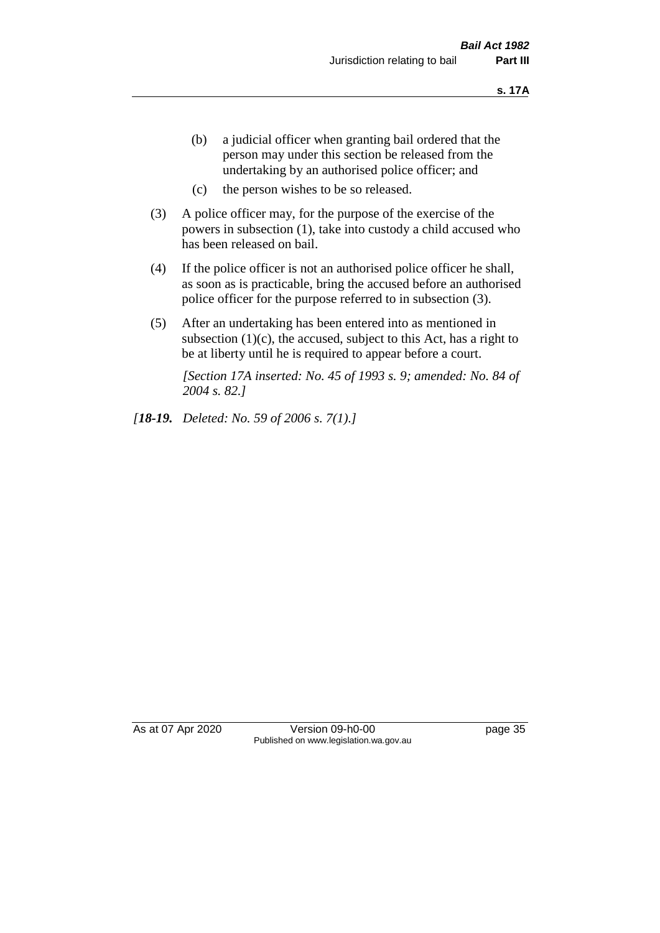- (b) a judicial officer when granting bail ordered that the person may under this section be released from the undertaking by an authorised police officer; and
- (c) the person wishes to be so released.
- (3) A police officer may, for the purpose of the exercise of the powers in subsection (1), take into custody a child accused who has been released on bail.
- (4) If the police officer is not an authorised police officer he shall, as soon as is practicable, bring the accused before an authorised police officer for the purpose referred to in subsection (3).
- (5) After an undertaking has been entered into as mentioned in subsection  $(1)(c)$ , the accused, subject to this Act, has a right to be at liberty until he is required to appear before a court.

*[Section 17A inserted: No. 45 of 1993 s. 9; amended: No. 84 of 2004 s. 82.]* 

*[18-19. Deleted: No. 59 of 2006 s. 7(1).]*

As at 07 Apr 2020 Version 09-h0-00 page 35 Published on www.legislation.wa.gov.au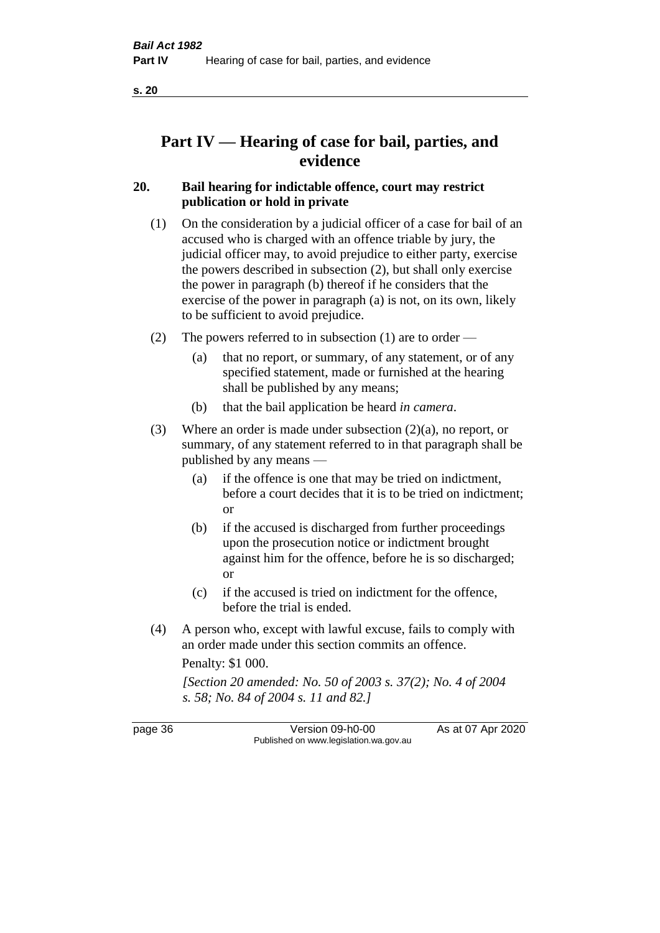# **Part IV — Hearing of case for bail, parties, and evidence**

## **20. Bail hearing for indictable offence, court may restrict publication or hold in private**

- (1) On the consideration by a judicial officer of a case for bail of an accused who is charged with an offence triable by jury, the judicial officer may, to avoid prejudice to either party, exercise the powers described in subsection (2), but shall only exercise the power in paragraph (b) thereof if he considers that the exercise of the power in paragraph (a) is not, on its own, likely to be sufficient to avoid prejudice.
- (2) The powers referred to in subsection (1) are to order
	- (a) that no report, or summary, of any statement, or of any specified statement, made or furnished at the hearing shall be published by any means;
	- (b) that the bail application be heard *in camera*.
- (3) Where an order is made under subsection (2)(a), no report, or summary, of any statement referred to in that paragraph shall be published by any means —
	- (a) if the offence is one that may be tried on indictment, before a court decides that it is to be tried on indictment; or
	- (b) if the accused is discharged from further proceedings upon the prosecution notice or indictment brought against him for the offence, before he is so discharged; or
	- (c) if the accused is tried on indictment for the offence, before the trial is ended.
- (4) A person who, except with lawful excuse, fails to comply with an order made under this section commits an offence.

Penalty: \$1 000.

*[Section 20 amended: No. 50 of 2003 s. 37(2); No. 4 of 2004 s. 58; No. 84 of 2004 s. 11 and 82.]*

page 36 Version 09-h0-00 As at 07 Apr 2020 Published on www.legislation.wa.gov.au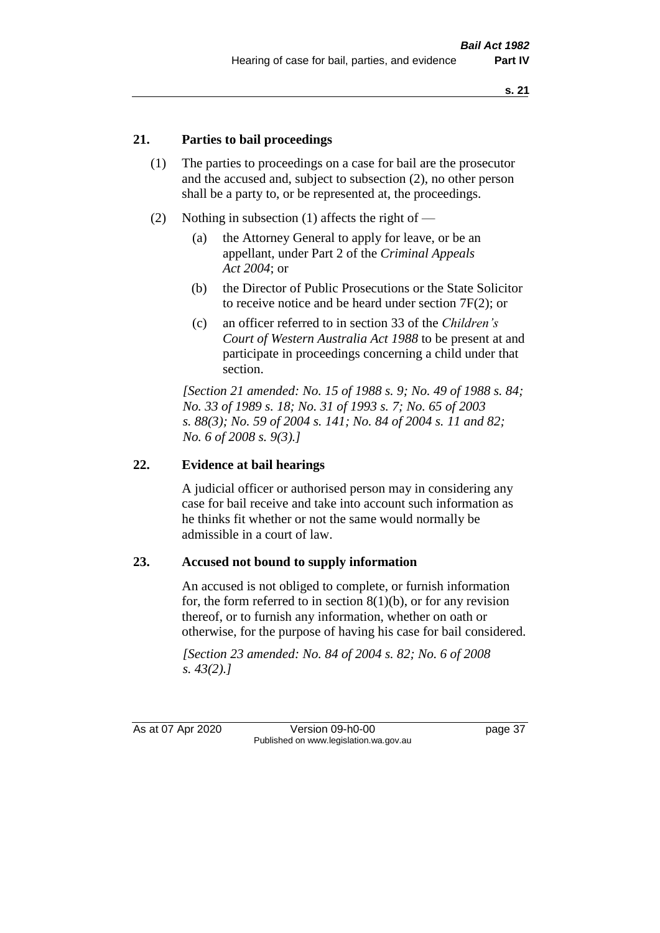## **21. Parties to bail proceedings**

- (1) The parties to proceedings on a case for bail are the prosecutor and the accused and, subject to subsection (2), no other person shall be a party to, or be represented at, the proceedings.
- (2) Nothing in subsection (1) affects the right of
	- (a) the Attorney General to apply for leave, or be an appellant, under Part 2 of the *Criminal Appeals Act 2004*; or
	- (b) the Director of Public Prosecutions or the State Solicitor to receive notice and be heard under section 7F(2); or
	- (c) an officer referred to in section 33 of the *Children's Court of Western Australia Act 1988* to be present at and participate in proceedings concerning a child under that section.

*[Section 21 amended: No. 15 of 1988 s. 9; No. 49 of 1988 s. 84; No. 33 of 1989 s. 18; No. 31 of 1993 s. 7; No. 65 of 2003 s. 88(3); No. 59 of 2004 s. 141; No. 84 of 2004 s. 11 and 82; No. 6 of 2008 s. 9(3).]* 

## **22. Evidence at bail hearings**

A judicial officer or authorised person may in considering any case for bail receive and take into account such information as he thinks fit whether or not the same would normally be admissible in a court of law.

#### **23. Accused not bound to supply information**

An accused is not obliged to complete, or furnish information for, the form referred to in section  $8(1)(b)$ , or for any revision thereof, or to furnish any information, whether on oath or otherwise, for the purpose of having his case for bail considered.

*[Section 23 amended: No. 84 of 2004 s. 82; No. 6 of 2008 s. 43(2).]* 

As at 07 Apr 2020 Version 09-h0-00 page 37 Published on www.legislation.wa.gov.au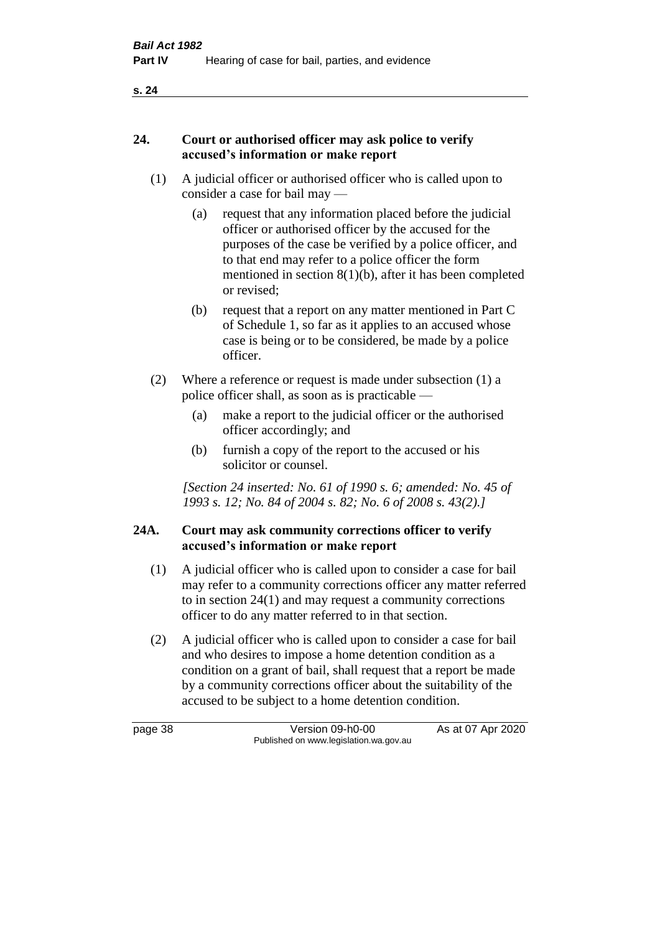## **24. Court or authorised officer may ask police to verify accused's information or make report**

- (1) A judicial officer or authorised officer who is called upon to consider a case for bail may —
	- (a) request that any information placed before the judicial officer or authorised officer by the accused for the purposes of the case be verified by a police officer, and to that end may refer to a police officer the form mentioned in section 8(1)(b), after it has been completed or revised;
	- (b) request that a report on any matter mentioned in Part C of Schedule 1, so far as it applies to an accused whose case is being or to be considered, be made by a police officer.
- (2) Where a reference or request is made under subsection (1) a police officer shall, as soon as is practicable —
	- (a) make a report to the judicial officer or the authorised officer accordingly; and
	- (b) furnish a copy of the report to the accused or his solicitor or counsel.

*[Section 24 inserted: No. 61 of 1990 s. 6; amended: No. 45 of 1993 s. 12; No. 84 of 2004 s. 82; No. 6 of 2008 s. 43(2).]* 

## **24A. Court may ask community corrections officer to verify accused's information or make report**

- (1) A judicial officer who is called upon to consider a case for bail may refer to a community corrections officer any matter referred to in section 24(1) and may request a community corrections officer to do any matter referred to in that section.
- (2) A judicial officer who is called upon to consider a case for bail and who desires to impose a home detention condition as a condition on a grant of bail, shall request that a report be made by a community corrections officer about the suitability of the accused to be subject to a home detention condition.

page 38 Version 09-h0-00 As at 07 Apr 2020 Published on www.legislation.wa.gov.au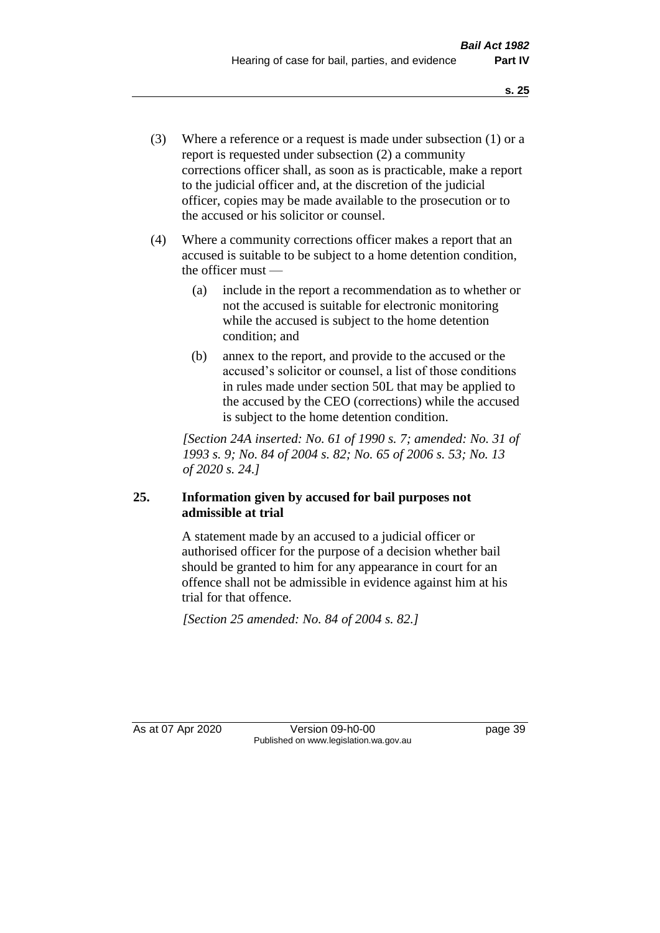- (3) Where a reference or a request is made under subsection (1) or a report is requested under subsection (2) a community corrections officer shall, as soon as is practicable, make a report to the judicial officer and, at the discretion of the judicial officer, copies may be made available to the prosecution or to the accused or his solicitor or counsel.
- (4) Where a community corrections officer makes a report that an accused is suitable to be subject to a home detention condition, the officer must —
	- (a) include in the report a recommendation as to whether or not the accused is suitable for electronic monitoring while the accused is subject to the home detention condition; and
	- (b) annex to the report, and provide to the accused or the accused's solicitor or counsel, a list of those conditions in rules made under section 50L that may be applied to the accused by the CEO (corrections) while the accused is subject to the home detention condition.

*[Section 24A inserted: No. 61 of 1990 s. 7; amended: No. 31 of 1993 s. 9; No. 84 of 2004 s. 82; No. 65 of 2006 s. 53; No. 13 of 2020 s. 24.]* 

## **25. Information given by accused for bail purposes not admissible at trial**

A statement made by an accused to a judicial officer or authorised officer for the purpose of a decision whether bail should be granted to him for any appearance in court for an offence shall not be admissible in evidence against him at his trial for that offence.

*[Section 25 amended: No. 84 of 2004 s. 82.]* 

As at 07 Apr 2020 Version 09-h0-00 page 39 Published on www.legislation.wa.gov.au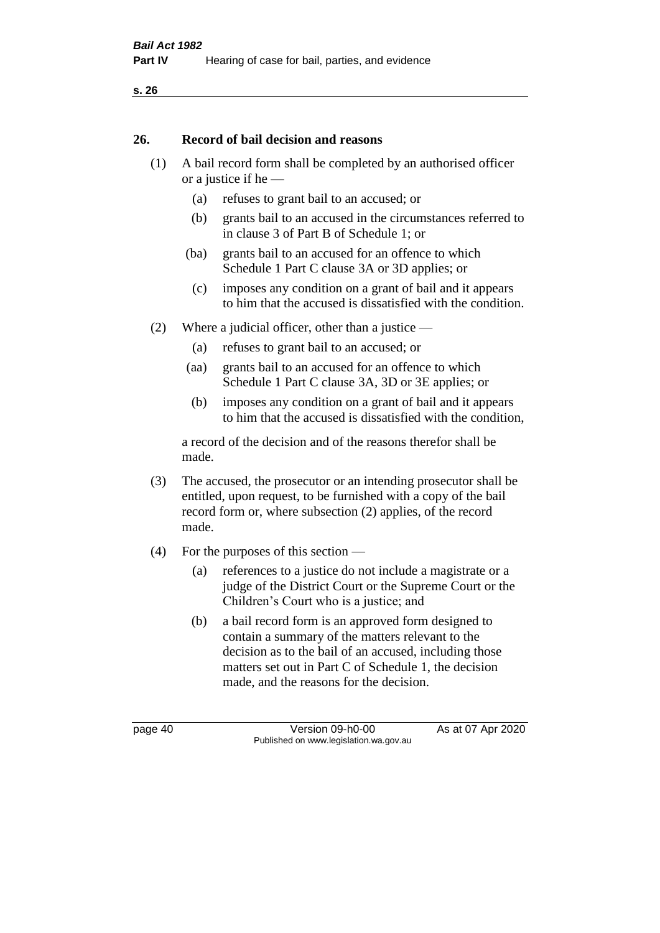#### **26. Record of bail decision and reasons**

- (1) A bail record form shall be completed by an authorised officer or a justice if he —
	- (a) refuses to grant bail to an accused; or
	- (b) grants bail to an accused in the circumstances referred to in clause 3 of Part B of Schedule 1; or
	- (ba) grants bail to an accused for an offence to which Schedule 1 Part C clause 3A or 3D applies; or
	- (c) imposes any condition on a grant of bail and it appears to him that the accused is dissatisfied with the condition.
- (2) Where a judicial officer, other than a justice
	- (a) refuses to grant bail to an accused; or
	- (aa) grants bail to an accused for an offence to which Schedule 1 Part C clause 3A, 3D or 3E applies; or
	- (b) imposes any condition on a grant of bail and it appears to him that the accused is dissatisfied with the condition,

a record of the decision and of the reasons therefor shall be made.

- (3) The accused, the prosecutor or an intending prosecutor shall be entitled, upon request, to be furnished with a copy of the bail record form or, where subsection (2) applies, of the record made.
- (4) For the purposes of this section
	- (a) references to a justice do not include a magistrate or a judge of the District Court or the Supreme Court or the Children's Court who is a justice; and
	- (b) a bail record form is an approved form designed to contain a summary of the matters relevant to the decision as to the bail of an accused, including those matters set out in Part C of Schedule 1, the decision made, and the reasons for the decision.

page 40 Version 09-h0-00 As at 07 Apr 2020 Published on www.legislation.wa.gov.au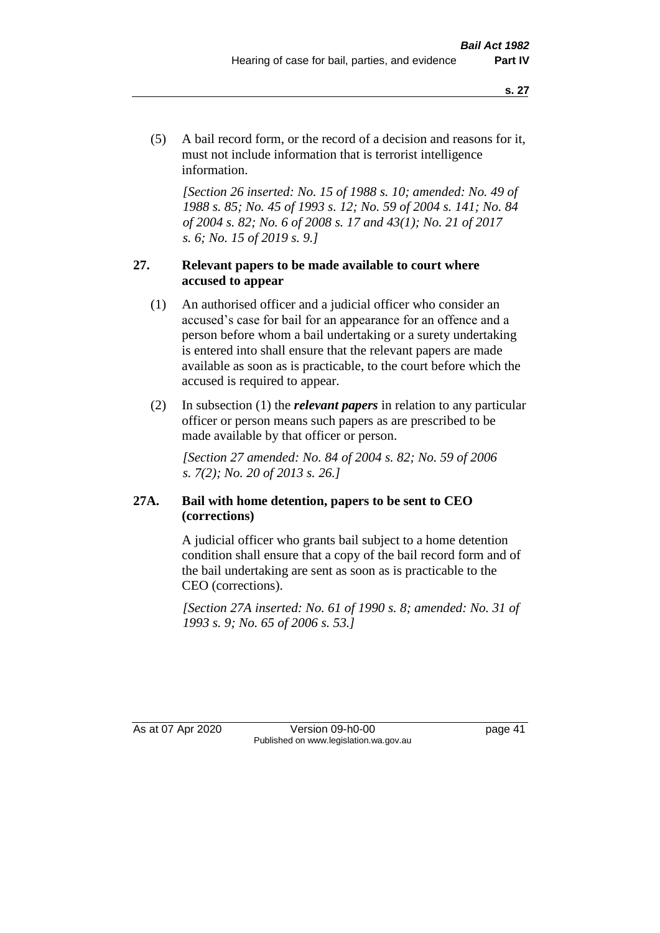(5) A bail record form, or the record of a decision and reasons for it, must not include information that is terrorist intelligence information.

*[Section 26 inserted: No. 15 of 1988 s. 10; amended: No. 49 of 1988 s. 85; No. 45 of 1993 s. 12; No. 59 of 2004 s. 141; No. 84 of 2004 s. 82; No. 6 of 2008 s. 17 and 43(1); No. 21 of 2017 s. 6; No. 15 of 2019 s. 9.]* 

## **27. Relevant papers to be made available to court where accused to appear**

- (1) An authorised officer and a judicial officer who consider an accused's case for bail for an appearance for an offence and a person before whom a bail undertaking or a surety undertaking is entered into shall ensure that the relevant papers are made available as soon as is practicable, to the court before which the accused is required to appear.
- (2) In subsection (1) the *relevant papers* in relation to any particular officer or person means such papers as are prescribed to be made available by that officer or person.

*[Section 27 amended: No. 84 of 2004 s. 82; No. 59 of 2006 s. 7(2); No. 20 of 2013 s. 26.]* 

## **27A. Bail with home detention, papers to be sent to CEO (corrections)**

A judicial officer who grants bail subject to a home detention condition shall ensure that a copy of the bail record form and of the bail undertaking are sent as soon as is practicable to the CEO (corrections).

*[Section 27A inserted: No. 61 of 1990 s. 8; amended: No. 31 of 1993 s. 9; No. 65 of 2006 s. 53.]* 

As at 07 Apr 2020 Version 09-h0-00 page 41 Published on www.legislation.wa.gov.au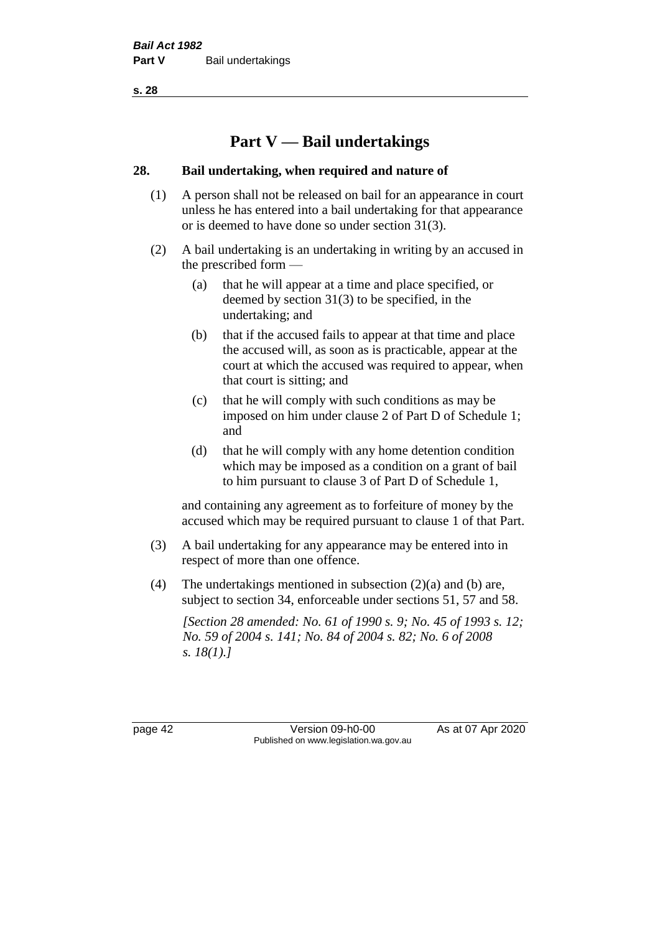# **Part V — Bail undertakings**

## **28. Bail undertaking, when required and nature of**

- (1) A person shall not be released on bail for an appearance in court unless he has entered into a bail undertaking for that appearance or is deemed to have done so under section 31(3).
- (2) A bail undertaking is an undertaking in writing by an accused in the prescribed form —
	- (a) that he will appear at a time and place specified, or deemed by section 31(3) to be specified, in the undertaking; and
	- (b) that if the accused fails to appear at that time and place the accused will, as soon as is practicable, appear at the court at which the accused was required to appear, when that court is sitting; and
	- (c) that he will comply with such conditions as may be imposed on him under clause 2 of Part D of Schedule 1; and
	- (d) that he will comply with any home detention condition which may be imposed as a condition on a grant of bail to him pursuant to clause 3 of Part D of Schedule 1,

and containing any agreement as to forfeiture of money by the accused which may be required pursuant to clause 1 of that Part.

- (3) A bail undertaking for any appearance may be entered into in respect of more than one offence.
- (4) The undertakings mentioned in subsection (2)(a) and (b) are, subject to section 34, enforceable under sections 51, 57 and 58.

*[Section 28 amended: No. 61 of 1990 s. 9; No. 45 of 1993 s. 12; No. 59 of 2004 s. 141; No. 84 of 2004 s. 82; No. 6 of 2008 s. 18(1).]* 

page 42 Version 09-h0-00 As at 07 Apr 2020 Published on www.legislation.wa.gov.au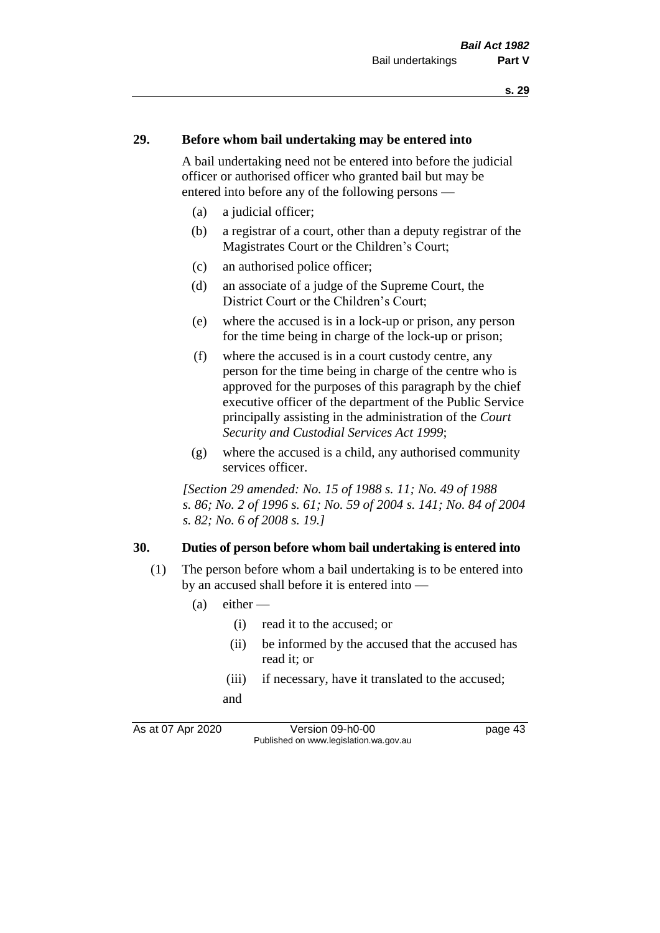#### **29. Before whom bail undertaking may be entered into**

A bail undertaking need not be entered into before the judicial officer or authorised officer who granted bail but may be entered into before any of the following persons —

- (a) a judicial officer;
- (b) a registrar of a court, other than a deputy registrar of the Magistrates Court or the Children's Court;
- (c) an authorised police officer;
- (d) an associate of a judge of the Supreme Court, the District Court or the Children's Court;
- (e) where the accused is in a lock-up or prison, any person for the time being in charge of the lock-up or prison;
- (f) where the accused is in a court custody centre, any person for the time being in charge of the centre who is approved for the purposes of this paragraph by the chief executive officer of the department of the Public Service principally assisting in the administration of the *Court Security and Custodial Services Act 1999*;
- (g) where the accused is a child, any authorised community services officer.

*[Section 29 amended: No. 15 of 1988 s. 11; No. 49 of 1988 s. 86; No. 2 of 1996 s. 61; No. 59 of 2004 s. 141; No. 84 of 2004 s. 82; No. 6 of 2008 s. 19.]* 

#### **30. Duties of person before whom bail undertaking is entered into**

- (1) The person before whom a bail undertaking is to be entered into by an accused shall before it is entered into —
	- $(a)$  either
		- (i) read it to the accused; or
		- (ii) be informed by the accused that the accused has read it; or
		- (iii) if necessary, have it translated to the accused; and

As at 07 Apr 2020 Version 09-h0-00 page 43 Published on www.legislation.wa.gov.au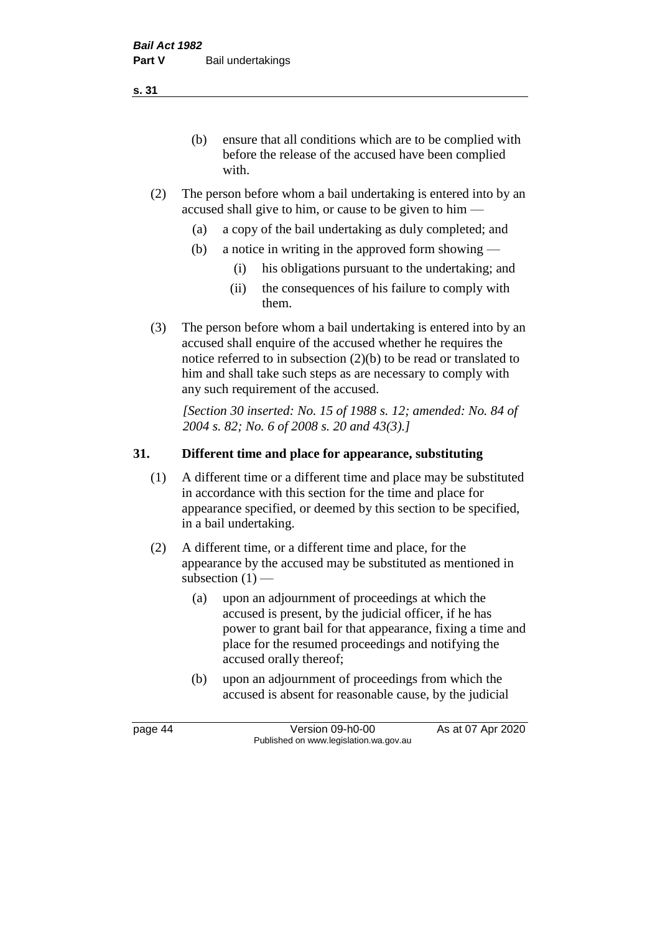(b) ensure that all conditions which are to be complied with before the release of the accused have been complied with.

- (2) The person before whom a bail undertaking is entered into by an accused shall give to him, or cause to be given to him —
	- (a) a copy of the bail undertaking as duly completed; and
	- (b) a notice in writing in the approved form showing
		- (i) his obligations pursuant to the undertaking; and
		- (ii) the consequences of his failure to comply with them.
- (3) The person before whom a bail undertaking is entered into by an accused shall enquire of the accused whether he requires the notice referred to in subsection (2)(b) to be read or translated to him and shall take such steps as are necessary to comply with any such requirement of the accused.

*[Section 30 inserted: No. 15 of 1988 s. 12; amended: No. 84 of 2004 s. 82; No. 6 of 2008 s. 20 and 43(3).]* 

## **31. Different time and place for appearance, substituting**

- (1) A different time or a different time and place may be substituted in accordance with this section for the time and place for appearance specified, or deemed by this section to be specified, in a bail undertaking.
- (2) A different time, or a different time and place, for the appearance by the accused may be substituted as mentioned in subsection  $(1)$  —
	- (a) upon an adjournment of proceedings at which the accused is present, by the judicial officer, if he has power to grant bail for that appearance, fixing a time and place for the resumed proceedings and notifying the accused orally thereof;
	- (b) upon an adjournment of proceedings from which the accused is absent for reasonable cause, by the judicial

page 44 Version 09-h0-00 As at 07 Apr 2020 Published on www.legislation.wa.gov.au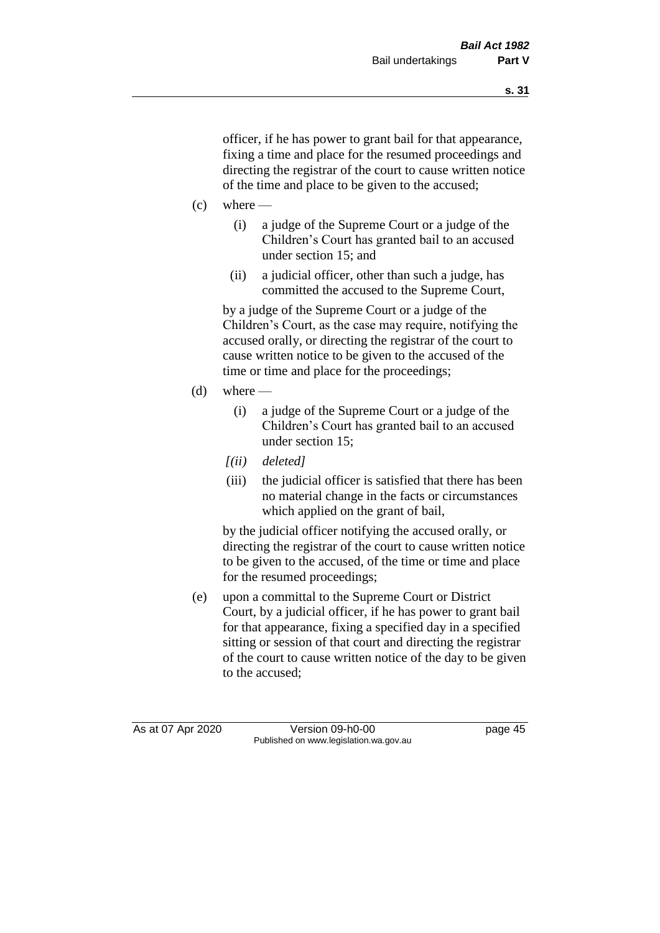officer, if he has power to grant bail for that appearance, fixing a time and place for the resumed proceedings and directing the registrar of the court to cause written notice of the time and place to be given to the accused;

- $(c)$  where
	- (i) a judge of the Supreme Court or a judge of the Children's Court has granted bail to an accused under section 15; and
	- (ii) a judicial officer, other than such a judge, has committed the accused to the Supreme Court,

by a judge of the Supreme Court or a judge of the Children's Court, as the case may require, notifying the accused orally, or directing the registrar of the court to cause written notice to be given to the accused of the time or time and place for the proceedings;

- (d) where  $-$ 
	- (i) a judge of the Supreme Court or a judge of the Children's Court has granted bail to an accused under section 15;
	- *[(ii) deleted]*
	- (iii) the judicial officer is satisfied that there has been no material change in the facts or circumstances which applied on the grant of bail,

by the judicial officer notifying the accused orally, or directing the registrar of the court to cause written notice to be given to the accused, of the time or time and place for the resumed proceedings;

(e) upon a committal to the Supreme Court or District Court, by a judicial officer, if he has power to grant bail for that appearance, fixing a specified day in a specified sitting or session of that court and directing the registrar of the court to cause written notice of the day to be given to the accused;

As at 07 Apr 2020 Version 09-h0-00 page 45 Published on www.legislation.wa.gov.au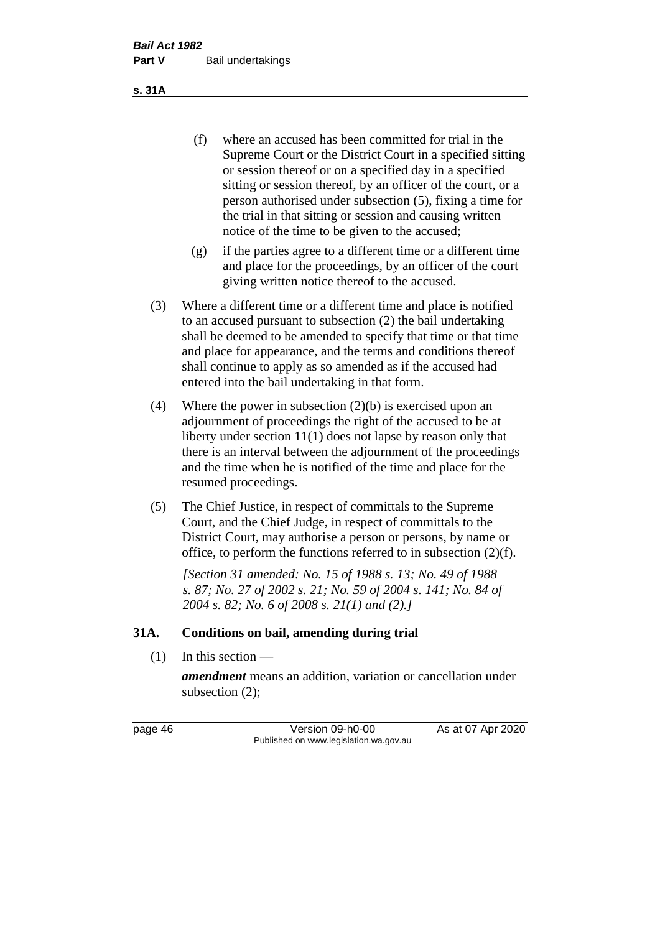(f) where an accused has been committed for trial in the Supreme Court or the District Court in a specified sitting or session thereof or on a specified day in a specified sitting or session thereof, by an officer of the court, or a person authorised under subsection (5), fixing a time for the trial in that sitting or session and causing written notice of the time to be given to the accused;

- (g) if the parties agree to a different time or a different time and place for the proceedings, by an officer of the court giving written notice thereof to the accused.
- (3) Where a different time or a different time and place is notified to an accused pursuant to subsection (2) the bail undertaking shall be deemed to be amended to specify that time or that time and place for appearance, and the terms and conditions thereof shall continue to apply as so amended as if the accused had entered into the bail undertaking in that form.
- (4) Where the power in subsection (2)(b) is exercised upon an adjournment of proceedings the right of the accused to be at liberty under section 11(1) does not lapse by reason only that there is an interval between the adjournment of the proceedings and the time when he is notified of the time and place for the resumed proceedings.
- (5) The Chief Justice, in respect of committals to the Supreme Court, and the Chief Judge, in respect of committals to the District Court, may authorise a person or persons, by name or office, to perform the functions referred to in subsection (2)(f).

*[Section 31 amended: No. 15 of 1988 s. 13; No. 49 of 1988 s. 87; No. 27 of 2002 s. 21; No. 59 of 2004 s. 141; No. 84 of 2004 s. 82; No. 6 of 2008 s. 21(1) and (2).]* 

#### **31A. Conditions on bail, amending during trial**

 $(1)$  In this section —

*amendment* means an addition, variation or cancellation under subsection (2);

page 46 Version 09-h0-00 As at 07 Apr 2020 Published on www.legislation.wa.gov.au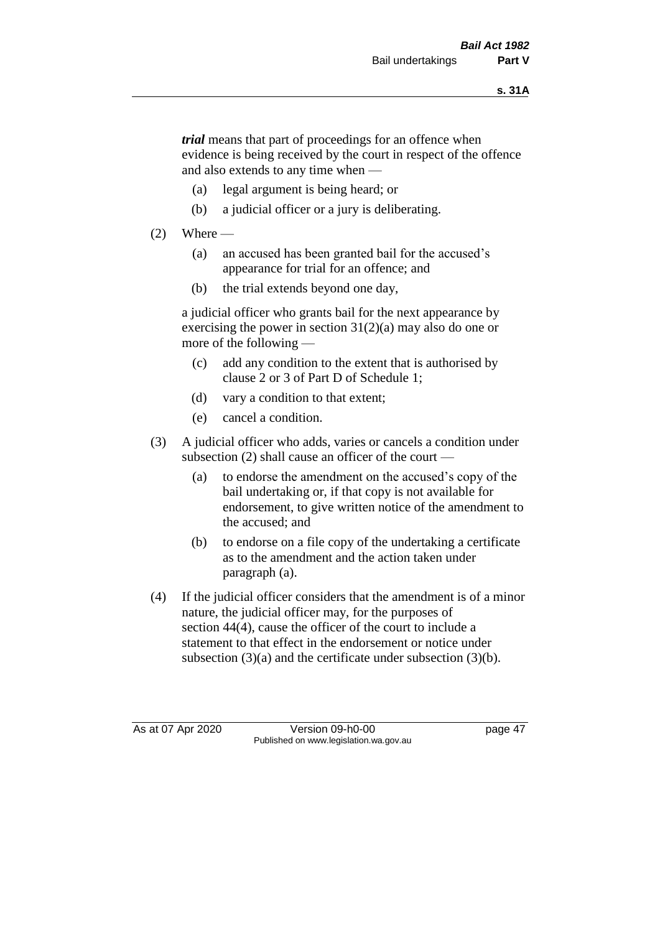*trial* means that part of proceedings for an offence when evidence is being received by the court in respect of the offence and also extends to any time when —

- (a) legal argument is being heard; or
- (b) a judicial officer or a jury is deliberating.

## $(2)$  Where —

- (a) an accused has been granted bail for the accused's appearance for trial for an offence; and
- (b) the trial extends beyond one day,

a judicial officer who grants bail for the next appearance by exercising the power in section  $31(2)(a)$  may also do one or more of the following —

- (c) add any condition to the extent that is authorised by clause 2 or 3 of Part D of Schedule 1;
- (d) vary a condition to that extent;
- (e) cancel a condition.
- (3) A judicial officer who adds, varies or cancels a condition under subsection (2) shall cause an officer of the court —
	- (a) to endorse the amendment on the accused's copy of the bail undertaking or, if that copy is not available for endorsement, to give written notice of the amendment to the accused; and
	- (b) to endorse on a file copy of the undertaking a certificate as to the amendment and the action taken under paragraph (a).
- (4) If the judicial officer considers that the amendment is of a minor nature, the judicial officer may, for the purposes of section 44(4), cause the officer of the court to include a statement to that effect in the endorsement or notice under subsection (3)(a) and the certificate under subsection (3)(b).

As at 07 Apr 2020 Version 09-h0-00 page 47 Published on www.legislation.wa.gov.au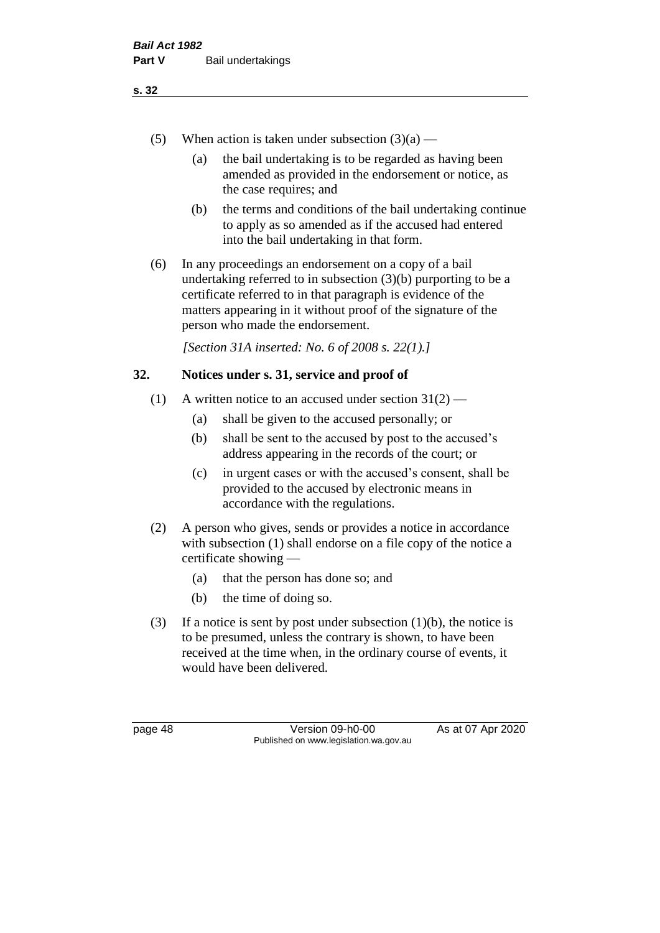- (5) When action is taken under subsection  $(3)(a)$ 
	- (a) the bail undertaking is to be regarded as having been amended as provided in the endorsement or notice, as the case requires; and
	- (b) the terms and conditions of the bail undertaking continue to apply as so amended as if the accused had entered into the bail undertaking in that form.
- (6) In any proceedings an endorsement on a copy of a bail undertaking referred to in subsection (3)(b) purporting to be a certificate referred to in that paragraph is evidence of the matters appearing in it without proof of the signature of the person who made the endorsement.

*[Section 31A inserted: No. 6 of 2008 s. 22(1).]*

## **32. Notices under s. 31, service and proof of**

- (1) A written notice to an accused under section  $31(2)$ 
	- (a) shall be given to the accused personally; or
	- (b) shall be sent to the accused by post to the accused's address appearing in the records of the court; or
	- (c) in urgent cases or with the accused's consent, shall be provided to the accused by electronic means in accordance with the regulations.
- (2) A person who gives, sends or provides a notice in accordance with subsection (1) shall endorse on a file copy of the notice a certificate showing —
	- (a) that the person has done so; and
	- (b) the time of doing so.
- (3) If a notice is sent by post under subsection  $(1)(b)$ , the notice is to be presumed, unless the contrary is shown, to have been received at the time when, in the ordinary course of events, it would have been delivered.

page 48 Version 09-h0-00 As at 07 Apr 2020 Published on www.legislation.wa.gov.au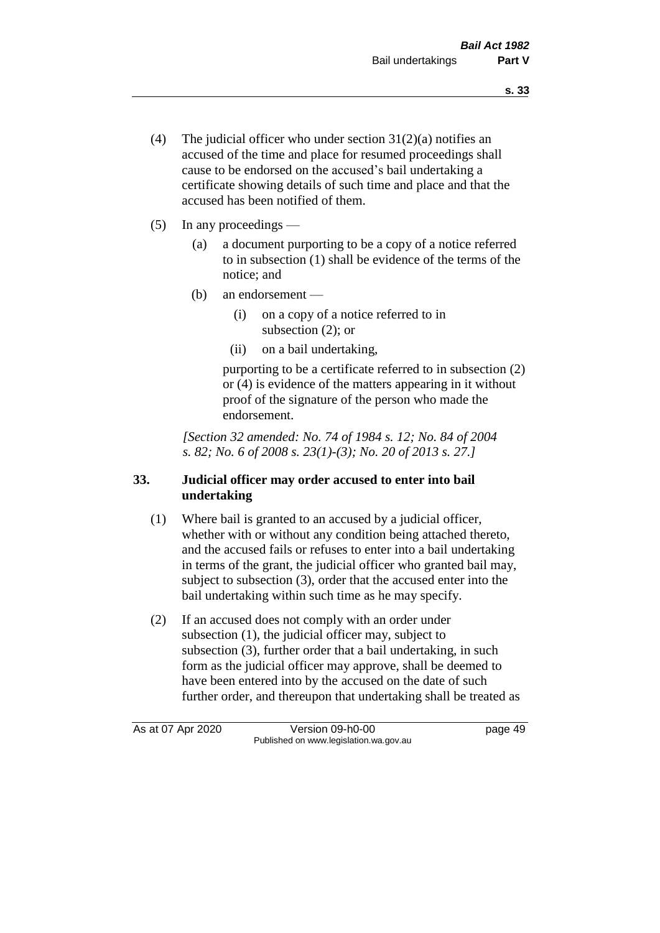- (4) The judicial officer who under section  $31(2)(a)$  notifies an accused of the time and place for resumed proceedings shall cause to be endorsed on the accused's bail undertaking a certificate showing details of such time and place and that the accused has been notified of them.
- (5) In any proceedings
	- (a) a document purporting to be a copy of a notice referred to in subsection (1) shall be evidence of the terms of the notice; and
	- (b) an endorsement
		- (i) on a copy of a notice referred to in subsection (2); or
		- (ii) on a bail undertaking,

purporting to be a certificate referred to in subsection (2) or (4) is evidence of the matters appearing in it without proof of the signature of the person who made the endorsement.

*[Section 32 amended: No. 74 of 1984 s. 12; No. 84 of 2004 s. 82; No. 6 of 2008 s. 23(1)-(3); No. 20 of 2013 s. 27.]* 

## **33. Judicial officer may order accused to enter into bail undertaking**

- (1) Where bail is granted to an accused by a judicial officer, whether with or without any condition being attached thereto, and the accused fails or refuses to enter into a bail undertaking in terms of the grant, the judicial officer who granted bail may, subject to subsection (3), order that the accused enter into the bail undertaking within such time as he may specify.
- (2) If an accused does not comply with an order under subsection (1), the judicial officer may, subject to subsection (3), further order that a bail undertaking, in such form as the judicial officer may approve, shall be deemed to have been entered into by the accused on the date of such further order, and thereupon that undertaking shall be treated as

As at 07 Apr 2020 Version 09-h0-00 page 49 Published on www.legislation.wa.gov.au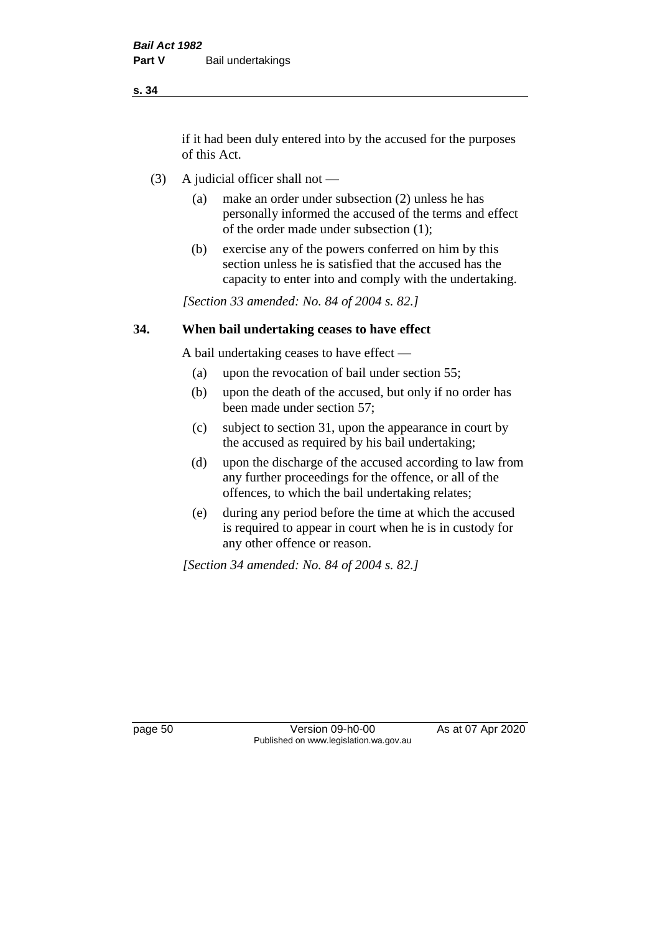if it had been duly entered into by the accused for the purposes of this Act.

- (3) A judicial officer shall not
	- (a) make an order under subsection (2) unless he has personally informed the accused of the terms and effect of the order made under subsection (1);
	- (b) exercise any of the powers conferred on him by this section unless he is satisfied that the accused has the capacity to enter into and comply with the undertaking.

*[Section 33 amended: No. 84 of 2004 s. 82.]* 

#### **34. When bail undertaking ceases to have effect**

A bail undertaking ceases to have effect —

- (a) upon the revocation of bail under section 55;
- (b) upon the death of the accused, but only if no order has been made under section 57;
- (c) subject to section 31, upon the appearance in court by the accused as required by his bail undertaking;
- (d) upon the discharge of the accused according to law from any further proceedings for the offence, or all of the offences, to which the bail undertaking relates;
- (e) during any period before the time at which the accused is required to appear in court when he is in custody for any other offence or reason.

*[Section 34 amended: No. 84 of 2004 s. 82.]* 

page 50 Version 09-h0-00 As at 07 Apr 2020 Published on www.legislation.wa.gov.au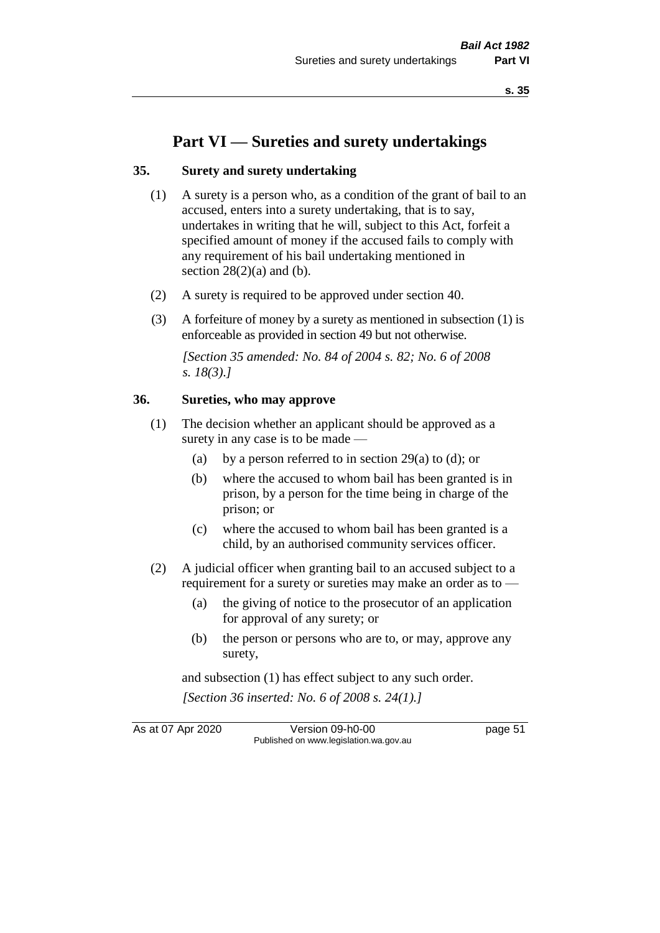# **Part VI — Sureties and surety undertakings**

#### **35. Surety and surety undertaking**

- (1) A surety is a person who, as a condition of the grant of bail to an accused, enters into a surety undertaking, that is to say, undertakes in writing that he will, subject to this Act, forfeit a specified amount of money if the accused fails to comply with any requirement of his bail undertaking mentioned in section  $28(2)(a)$  and (b).
- (2) A surety is required to be approved under section 40.
- (3) A forfeiture of money by a surety as mentioned in subsection (1) is enforceable as provided in section 49 but not otherwise.

*[Section 35 amended: No. 84 of 2004 s. 82; No. 6 of 2008 s. 18(3).]* 

#### **36. Sureties, who may approve**

- (1) The decision whether an applicant should be approved as a surety in any case is to be made —
	- (a) by a person referred to in section 29(a) to (d); or
	- (b) where the accused to whom bail has been granted is in prison, by a person for the time being in charge of the prison; or
	- (c) where the accused to whom bail has been granted is a child, by an authorised community services officer.
- (2) A judicial officer when granting bail to an accused subject to a requirement for a surety or sureties may make an order as to -
	- (a) the giving of notice to the prosecutor of an application for approval of any surety; or
	- (b) the person or persons who are to, or may, approve any surety,

and subsection (1) has effect subject to any such order. *[Section 36 inserted: No. 6 of 2008 s. 24(1).]*

As at 07 Apr 2020 Version 09-h0-00 page 51

Published on www.legislation.wa.gov.au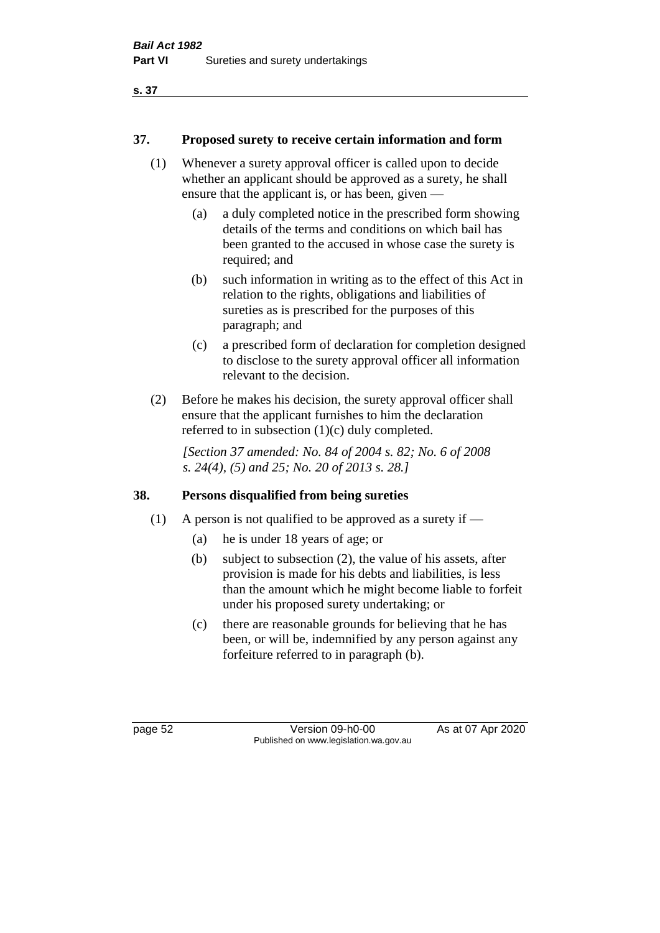## **37. Proposed surety to receive certain information and form**

- (1) Whenever a surety approval officer is called upon to decide whether an applicant should be approved as a surety, he shall ensure that the applicant is, or has been, given —
	- (a) a duly completed notice in the prescribed form showing details of the terms and conditions on which bail has been granted to the accused in whose case the surety is required; and
	- (b) such information in writing as to the effect of this Act in relation to the rights, obligations and liabilities of sureties as is prescribed for the purposes of this paragraph; and
	- (c) a prescribed form of declaration for completion designed to disclose to the surety approval officer all information relevant to the decision.
- (2) Before he makes his decision, the surety approval officer shall ensure that the applicant furnishes to him the declaration referred to in subsection (1)(c) duly completed.

*[Section 37 amended: No. 84 of 2004 s. 82; No. 6 of 2008 s. 24(4), (5) and 25; No. 20 of 2013 s. 28.]* 

## **38. Persons disqualified from being sureties**

- (1) A person is not qualified to be approved as a surety if  $-$ 
	- (a) he is under 18 years of age; or
	- (b) subject to subsection (2), the value of his assets, after provision is made for his debts and liabilities, is less than the amount which he might become liable to forfeit under his proposed surety undertaking; or
	- (c) there are reasonable grounds for believing that he has been, or will be, indemnified by any person against any forfeiture referred to in paragraph (b).

page 52 Version 09-h0-00 As at 07 Apr 2020 Published on www.legislation.wa.gov.au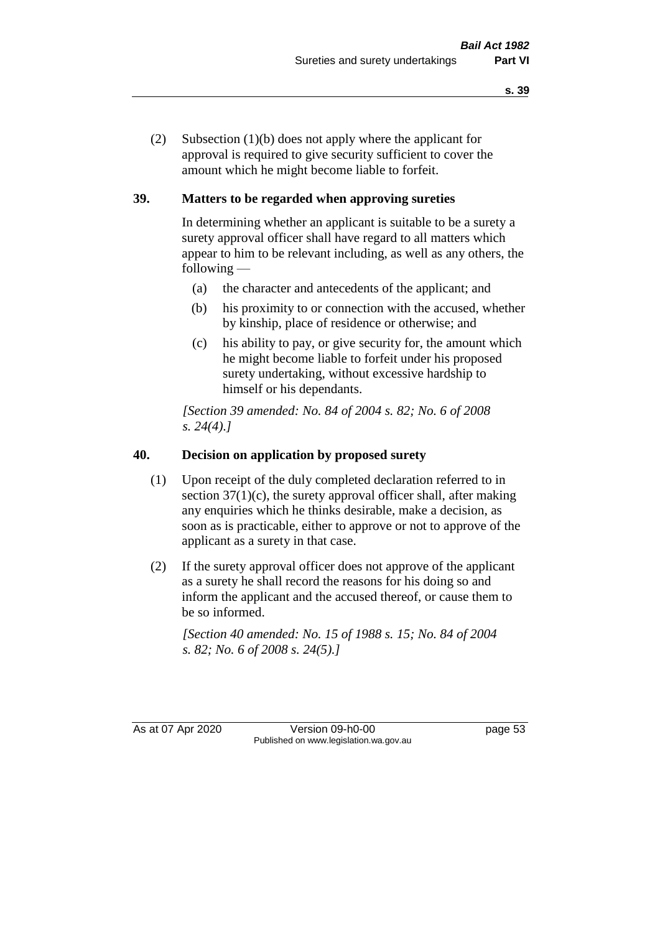(2) Subsection (1)(b) does not apply where the applicant for approval is required to give security sufficient to cover the amount which he might become liable to forfeit.

## **39. Matters to be regarded when approving sureties**

In determining whether an applicant is suitable to be a surety a surety approval officer shall have regard to all matters which appear to him to be relevant including, as well as any others, the following —

- (a) the character and antecedents of the applicant; and
- (b) his proximity to or connection with the accused, whether by kinship, place of residence or otherwise; and
- (c) his ability to pay, or give security for, the amount which he might become liable to forfeit under his proposed surety undertaking, without excessive hardship to himself or his dependants.

*[Section 39 amended: No. 84 of 2004 s. 82; No. 6 of 2008 s. 24(4).]* 

## **40. Decision on application by proposed surety**

- (1) Upon receipt of the duly completed declaration referred to in section  $37(1)(c)$ , the surety approval officer shall, after making any enquiries which he thinks desirable, make a decision, as soon as is practicable, either to approve or not to approve of the applicant as a surety in that case.
- (2) If the surety approval officer does not approve of the applicant as a surety he shall record the reasons for his doing so and inform the applicant and the accused thereof, or cause them to be so informed.

*[Section 40 amended: No. 15 of 1988 s. 15; No. 84 of 2004 s. 82; No. 6 of 2008 s. 24(5).]* 

As at 07 Apr 2020 Version 09-h0-00 page 53 Published on www.legislation.wa.gov.au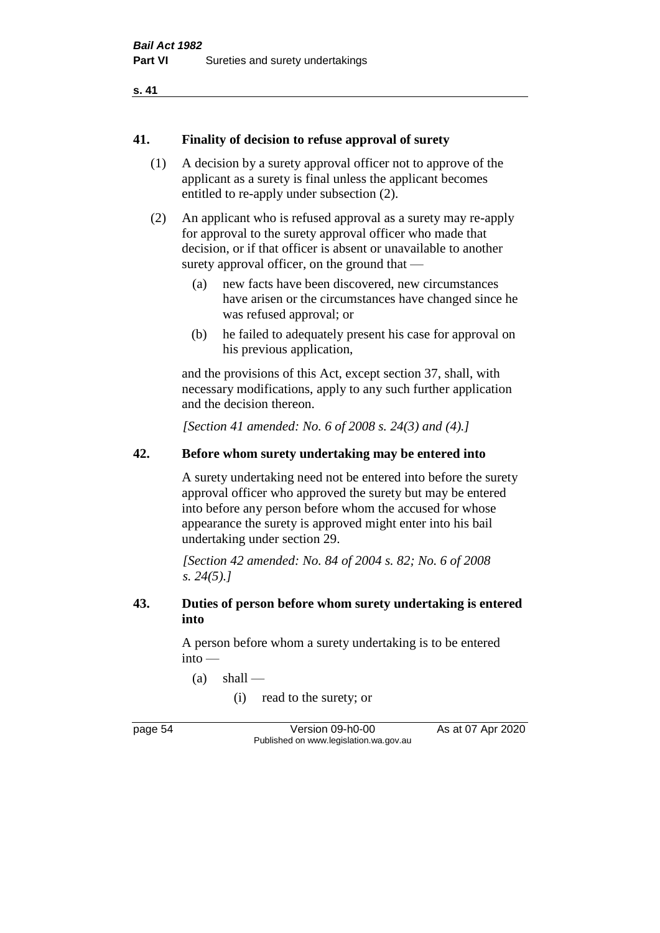#### **41. Finality of decision to refuse approval of surety**

- (1) A decision by a surety approval officer not to approve of the applicant as a surety is final unless the applicant becomes entitled to re-apply under subsection (2).
- (2) An applicant who is refused approval as a surety may re-apply for approval to the surety approval officer who made that decision, or if that officer is absent or unavailable to another surety approval officer, on the ground that —
	- (a) new facts have been discovered, new circumstances have arisen or the circumstances have changed since he was refused approval; or
	- (b) he failed to adequately present his case for approval on his previous application,

and the provisions of this Act, except section 37, shall, with necessary modifications, apply to any such further application and the decision thereon.

*[Section 41 amended: No. 6 of 2008 s. 24(3) and (4).]*

### **42. Before whom surety undertaking may be entered into**

A surety undertaking need not be entered into before the surety approval officer who approved the surety but may be entered into before any person before whom the accused for whose appearance the surety is approved might enter into his bail undertaking under section 29.

*[Section 42 amended: No. 84 of 2004 s. 82; No. 6 of 2008 s. 24(5).]* 

#### **43. Duties of person before whom surety undertaking is entered into**

A person before whom a surety undertaking is to be entered into —

 $(a)$  shall —

(i) read to the surety; or

page 54 Version 09-h0-00 As at 07 Apr 2020 Published on www.legislation.wa.gov.au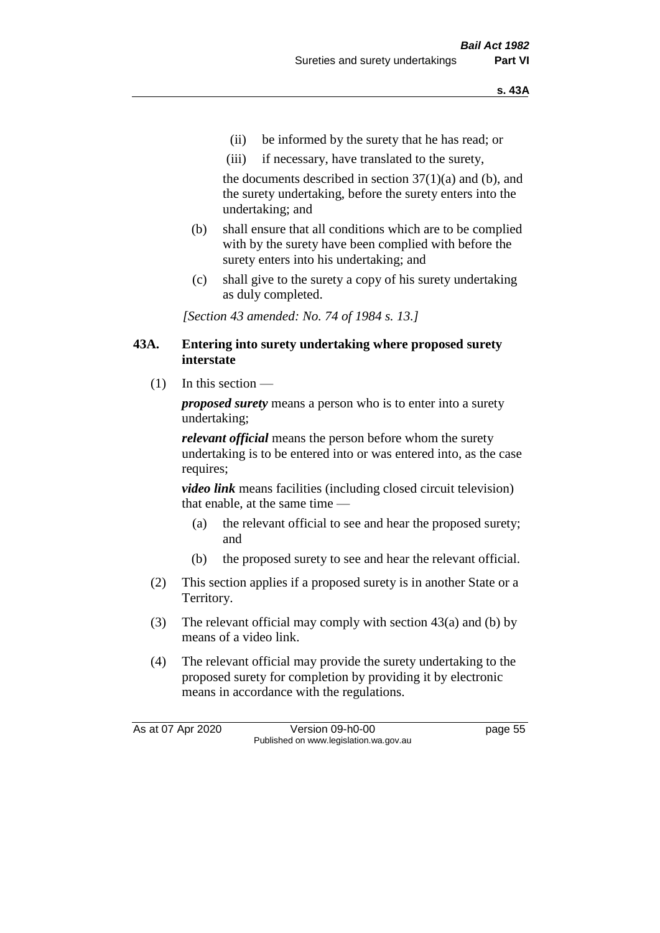- (ii) be informed by the surety that he has read; or
- (iii) if necessary, have translated to the surety,

the documents described in section  $37(1)(a)$  and (b), and the surety undertaking, before the surety enters into the undertaking; and

- (b) shall ensure that all conditions which are to be complied with by the surety have been complied with before the surety enters into his undertaking; and
- (c) shall give to the surety a copy of his surety undertaking as duly completed.

*[Section 43 amended: No. 74 of 1984 s. 13.]* 

#### **43A. Entering into surety undertaking where proposed surety interstate**

 $(1)$  In this section —

*proposed surety* means a person who is to enter into a surety undertaking;

*relevant official* means the person before whom the surety undertaking is to be entered into or was entered into, as the case requires;

*video link* means facilities (including closed circuit television) that enable, at the same time —

- (a) the relevant official to see and hear the proposed surety; and
- (b) the proposed surety to see and hear the relevant official.
- (2) This section applies if a proposed surety is in another State or a Territory.
- (3) The relevant official may comply with section 43(a) and (b) by means of a video link.
- (4) The relevant official may provide the surety undertaking to the proposed surety for completion by providing it by electronic means in accordance with the regulations.

As at 07 Apr 2020 Version 09-h0-00 page 55 Published on www.legislation.wa.gov.au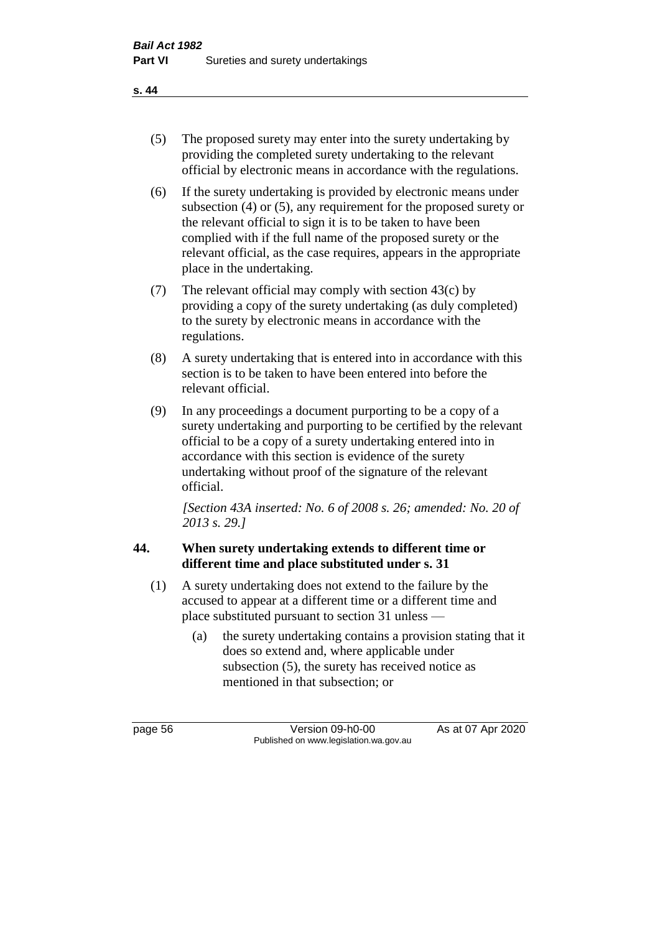- (5) The proposed surety may enter into the surety undertaking by providing the completed surety undertaking to the relevant official by electronic means in accordance with the regulations.
- (6) If the surety undertaking is provided by electronic means under subsection (4) or (5), any requirement for the proposed surety or the relevant official to sign it is to be taken to have been complied with if the full name of the proposed surety or the relevant official, as the case requires, appears in the appropriate place in the undertaking.
- (7) The relevant official may comply with section 43(c) by providing a copy of the surety undertaking (as duly completed) to the surety by electronic means in accordance with the regulations.
- (8) A surety undertaking that is entered into in accordance with this section is to be taken to have been entered into before the relevant official.
- (9) In any proceedings a document purporting to be a copy of a surety undertaking and purporting to be certified by the relevant official to be a copy of a surety undertaking entered into in accordance with this section is evidence of the surety undertaking without proof of the signature of the relevant official.

*[Section 43A inserted: No. 6 of 2008 s. 26; amended: No. 20 of 2013 s. 29.]*

## **44. When surety undertaking extends to different time or different time and place substituted under s. 31**

- (1) A surety undertaking does not extend to the failure by the accused to appear at a different time or a different time and place substituted pursuant to section 31 unless —
	- (a) the surety undertaking contains a provision stating that it does so extend and, where applicable under subsection (5), the surety has received notice as mentioned in that subsection; or

page 56 Version 09-h0-00 As at 07 Apr 2020 Published on www.legislation.wa.gov.au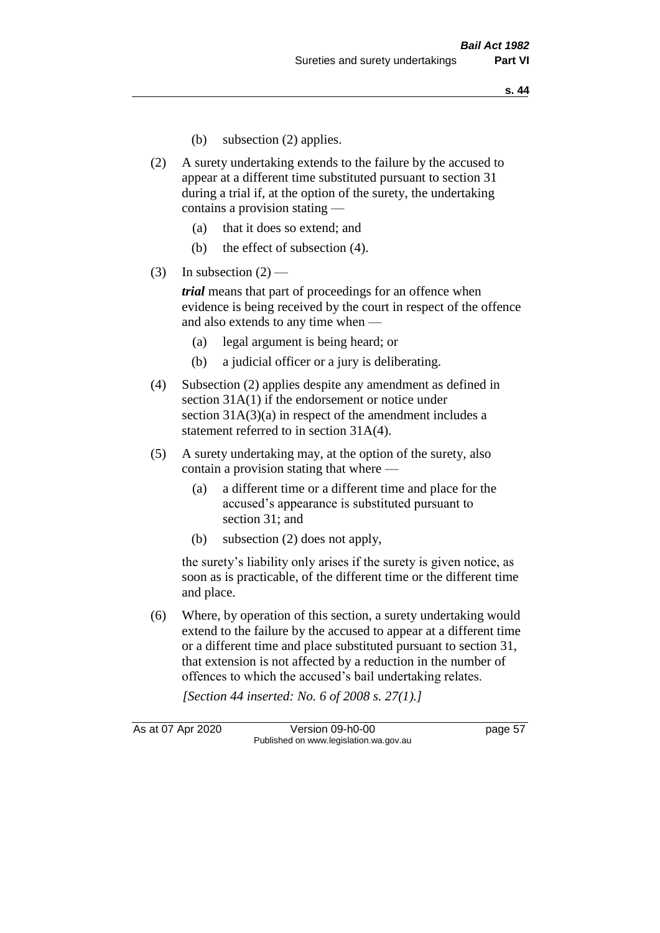- (b) subsection (2) applies.
- (2) A surety undertaking extends to the failure by the accused to appear at a different time substituted pursuant to section 31 during a trial if, at the option of the surety, the undertaking contains a provision stating —
	- (a) that it does so extend; and
	- (b) the effect of subsection (4).
- (3) In subsection  $(2)$  —

*trial* means that part of proceedings for an offence when evidence is being received by the court in respect of the offence and also extends to any time when —

- (a) legal argument is being heard; or
- (b) a judicial officer or a jury is deliberating.
- (4) Subsection (2) applies despite any amendment as defined in section 31A(1) if the endorsement or notice under section 31A(3)(a) in respect of the amendment includes a statement referred to in section 31A(4).
- (5) A surety undertaking may, at the option of the surety, also contain a provision stating that where —
	- (a) a different time or a different time and place for the accused's appearance is substituted pursuant to section 31; and
	- (b) subsection (2) does not apply,

the surety's liability only arises if the surety is given notice, as soon as is practicable, of the different time or the different time and place.

(6) Where, by operation of this section, a surety undertaking would extend to the failure by the accused to appear at a different time or a different time and place substituted pursuant to section 31, that extension is not affected by a reduction in the number of offences to which the accused's bail undertaking relates.

*[Section 44 inserted: No. 6 of 2008 s. 27(1).]*

As at 07 Apr 2020 Version 09-h0-00 page 57 Published on www.legislation.wa.gov.au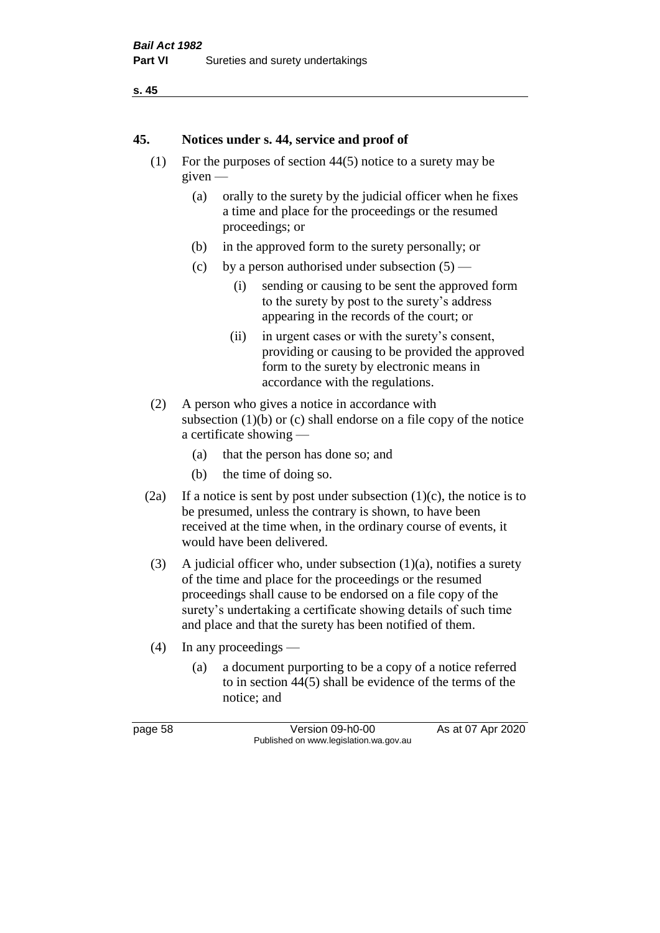```
s. 45
```
#### **45. Notices under s. 44, service and proof of**

- (1) For the purposes of section 44(5) notice to a surety may be given —
	- (a) orally to the surety by the judicial officer when he fixes a time and place for the proceedings or the resumed proceedings; or
	- (b) in the approved form to the surety personally; or
	- (c) by a person authorised under subsection  $(5)$ 
		- (i) sending or causing to be sent the approved form to the surety by post to the surety's address appearing in the records of the court; or
		- (ii) in urgent cases or with the surety's consent, providing or causing to be provided the approved form to the surety by electronic means in accordance with the regulations.
- (2) A person who gives a notice in accordance with subsection  $(1)(b)$  or  $(c)$  shall endorse on a file copy of the notice a certificate showing —
	- (a) that the person has done so; and
	- (b) the time of doing so.
- (2a) If a notice is sent by post under subsection  $(1)(c)$ , the notice is to be presumed, unless the contrary is shown, to have been received at the time when, in the ordinary course of events, it would have been delivered.
- (3) A judicial officer who, under subsection  $(1)(a)$ , notifies a surety of the time and place for the proceedings or the resumed proceedings shall cause to be endorsed on a file copy of the surety's undertaking a certificate showing details of such time and place and that the surety has been notified of them.
- (4) In any proceedings
	- (a) a document purporting to be a copy of a notice referred to in section 44(5) shall be evidence of the terms of the notice; and

page 58 Version 09-h0-00 As at 07 Apr 2020 Published on www.legislation.wa.gov.au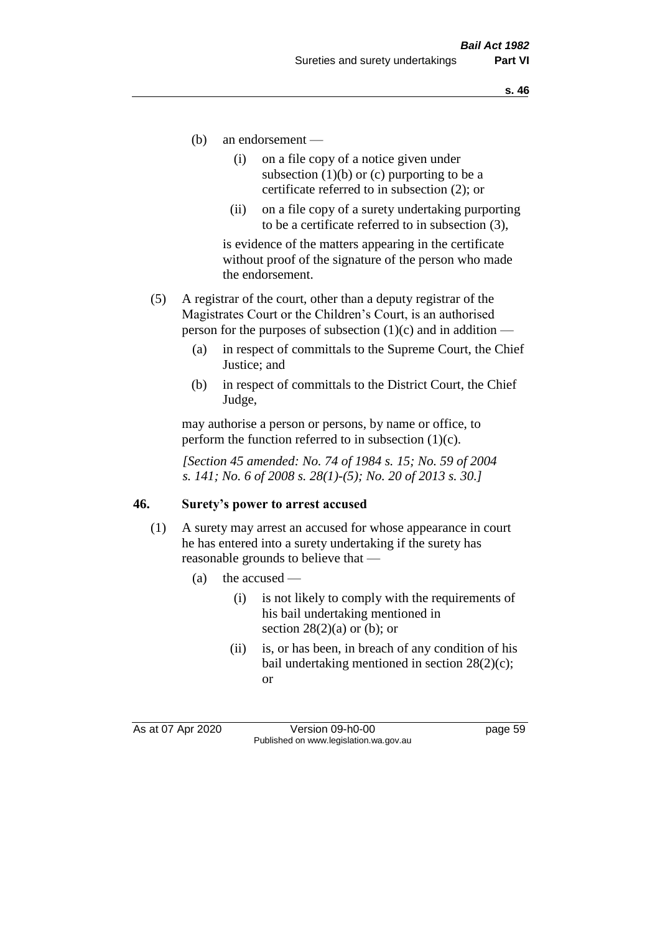- (b) an endorsement
	- (i) on a file copy of a notice given under subsection  $(1)(b)$  or  $(c)$  purporting to be a certificate referred to in subsection (2); or
	- (ii) on a file copy of a surety undertaking purporting to be a certificate referred to in subsection (3),

is evidence of the matters appearing in the certificate without proof of the signature of the person who made the endorsement.

- (5) A registrar of the court, other than a deputy registrar of the Magistrates Court or the Children's Court, is an authorised person for the purposes of subsection  $(1)(c)$  and in addition —
	- (a) in respect of committals to the Supreme Court, the Chief Justice; and
	- (b) in respect of committals to the District Court, the Chief Judge,

may authorise a person or persons, by name or office, to perform the function referred to in subsection  $(1)(c)$ .

*[Section 45 amended: No. 74 of 1984 s. 15; No. 59 of 2004 s. 141; No. 6 of 2008 s. 28(1)-(5); No. 20 of 2013 s. 30.]* 

#### **46. Surety's power to arrest accused**

- (1) A surety may arrest an accused for whose appearance in court he has entered into a surety undertaking if the surety has reasonable grounds to believe that —
	- (a) the accused
		- (i) is not likely to comply with the requirements of his bail undertaking mentioned in section  $28(2)(a)$  or (b); or
		- (ii) is, or has been, in breach of any condition of his bail undertaking mentioned in section 28(2)(c); or

As at 07 Apr 2020 Version 09-h0-00 page 59 Published on www.legislation.wa.gov.au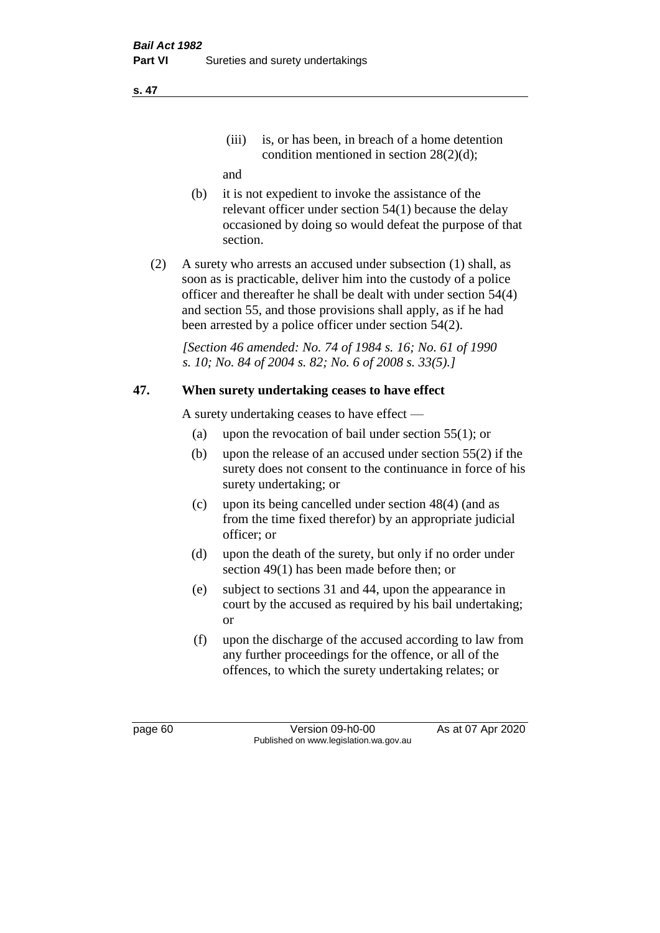(iii) is, or has been, in breach of a home detention condition mentioned in section 28(2)(d);

and

- (b) it is not expedient to invoke the assistance of the relevant officer under section 54(1) because the delay occasioned by doing so would defeat the purpose of that section.
- (2) A surety who arrests an accused under subsection (1) shall, as soon as is practicable, deliver him into the custody of a police officer and thereafter he shall be dealt with under section 54(4) and section 55, and those provisions shall apply, as if he had been arrested by a police officer under section 54(2).

*[Section 46 amended: No. 74 of 1984 s. 16; No. 61 of 1990 s. 10; No. 84 of 2004 s. 82; No. 6 of 2008 s. 33(5).]* 

## **47. When surety undertaking ceases to have effect**

A surety undertaking ceases to have effect —

- (a) upon the revocation of bail under section 55(1); or
- (b) upon the release of an accused under section 55(2) if the surety does not consent to the continuance in force of his surety undertaking; or
- (c) upon its being cancelled under section 48(4) (and as from the time fixed therefor) by an appropriate judicial officer; or
- (d) upon the death of the surety, but only if no order under section 49(1) has been made before then; or
- (e) subject to sections 31 and 44, upon the appearance in court by the accused as required by his bail undertaking; or
- (f) upon the discharge of the accused according to law from any further proceedings for the offence, or all of the offences, to which the surety undertaking relates; or

page 60 Version 09-h0-00 As at 07 Apr 2020 Published on www.legislation.wa.gov.au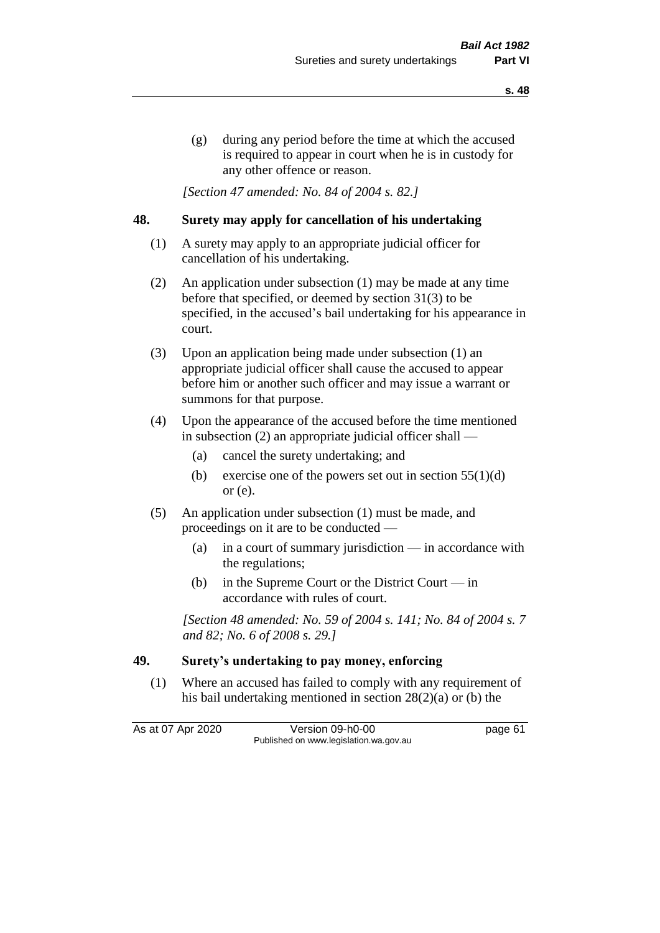(g) during any period before the time at which the accused is required to appear in court when he is in custody for any other offence or reason.

*[Section 47 amended: No. 84 of 2004 s. 82.]* 

### **48. Surety may apply for cancellation of his undertaking**

- (1) A surety may apply to an appropriate judicial officer for cancellation of his undertaking.
- (2) An application under subsection (1) may be made at any time before that specified, or deemed by section 31(3) to be specified, in the accused's bail undertaking for his appearance in court.
- (3) Upon an application being made under subsection (1) an appropriate judicial officer shall cause the accused to appear before him or another such officer and may issue a warrant or summons for that purpose.
- (4) Upon the appearance of the accused before the time mentioned in subsection (2) an appropriate judicial officer shall —
	- (a) cancel the surety undertaking; and
	- (b) exercise one of the powers set out in section  $55(1)(d)$ or (e).
- (5) An application under subsection (1) must be made, and proceedings on it are to be conducted —
	- (a) in a court of summary jurisdiction in accordance with the regulations;
	- (b) in the Supreme Court or the District Court  $-\text{in}$ accordance with rules of court.

*[Section 48 amended: No. 59 of 2004 s. 141; No. 84 of 2004 s. 7 and 82; No. 6 of 2008 s. 29.]* 

## **49. Surety's undertaking to pay money, enforcing**

(1) Where an accused has failed to comply with any requirement of his bail undertaking mentioned in section 28(2)(a) or (b) the

As at 07 Apr 2020 Version 09-h0-00 page 61 Published on www.legislation.wa.gov.au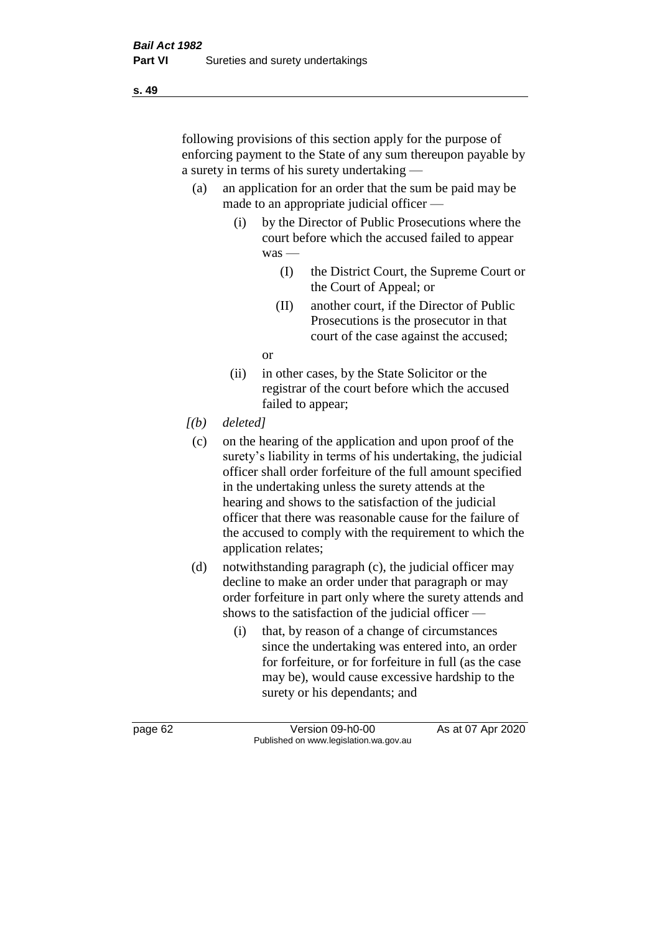following provisions of this section apply for the purpose of enforcing payment to the State of any sum thereupon payable by a surety in terms of his surety undertaking —

- (a) an application for an order that the sum be paid may be made to an appropriate judicial officer —
	- (i) by the Director of Public Prosecutions where the court before which the accused failed to appear was —
		- (I) the District Court, the Supreme Court or the Court of Appeal; or
		- (II) another court, if the Director of Public Prosecutions is the prosecutor in that court of the case against the accused;

or

- (ii) in other cases, by the State Solicitor or the registrar of the court before which the accused failed to appear;
- *[(b) deleted]*
	- (c) on the hearing of the application and upon proof of the surety's liability in terms of his undertaking, the judicial officer shall order forfeiture of the full amount specified in the undertaking unless the surety attends at the hearing and shows to the satisfaction of the judicial officer that there was reasonable cause for the failure of the accused to comply with the requirement to which the application relates;
- (d) notwithstanding paragraph (c), the judicial officer may decline to make an order under that paragraph or may order forfeiture in part only where the surety attends and shows to the satisfaction of the judicial officer —
	- (i) that, by reason of a change of circumstances since the undertaking was entered into, an order for forfeiture, or for forfeiture in full (as the case may be), would cause excessive hardship to the surety or his dependants; and

**s. 49**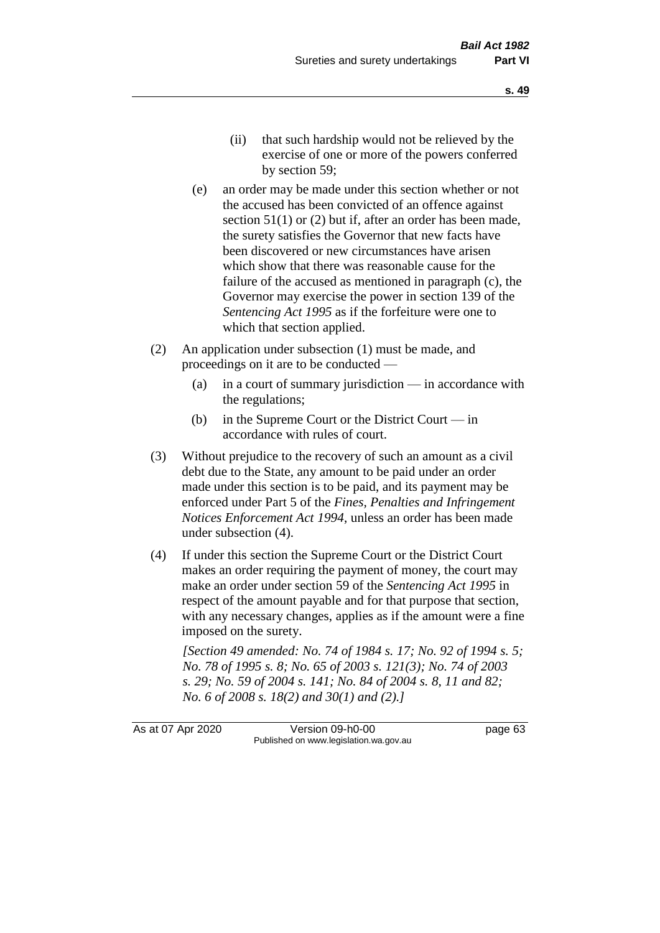- (ii) that such hardship would not be relieved by the exercise of one or more of the powers conferred by section 59;
- (e) an order may be made under this section whether or not the accused has been convicted of an offence against section 51(1) or (2) but if, after an order has been made, the surety satisfies the Governor that new facts have been discovered or new circumstances have arisen which show that there was reasonable cause for the failure of the accused as mentioned in paragraph (c), the Governor may exercise the power in section 139 of the *Sentencing Act 1995* as if the forfeiture were one to which that section applied.
- (2) An application under subsection (1) must be made, and proceedings on it are to be conducted —
	- (a) in a court of summary jurisdiction in accordance with the regulations;
	- (b) in the Supreme Court or the District Court  $-\text{in}$ accordance with rules of court.
- (3) Without prejudice to the recovery of such an amount as a civil debt due to the State, any amount to be paid under an order made under this section is to be paid, and its payment may be enforced under Part 5 of the *Fines, Penalties and Infringement Notices Enforcement Act 1994*, unless an order has been made under subsection (4).
- (4) If under this section the Supreme Court or the District Court makes an order requiring the payment of money, the court may make an order under section 59 of the *Sentencing Act 1995* in respect of the amount payable and for that purpose that section, with any necessary changes, applies as if the amount were a fine imposed on the surety.

*[Section 49 amended: No. 74 of 1984 s. 17; No. 92 of 1994 s. 5; No. 78 of 1995 s. 8; No. 65 of 2003 s. 121(3); No. 74 of 2003 s. 29; No. 59 of 2004 s. 141; No. 84 of 2004 s. 8, 11 and 82; No. 6 of 2008 s. 18(2) and 30(1) and (2).]* 

As at 07 Apr 2020 Version 09-h0-00 page 63 Published on www.legislation.wa.gov.au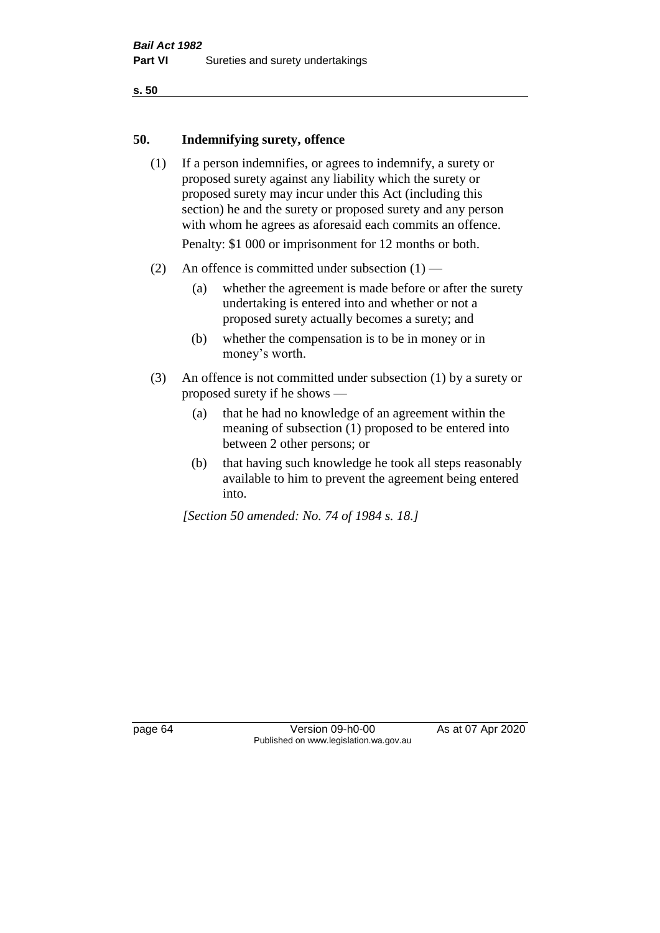**s. 50**

#### **50. Indemnifying surety, offence**

- (1) If a person indemnifies, or agrees to indemnify, a surety or proposed surety against any liability which the surety or proposed surety may incur under this Act (including this section) he and the surety or proposed surety and any person with whom he agrees as aforesaid each commits an offence. Penalty: \$1 000 or imprisonment for 12 months or both.
- (2) An offence is committed under subsection  $(1)$ 
	- (a) whether the agreement is made before or after the surety undertaking is entered into and whether or not a proposed surety actually becomes a surety; and
	- (b) whether the compensation is to be in money or in money's worth.
- (3) An offence is not committed under subsection (1) by a surety or proposed surety if he shows —
	- (a) that he had no knowledge of an agreement within the meaning of subsection (1) proposed to be entered into between 2 other persons; or
	- (b) that having such knowledge he took all steps reasonably available to him to prevent the agreement being entered into.

*[Section 50 amended: No. 74 of 1984 s. 18.]* 

page 64 Version 09-h0-00 As at 07 Apr 2020 Published on www.legislation.wa.gov.au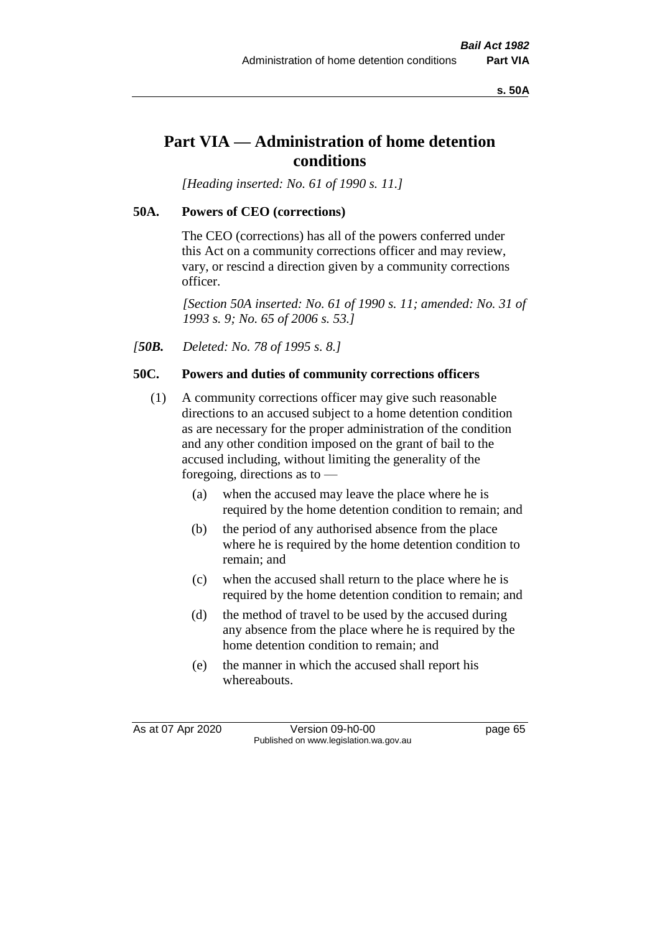**s. 50A**

# **Part VIA — Administration of home detention conditions**

*[Heading inserted: No. 61 of 1990 s. 11.]* 

# **50A. Powers of CEO (corrections)**

The CEO (corrections) has all of the powers conferred under this Act on a community corrections officer and may review, vary, or rescind a direction given by a community corrections officer.

*[Section 50A inserted: No. 61 of 1990 s. 11; amended: No. 31 of 1993 s. 9; No. 65 of 2006 s. 53.]* 

*[50B. Deleted: No. 78 of 1995 s. 8.]* 

# **50C. Powers and duties of community corrections officers**

- (1) A community corrections officer may give such reasonable directions to an accused subject to a home detention condition as are necessary for the proper administration of the condition and any other condition imposed on the grant of bail to the accused including, without limiting the generality of the foregoing, directions as to —
	- (a) when the accused may leave the place where he is required by the home detention condition to remain; and
	- (b) the period of any authorised absence from the place where he is required by the home detention condition to remain; and
	- (c) when the accused shall return to the place where he is required by the home detention condition to remain; and
	- (d) the method of travel to be used by the accused during any absence from the place where he is required by the home detention condition to remain; and
	- (e) the manner in which the accused shall report his whereabouts.

As at 07 Apr 2020 Version 09-h0-00 page 65 Published on www.legislation.wa.gov.au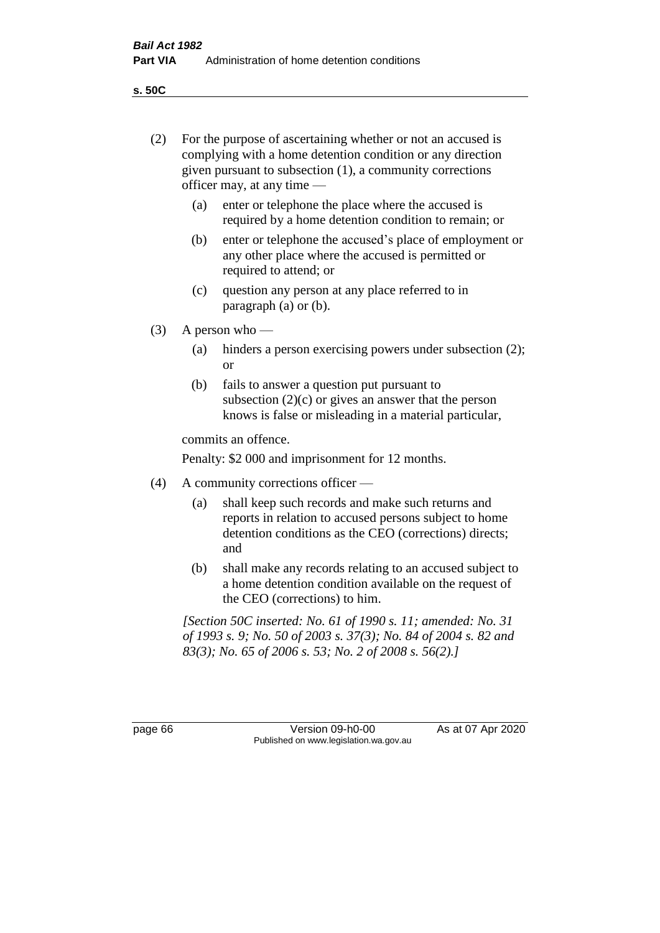(2) For the purpose of ascertaining whether or not an accused is complying with a home detention condition or any direction

**s. 50C**

|                                          | given pursuant to subsection (1), a community corrections<br>officer may, at any time $-$                                                                                                 |                                                                                                                                                                              |  |
|------------------------------------------|-------------------------------------------------------------------------------------------------------------------------------------------------------------------------------------------|------------------------------------------------------------------------------------------------------------------------------------------------------------------------------|--|
|                                          | (a)                                                                                                                                                                                       | enter or telephone the place where the accused is<br>required by a home detention condition to remain; or                                                                    |  |
|                                          | (b)                                                                                                                                                                                       | enter or telephone the accused's place of employment or<br>any other place where the accused is permitted or<br>required to attend; or                                       |  |
|                                          | (c)                                                                                                                                                                                       | question any person at any place referred to in<br>paragraph $(a)$ or $(b)$ .                                                                                                |  |
| (3)                                      | A person who $-$                                                                                                                                                                          |                                                                                                                                                                              |  |
|                                          | (a)                                                                                                                                                                                       | hinders a person exercising powers under subsection (2);<br><b>or</b>                                                                                                        |  |
|                                          | (b)                                                                                                                                                                                       | fails to answer a question put pursuant to<br>subsection $(2)(c)$ or gives an answer that the person<br>knows is false or misleading in a material particular,               |  |
|                                          |                                                                                                                                                                                           | commits an offence.                                                                                                                                                          |  |
|                                          | Penalty: \$2 000 and imprisonment for 12 months.                                                                                                                                          |                                                                                                                                                                              |  |
| A community corrections officer —<br>(4) |                                                                                                                                                                                           |                                                                                                                                                                              |  |
|                                          | (a)                                                                                                                                                                                       | shall keep such records and make such returns and<br>reports in relation to accused persons subject to home<br>detention conditions as the CEO (corrections) directs;<br>and |  |
|                                          | (b)                                                                                                                                                                                       | shall make any records relating to an accused subject to<br>a home detention condition available on the request of<br>the CEO (corrections) to him.                          |  |
|                                          | [Section 50C inserted: No. 61 of 1990 s. 11; amended: No. 31]<br>of 1993 s. 9; No. 50 of 2003 s. 37(3); No. 84 of 2004 s. 82 and<br>83(3); No. 65 of 2006 s. 53; No. 2 of 2008 s. 56(2).] |                                                                                                                                                                              |  |

page 66 Version 09-h0-00 As at 07 Apr 2020 Published on www.legislation.wa.gov.au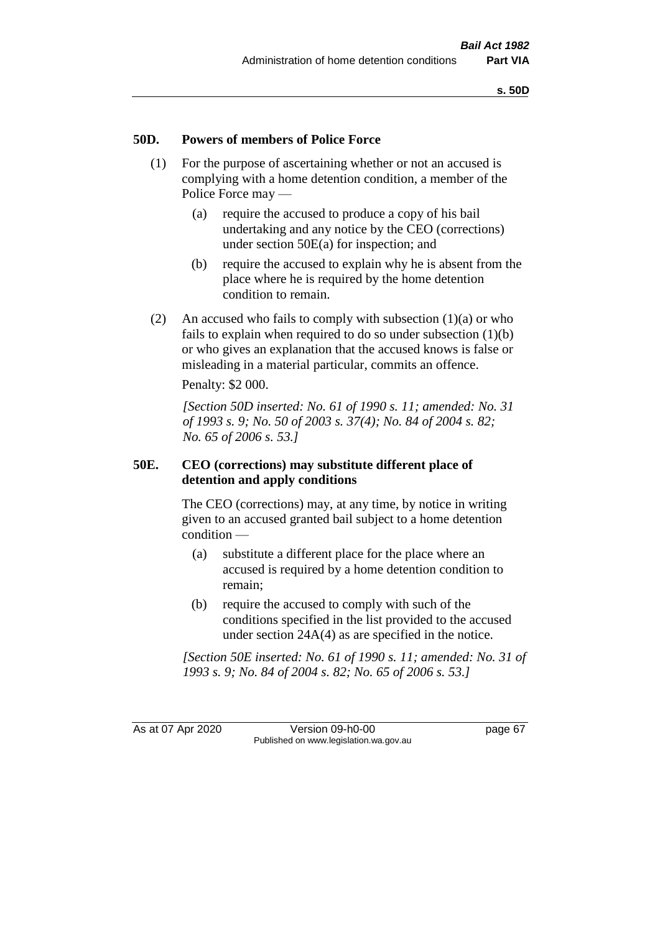#### **50D. Powers of members of Police Force**

- (1) For the purpose of ascertaining whether or not an accused is complying with a home detention condition, a member of the Police Force may —
	- (a) require the accused to produce a copy of his bail undertaking and any notice by the CEO (corrections) under section 50E(a) for inspection; and
	- (b) require the accused to explain why he is absent from the place where he is required by the home detention condition to remain.
- (2) An accused who fails to comply with subsection  $(1)(a)$  or who fails to explain when required to do so under subsection (1)(b) or who gives an explanation that the accused knows is false or misleading in a material particular, commits an offence.

Penalty: \$2 000.

*[Section 50D inserted: No. 61 of 1990 s. 11; amended: No. 31 of 1993 s. 9; No. 50 of 2003 s. 37(4); No. 84 of 2004 s. 82; No. 65 of 2006 s. 53.]* 

#### **50E. CEO (corrections) may substitute different place of detention and apply conditions**

The CEO (corrections) may, at any time, by notice in writing given to an accused granted bail subject to a home detention condition —

- (a) substitute a different place for the place where an accused is required by a home detention condition to remain;
- (b) require the accused to comply with such of the conditions specified in the list provided to the accused under section 24A(4) as are specified in the notice.

*[Section 50E inserted: No. 61 of 1990 s. 11; amended: No. 31 of 1993 s. 9; No. 84 of 2004 s. 82; No. 65 of 2006 s. 53.]* 

As at 07 Apr 2020 Version 09-h0-00 page 67 Published on www.legislation.wa.gov.au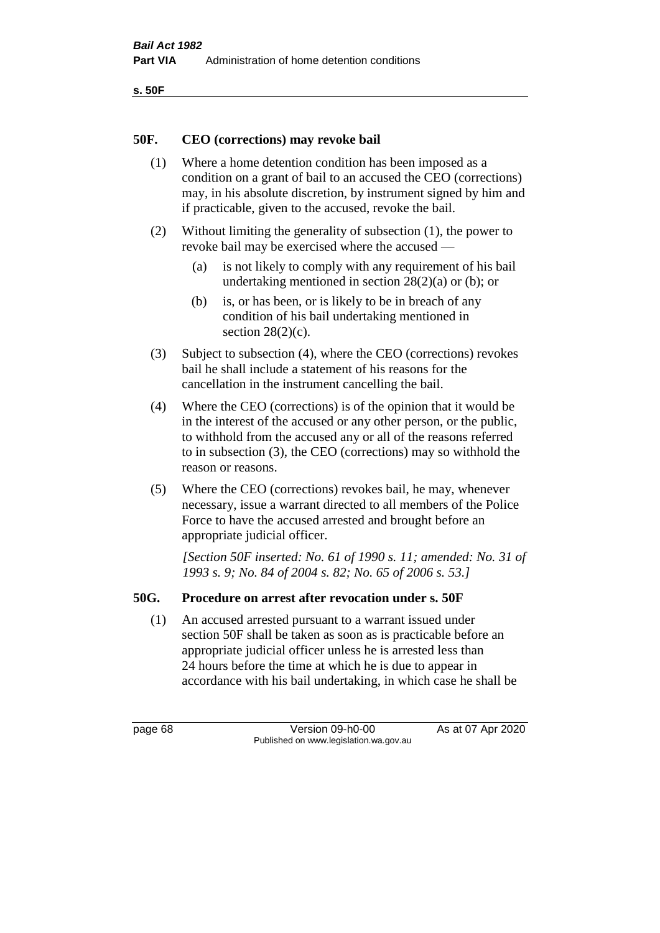```
s. 50F
```
#### **50F. CEO (corrections) may revoke bail**

- (1) Where a home detention condition has been imposed as a condition on a grant of bail to an accused the CEO (corrections) may, in his absolute discretion, by instrument signed by him and if practicable, given to the accused, revoke the bail.
- (2) Without limiting the generality of subsection (1), the power to revoke bail may be exercised where the accused —
	- (a) is not likely to comply with any requirement of his bail undertaking mentioned in section 28(2)(a) or (b); or
	- (b) is, or has been, or is likely to be in breach of any condition of his bail undertaking mentioned in section  $28(2)(c)$ .
- (3) Subject to subsection (4), where the CEO (corrections) revokes bail he shall include a statement of his reasons for the cancellation in the instrument cancelling the bail.
- (4) Where the CEO (corrections) is of the opinion that it would be in the interest of the accused or any other person, or the public, to withhold from the accused any or all of the reasons referred to in subsection (3), the CEO (corrections) may so withhold the reason or reasons.
- (5) Where the CEO (corrections) revokes bail, he may, whenever necessary, issue a warrant directed to all members of the Police Force to have the accused arrested and brought before an appropriate judicial officer.

*[Section 50F inserted: No. 61 of 1990 s. 11; amended: No. 31 of 1993 s. 9; No. 84 of 2004 s. 82; No. 65 of 2006 s. 53.]* 

#### **50G. Procedure on arrest after revocation under s. 50F**

(1) An accused arrested pursuant to a warrant issued under section 50F shall be taken as soon as is practicable before an appropriate judicial officer unless he is arrested less than 24 hours before the time at which he is due to appear in accordance with his bail undertaking, in which case he shall be

page 68 Version 09-h0-00 As at 07 Apr 2020 Published on www.legislation.wa.gov.au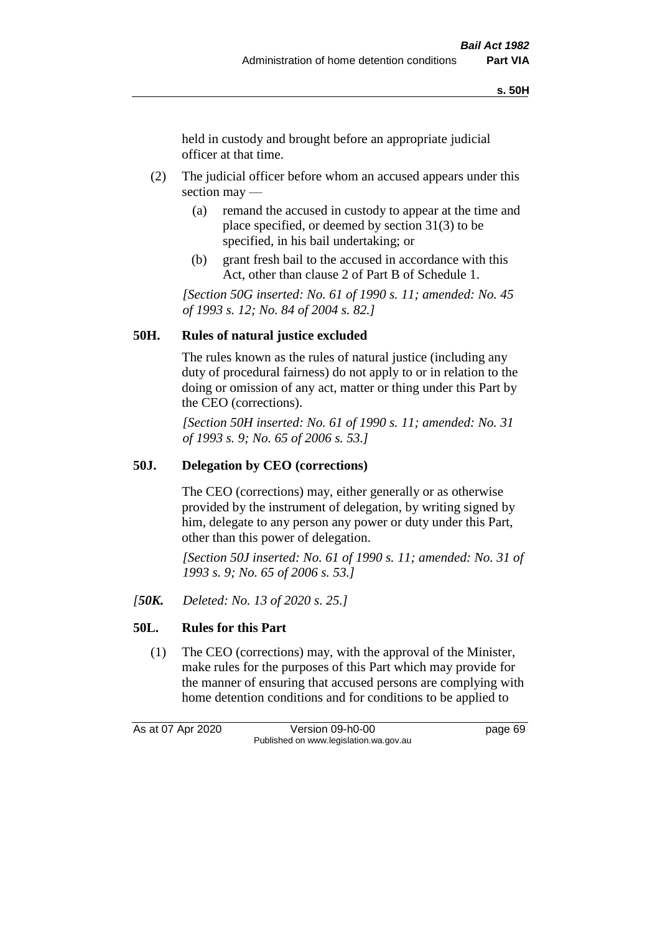held in custody and brought before an appropriate judicial officer at that time.

- (2) The judicial officer before whom an accused appears under this section may —
	- (a) remand the accused in custody to appear at the time and place specified, or deemed by section 31(3) to be specified, in his bail undertaking; or
	- (b) grant fresh bail to the accused in accordance with this Act, other than clause 2 of Part B of Schedule 1.

*[Section 50G inserted: No. 61 of 1990 s. 11; amended: No. 45 of 1993 s. 12; No. 84 of 2004 s. 82.]* 

# **50H. Rules of natural justice excluded**

The rules known as the rules of natural justice (including any duty of procedural fairness) do not apply to or in relation to the doing or omission of any act, matter or thing under this Part by the CEO (corrections).

*[Section 50H inserted: No. 61 of 1990 s. 11; amended: No. 31 of 1993 s. 9; No. 65 of 2006 s. 53.]* 

#### **50J. Delegation by CEO (corrections)**

The CEO (corrections) may, either generally or as otherwise provided by the instrument of delegation, by writing signed by him, delegate to any person any power or duty under this Part, other than this power of delegation.

*[Section 50J inserted: No. 61 of 1990 s. 11; amended: No. 31 of 1993 s. 9; No. 65 of 2006 s. 53.]* 

*[50K. Deleted: No. 13 of 2020 s. 25.]*

# **50L. Rules for this Part**

(1) The CEO (corrections) may, with the approval of the Minister, make rules for the purposes of this Part which may provide for the manner of ensuring that accused persons are complying with home detention conditions and for conditions to be applied to

As at 07 Apr 2020 Version 09-h0-00 page 69 Published on www.legislation.wa.gov.au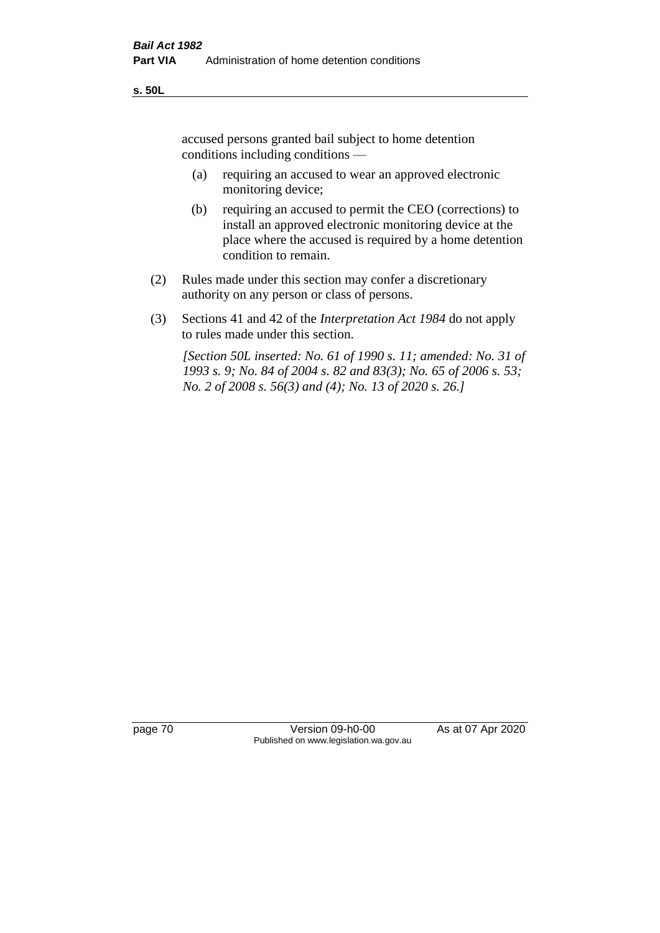accused persons granted bail subject to home detention conditions including conditions —

- (a) requiring an accused to wear an approved electronic monitoring device;
- (b) requiring an accused to permit the CEO (corrections) to install an approved electronic monitoring device at the place where the accused is required by a home detention condition to remain.
- (2) Rules made under this section may confer a discretionary authority on any person or class of persons.
- (3) Sections 41 and 42 of the *Interpretation Act 1984* do not apply to rules made under this section.

*[Section 50L inserted: No. 61 of 1990 s. 11; amended: No. 31 of 1993 s. 9; No. 84 of 2004 s. 82 and 83(3); No. 65 of 2006 s. 53; No. 2 of 2008 s. 56(3) and (4); No. 13 of 2020 s. 26.]* 

page 70 Version 09-h0-00 As at 07 Apr 2020 Published on www.legislation.wa.gov.au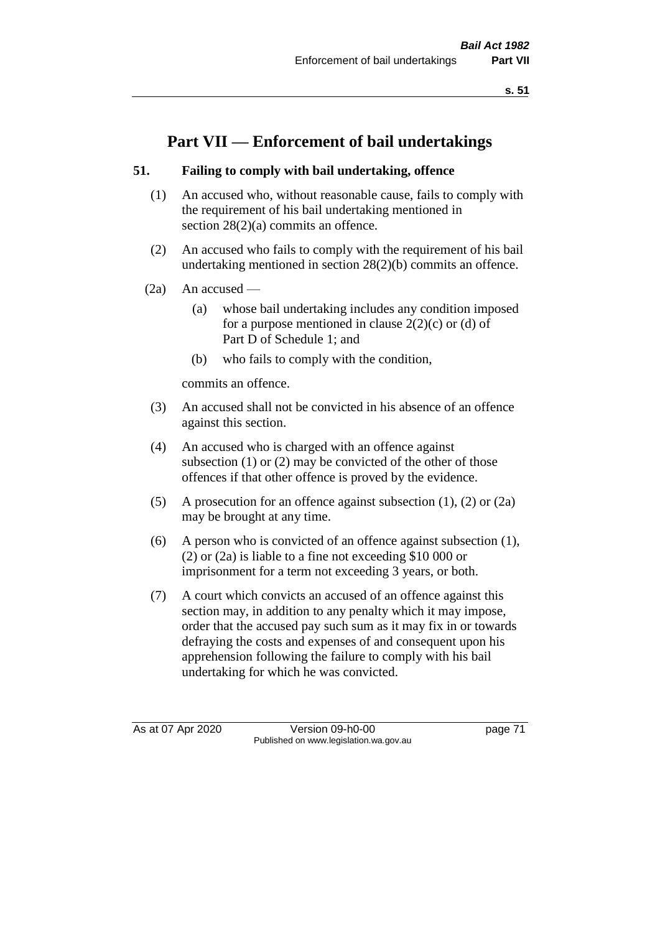**s. 51**

# **Part VII — Enforcement of bail undertakings**

# **51. Failing to comply with bail undertaking, offence**

- (1) An accused who, without reasonable cause, fails to comply with the requirement of his bail undertaking mentioned in section 28(2)(a) commits an offence.
- (2) An accused who fails to comply with the requirement of his bail undertaking mentioned in section 28(2)(b) commits an offence.
- $(2a)$  An accused
	- (a) whose bail undertaking includes any condition imposed for a purpose mentioned in clause  $2(2)(c)$  or (d) of Part D of Schedule 1; and
	- (b) who fails to comply with the condition,

commits an offence.

- (3) An accused shall not be convicted in his absence of an offence against this section.
- (4) An accused who is charged with an offence against subsection (1) or (2) may be convicted of the other of those offences if that other offence is proved by the evidence.
- (5) A prosecution for an offence against subsection (1), (2) or (2a) may be brought at any time.
- (6) A person who is convicted of an offence against subsection (1), (2) or (2a) is liable to a fine not exceeding \$10 000 or imprisonment for a term not exceeding 3 years, or both.
- (7) A court which convicts an accused of an offence against this section may, in addition to any penalty which it may impose, order that the accused pay such sum as it may fix in or towards defraying the costs and expenses of and consequent upon his apprehension following the failure to comply with his bail undertaking for which he was convicted.

As at 07 Apr 2020 Version 09-h0-00 page 71 Published on www.legislation.wa.gov.au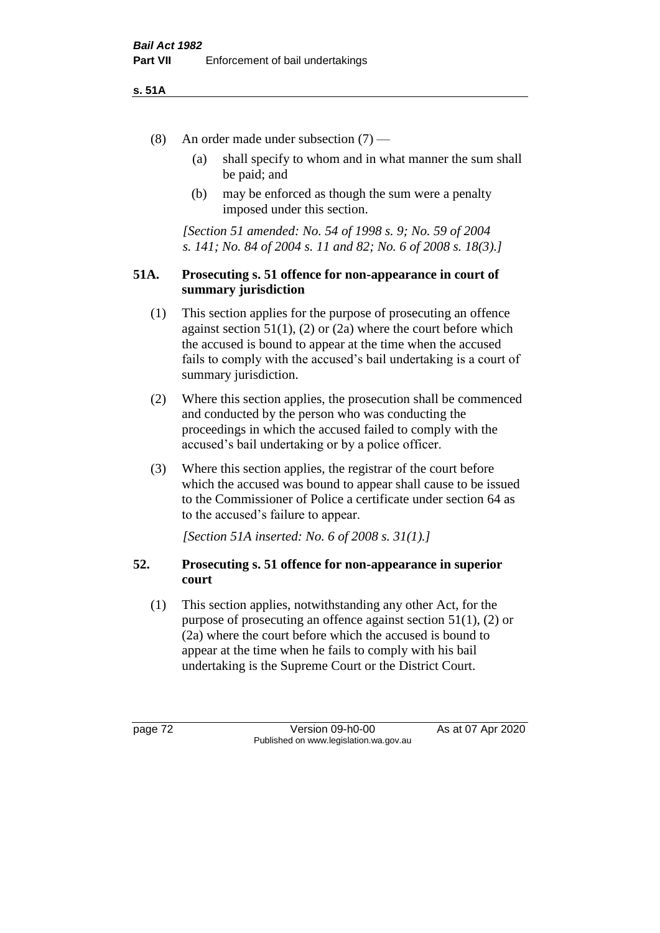#### **s. 51A**

- (8) An order made under subsection (7)
	- (a) shall specify to whom and in what manner the sum shall be paid; and
	- (b) may be enforced as though the sum were a penalty imposed under this section.

*[Section 51 amended: No. 54 of 1998 s. 9; No. 59 of 2004 s. 141; No. 84 of 2004 s. 11 and 82; No. 6 of 2008 s. 18(3).]*

#### **51A. Prosecuting s. 51 offence for non-appearance in court of summary jurisdiction**

- (1) This section applies for the purpose of prosecuting an offence against section  $51(1)$ ,  $(2)$  or  $(2a)$  where the court before which the accused is bound to appear at the time when the accused fails to comply with the accused's bail undertaking is a court of summary jurisdiction.
- (2) Where this section applies, the prosecution shall be commenced and conducted by the person who was conducting the proceedings in which the accused failed to comply with the accused's bail undertaking or by a police officer.
- (3) Where this section applies, the registrar of the court before which the accused was bound to appear shall cause to be issued to the Commissioner of Police a certificate under section 64 as to the accused's failure to appear.

*[Section 51A inserted: No. 6 of 2008 s. 31(1).]*

# **52. Prosecuting s. 51 offence for non-appearance in superior court**

(1) This section applies, notwithstanding any other Act, for the purpose of prosecuting an offence against section 51(1), (2) or (2a) where the court before which the accused is bound to appear at the time when he fails to comply with his bail undertaking is the Supreme Court or the District Court.

page 72 Version 09-h0-00 As at 07 Apr 2020 Published on www.legislation.wa.gov.au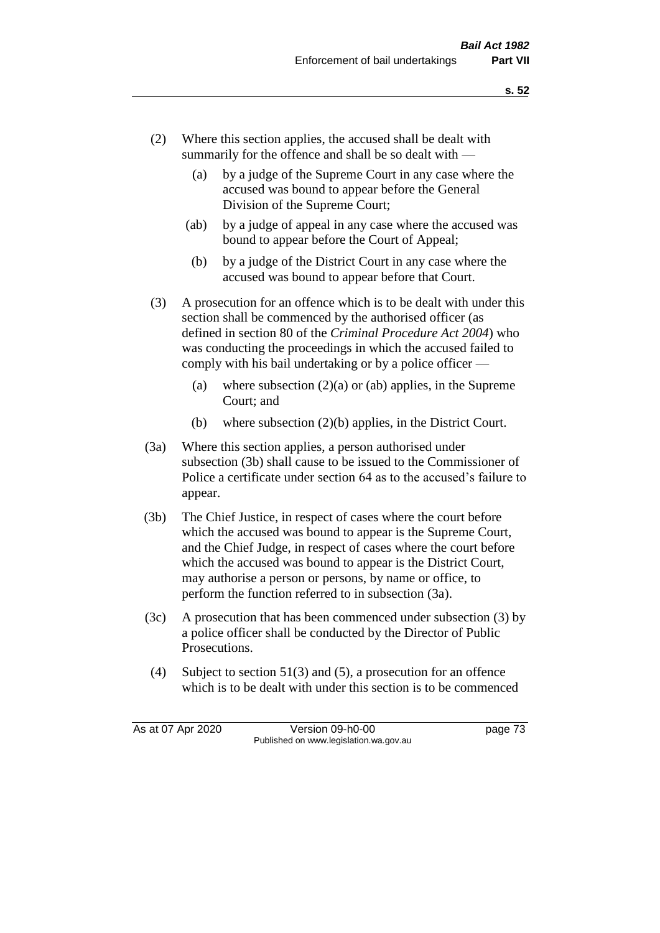- (2) Where this section applies, the accused shall be dealt with summarily for the offence and shall be so dealt with —
	- (a) by a judge of the Supreme Court in any case where the accused was bound to appear before the General Division of the Supreme Court;
	- (ab) by a judge of appeal in any case where the accused was bound to appear before the Court of Appeal;
	- (b) by a judge of the District Court in any case where the accused was bound to appear before that Court.
- (3) A prosecution for an offence which is to be dealt with under this section shall be commenced by the authorised officer (as defined in section 80 of the *Criminal Procedure Act 2004*) who was conducting the proceedings in which the accused failed to comply with his bail undertaking or by a police officer —
	- (a) where subsection  $(2)(a)$  or (ab) applies, in the Supreme Court; and
	- (b) where subsection (2)(b) applies, in the District Court.
- (3a) Where this section applies, a person authorised under subsection (3b) shall cause to be issued to the Commissioner of Police a certificate under section 64 as to the accused's failure to appear.
- (3b) The Chief Justice, in respect of cases where the court before which the accused was bound to appear is the Supreme Court, and the Chief Judge, in respect of cases where the court before which the accused was bound to appear is the District Court, may authorise a person or persons, by name or office, to perform the function referred to in subsection (3a).
- (3c) A prosecution that has been commenced under subsection (3) by a police officer shall be conducted by the Director of Public Prosecutions.
- (4) Subject to section 51(3) and (5), a prosecution for an offence which is to be dealt with under this section is to be commenced

As at 07 Apr 2020 Version 09-h0-00 page 73 Published on www.legislation.wa.gov.au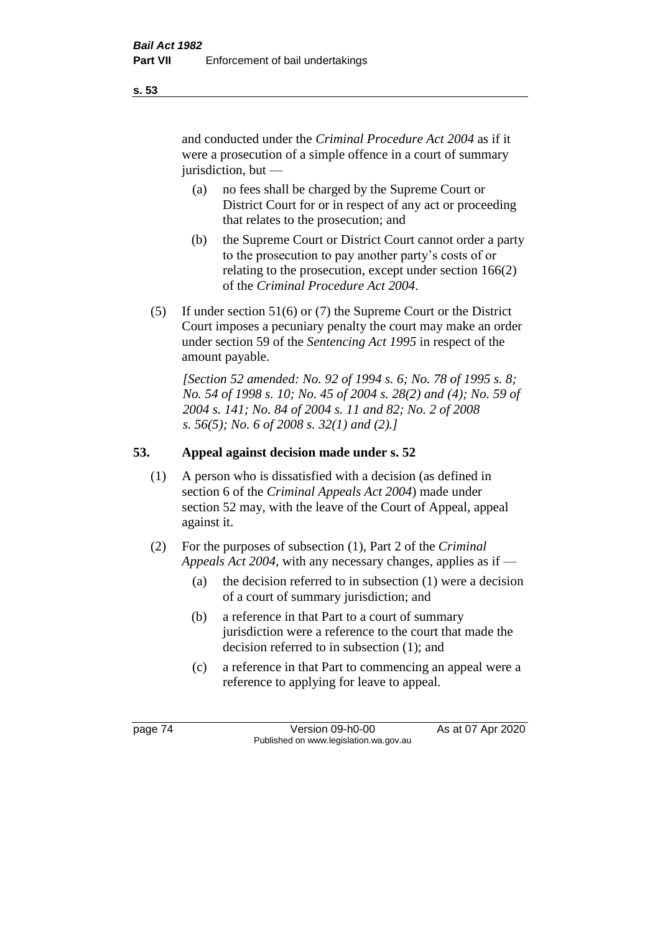and conducted under the *Criminal Procedure Act 2004* as if it were a prosecution of a simple offence in a court of summary jurisdiction, but —

- (a) no fees shall be charged by the Supreme Court or District Court for or in respect of any act or proceeding that relates to the prosecution; and
- (b) the Supreme Court or District Court cannot order a party to the prosecution to pay another party's costs of or relating to the prosecution, except under section 166(2) of the *Criminal Procedure Act 2004*.
- (5) If under section 51(6) or (7) the Supreme Court or the District Court imposes a pecuniary penalty the court may make an order under section 59 of the *Sentencing Act 1995* in respect of the amount payable.

*[Section 52 amended: No. 92 of 1994 s. 6; No. 78 of 1995 s. 8; No. 54 of 1998 s. 10; No. 45 of 2004 s. 28(2) and (4); No. 59 of 2004 s. 141; No. 84 of 2004 s. 11 and 82; No. 2 of 2008 s. 56(5); No. 6 of 2008 s. 32(1) and (2).]* 

# **53. Appeal against decision made under s. 52**

- (1) A person who is dissatisfied with a decision (as defined in section 6 of the *Criminal Appeals Act 2004*) made under section 52 may, with the leave of the Court of Appeal, appeal against it.
- (2) For the purposes of subsection (1), Part 2 of the *Criminal Appeals Act 2004*, with any necessary changes, applies as if —
	- (a) the decision referred to in subsection (1) were a decision of a court of summary jurisdiction; and
	- (b) a reference in that Part to a court of summary jurisdiction were a reference to the court that made the decision referred to in subsection (1); and
	- (c) a reference in that Part to commencing an appeal were a reference to applying for leave to appeal.

**s. 53**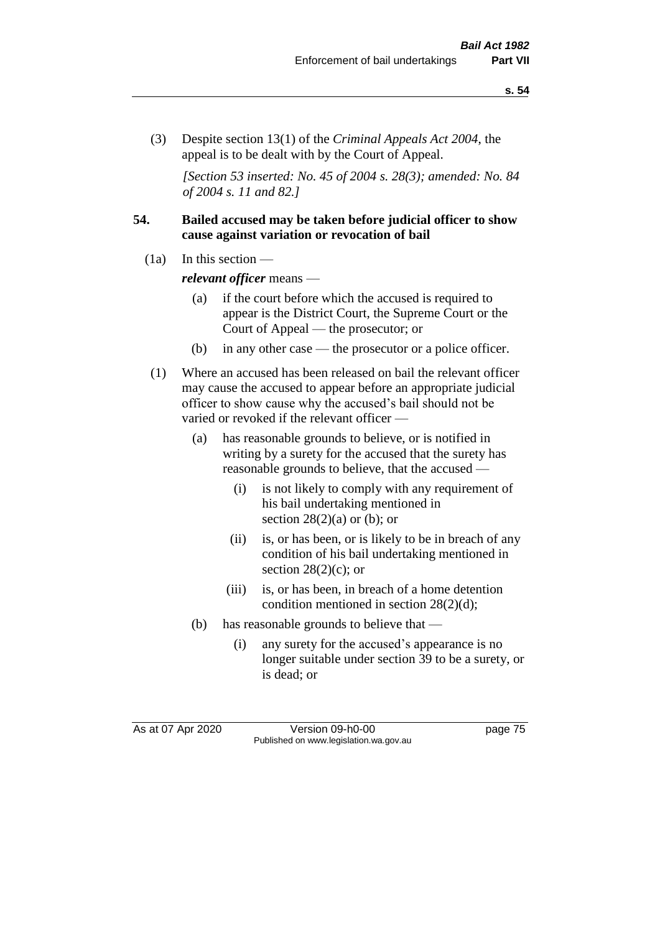(3) Despite section 13(1) of the *Criminal Appeals Act 2004*, the appeal is to be dealt with by the Court of Appeal.

*[Section 53 inserted: No. 45 of 2004 s. 28(3); amended: No. 84 of 2004 s. 11 and 82.]*

#### **54. Bailed accused may be taken before judicial officer to show cause against variation or revocation of bail**

 $(1a)$  In this section —

*relevant officer* means —

- (a) if the court before which the accused is required to appear is the District Court, the Supreme Court or the Court of Appeal — the prosecutor; or
- (b) in any other case the prosecutor or a police officer.
- (1) Where an accused has been released on bail the relevant officer may cause the accused to appear before an appropriate judicial officer to show cause why the accused's bail should not be varied or revoked if the relevant officer —
	- (a) has reasonable grounds to believe, or is notified in writing by a surety for the accused that the surety has reasonable grounds to believe, that the accused —
		- (i) is not likely to comply with any requirement of his bail undertaking mentioned in section  $28(2)(a)$  or (b); or
		- (ii) is, or has been, or is likely to be in breach of any condition of his bail undertaking mentioned in section  $28(2)(c)$ ; or
		- (iii) is, or has been, in breach of a home detention condition mentioned in section 28(2)(d);
	- (b) has reasonable grounds to believe that
		- (i) any surety for the accused's appearance is no longer suitable under section 39 to be a surety, or is dead; or

As at 07 Apr 2020 Version 09-h0-00 page 75 Published on www.legislation.wa.gov.au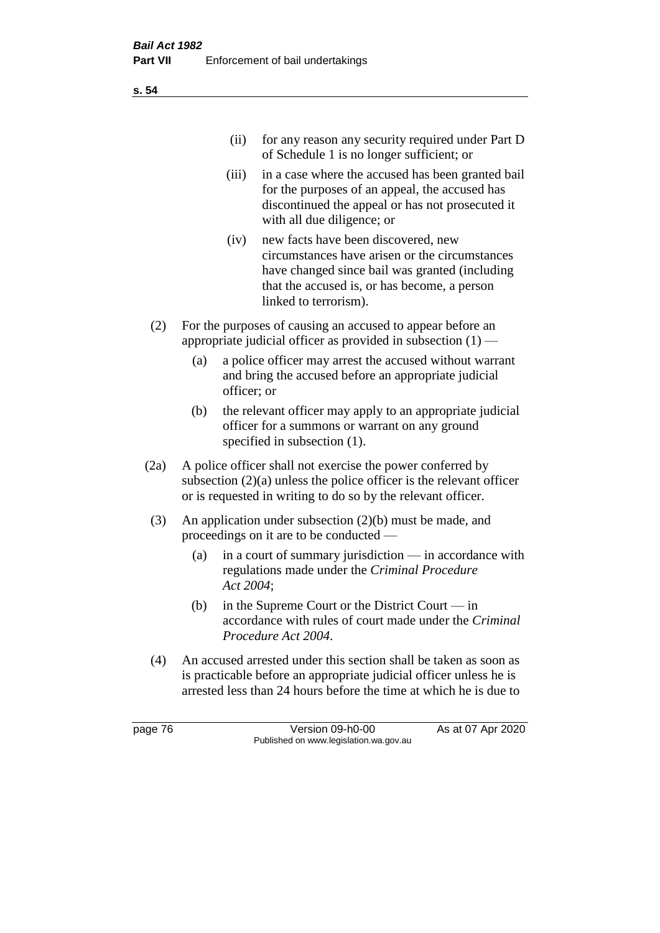| (ii) | for any reason any security required under Part D |
|------|---------------------------------------------------|
|      | of Schedule 1 is no longer sufficient; or         |

- (iii) in a case where the accused has been granted bail for the purposes of an appeal, the accused has discontinued the appeal or has not prosecuted it with all due diligence; or
- (iv) new facts have been discovered, new circumstances have arisen or the circumstances have changed since bail was granted (including that the accused is, or has become, a person linked to terrorism).
- (2) For the purposes of causing an accused to appear before an appropriate judicial officer as provided in subsection  $(1)$  —
	- (a) a police officer may arrest the accused without warrant and bring the accused before an appropriate judicial officer; or
	- (b) the relevant officer may apply to an appropriate judicial officer for a summons or warrant on any ground specified in subsection (1).
- (2a) A police officer shall not exercise the power conferred by subsection (2)(a) unless the police officer is the relevant officer or is requested in writing to do so by the relevant officer.
- (3) An application under subsection (2)(b) must be made, and proceedings on it are to be conducted —
	- (a) in a court of summary jurisdiction in accordance with regulations made under the *Criminal Procedure Act 2004*;
	- (b) in the Supreme Court or the District Court  $-\text{in}$ accordance with rules of court made under the *Criminal Procedure Act 2004*.
- (4) An accused arrested under this section shall be taken as soon as is practicable before an appropriate judicial officer unless he is arrested less than 24 hours before the time at which he is due to

page 76 Version 09-h0-00 As at 07 Apr 2020 Published on www.legislation.wa.gov.au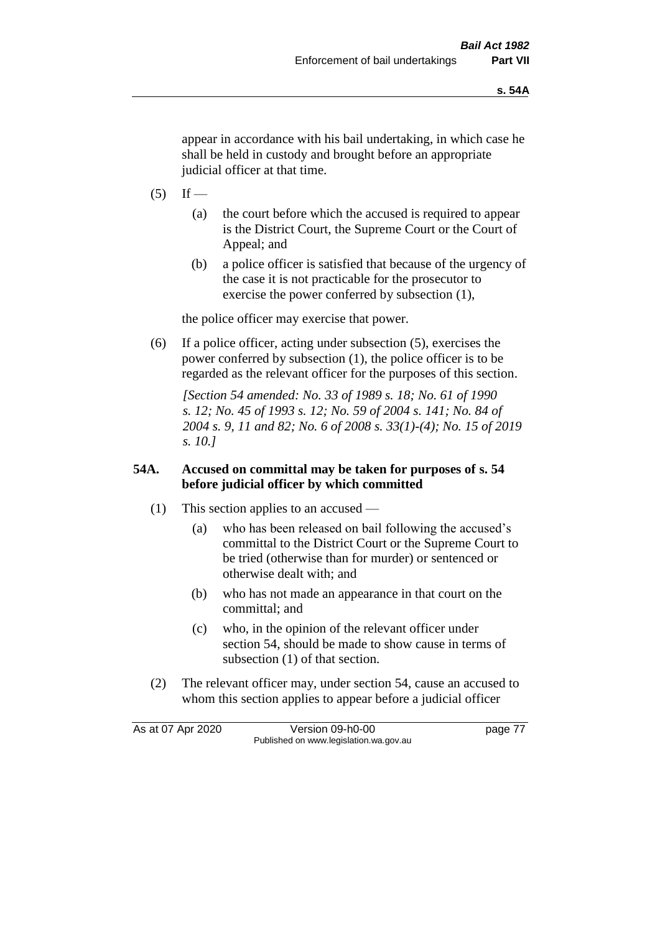appear in accordance with his bail undertaking, in which case he shall be held in custody and brought before an appropriate judicial officer at that time.

- $(5)$  If
	- (a) the court before which the accused is required to appear is the District Court, the Supreme Court or the Court of Appeal; and
	- (b) a police officer is satisfied that because of the urgency of the case it is not practicable for the prosecutor to exercise the power conferred by subsection (1),

the police officer may exercise that power.

(6) If a police officer, acting under subsection (5), exercises the power conferred by subsection (1), the police officer is to be regarded as the relevant officer for the purposes of this section.

*[Section 54 amended: No. 33 of 1989 s. 18; No. 61 of 1990 s. 12; No. 45 of 1993 s. 12; No. 59 of 2004 s. 141; No. 84 of 2004 s. 9, 11 and 82; No. 6 of 2008 s. 33(1)-(4); No. 15 of 2019 s. 10.]* 

#### **54A. Accused on committal may be taken for purposes of s. 54 before judicial officer by which committed**

- (1) This section applies to an accused
	- (a) who has been released on bail following the accused's committal to the District Court or the Supreme Court to be tried (otherwise than for murder) or sentenced or otherwise dealt with; and
	- (b) who has not made an appearance in that court on the committal; and
	- (c) who, in the opinion of the relevant officer under section 54, should be made to show cause in terms of subsection (1) of that section.
- (2) The relevant officer may, under section 54, cause an accused to whom this section applies to appear before a judicial officer

As at 07 Apr 2020 Version 09-h0-00 page 77 Published on www.legislation.wa.gov.au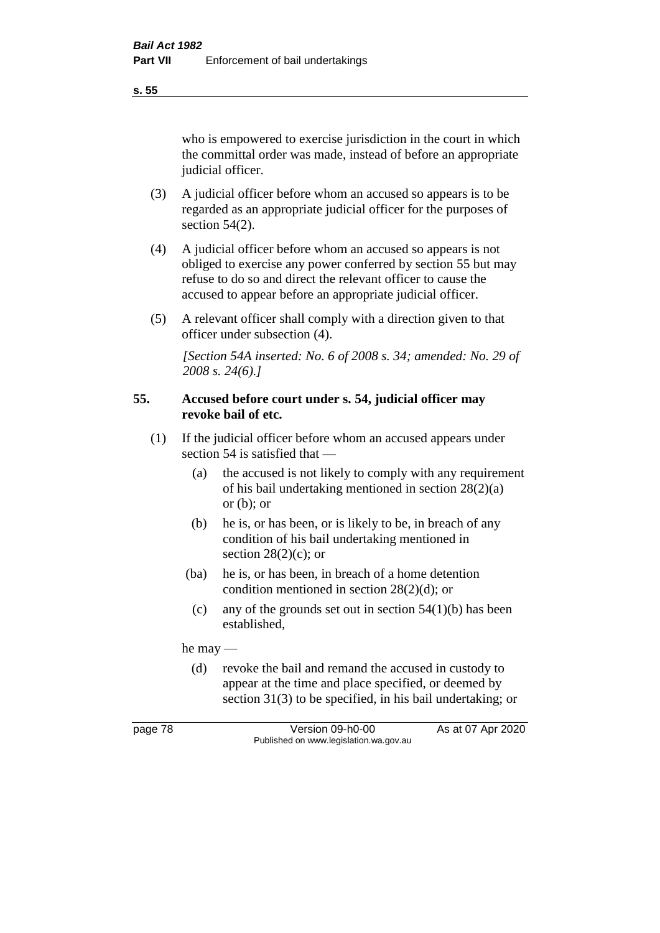**s. 55**

who is empowered to exercise jurisdiction in the court in which the committal order was made, instead of before an appropriate judicial officer.

- (3) A judicial officer before whom an accused so appears is to be regarded as an appropriate judicial officer for the purposes of section 54(2).
- (4) A judicial officer before whom an accused so appears is not obliged to exercise any power conferred by section 55 but may refuse to do so and direct the relevant officer to cause the accused to appear before an appropriate judicial officer.
- (5) A relevant officer shall comply with a direction given to that officer under subsection (4).

*[Section 54A inserted: No. 6 of 2008 s. 34; amended: No. 29 of 2008 s. 24(6).]*

#### **55. Accused before court under s. 54, judicial officer may revoke bail of etc.**

- (1) If the judicial officer before whom an accused appears under section 54 is satisfied that —
	- (a) the accused is not likely to comply with any requirement of his bail undertaking mentioned in section 28(2)(a) or  $(b)$ ; or
	- (b) he is, or has been, or is likely to be, in breach of any condition of his bail undertaking mentioned in section  $28(2)(c)$ ; or
	- (ba) he is, or has been, in breach of a home detention condition mentioned in section 28(2)(d); or
		- (c) any of the grounds set out in section  $54(1)(b)$  has been established,

he may —

(d) revoke the bail and remand the accused in custody to appear at the time and place specified, or deemed by section 31(3) to be specified, in his bail undertaking; or

page 78 Version 09-h0-00 As at 07 Apr 2020 Published on www.legislation.wa.gov.au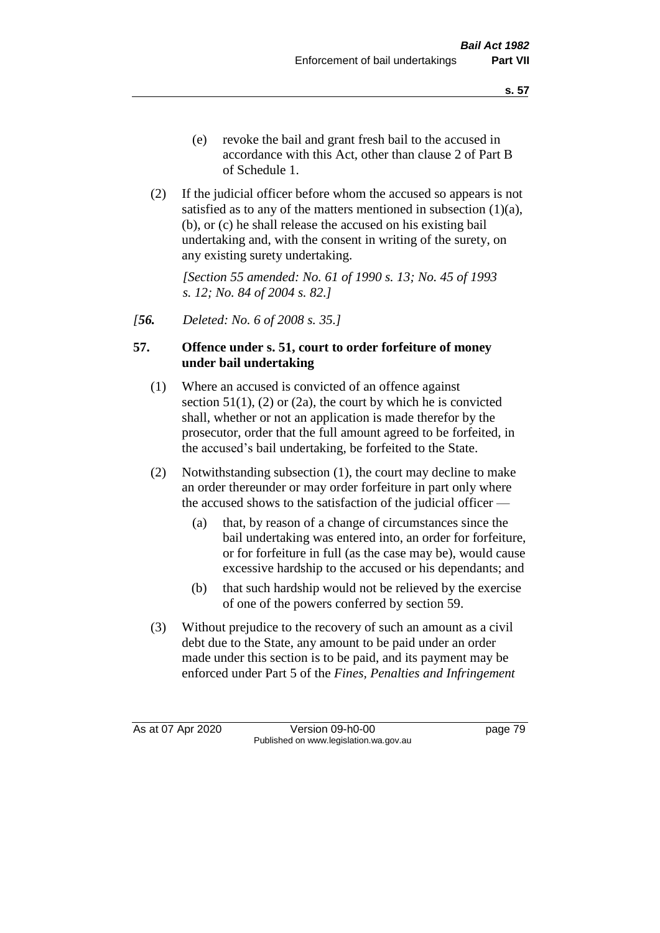- (e) revoke the bail and grant fresh bail to the accused in accordance with this Act, other than clause 2 of Part B of Schedule 1.
- (2) If the judicial officer before whom the accused so appears is not satisfied as to any of the matters mentioned in subsection (1)(a), (b), or (c) he shall release the accused on his existing bail undertaking and, with the consent in writing of the surety, on any existing surety undertaking.

*[Section 55 amended: No. 61 of 1990 s. 13; No. 45 of 1993 s. 12; No. 84 of 2004 s. 82.]* 

*[56. Deleted: No. 6 of 2008 s. 35.]*

#### **57. Offence under s. 51, court to order forfeiture of money under bail undertaking**

- (1) Where an accused is convicted of an offence against section  $51(1)$ ,  $(2)$  or  $(2a)$ , the court by which he is convicted shall, whether or not an application is made therefor by the prosecutor, order that the full amount agreed to be forfeited, in the accused's bail undertaking, be forfeited to the State.
- (2) Notwithstanding subsection (1), the court may decline to make an order thereunder or may order forfeiture in part only where the accused shows to the satisfaction of the judicial officer —
	- (a) that, by reason of a change of circumstances since the bail undertaking was entered into, an order for forfeiture, or for forfeiture in full (as the case may be), would cause excessive hardship to the accused or his dependants; and
	- (b) that such hardship would not be relieved by the exercise of one of the powers conferred by section 59.
- (3) Without prejudice to the recovery of such an amount as a civil debt due to the State, any amount to be paid under an order made under this section is to be paid, and its payment may be enforced under Part 5 of the *Fines, Penalties and Infringement*

As at 07 Apr 2020 Version 09-h0-00 page 79 Published on www.legislation.wa.gov.au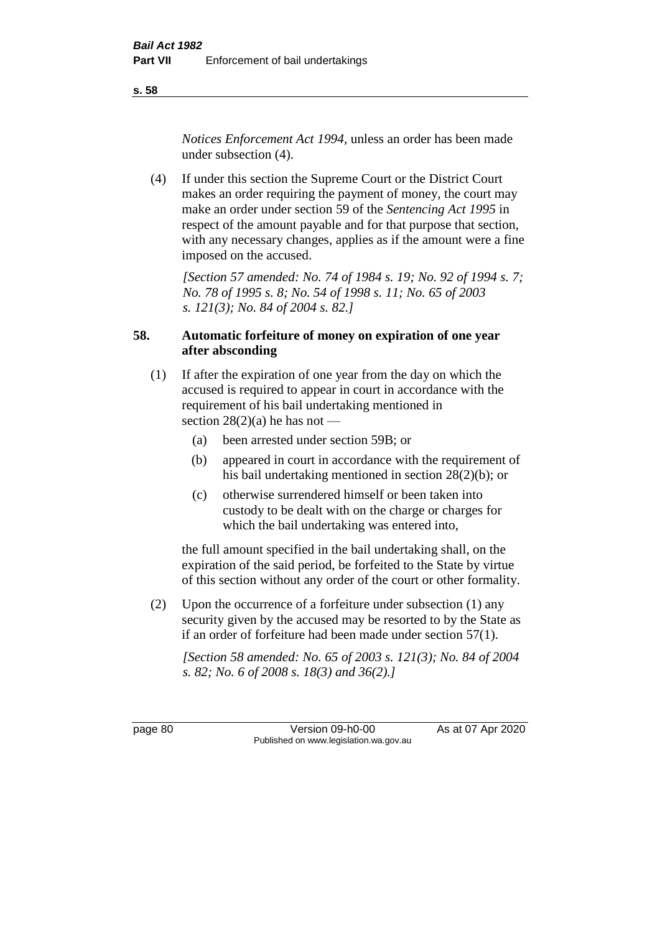**s. 58**

*Notices Enforcement Act 1994*, unless an order has been made under subsection (4).

(4) If under this section the Supreme Court or the District Court makes an order requiring the payment of money, the court may make an order under section 59 of the *Sentencing Act 1995* in respect of the amount payable and for that purpose that section, with any necessary changes, applies as if the amount were a fine imposed on the accused.

*[Section 57 amended: No. 74 of 1984 s. 19; No. 92 of 1994 s. 7; No. 78 of 1995 s. 8; No. 54 of 1998 s. 11; No. 65 of 2003 s. 121(3); No. 84 of 2004 s. 82.]* 

# **58. Automatic forfeiture of money on expiration of one year after absconding**

- (1) If after the expiration of one year from the day on which the accused is required to appear in court in accordance with the requirement of his bail undertaking mentioned in section  $28(2)(a)$  he has not —
	- (a) been arrested under section 59B; or
	- (b) appeared in court in accordance with the requirement of his bail undertaking mentioned in section 28(2)(b); or
	- (c) otherwise surrendered himself or been taken into custody to be dealt with on the charge or charges for which the bail undertaking was entered into,

the full amount specified in the bail undertaking shall, on the expiration of the said period, be forfeited to the State by virtue of this section without any order of the court or other formality.

(2) Upon the occurrence of a forfeiture under subsection (1) any security given by the accused may be resorted to by the State as if an order of forfeiture had been made under section 57(1).

*[Section 58 amended: No. 65 of 2003 s. 121(3); No. 84 of 2004 s. 82; No. 6 of 2008 s. 18(3) and 36(2).]*

page 80 Version 09-h0-00 As at 07 Apr 2020 Published on www.legislation.wa.gov.au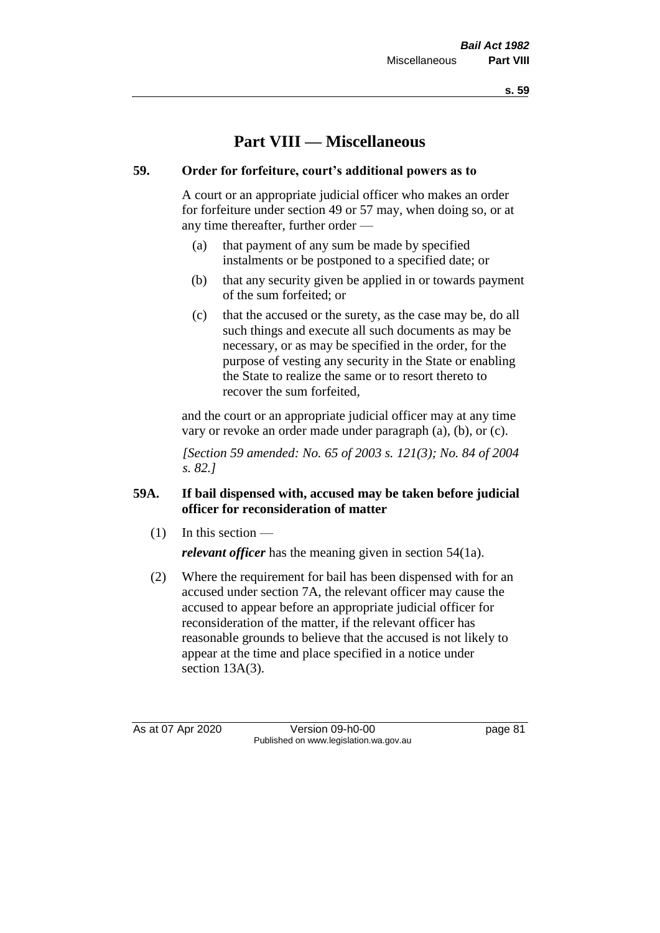**s. 59**

# **Part VIII — Miscellaneous**

# **59. Order for forfeiture, court's additional powers as to**

A court or an appropriate judicial officer who makes an order for forfeiture under section 49 or 57 may, when doing so, or at any time thereafter, further order —

- (a) that payment of any sum be made by specified instalments or be postponed to a specified date; or
- (b) that any security given be applied in or towards payment of the sum forfeited; or
- (c) that the accused or the surety, as the case may be, do all such things and execute all such documents as may be necessary, or as may be specified in the order, for the purpose of vesting any security in the State or enabling the State to realize the same or to resort thereto to recover the sum forfeited,

and the court or an appropriate judicial officer may at any time vary or revoke an order made under paragraph (a), (b), or (c).

*[Section 59 amended: No. 65 of 2003 s. 121(3); No. 84 of 2004 s. 82.]*

# **59A. If bail dispensed with, accused may be taken before judicial officer for reconsideration of matter**

 $(1)$  In this section —

*relevant officer* has the meaning given in section 54(1a).

(2) Where the requirement for bail has been dispensed with for an accused under section 7A, the relevant officer may cause the accused to appear before an appropriate judicial officer for reconsideration of the matter, if the relevant officer has reasonable grounds to believe that the accused is not likely to appear at the time and place specified in a notice under section 13A(3).

As at 07 Apr 2020 Version 09-h0-00 page 81 Published on www.legislation.wa.gov.au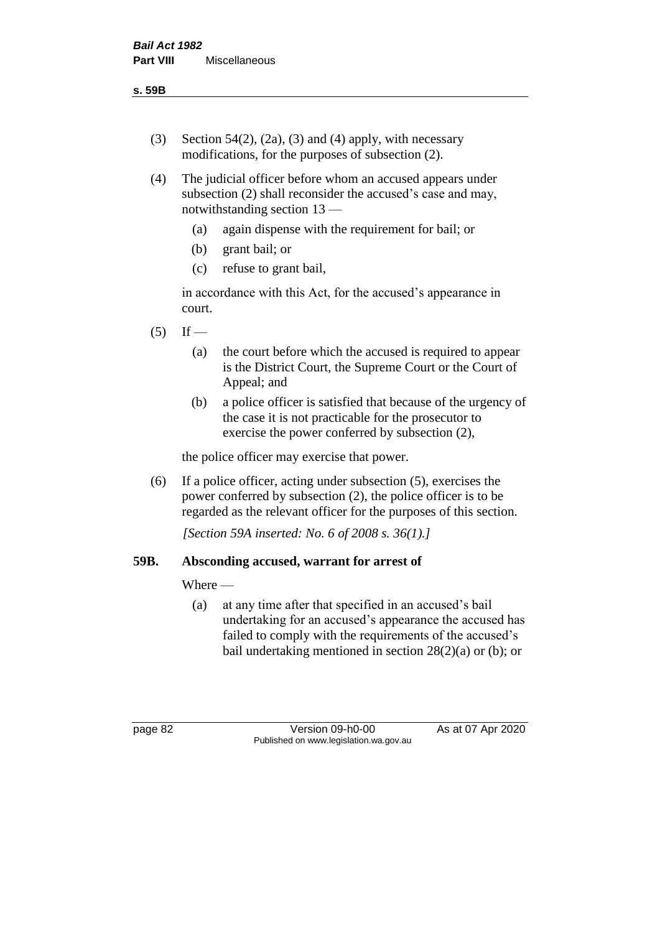- (3) Section 54(2), (2a), (3) and (4) apply, with necessary modifications, for the purposes of subsection (2).
- (4) The judicial officer before whom an accused appears under subsection (2) shall reconsider the accused's case and may, notwithstanding section 13 —
	- (a) again dispense with the requirement for bail; or
	- (b) grant bail; or
	- (c) refuse to grant bail,

in accordance with this Act, for the accused's appearance in court.

- $(5)$  If
	- (a) the court before which the accused is required to appear is the District Court, the Supreme Court or the Court of Appeal; and
	- (b) a police officer is satisfied that because of the urgency of the case it is not practicable for the prosecutor to exercise the power conferred by subsection (2),

the police officer may exercise that power.

(6) If a police officer, acting under subsection (5), exercises the power conferred by subsection (2), the police officer is to be regarded as the relevant officer for the purposes of this section.

*[Section 59A inserted: No. 6 of 2008 s. 36(1).]*

#### **59B. Absconding accused, warrant for arrest of**

#### Where —

(a) at any time after that specified in an accused's bail undertaking for an accused's appearance the accused has failed to comply with the requirements of the accused's bail undertaking mentioned in section  $28(2)(a)$  or (b); or

page 82 Version 09-h0-00 As at 07 Apr 2020 Published on www.legislation.wa.gov.au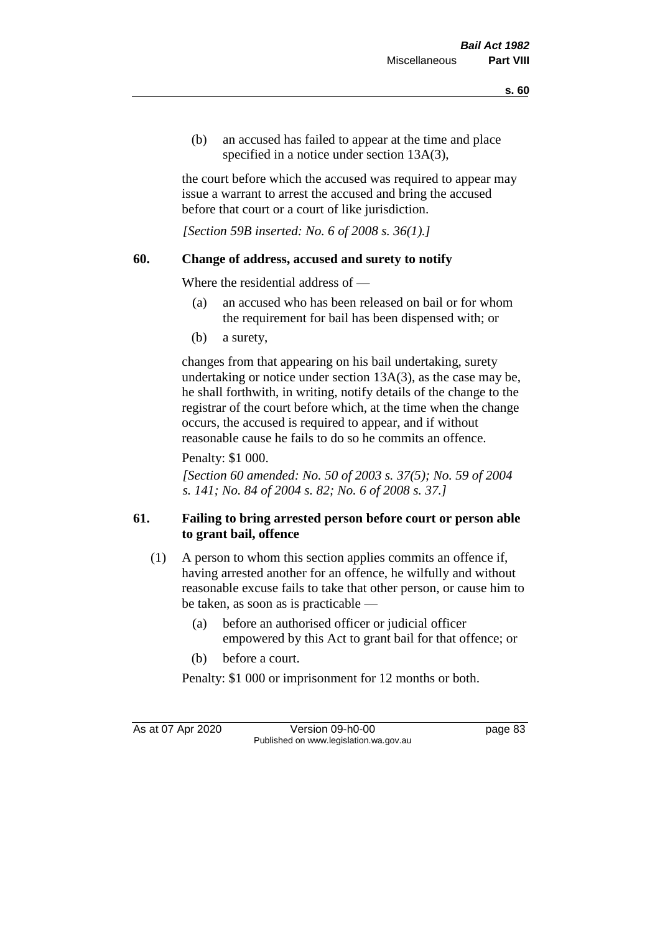(b) an accused has failed to appear at the time and place specified in a notice under section 13A(3),

the court before which the accused was required to appear may issue a warrant to arrest the accused and bring the accused before that court or a court of like jurisdiction.

*[Section 59B inserted: No. 6 of 2008 s. 36(1).]*

# **60. Change of address, accused and surety to notify**

Where the residential address of —

- (a) an accused who has been released on bail or for whom the requirement for bail has been dispensed with; or
- (b) a surety,

changes from that appearing on his bail undertaking, surety undertaking or notice under section 13A(3), as the case may be, he shall forthwith, in writing, notify details of the change to the registrar of the court before which, at the time when the change occurs, the accused is required to appear, and if without reasonable cause he fails to do so he commits an offence.

Penalty: \$1 000.

*[Section 60 amended: No. 50 of 2003 s. 37(5); No. 59 of 2004 s. 141; No. 84 of 2004 s. 82; No. 6 of 2008 s. 37.]*

# **61. Failing to bring arrested person before court or person able to grant bail, offence**

- (1) A person to whom this section applies commits an offence if, having arrested another for an offence, he wilfully and without reasonable excuse fails to take that other person, or cause him to be taken, as soon as is practicable —
	- (a) before an authorised officer or judicial officer empowered by this Act to grant bail for that offence; or
	- (b) before a court.

Penalty: \$1 000 or imprisonment for 12 months or both.

As at 07 Apr 2020 Version 09-h0-00 page 83 Published on www.legislation.wa.gov.au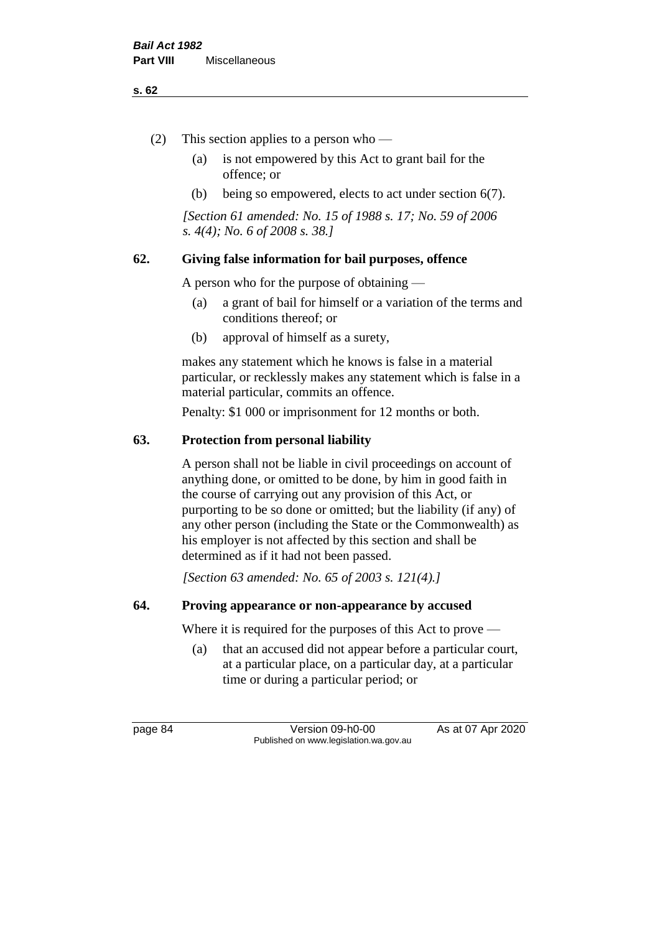#### **s. 62**

- (2) This section applies to a person who
	- (a) is not empowered by this Act to grant bail for the offence; or
	- (b) being so empowered, elects to act under section 6(7).

*[Section 61 amended: No. 15 of 1988 s. 17; No. 59 of 2006 s. 4(4); No. 6 of 2008 s. 38.]* 

# **62. Giving false information for bail purposes, offence**

A person who for the purpose of obtaining —

- (a) a grant of bail for himself or a variation of the terms and conditions thereof; or
- (b) approval of himself as a surety,

makes any statement which he knows is false in a material particular, or recklessly makes any statement which is false in a material particular, commits an offence.

Penalty: \$1 000 or imprisonment for 12 months or both.

# **63. Protection from personal liability**

A person shall not be liable in civil proceedings on account of anything done, or omitted to be done, by him in good faith in the course of carrying out any provision of this Act, or purporting to be so done or omitted; but the liability (if any) of any other person (including the State or the Commonwealth) as his employer is not affected by this section and shall be determined as if it had not been passed.

*[Section 63 amended: No. 65 of 2003 s. 121(4).]*

#### **64. Proving appearance or non-appearance by accused**

Where it is required for the purposes of this Act to prove —

(a) that an accused did not appear before a particular court, at a particular place, on a particular day, at a particular time or during a particular period; or

page 84 Version 09-h0-00 As at 07 Apr 2020 Published on www.legislation.wa.gov.au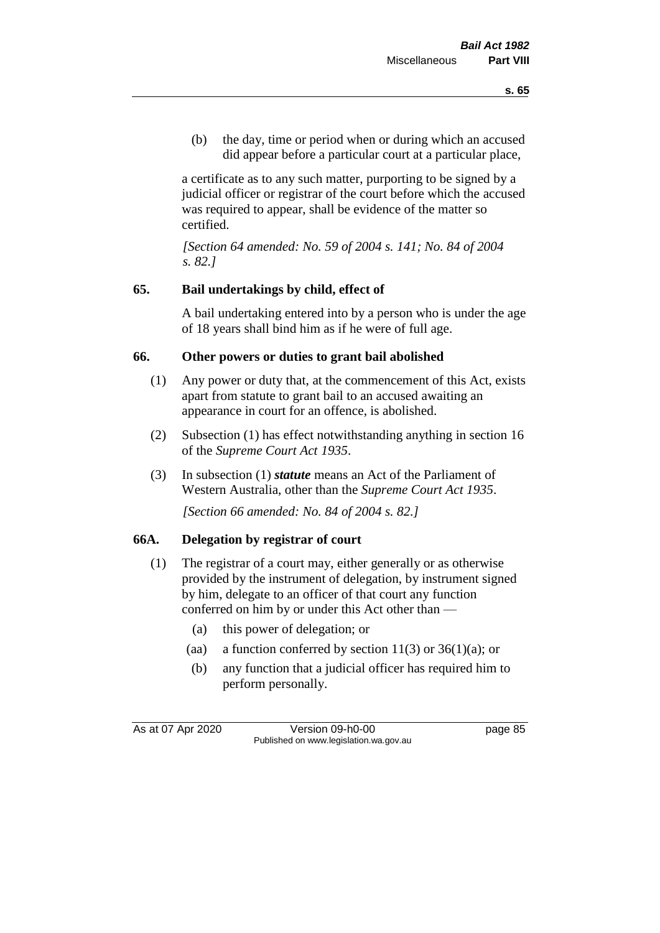(b) the day, time or period when or during which an accused did appear before a particular court at a particular place,

a certificate as to any such matter, purporting to be signed by a judicial officer or registrar of the court before which the accused was required to appear, shall be evidence of the matter so certified.

*[Section 64 amended: No. 59 of 2004 s. 141; No. 84 of 2004 s. 82.]* 

# **65. Bail undertakings by child, effect of**

A bail undertaking entered into by a person who is under the age of 18 years shall bind him as if he were of full age.

# **66. Other powers or duties to grant bail abolished**

- (1) Any power or duty that, at the commencement of this Act, exists apart from statute to grant bail to an accused awaiting an appearance in court for an offence, is abolished.
- (2) Subsection (1) has effect notwithstanding anything in section 16 of the *Supreme Court Act 1935*.
- (3) In subsection (1) *statute* means an Act of the Parliament of Western Australia, other than the *Supreme Court Act 1935*.

*[Section 66 amended: No. 84 of 2004 s. 82.]*

#### **66A. Delegation by registrar of court**

- (1) The registrar of a court may, either generally or as otherwise provided by the instrument of delegation, by instrument signed by him, delegate to an officer of that court any function conferred on him by or under this Act other than —
	- (a) this power of delegation; or
	- (aa) a function conferred by section  $11(3)$  or  $36(1)(a)$ ; or
	- (b) any function that a judicial officer has required him to perform personally.

As at 07 Apr 2020 Version 09-h0-00 page 85 Published on www.legislation.wa.gov.au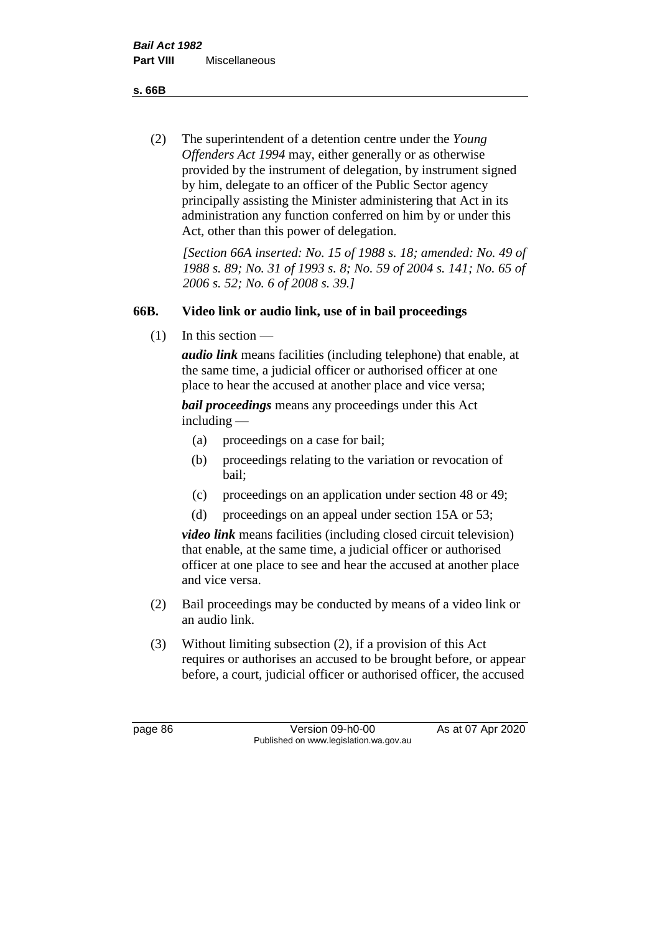**s. 66B**

(2) The superintendent of a detention centre under the *Young Offenders Act 1994* may, either generally or as otherwise provided by the instrument of delegation, by instrument signed by him, delegate to an officer of the Public Sector agency principally assisting the Minister administering that Act in its administration any function conferred on him by or under this Act, other than this power of delegation.

*[Section 66A inserted: No. 15 of 1988 s. 18; amended: No. 49 of 1988 s. 89; No. 31 of 1993 s. 8; No. 59 of 2004 s. 141; No. 65 of 2006 s. 52; No. 6 of 2008 s. 39.]* 

# **66B. Video link or audio link, use of in bail proceedings**

 $(1)$  In this section —

*audio link* means facilities (including telephone) that enable, at the same time, a judicial officer or authorised officer at one place to hear the accused at another place and vice versa;

*bail proceedings* means any proceedings under this Act including —

- (a) proceedings on a case for bail;
- (b) proceedings relating to the variation or revocation of bail;
- (c) proceedings on an application under section 48 or 49;
- (d) proceedings on an appeal under section 15A or 53;

*video link* means facilities (including closed circuit television) that enable, at the same time, a judicial officer or authorised officer at one place to see and hear the accused at another place and vice versa.

- (2) Bail proceedings may be conducted by means of a video link or an audio link.
- (3) Without limiting subsection (2), if a provision of this Act requires or authorises an accused to be brought before, or appear before, a court, judicial officer or authorised officer, the accused

page 86 Version 09-h0-00 As at 07 Apr 2020 Published on www.legislation.wa.gov.au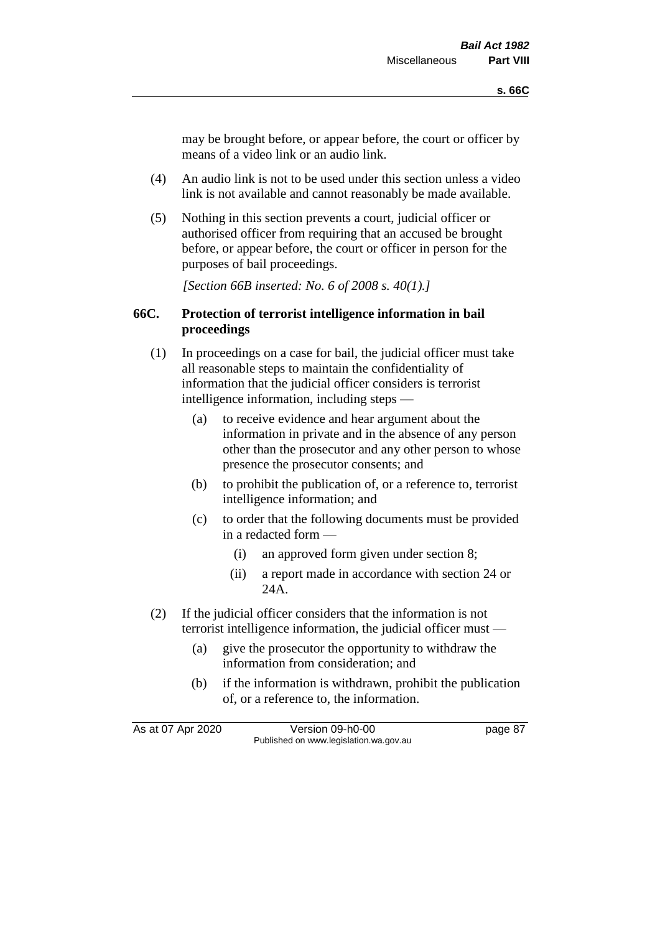may be brought before, or appear before, the court or officer by means of a video link or an audio link.

- (4) An audio link is not to be used under this section unless a video link is not available and cannot reasonably be made available.
- (5) Nothing in this section prevents a court, judicial officer or authorised officer from requiring that an accused be brought before, or appear before, the court or officer in person for the purposes of bail proceedings.

*[Section 66B inserted: No. 6 of 2008 s. 40(1).]*

#### **66C. Protection of terrorist intelligence information in bail proceedings**

- (1) In proceedings on a case for bail, the judicial officer must take all reasonable steps to maintain the confidentiality of information that the judicial officer considers is terrorist intelligence information, including steps —
	- (a) to receive evidence and hear argument about the information in private and in the absence of any person other than the prosecutor and any other person to whose presence the prosecutor consents; and
	- (b) to prohibit the publication of, or a reference to, terrorist intelligence information; and
	- (c) to order that the following documents must be provided in a redacted form —
		- (i) an approved form given under section 8;
		- (ii) a report made in accordance with section 24 or 24A.
- (2) If the judicial officer considers that the information is not terrorist intelligence information, the judicial officer must —
	- (a) give the prosecutor the opportunity to withdraw the information from consideration; and
	- (b) if the information is withdrawn, prohibit the publication of, or a reference to, the information.

As at 07 Apr 2020 Version 09-h0-00 page 87 Published on www.legislation.wa.gov.au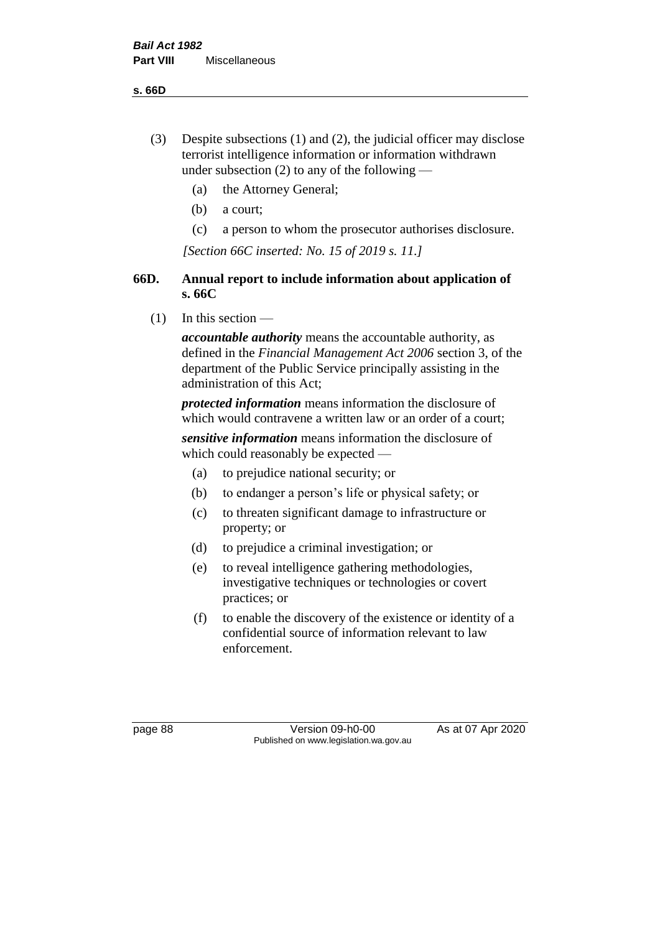**s. 66D**

- (3) Despite subsections (1) and (2), the judicial officer may disclose terrorist intelligence information or information withdrawn under subsection  $(2)$  to any of the following —
	- (a) the Attorney General;
	- (b) a court;
	- (c) a person to whom the prosecutor authorises disclosure.

*[Section 66C inserted: No. 15 of 2019 s. 11.]*

# **66D. Annual report to include information about application of s. 66C**

 $(1)$  In this section —

*accountable authority* means the accountable authority, as defined in the *Financial Management Act 2006* section 3, of the department of the Public Service principally assisting in the administration of this Act;

*protected information* means information the disclosure of which would contravene a written law or an order of a court;

*sensitive information* means information the disclosure of which could reasonably be expected —

- (a) to prejudice national security; or
- (b) to endanger a person's life or physical safety; or
- (c) to threaten significant damage to infrastructure or property; or
- (d) to prejudice a criminal investigation; or
- (e) to reveal intelligence gathering methodologies, investigative techniques or technologies or covert practices; or
- (f) to enable the discovery of the existence or identity of a confidential source of information relevant to law enforcement.

page 88 Version 09-h0-00 As at 07 Apr 2020 Published on www.legislation.wa.gov.au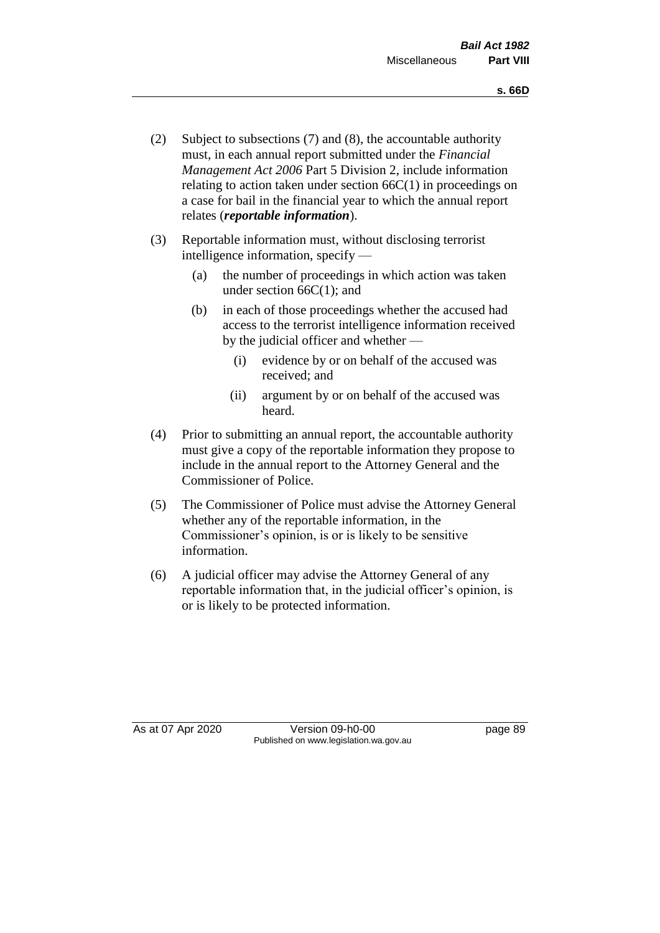- (2) Subject to subsections (7) and (8), the accountable authority must, in each annual report submitted under the *Financial Management Act 2006* Part 5 Division 2, include information relating to action taken under section  $66C(1)$  in proceedings on a case for bail in the financial year to which the annual report relates (*reportable information*).
- (3) Reportable information must, without disclosing terrorist intelligence information, specify —
	- (a) the number of proceedings in which action was taken under section  $66C(1)$ ; and
	- (b) in each of those proceedings whether the accused had access to the terrorist intelligence information received by the judicial officer and whether —
		- (i) evidence by or on behalf of the accused was received; and
		- (ii) argument by or on behalf of the accused was heard.
- (4) Prior to submitting an annual report, the accountable authority must give a copy of the reportable information they propose to include in the annual report to the Attorney General and the Commissioner of Police.
- (5) The Commissioner of Police must advise the Attorney General whether any of the reportable information, in the Commissioner's opinion, is or is likely to be sensitive information.
- (6) A judicial officer may advise the Attorney General of any reportable information that, in the judicial officer's opinion, is or is likely to be protected information.

As at 07 Apr 2020 Version 09-h0-00 page 89 Published on www.legislation.wa.gov.au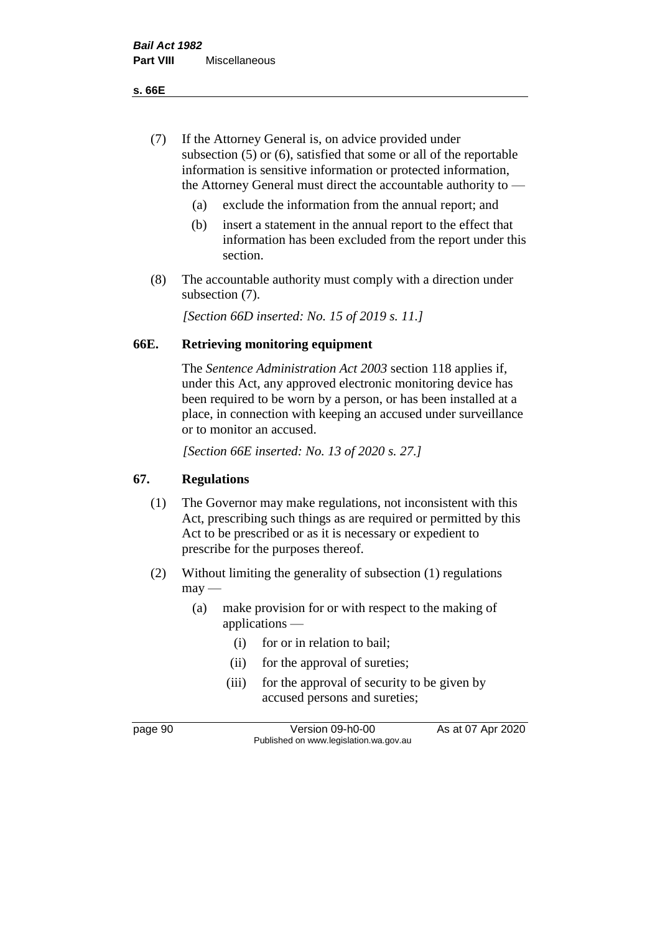**s. 66E**

- (7) If the Attorney General is, on advice provided under subsection (5) or (6), satisfied that some or all of the reportable information is sensitive information or protected information, the Attorney General must direct the accountable authority to —
	- (a) exclude the information from the annual report; and
	- (b) insert a statement in the annual report to the effect that information has been excluded from the report under this section.
- (8) The accountable authority must comply with a direction under subsection (7).

*[Section 66D inserted: No. 15 of 2019 s. 11.]*

# **66E. Retrieving monitoring equipment**

The *Sentence Administration Act 2003* section 118 applies if, under this Act, any approved electronic monitoring device has been required to be worn by a person, or has been installed at a place, in connection with keeping an accused under surveillance or to monitor an accused.

*[Section 66E inserted: No. 13 of 2020 s. 27.]*

# **67. Regulations**

- (1) The Governor may make regulations, not inconsistent with this Act, prescribing such things as are required or permitted by this Act to be prescribed or as it is necessary or expedient to prescribe for the purposes thereof.
- (2) Without limiting the generality of subsection (1) regulations  $may -$ 
	- (a) make provision for or with respect to the making of applications —
		- (i) for or in relation to bail;
		- (ii) for the approval of sureties;
		- (iii) for the approval of security to be given by accused persons and sureties;

page 90 Version 09-h0-00 As at 07 Apr 2020 Published on www.legislation.wa.gov.au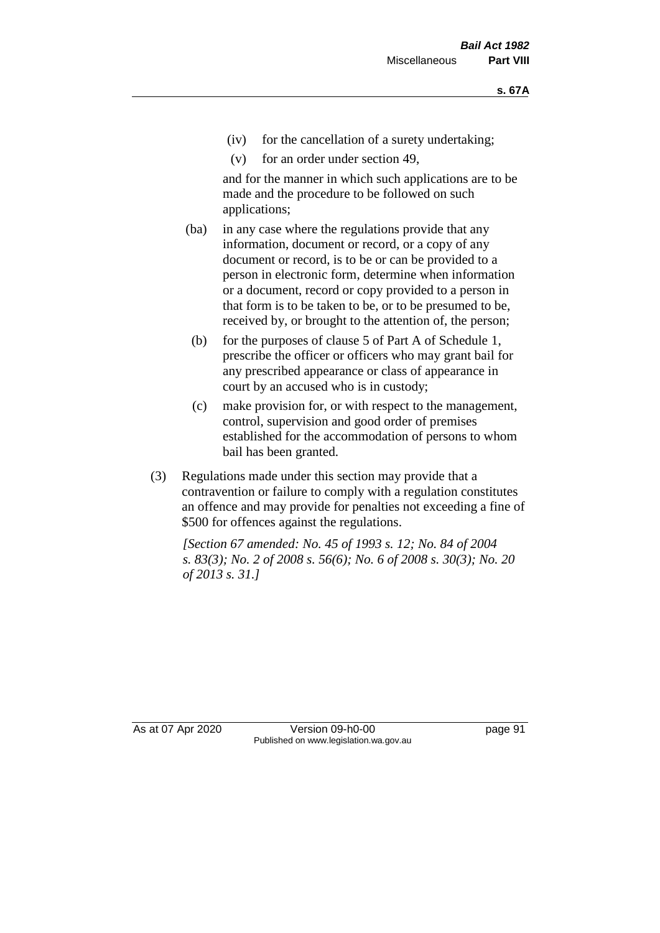- (iv) for the cancellation of a surety undertaking;
- (v) for an order under section 49,

and for the manner in which such applications are to be made and the procedure to be followed on such applications;

- (ba) in any case where the regulations provide that any information, document or record, or a copy of any document or record, is to be or can be provided to a person in electronic form, determine when information or a document, record or copy provided to a person in that form is to be taken to be, or to be presumed to be, received by, or brought to the attention of, the person;
	- (b) for the purposes of clause 5 of Part A of Schedule 1, prescribe the officer or officers who may grant bail for any prescribed appearance or class of appearance in court by an accused who is in custody;
	- (c) make provision for, or with respect to the management, control, supervision and good order of premises established for the accommodation of persons to whom bail has been granted.
- (3) Regulations made under this section may provide that a contravention or failure to comply with a regulation constitutes an offence and may provide for penalties not exceeding a fine of \$500 for offences against the regulations.

*[Section 67 amended: No. 45 of 1993 s. 12; No. 84 of 2004 s. 83(3); No. 2 of 2008 s. 56(6); No. 6 of 2008 s. 30(3); No. 20 of 2013 s. 31.]* 

As at 07 Apr 2020 Version 09-h0-00 page 91 Published on www.legislation.wa.gov.au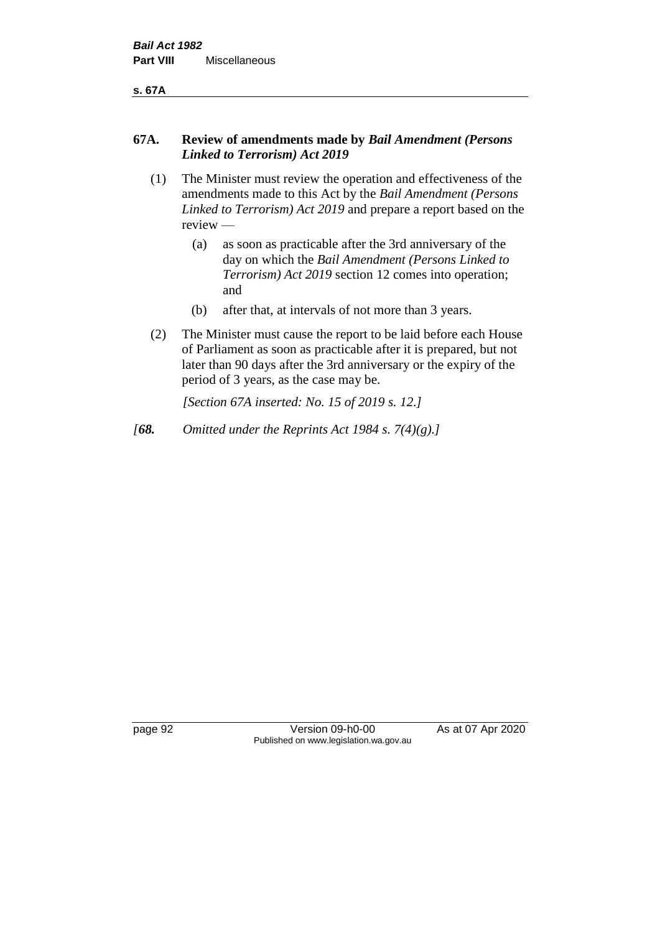**s. 67A**

#### **67A. Review of amendments made by** *Bail Amendment (Persons Linked to Terrorism) Act 2019*

- (1) The Minister must review the operation and effectiveness of the amendments made to this Act by the *Bail Amendment (Persons Linked to Terrorism) Act 2019* and prepare a report based on the review —
	- (a) as soon as practicable after the 3rd anniversary of the day on which the *Bail Amendment (Persons Linked to Terrorism) Act 2019* section 12 comes into operation; and
	- (b) after that, at intervals of not more than 3 years.
- (2) The Minister must cause the report to be laid before each House of Parliament as soon as practicable after it is prepared, but not later than 90 days after the 3rd anniversary or the expiry of the period of 3 years, as the case may be.

*[Section 67A inserted: No. 15 of 2019 s. 12.]*

*[68. Omitted under the Reprints Act 1984 s. 7(4)(g).]*

page 92 Version 09-h0-00 As at 07 Apr 2020 Published on www.legislation.wa.gov.au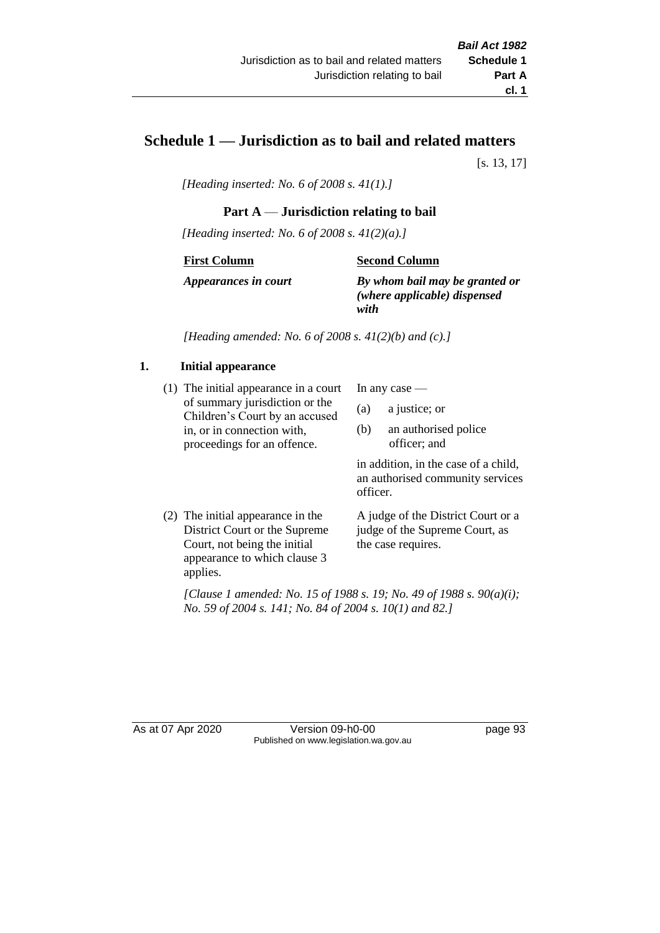# **Schedule 1 — Jurisdiction as to bail and related matters**

[s. 13, 17]

*[Heading inserted: No. 6 of 2008 s. 41(1).]*

#### **Part A** — **Jurisdiction relating to bail**

*[Heading inserted: No. 6 of 2008 s. 41(2)(a).]*

#### **First Column**

**Second Column**

*Appearances in court*

*By whom bail may be granted or (where applicable) dispensed with*

*[Heading amended: No. 6 of 2008 s. 41(2)(b) and (c).]*

#### **1. Initial appearance**

(1) The initial appearance in a court of summary jurisdiction or the Children's Court by an accused in, or in connection with, proceedings for an offence.

In any case —

- (a) a justice; or
- (b) an authorised police officer; and

in addition, in the case of a child, an authorised community services officer.

(2) The initial appearance in the District Court or the Supreme Court, not being the initial appearance to which clause 3 applies. A judge of the District Court or a judge of the Supreme Court, as the case requires.

*[Clause 1 amended: No. 15 of 1988 s. 19; No. 49 of 1988 s. 90(a)(i); No. 59 of 2004 s. 141; No. 84 of 2004 s. 10(1) and 82.]*

As at 07 Apr 2020 Version 09-h0-00 page 93 Published on www.legislation.wa.gov.au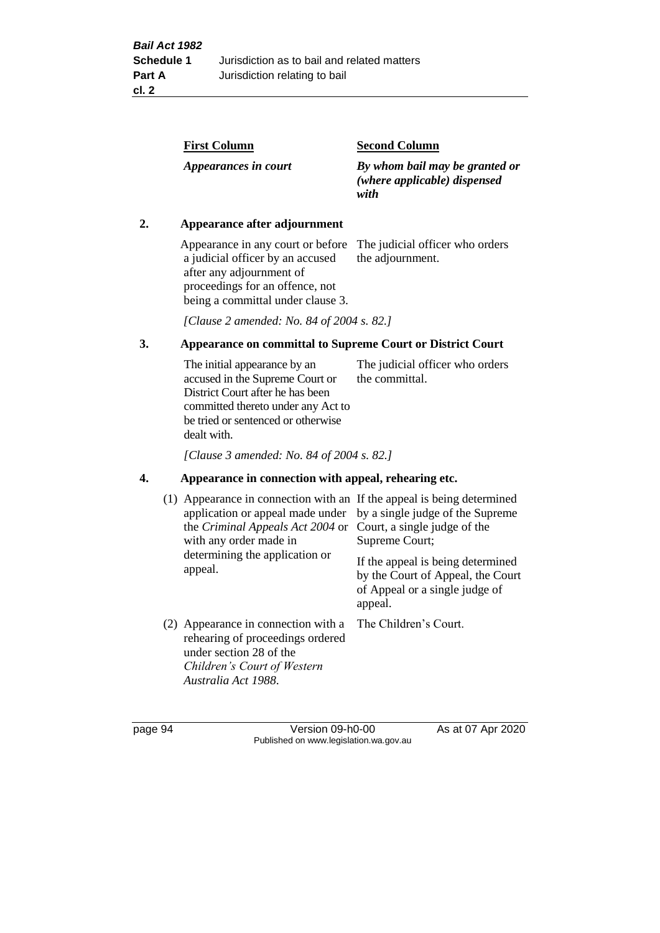| <b>First Column</b>  | <b>Second Column</b>                                                   |
|----------------------|------------------------------------------------------------------------|
| Appearances in court | By whom bail may be granted or<br>(where applicable) dispensed<br>with |

#### **2. Appearance after adjournment**

Appearance in any court or before The judicial officer who orders a judicial officer by an accused after any adjournment of proceedings for an offence, not being a committal under clause 3.

the adjournment.

*[Clause 2 amended: No. 84 of 2004 s. 82.]*

#### **3. Appearance on committal to Supreme Court or District Court**

The initial appearance by an accused in the Supreme Court or District Court after he has been committed thereto under any Act to be tried or sentenced or otherwise dealt with. The judicial officer who orders the committal.

*[Clause 3 amended: No. 84 of 2004 s. 82.]*

#### **4. Appearance in connection with appeal, rehearing etc.**

| (1) Appearance in connection with an If the appeal is being determined<br>application or appeal made under<br>the <i>Criminal Appeals Act 2004</i> or<br>with any order made in<br>determining the application or<br>appeal. | by a single judge of the Supreme<br>Court, a single judge of the<br>Supreme Court;<br>If the appeal is being determined<br>by the Court of Appeal, the Court<br>of Appeal or a single judge of<br>appeal. |
|------------------------------------------------------------------------------------------------------------------------------------------------------------------------------------------------------------------------------|-----------------------------------------------------------------------------------------------------------------------------------------------------------------------------------------------------------|
| (2) Appearance in connection with a<br>rehearing of proceedings ordered<br>under section 28 of the<br>Children's Court of Western<br>Australia Act 1988.                                                                     | The Children's Court.                                                                                                                                                                                     |

page 94 Version 09-h0-00 As at 07 Apr 2020 Published on www.legislation.wa.gov.au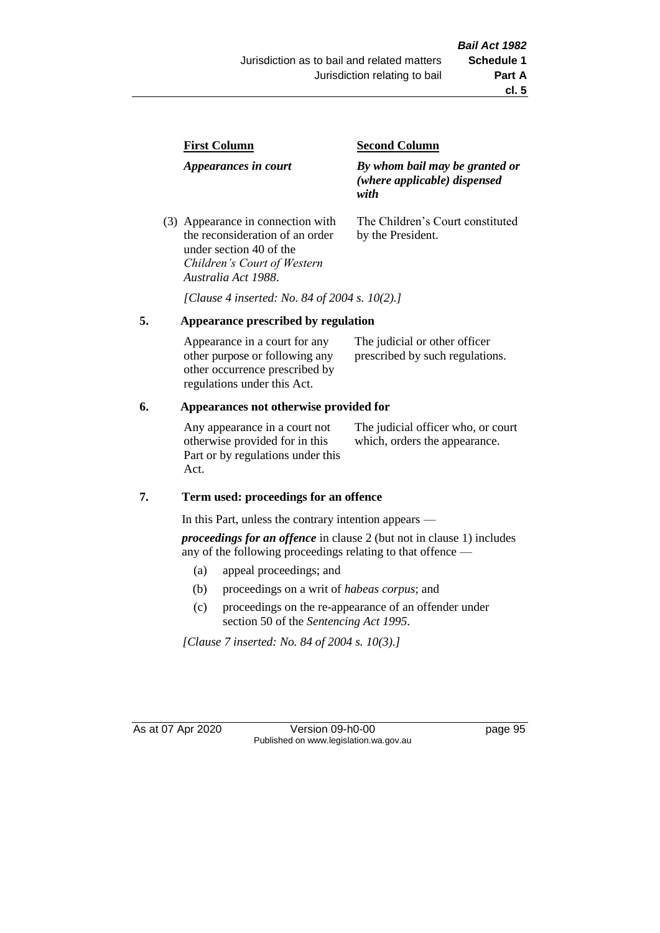| <b>First Column</b>                                                  | <b>Second Column</b>                                                   |  |
|----------------------------------------------------------------------|------------------------------------------------------------------------|--|
| Appearances in court                                                 | By whom bail may be granted or<br>(where applicable) dispensed<br>with |  |
| (3) Appearance in connection with<br>the reconsideration of an order | The Children's Court constituted<br>by the President.                  |  |

*[Clause 4 inserted: No. 84 of 2004 s. 10(2).]*

#### **5. Appearance prescribed by regulation**

under section 40 of the *Children's Court of Western* 

*Australia Act 1988*.

| Appearance in a court for any  | The judicial or other officer   |
|--------------------------------|---------------------------------|
| other purpose or following any | prescribed by such regulations. |
| other occurrence prescribed by |                                 |
| regulations under this Act.    |                                 |

#### **6. Appearances not otherwise provided for**

Any appearance in a court not otherwise provided for in this Part or by regulations under this Act.

The judicial officer who, or court which, orders the appearance.

#### **7. Term used: proceedings for an offence**

In this Part, unless the contrary intention appears —

*proceedings for an offence* in clause 2 (but not in clause 1) includes any of the following proceedings relating to that offence —

- (a) appeal proceedings; and
- (b) proceedings on a writ of *habeas corpus*; and
- (c) proceedings on the re-appearance of an offender under section 50 of the *Sentencing Act 1995*.

*[Clause 7 inserted: No. 84 of 2004 s. 10(3).]*

As at 07 Apr 2020 Version 09-h0-00 page 95 Published on www.legislation.wa.gov.au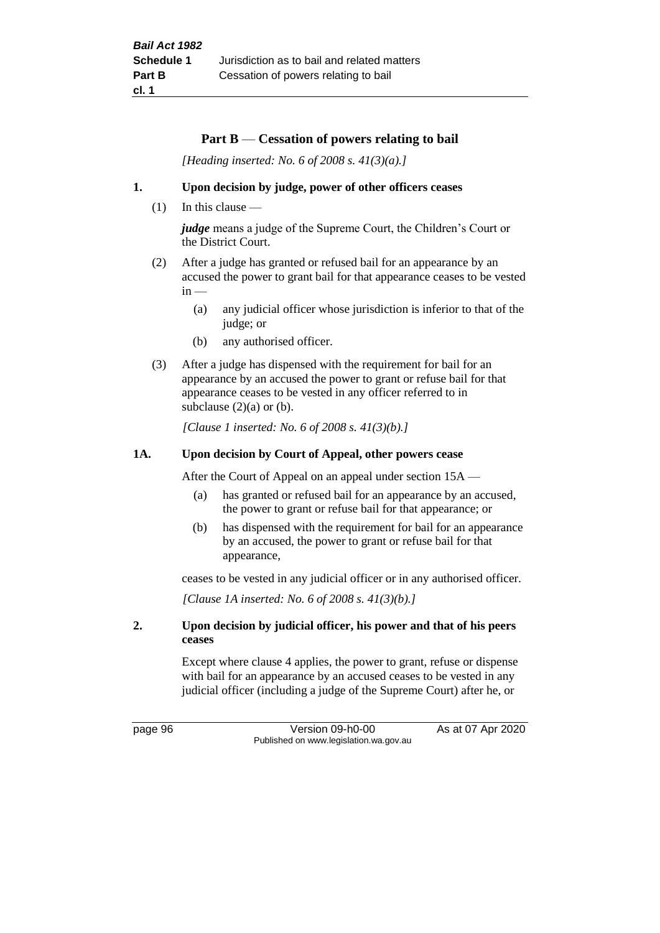#### **Part B** — **Cessation of powers relating to bail**

*[Heading inserted: No. 6 of 2008 s. 41(3)(a).]*

#### **1. Upon decision by judge, power of other officers ceases**

(1) In this clause —

*judge* means a judge of the Supreme Court, the Children's Court or the District Court.

- (2) After a judge has granted or refused bail for an appearance by an accused the power to grant bail for that appearance ceases to be vested  $in -$ 
	- (a) any judicial officer whose jurisdiction is inferior to that of the judge; or
	- (b) any authorised officer.
- (3) After a judge has dispensed with the requirement for bail for an appearance by an accused the power to grant or refuse bail for that appearance ceases to be vested in any officer referred to in subclause  $(2)(a)$  or  $(b)$ .

*[Clause 1 inserted: No. 6 of 2008 s. 41(3)(b).]*

#### **1A. Upon decision by Court of Appeal, other powers cease**

After the Court of Appeal on an appeal under section 15A —

- (a) has granted or refused bail for an appearance by an accused, the power to grant or refuse bail for that appearance; or
- (b) has dispensed with the requirement for bail for an appearance by an accused, the power to grant or refuse bail for that appearance,

ceases to be vested in any judicial officer or in any authorised officer.

*[Clause 1A inserted: No. 6 of 2008 s. 41(3)(b).]*

#### **2. Upon decision by judicial officer, his power and that of his peers ceases**

Except where clause 4 applies, the power to grant, refuse or dispense with bail for an appearance by an accused ceases to be vested in any judicial officer (including a judge of the Supreme Court) after he, or

page 96 Version 09-h0-00 As at 07 Apr 2020 Published on www.legislation.wa.gov.au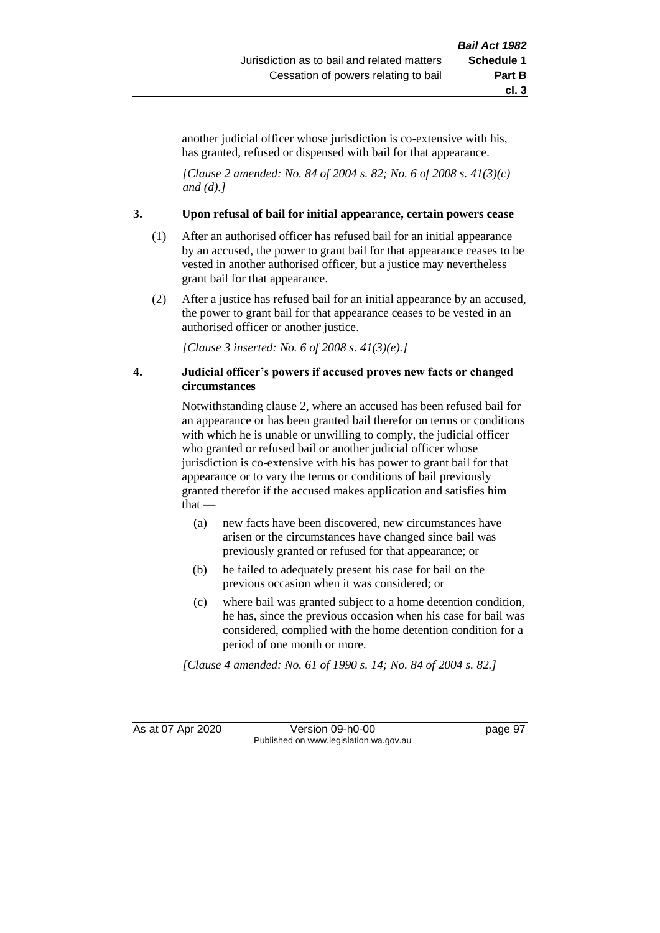another judicial officer whose jurisdiction is co-extensive with his, has granted, refused or dispensed with bail for that appearance.

*[Clause 2 amended: No. 84 of 2004 s. 82; No. 6 of 2008 s. 41(3)(c) and (d).]*

#### **3. Upon refusal of bail for initial appearance, certain powers cease**

- (1) After an authorised officer has refused bail for an initial appearance by an accused, the power to grant bail for that appearance ceases to be vested in another authorised officer, but a justice may nevertheless grant bail for that appearance.
- (2) After a justice has refused bail for an initial appearance by an accused, the power to grant bail for that appearance ceases to be vested in an authorised officer or another justice.

*[Clause 3 inserted: No. 6 of 2008 s. 41(3)(e).]*

#### **4. Judicial officer's powers if accused proves new facts or changed circumstances**

Notwithstanding clause 2, where an accused has been refused bail for an appearance or has been granted bail therefor on terms or conditions with which he is unable or unwilling to comply, the judicial officer who granted or refused bail or another judicial officer whose jurisdiction is co-extensive with his has power to grant bail for that appearance or to vary the terms or conditions of bail previously granted therefor if the accused makes application and satisfies him that —

- (a) new facts have been discovered, new circumstances have arisen or the circumstances have changed since bail was previously granted or refused for that appearance; or
- (b) he failed to adequately present his case for bail on the previous occasion when it was considered; or
- (c) where bail was granted subject to a home detention condition, he has, since the previous occasion when his case for bail was considered, complied with the home detention condition for a period of one month or more.

*[Clause 4 amended: No. 61 of 1990 s. 14; No. 84 of 2004 s. 82.]*

As at 07 Apr 2020 Version 09-h0-00 page 97 Published on www.legislation.wa.gov.au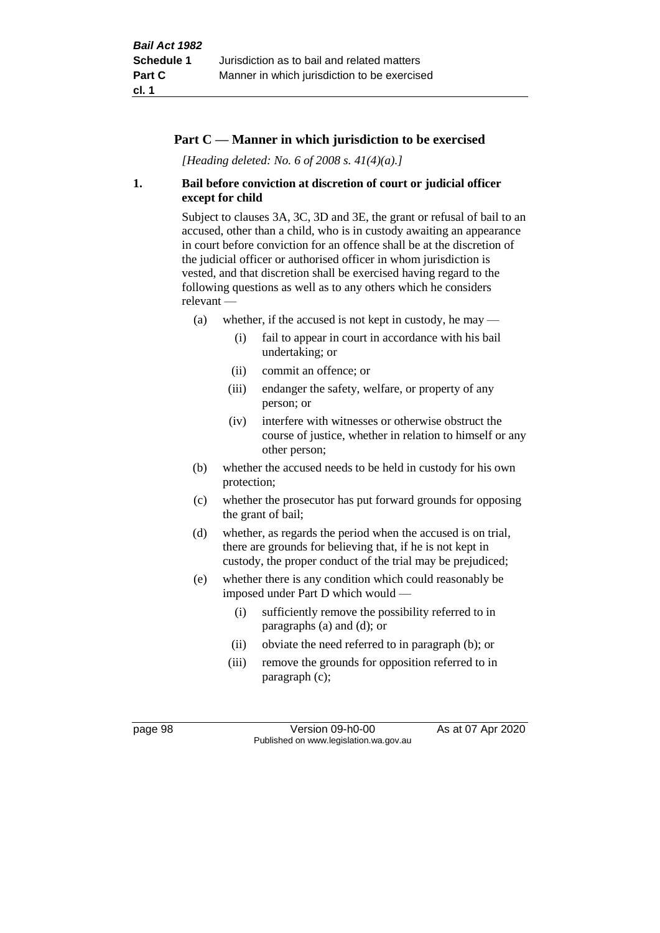#### **Part C — Manner in which jurisdiction to be exercised**

*[Heading deleted: No. 6 of 2008 s. 41(4)(a).]*

#### **1. Bail before conviction at discretion of court or judicial officer except for child**

Subject to clauses 3A, 3C, 3D and 3E, the grant or refusal of bail to an accused, other than a child, who is in custody awaiting an appearance in court before conviction for an offence shall be at the discretion of the judicial officer or authorised officer in whom jurisdiction is vested, and that discretion shall be exercised having regard to the following questions as well as to any others which he considers relevant —

- (a) whether, if the accused is not kept in custody, he may  $-$ 
	- (i) fail to appear in court in accordance with his bail undertaking; or
	- (ii) commit an offence; or
	- (iii) endanger the safety, welfare, or property of any person; or
	- (iv) interfere with witnesses or otherwise obstruct the course of justice, whether in relation to himself or any other person;
- (b) whether the accused needs to be held in custody for his own protection;
- (c) whether the prosecutor has put forward grounds for opposing the grant of bail;
- (d) whether, as regards the period when the accused is on trial, there are grounds for believing that, if he is not kept in custody, the proper conduct of the trial may be prejudiced;
- (e) whether there is any condition which could reasonably be imposed under Part D which would —
	- (i) sufficiently remove the possibility referred to in paragraphs (a) and (d); or
	- (ii) obviate the need referred to in paragraph (b); or
	- (iii) remove the grounds for opposition referred to in paragraph (c);

page 98 Version 09-h0-00 As at 07 Apr 2020 Published on www.legislation.wa.gov.au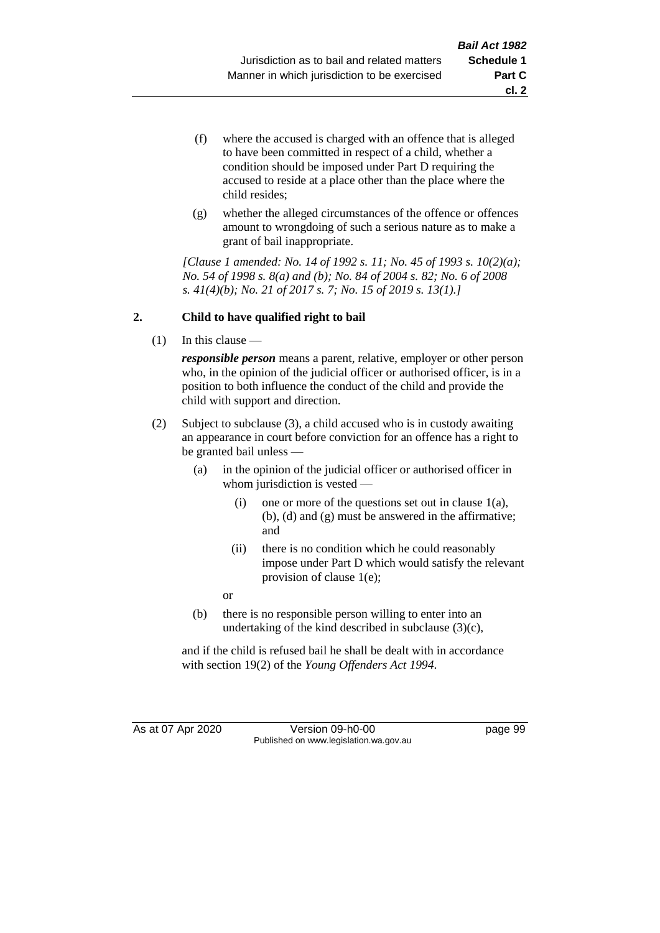- (f) where the accused is charged with an offence that is alleged to have been committed in respect of a child, whether a condition should be imposed under Part D requiring the accused to reside at a place other than the place where the child resides;
- (g) whether the alleged circumstances of the offence or offences amount to wrongdoing of such a serious nature as to make a grant of bail inappropriate.

*[Clause 1 amended: No. 14 of 1992 s. 11; No. 45 of 1993 s. 10(2)(a); No. 54 of 1998 s. 8(a) and (b); No. 84 of 2004 s. 82; No. 6 of 2008 s. 41(4)(b); No. 21 of 2017 s. 7; No. 15 of 2019 s. 13(1).]*

## **2. Child to have qualified right to bail**

(1) In this clause —

*responsible person* means a parent, relative, employer or other person who, in the opinion of the judicial officer or authorised officer, is in a position to both influence the conduct of the child and provide the child with support and direction.

- (2) Subject to subclause (3), a child accused who is in custody awaiting an appearance in court before conviction for an offence has a right to be granted bail unless —
	- (a) in the opinion of the judicial officer or authorised officer in whom jurisdiction is vested —
		- (i) one or more of the questions set out in clause  $1(a)$ , (b), (d) and (g) must be answered in the affirmative; and
		- (ii) there is no condition which he could reasonably impose under Part D which would satisfy the relevant provision of clause 1(e);

or

(b) there is no responsible person willing to enter into an undertaking of the kind described in subclause (3)(c),

and if the child is refused bail he shall be dealt with in accordance with section 19(2) of the *Young Offenders Act 1994*.

As at 07 Apr 2020 Version 09-h0-00 page 99 Published on www.legislation.wa.gov.au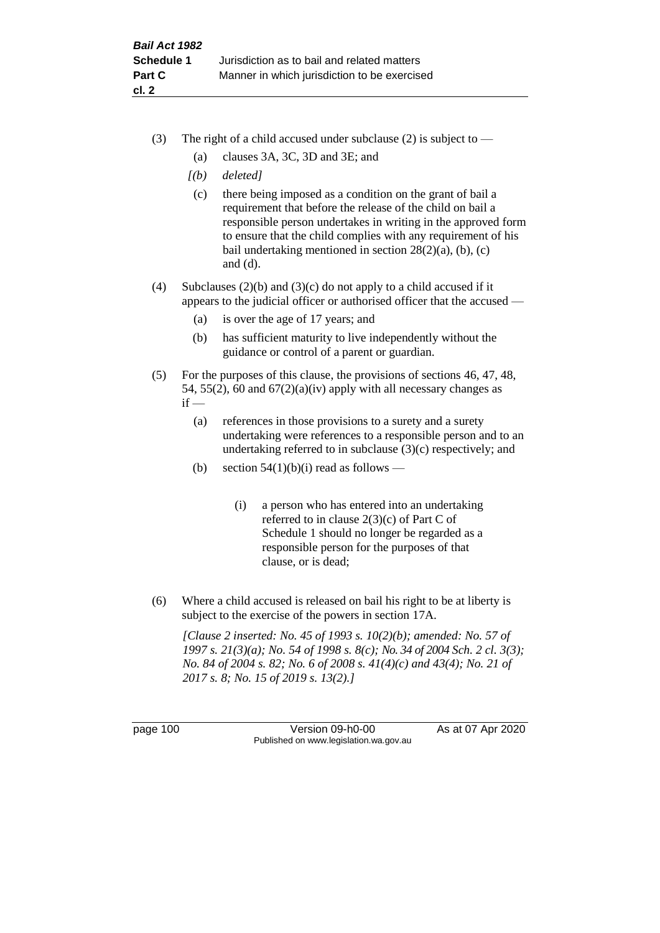- (3) The right of a child accused under subclause (2) is subject to  $-$ 
	- (a) clauses 3A, 3C, 3D and 3E; and
	- *[(b) deleted]*
	- (c) there being imposed as a condition on the grant of bail a requirement that before the release of the child on bail a responsible person undertakes in writing in the approved form to ensure that the child complies with any requirement of his bail undertaking mentioned in section  $28(2)(a)$ , (b), (c) and (d).
- (4) Subclauses (2)(b) and (3)(c) do not apply to a child accused if it appears to the judicial officer or authorised officer that the accused —
	- (a) is over the age of 17 years; and
	- (b) has sufficient maturity to live independently without the guidance or control of a parent or guardian.
- (5) For the purposes of this clause, the provisions of sections 46, 47, 48, 54, 55(2), 60 and  $67(2)(a)(iv)$  apply with all necessary changes as  $if -$ 
	- (a) references in those provisions to a surety and a surety undertaking were references to a responsible person and to an undertaking referred to in subclause (3)(c) respectively; and
	- (b) section  $54(1)(b)(i)$  read as follows
		- (i) a person who has entered into an undertaking referred to in clause 2(3)(c) of Part C of Schedule 1 should no longer be regarded as a responsible person for the purposes of that clause, or is dead;
- (6) Where a child accused is released on bail his right to be at liberty is subject to the exercise of the powers in section 17A.

*[Clause 2 inserted: No. 45 of 1993 s. 10(2)(b); amended: No. 57 of 1997 s. 21(3)(a); No. 54 of 1998 s. 8(c); No. 34 of 2004 Sch. 2 cl. 3(3); No. 84 of 2004 s. 82; No. 6 of 2008 s. 41(4)(c) and 43(4); No. 21 of 2017 s. 8; No. 15 of 2019 s. 13(2).]*

page 100 Version 09-h0-00 As at 07 Apr 2020 Published on www.legislation.wa.gov.au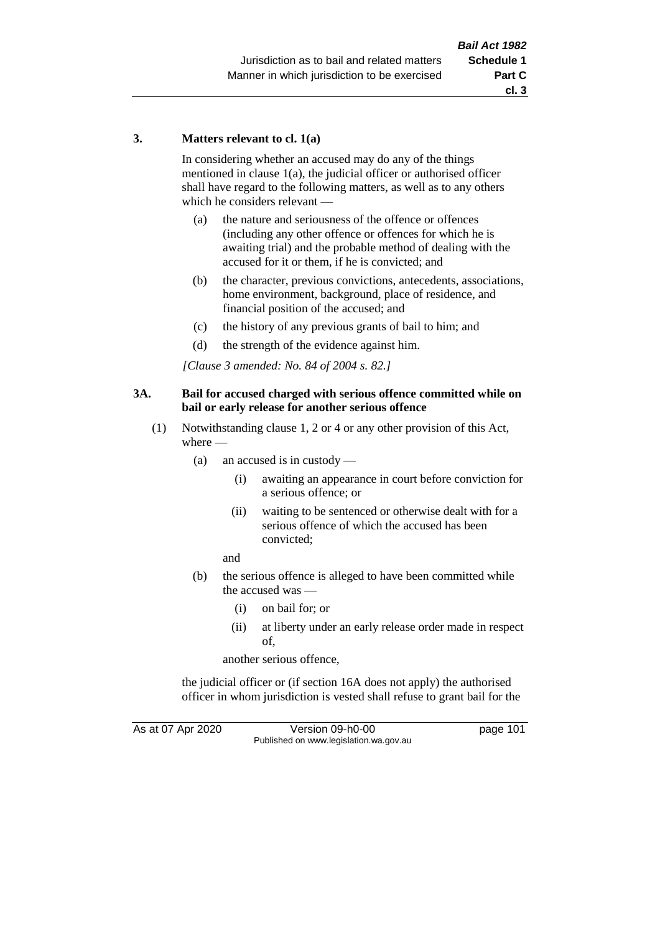#### **3. Matters relevant to cl. 1(a)**

In considering whether an accused may do any of the things mentioned in clause 1(a), the judicial officer or authorised officer shall have regard to the following matters, as well as to any others which he considers relevant —

- (a) the nature and seriousness of the offence or offences (including any other offence or offences for which he is awaiting trial) and the probable method of dealing with the accused for it or them, if he is convicted; and
- (b) the character, previous convictions, antecedents, associations, home environment, background, place of residence, and financial position of the accused; and
- (c) the history of any previous grants of bail to him; and
- (d) the strength of the evidence against him.

*[Clause 3 amended: No. 84 of 2004 s. 82.]*

#### **3A. Bail for accused charged with serious offence committed while on bail or early release for another serious offence**

- (1) Notwithstanding clause 1, 2 or 4 or any other provision of this Act, where —
	- (a) an accused is in custody
		- (i) awaiting an appearance in court before conviction for a serious offence; or
		- (ii) waiting to be sentenced or otherwise dealt with for a serious offence of which the accused has been convicted;

and

- (b) the serious offence is alleged to have been committed while the accused was —
	- (i) on bail for; or
	- (ii) at liberty under an early release order made in respect of,

another serious offence,

the judicial officer or (if section 16A does not apply) the authorised officer in whom jurisdiction is vested shall refuse to grant bail for the

As at 07 Apr 2020 Version 09-h0-00 page 101 Published on www.legislation.wa.gov.au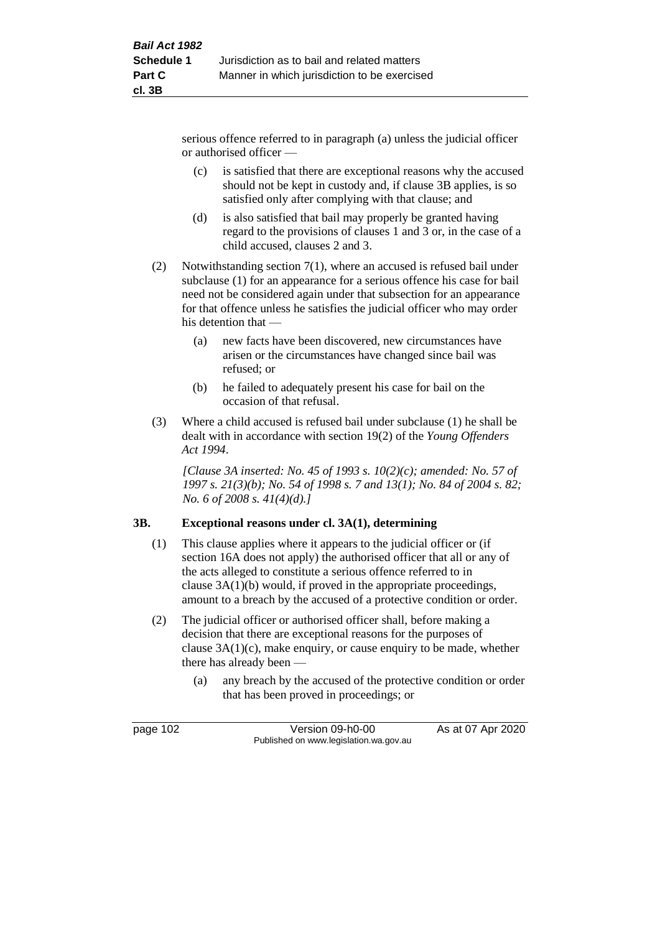serious offence referred to in paragraph (a) unless the judicial officer or authorised officer —

- (c) is satisfied that there are exceptional reasons why the accused should not be kept in custody and, if clause 3B applies, is so satisfied only after complying with that clause; and
- (d) is also satisfied that bail may properly be granted having regard to the provisions of clauses 1 and 3 or, in the case of a child accused, clauses 2 and 3.
- (2) Notwithstanding section 7(1), where an accused is refused bail under subclause (1) for an appearance for a serious offence his case for bail need not be considered again under that subsection for an appearance for that offence unless he satisfies the judicial officer who may order his detention that —
	- (a) new facts have been discovered, new circumstances have arisen or the circumstances have changed since bail was refused; or
	- (b) he failed to adequately present his case for bail on the occasion of that refusal.
- (3) Where a child accused is refused bail under subclause (1) he shall be dealt with in accordance with section 19(2) of the *Young Offenders Act 1994*.

*[Clause 3A inserted: No. 45 of 1993 s. 10(2)(c); amended: No. 57 of 1997 s. 21(3)(b); No. 54 of 1998 s. 7 and 13(1); No. 84 of 2004 s. 82; No. 6 of 2008 s. 41(4)(d).]*

## **3B. Exceptional reasons under cl. 3A(1), determining**

- (1) This clause applies where it appears to the judicial officer or (if section 16A does not apply) the authorised officer that all or any of the acts alleged to constitute a serious offence referred to in clause 3A(1)(b) would, if proved in the appropriate proceedings, amount to a breach by the accused of a protective condition or order.
- (2) The judicial officer or authorised officer shall, before making a decision that there are exceptional reasons for the purposes of clause 3A(1)(c), make enquiry, or cause enquiry to be made, whether there has already been —
	- (a) any breach by the accused of the protective condition or order that has been proved in proceedings; or

page 102 Version 09-h0-00 As at 07 Apr 2020 Published on www.legislation.wa.gov.au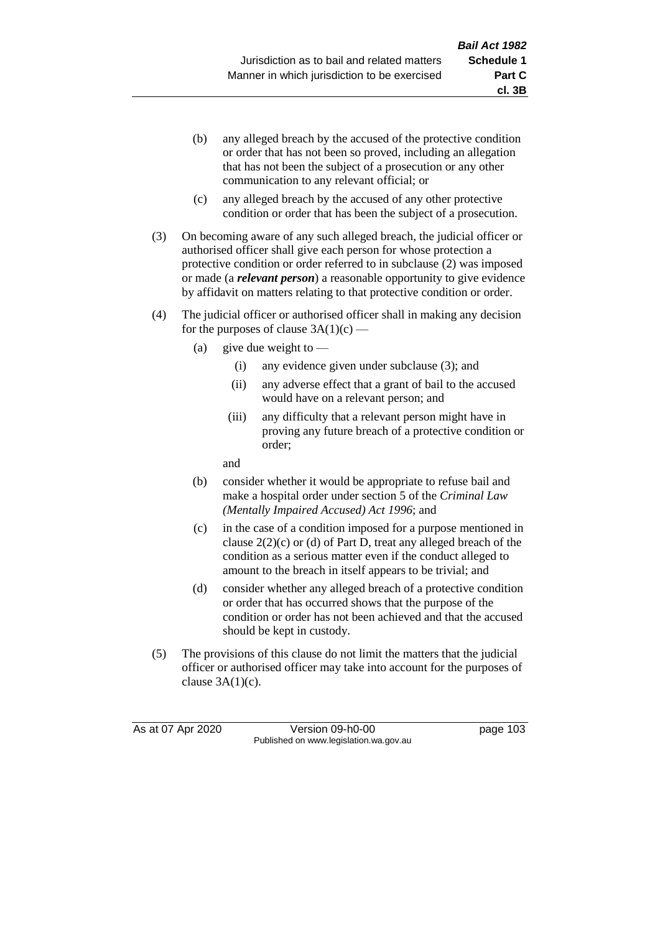- (b) any alleged breach by the accused of the protective condition or order that has not been so proved, including an allegation that has not been the subject of a prosecution or any other communication to any relevant official; or
- (c) any alleged breach by the accused of any other protective condition or order that has been the subject of a prosecution.
- (3) On becoming aware of any such alleged breach, the judicial officer or authorised officer shall give each person for whose protection a protective condition or order referred to in subclause (2) was imposed or made (a *relevant person*) a reasonable opportunity to give evidence by affidavit on matters relating to that protective condition or order.
- (4) The judicial officer or authorised officer shall in making any decision for the purposes of clause  $3A(1)(c)$  —
	- (a) give due weight to  $-$ 
		- (i) any evidence given under subclause (3); and
		- (ii) any adverse effect that a grant of bail to the accused would have on a relevant person; and
		- (iii) any difficulty that a relevant person might have in proving any future breach of a protective condition or order;

and

- (b) consider whether it would be appropriate to refuse bail and make a hospital order under section 5 of the *Criminal Law (Mentally Impaired Accused) Act 1996*; and
- (c) in the case of a condition imposed for a purpose mentioned in clause 2(2)(c) or (d) of Part D, treat any alleged breach of the condition as a serious matter even if the conduct alleged to amount to the breach in itself appears to be trivial; and
- (d) consider whether any alleged breach of a protective condition or order that has occurred shows that the purpose of the condition or order has not been achieved and that the accused should be kept in custody.
- (5) The provisions of this clause do not limit the matters that the judicial officer or authorised officer may take into account for the purposes of clause  $3A(1)(c)$ .

As at 07 Apr 2020 Version 09-h0-00 page 103 Published on www.legislation.wa.gov.au

**cl. 3B**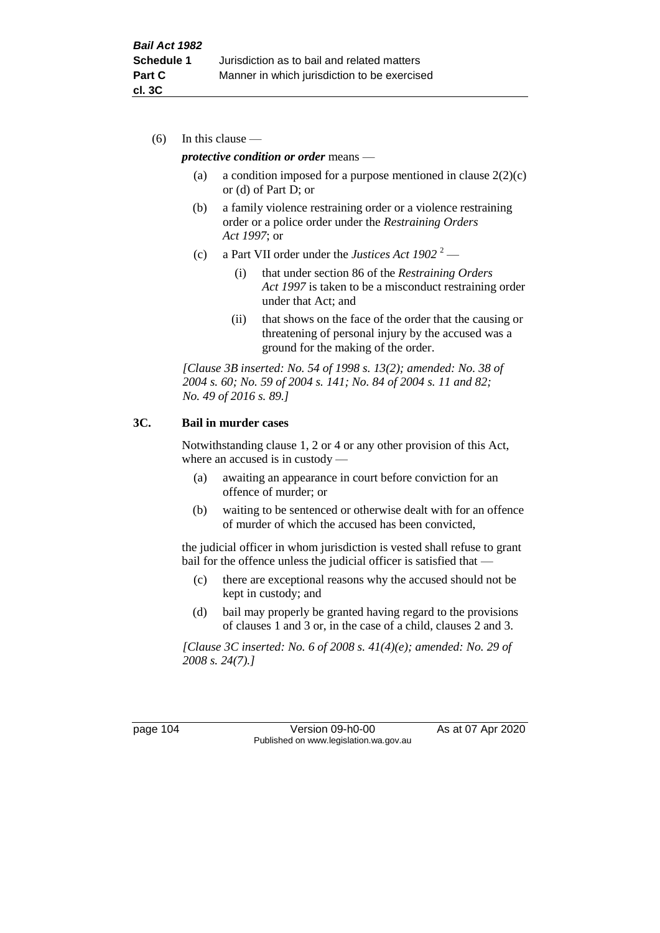(6) In this clause —

### *protective condition or order* means —

- (a) a condition imposed for a purpose mentioned in clause  $2(2)(c)$ or (d) of Part D; or
- (b) a family violence restraining order or a violence restraining order or a police order under the *Restraining Orders Act 1997*; or
- (c) a Part VII order under the *Justices Act 1902* <sup>2</sup>
	- (i) that under section 86 of the *Restraining Orders Act 1997* is taken to be a misconduct restraining order under that Act; and
	- (ii) that shows on the face of the order that the causing or threatening of personal injury by the accused was a ground for the making of the order.

*[Clause 3B inserted: No. 54 of 1998 s. 13(2); amended: No. 38 of 2004 s. 60; No. 59 of 2004 s. 141; No. 84 of 2004 s. 11 and 82; No. 49 of 2016 s. 89.]*

## **3C. Bail in murder cases**

Notwithstanding clause 1, 2 or 4 or any other provision of this Act, where an accused is in custody —

- (a) awaiting an appearance in court before conviction for an offence of murder; or
- (b) waiting to be sentenced or otherwise dealt with for an offence of murder of which the accused has been convicted,

the judicial officer in whom jurisdiction is vested shall refuse to grant bail for the offence unless the judicial officer is satisfied that —

- (c) there are exceptional reasons why the accused should not be kept in custody; and
- (d) bail may properly be granted having regard to the provisions of clauses 1 and 3 or, in the case of a child, clauses 2 and 3.

*[Clause 3C inserted: No. 6 of 2008 s. 41(4)(e); amended: No. 29 of 2008 s. 24(7).]*

page 104 Version 09-h0-00 As at 07 Apr 2020 Published on www.legislation.wa.gov.au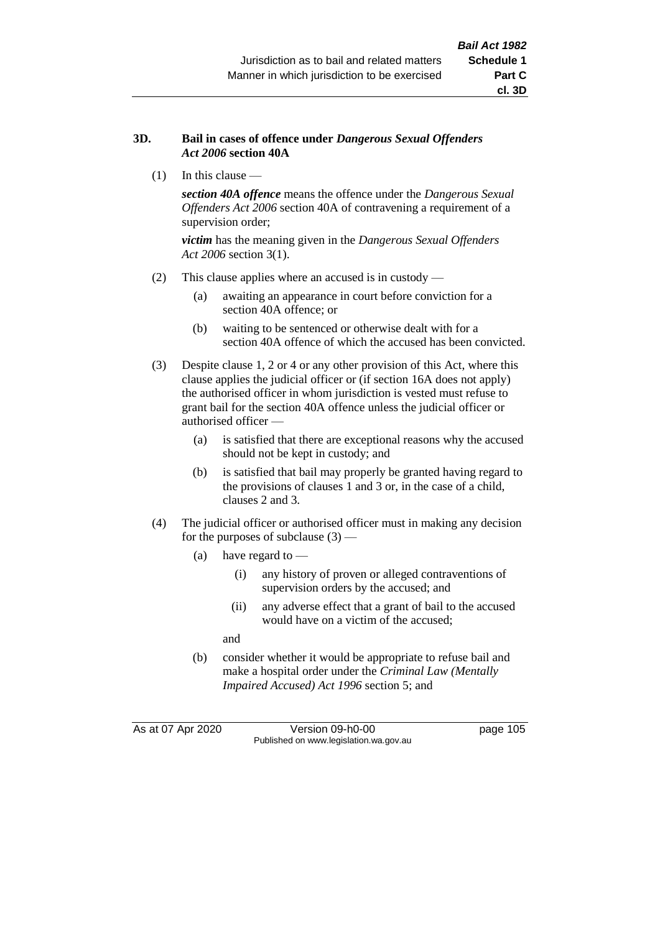### **3D. Bail in cases of offence under** *Dangerous Sexual Offenders Act 2006* **section 40A**

(1) In this clause —

*section 40A offence* means the offence under the *Dangerous Sexual Offenders Act 2006* section 40A of contravening a requirement of a supervision order;

*victim* has the meaning given in the *Dangerous Sexual Offenders Act 2006* section 3(1).

- (2) This clause applies where an accused is in custody
	- (a) awaiting an appearance in court before conviction for a section 40A offence; or
	- (b) waiting to be sentenced or otherwise dealt with for a section 40A offence of which the accused has been convicted.
- (3) Despite clause 1, 2 or 4 or any other provision of this Act, where this clause applies the judicial officer or (if section 16A does not apply) the authorised officer in whom jurisdiction is vested must refuse to grant bail for the section 40A offence unless the judicial officer or authorised officer —
	- (a) is satisfied that there are exceptional reasons why the accused should not be kept in custody; and
	- (b) is satisfied that bail may properly be granted having regard to the provisions of clauses 1 and 3 or, in the case of a child, clauses 2 and 3.
- (4) The judicial officer or authorised officer must in making any decision for the purposes of subclause  $(3)$  —
	- (a) have regard to
		- (i) any history of proven or alleged contraventions of supervision orders by the accused; and
		- (ii) any adverse effect that a grant of bail to the accused would have on a victim of the accused;

and

(b) consider whether it would be appropriate to refuse bail and make a hospital order under the *Criminal Law (Mentally Impaired Accused) Act 1996* section 5; and

As at 07 Apr 2020 Version 09-h0-00 page 105 Published on www.legislation.wa.gov.au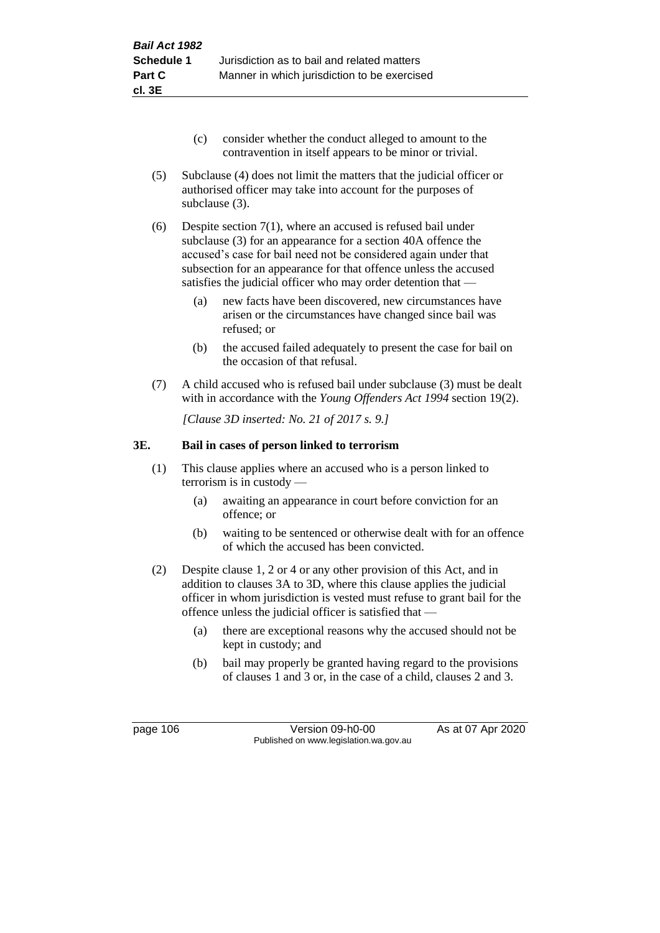- (c) consider whether the conduct alleged to amount to the contravention in itself appears to be minor or trivial.
- (5) Subclause (4) does not limit the matters that the judicial officer or authorised officer may take into account for the purposes of subclause (3).
- (6) Despite section 7(1), where an accused is refused bail under subclause (3) for an appearance for a section 40A offence the accused's case for bail need not be considered again under that subsection for an appearance for that offence unless the accused satisfies the judicial officer who may order detention that —
	- (a) new facts have been discovered, new circumstances have arisen or the circumstances have changed since bail was refused; or
	- (b) the accused failed adequately to present the case for bail on the occasion of that refusal.
- (7) A child accused who is refused bail under subclause (3) must be dealt with in accordance with the *Young Offenders Act 1994* section 19(2).

*[Clause 3D inserted: No. 21 of 2017 s. 9.]*

## **3E. Bail in cases of person linked to terrorism**

- (1) This clause applies where an accused who is a person linked to terrorism is in custody —
	- (a) awaiting an appearance in court before conviction for an offence; or
	- (b) waiting to be sentenced or otherwise dealt with for an offence of which the accused has been convicted.
- (2) Despite clause 1, 2 or 4 or any other provision of this Act, and in addition to clauses 3A to 3D, where this clause applies the judicial officer in whom jurisdiction is vested must refuse to grant bail for the offence unless the judicial officer is satisfied that —
	- (a) there are exceptional reasons why the accused should not be kept in custody; and
	- (b) bail may properly be granted having regard to the provisions of clauses 1 and 3 or, in the case of a child, clauses 2 and 3.

page 106 Version 09-h0-00 As at 07 Apr 2020 Published on www.legislation.wa.gov.au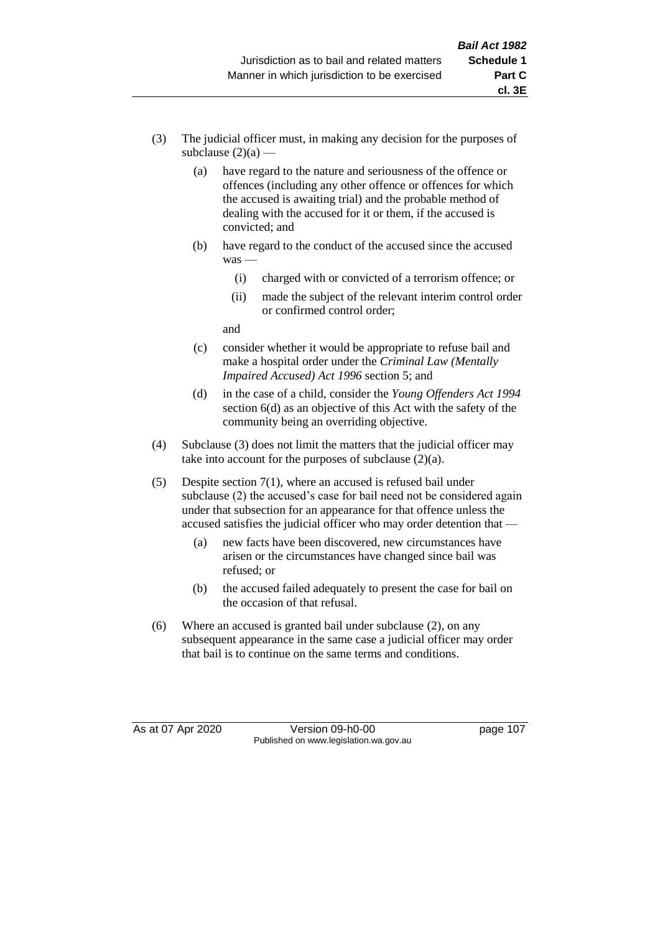- (3) The judicial officer must, in making any decision for the purposes of subclause  $(2)(a)$  —
	- (a) have regard to the nature and seriousness of the offence or offences (including any other offence or offences for which the accused is awaiting trial) and the probable method of dealing with the accused for it or them, if the accused is convicted; and
	- (b) have regard to the conduct of the accused since the accused was —
		- (i) charged with or convicted of a terrorism offence; or
		- (ii) made the subject of the relevant interim control order or confirmed control order;

and

- (c) consider whether it would be appropriate to refuse bail and make a hospital order under the *Criminal Law (Mentally Impaired Accused) Act 1996* section 5; and
- (d) in the case of a child, consider the *Young Offenders Act 1994* section 6(d) as an objective of this Act with the safety of the community being an overriding objective.
- (4) Subclause (3) does not limit the matters that the judicial officer may take into account for the purposes of subclause (2)(a).
- (5) Despite section 7(1), where an accused is refused bail under subclause (2) the accused's case for bail need not be considered again under that subsection for an appearance for that offence unless the accused satisfies the judicial officer who may order detention that —
	- (a) new facts have been discovered, new circumstances have arisen or the circumstances have changed since bail was refused; or
	- (b) the accused failed adequately to present the case for bail on the occasion of that refusal.
- (6) Where an accused is granted bail under subclause (2), on any subsequent appearance in the same case a judicial officer may order that bail is to continue on the same terms and conditions.

As at 07 Apr 2020 Version 09-h0-00 page 107 Published on www.legislation.wa.gov.au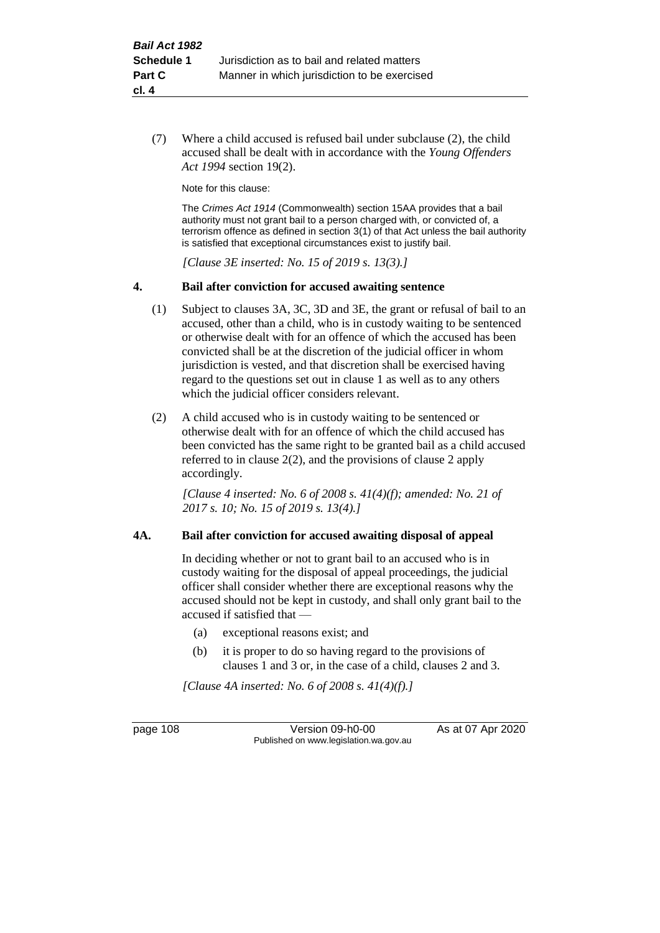(7) Where a child accused is refused bail under subclause (2), the child accused shall be dealt with in accordance with the *Young Offenders Act 1994* section 19(2).

Note for this clause:

The *Crimes Act 1914* (Commonwealth) section 15AA provides that a bail authority must not grant bail to a person charged with, or convicted of, a terrorism offence as defined in section 3(1) of that Act unless the bail authority is satisfied that exceptional circumstances exist to justify bail.

*[Clause 3E inserted: No. 15 of 2019 s. 13(3).]*

#### **4. Bail after conviction for accused awaiting sentence**

- (1) Subject to clauses 3A, 3C, 3D and 3E, the grant or refusal of bail to an accused, other than a child, who is in custody waiting to be sentenced or otherwise dealt with for an offence of which the accused has been convicted shall be at the discretion of the judicial officer in whom jurisdiction is vested, and that discretion shall be exercised having regard to the questions set out in clause 1 as well as to any others which the judicial officer considers relevant.
- (2) A child accused who is in custody waiting to be sentenced or otherwise dealt with for an offence of which the child accused has been convicted has the same right to be granted bail as a child accused referred to in clause 2(2), and the provisions of clause 2 apply accordingly.

*[Clause 4 inserted: No. 6 of 2008 s. 41(4)(f); amended: No. 21 of 2017 s. 10; No. 15 of 2019 s. 13(4).]*

#### **4A. Bail after conviction for accused awaiting disposal of appeal**

In deciding whether or not to grant bail to an accused who is in custody waiting for the disposal of appeal proceedings, the judicial officer shall consider whether there are exceptional reasons why the accused should not be kept in custody, and shall only grant bail to the accused if satisfied that —

- (a) exceptional reasons exist; and
- (b) it is proper to do so having regard to the provisions of clauses 1 and 3 or, in the case of a child, clauses 2 and 3.

*[Clause 4A inserted: No. 6 of 2008 s. 41(4)(f).]*

page 108 Version 09-h0-00 As at 07 Apr 2020 Published on www.legislation.wa.gov.au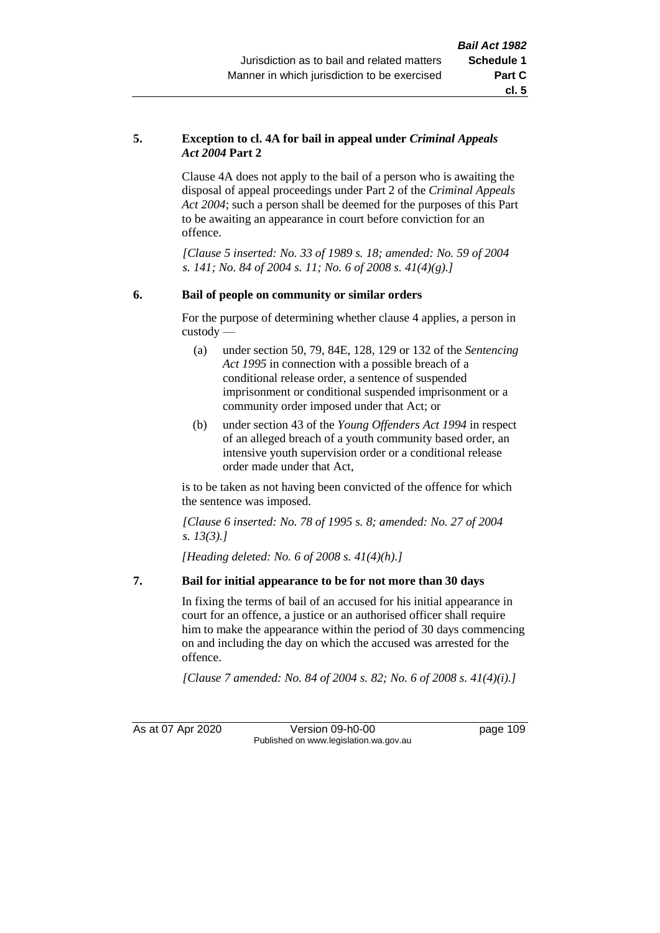### **5. Exception to cl. 4A for bail in appeal under** *Criminal Appeals Act 2004* **Part 2**

Clause 4A does not apply to the bail of a person who is awaiting the disposal of appeal proceedings under Part 2 of the *Criminal Appeals Act 2004*; such a person shall be deemed for the purposes of this Part to be awaiting an appearance in court before conviction for an offence.

*[Clause 5 inserted: No. 33 of 1989 s. 18; amended: No. 59 of 2004 s. 141; No. 84 of 2004 s. 11; No. 6 of 2008 s. 41(4)(g).]*

## **6. Bail of people on community or similar orders**

For the purpose of determining whether clause 4 applies, a person in custody —

- (a) under section 50, 79, 84E, 128, 129 or 132 of the *Sentencing Act 1995* in connection with a possible breach of a conditional release order, a sentence of suspended imprisonment or conditional suspended imprisonment or a community order imposed under that Act; or
- (b) under section 43 of the *Young Offenders Act 1994* in respect of an alleged breach of a youth community based order, an intensive youth supervision order or a conditional release order made under that Act,

is to be taken as not having been convicted of the offence for which the sentence was imposed.

*[Clause 6 inserted: No. 78 of 1995 s. 8; amended: No. 27 of 2004 s. 13(3).]*

*[Heading deleted: No. 6 of 2008 s. 41(4)(h).]*

## **7. Bail for initial appearance to be for not more than 30 days**

In fixing the terms of bail of an accused for his initial appearance in court for an offence, a justice or an authorised officer shall require him to make the appearance within the period of 30 days commencing on and including the day on which the accused was arrested for the offence.

*[Clause 7 amended: No. 84 of 2004 s. 82; No. 6 of 2008 s. 41(4)(i).]*

As at 07 Apr 2020 Version 09-h0-00 page 109 Published on www.legislation.wa.gov.au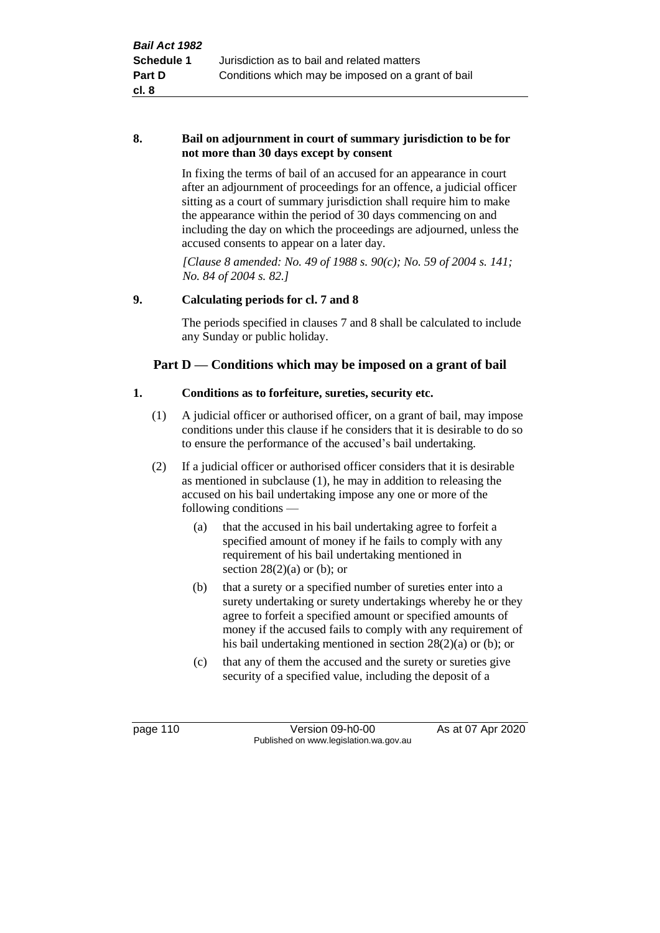#### **8. Bail on adjournment in court of summary jurisdiction to be for not more than 30 days except by consent**

In fixing the terms of bail of an accused for an appearance in court after an adjournment of proceedings for an offence, a judicial officer sitting as a court of summary jurisdiction shall require him to make the appearance within the period of 30 days commencing on and including the day on which the proceedings are adjourned, unless the accused consents to appear on a later day.

*[Clause 8 amended: No. 49 of 1988 s. 90(c); No. 59 of 2004 s. 141; No. 84 of 2004 s. 82.]*

## **9. Calculating periods for cl. 7 and 8**

The periods specified in clauses 7 and 8 shall be calculated to include any Sunday or public holiday.

## **Part D — Conditions which may be imposed on a grant of bail**

## **1. Conditions as to forfeiture, sureties, security etc.**

- (1) A judicial officer or authorised officer, on a grant of bail, may impose conditions under this clause if he considers that it is desirable to do so to ensure the performance of the accused's bail undertaking.
- (2) If a judicial officer or authorised officer considers that it is desirable as mentioned in subclause (1), he may in addition to releasing the accused on his bail undertaking impose any one or more of the following conditions —
	- (a) that the accused in his bail undertaking agree to forfeit a specified amount of money if he fails to comply with any requirement of his bail undertaking mentioned in section  $28(2)(a)$  or (b); or
	- (b) that a surety or a specified number of sureties enter into a surety undertaking or surety undertakings whereby he or they agree to forfeit a specified amount or specified amounts of money if the accused fails to comply with any requirement of his bail undertaking mentioned in section 28(2)(a) or (b); or
	- (c) that any of them the accused and the surety or sureties give security of a specified value, including the deposit of a

page 110 Version 09-h0-00 As at 07 Apr 2020 Published on www.legislation.wa.gov.au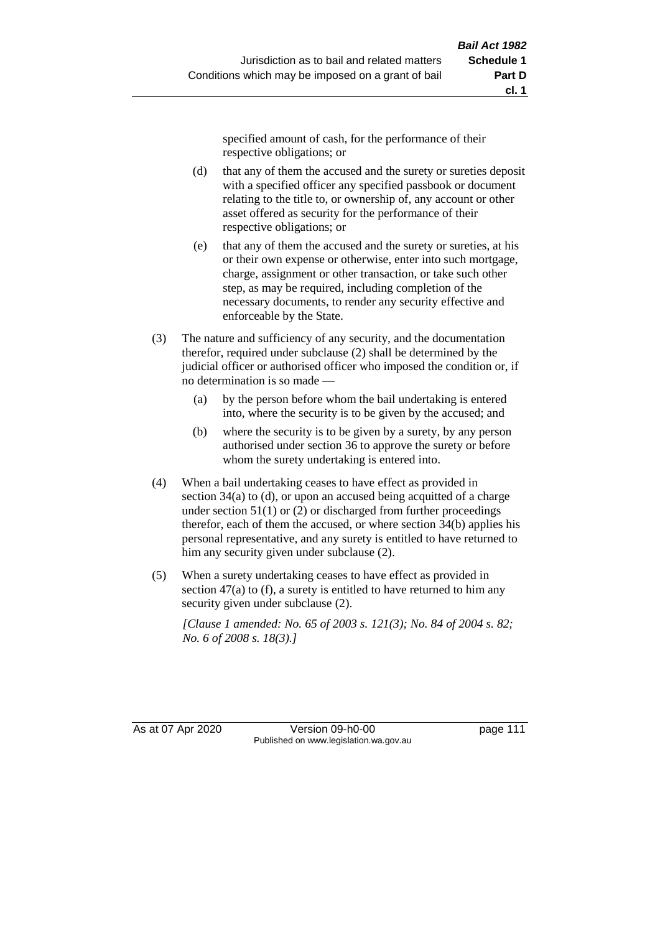specified amount of cash, for the performance of their respective obligations; or

- (d) that any of them the accused and the surety or sureties deposit with a specified officer any specified passbook or document relating to the title to, or ownership of, any account or other asset offered as security for the performance of their respective obligations; or
- (e) that any of them the accused and the surety or sureties, at his or their own expense or otherwise, enter into such mortgage, charge, assignment or other transaction, or take such other step, as may be required, including completion of the necessary documents, to render any security effective and enforceable by the State.
- (3) The nature and sufficiency of any security, and the documentation therefor, required under subclause (2) shall be determined by the judicial officer or authorised officer who imposed the condition or, if no determination is so made —
	- (a) by the person before whom the bail undertaking is entered into, where the security is to be given by the accused; and
	- (b) where the security is to be given by a surety, by any person authorised under section 36 to approve the surety or before whom the surety undertaking is entered into.
- (4) When a bail undertaking ceases to have effect as provided in section 34(a) to (d), or upon an accused being acquitted of a charge under section  $51(1)$  or (2) or discharged from further proceedings therefor, each of them the accused, or where section 34(b) applies his personal representative, and any surety is entitled to have returned to him any security given under subclause (2).
- (5) When a surety undertaking ceases to have effect as provided in section 47(a) to (f), a surety is entitled to have returned to him any security given under subclause (2).

*[Clause 1 amended: No. 65 of 2003 s. 121(3); No. 84 of 2004 s. 82; No. 6 of 2008 s. 18(3).]*

As at 07 Apr 2020 Version 09-h0-00 page 111 Published on www.legislation.wa.gov.au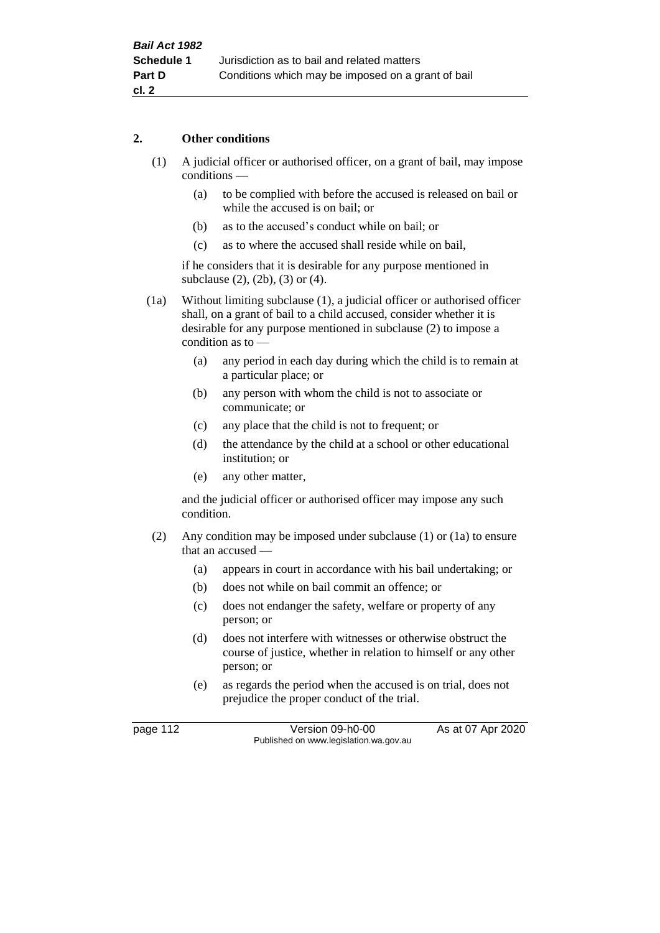### **2. Other conditions**

- (1) A judicial officer or authorised officer, on a grant of bail, may impose conditions —
	- (a) to be complied with before the accused is released on bail or while the accused is on bail; or
	- (b) as to the accused's conduct while on bail; or
	- (c) as to where the accused shall reside while on bail,

if he considers that it is desirable for any purpose mentioned in subclause (2), (2b), (3) or (4).

(1a) Without limiting subclause (1), a judicial officer or authorised officer shall, on a grant of bail to a child accused, consider whether it is desirable for any purpose mentioned in subclause (2) to impose a condition as to  $-$ 

- (a) any period in each day during which the child is to remain at a particular place; or
- (b) any person with whom the child is not to associate or communicate; or
- (c) any place that the child is not to frequent; or
- (d) the attendance by the child at a school or other educational institution; or
- (e) any other matter,

and the judicial officer or authorised officer may impose any such condition.

- (2) Any condition may be imposed under subclause (1) or (1a) to ensure that an accused —
	- (a) appears in court in accordance with his bail undertaking; or
	- (b) does not while on bail commit an offence; or
	- (c) does not endanger the safety, welfare or property of any person; or
	- (d) does not interfere with witnesses or otherwise obstruct the course of justice, whether in relation to himself or any other person; or
	- (e) as regards the period when the accused is on trial, does not prejudice the proper conduct of the trial.

page 112 Version 09-h0-00 As at 07 Apr 2020 Published on www.legislation.wa.gov.au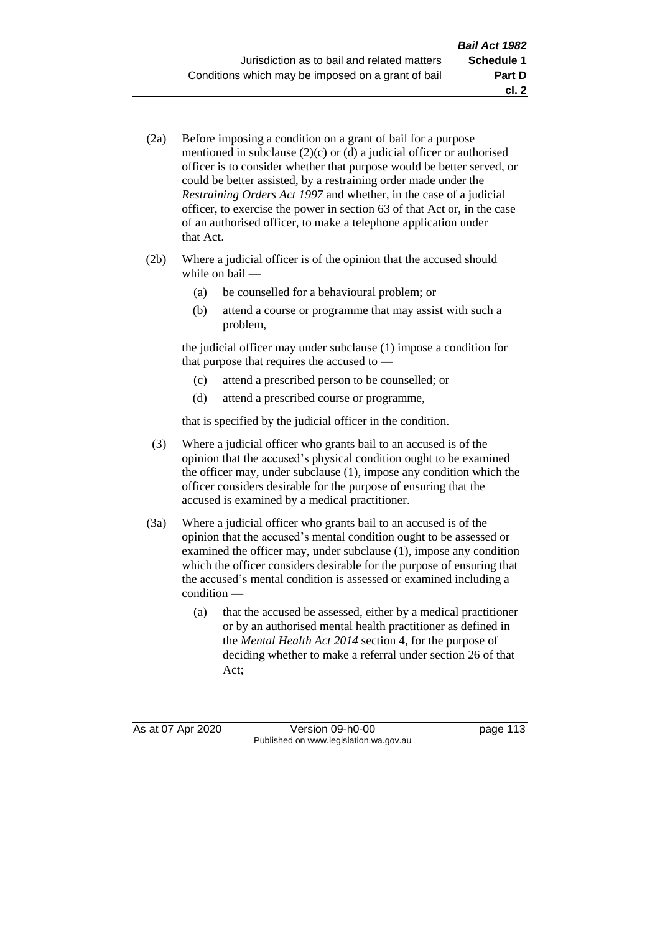- (2a) Before imposing a condition on a grant of bail for a purpose mentioned in subclause (2)(c) or (d) a judicial officer or authorised officer is to consider whether that purpose would be better served, or could be better assisted, by a restraining order made under the *Restraining Orders Act 1997* and whether, in the case of a judicial officer, to exercise the power in section 63 of that Act or, in the case of an authorised officer, to make a telephone application under that Act.
- (2b) Where a judicial officer is of the opinion that the accused should while on bail —
	- (a) be counselled for a behavioural problem; or
	- (b) attend a course or programme that may assist with such a problem,

the judicial officer may under subclause (1) impose a condition for that purpose that requires the accused to —

- (c) attend a prescribed person to be counselled; or
- (d) attend a prescribed course or programme,

that is specified by the judicial officer in the condition.

- (3) Where a judicial officer who grants bail to an accused is of the opinion that the accused's physical condition ought to be examined the officer may, under subclause (1), impose any condition which the officer considers desirable for the purpose of ensuring that the accused is examined by a medical practitioner.
- (3a) Where a judicial officer who grants bail to an accused is of the opinion that the accused's mental condition ought to be assessed or examined the officer may, under subclause (1), impose any condition which the officer considers desirable for the purpose of ensuring that the accused's mental condition is assessed or examined including a condition —
	- (a) that the accused be assessed, either by a medical practitioner or by an authorised mental health practitioner as defined in the *Mental Health Act 2014* section 4, for the purpose of deciding whether to make a referral under section 26 of that Act;

As at 07 Apr 2020 Version 09-h0-00 page 113 Published on www.legislation.wa.gov.au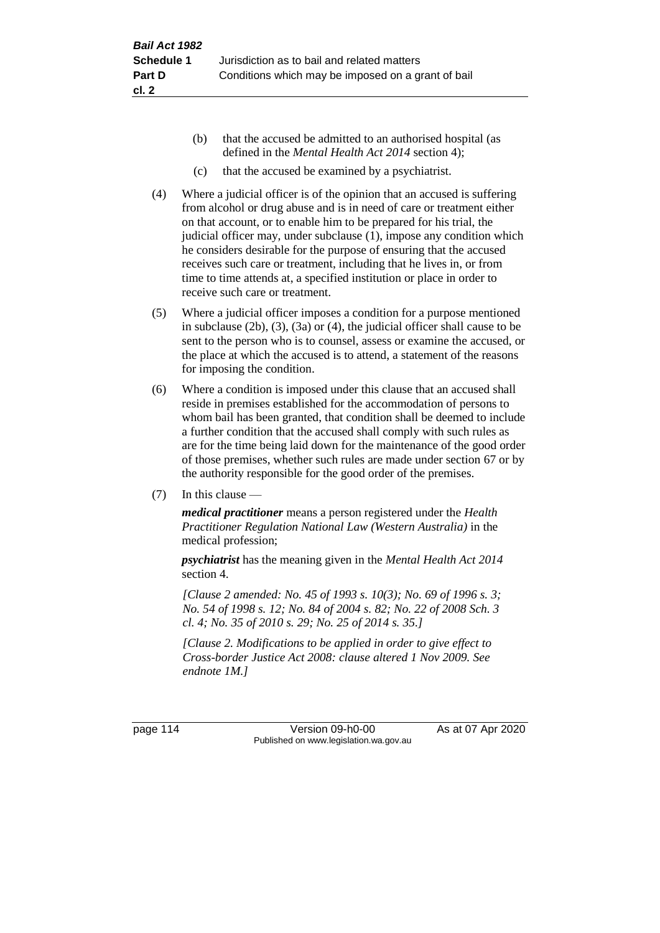- (b) that the accused be admitted to an authorised hospital (as defined in the *Mental Health Act 2014* section 4);
- (c) that the accused be examined by a psychiatrist.
- (4) Where a judicial officer is of the opinion that an accused is suffering from alcohol or drug abuse and is in need of care or treatment either on that account, or to enable him to be prepared for his trial, the judicial officer may, under subclause (1), impose any condition which he considers desirable for the purpose of ensuring that the accused receives such care or treatment, including that he lives in, or from time to time attends at, a specified institution or place in order to receive such care or treatment.
- (5) Where a judicial officer imposes a condition for a purpose mentioned in subclause (2b), (3), (3a) or (4), the judicial officer shall cause to be sent to the person who is to counsel, assess or examine the accused, or the place at which the accused is to attend, a statement of the reasons for imposing the condition.
- (6) Where a condition is imposed under this clause that an accused shall reside in premises established for the accommodation of persons to whom bail has been granted, that condition shall be deemed to include a further condition that the accused shall comply with such rules as are for the time being laid down for the maintenance of the good order of those premises, whether such rules are made under section 67 or by the authority responsible for the good order of the premises.
- (7) In this clause —

*medical practitioner* means a person registered under the *Health Practitioner Regulation National Law (Western Australia)* in the medical profession;

*psychiatrist* has the meaning given in the *Mental Health Act 2014* section 4.

*[Clause 2 amended: No. 45 of 1993 s. 10(3); No. 69 of 1996 s. 3; No. 54 of 1998 s. 12; No. 84 of 2004 s. 82; No. 22 of 2008 Sch. 3 cl. 4; No. 35 of 2010 s. 29; No. 25 of 2014 s. 35.]*

*[Clause 2. Modifications to be applied in order to give effect to Cross-border Justice Act 2008: clause altered 1 Nov 2009. See endnote 1M.]*

page 114 Version 09-h0-00 As at 07 Apr 2020 Published on www.legislation.wa.gov.au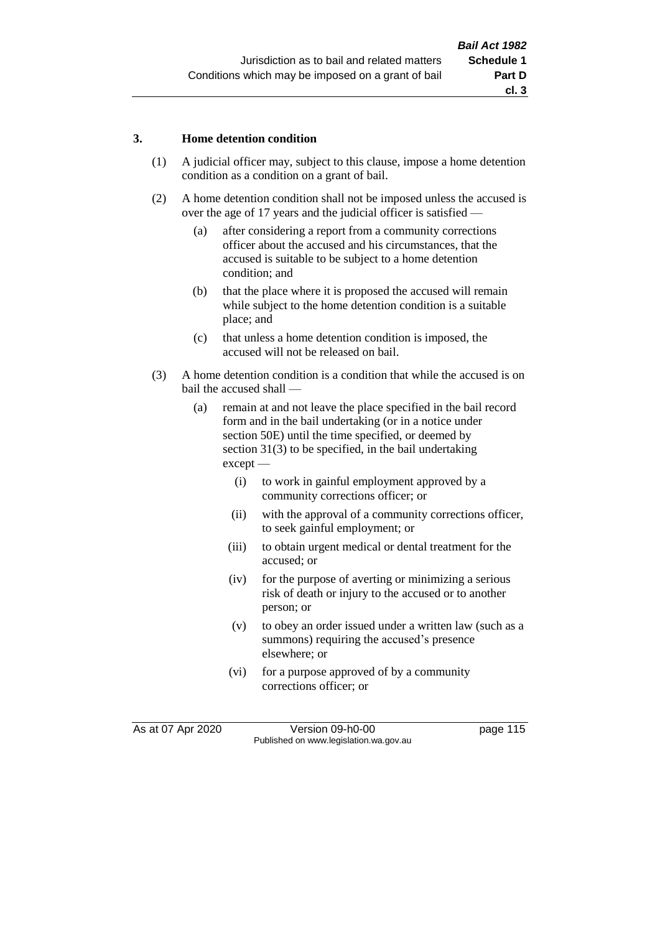#### **3. Home detention condition**

- (1) A judicial officer may, subject to this clause, impose a home detention condition as a condition on a grant of bail.
- (2) A home detention condition shall not be imposed unless the accused is over the age of 17 years and the judicial officer is satisfied —
	- (a) after considering a report from a community corrections officer about the accused and his circumstances, that the accused is suitable to be subject to a home detention condition; and
	- (b) that the place where it is proposed the accused will remain while subject to the home detention condition is a suitable place; and
	- (c) that unless a home detention condition is imposed, the accused will not be released on bail.
- (3) A home detention condition is a condition that while the accused is on bail the accused shall —
	- (a) remain at and not leave the place specified in the bail record form and in the bail undertaking (or in a notice under section 50E) until the time specified, or deemed by section 31(3) to be specified, in the bail undertaking except —
		- (i) to work in gainful employment approved by a community corrections officer; or
		- (ii) with the approval of a community corrections officer, to seek gainful employment; or
		- (iii) to obtain urgent medical or dental treatment for the accused; or
		- (iv) for the purpose of averting or minimizing a serious risk of death or injury to the accused or to another person; or
		- (v) to obey an order issued under a written law (such as a summons) requiring the accused's presence elsewhere; or
		- (vi) for a purpose approved of by a community corrections officer; or

As at 07 Apr 2020 Version 09-h0-00 page 115 Published on www.legislation.wa.gov.au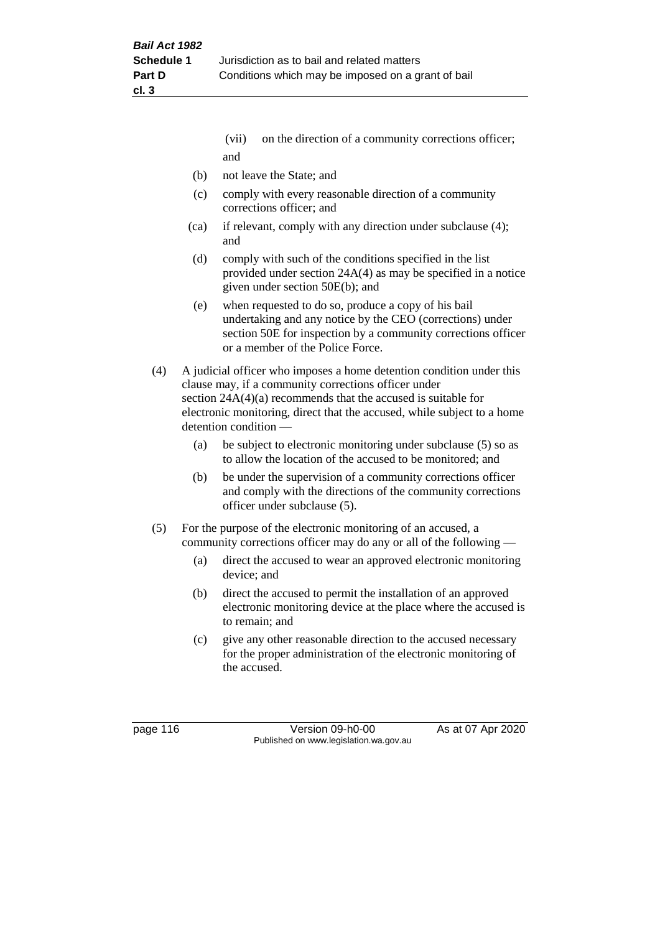- (vii) on the direction of a community corrections officer; and
- (b) not leave the State; and
- (c) comply with every reasonable direction of a community corrections officer; and
- (ca) if relevant, comply with any direction under subclause (4); and
- (d) comply with such of the conditions specified in the list provided under section 24A(4) as may be specified in a notice given under section 50E(b); and
- (e) when requested to do so, produce a copy of his bail undertaking and any notice by the CEO (corrections) under section 50E for inspection by a community corrections officer or a member of the Police Force.
- (4) A judicial officer who imposes a home detention condition under this clause may, if a community corrections officer under section 24A(4)(a) recommends that the accused is suitable for electronic monitoring, direct that the accused, while subject to a home detention condition —
	- (a) be subject to electronic monitoring under subclause (5) so as to allow the location of the accused to be monitored; and
	- (b) be under the supervision of a community corrections officer and comply with the directions of the community corrections officer under subclause (5).
- (5) For the purpose of the electronic monitoring of an accused, a community corrections officer may do any or all of the following —
	- (a) direct the accused to wear an approved electronic monitoring device; and
	- (b) direct the accused to permit the installation of an approved electronic monitoring device at the place where the accused is to remain; and
	- (c) give any other reasonable direction to the accused necessary for the proper administration of the electronic monitoring of the accused.

page 116 Version 09-h0-00 As at 07 Apr 2020 Published on www.legislation.wa.gov.au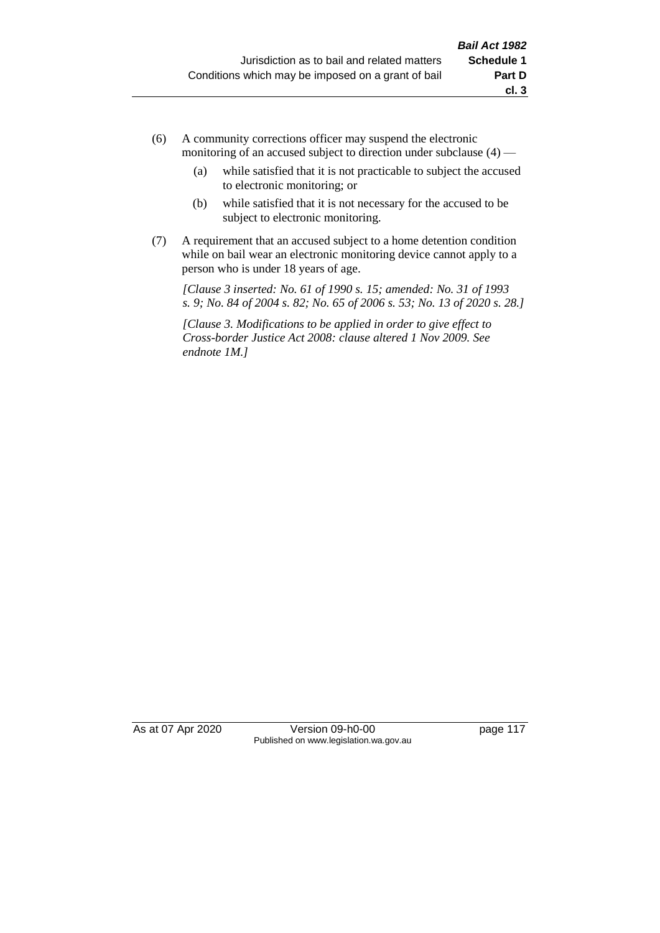- (6) A community corrections officer may suspend the electronic monitoring of an accused subject to direction under subclause (4) —
	- (a) while satisfied that it is not practicable to subject the accused to electronic monitoring; or
	- (b) while satisfied that it is not necessary for the accused to be subject to electronic monitoring.
- (7) A requirement that an accused subject to a home detention condition while on bail wear an electronic monitoring device cannot apply to a person who is under 18 years of age.

*[Clause 3 inserted: No. 61 of 1990 s. 15; amended: No. 31 of 1993 s. 9; No. 84 of 2004 s. 82; No. 65 of 2006 s. 53; No. 13 of 2020 s. 28.]*

*[Clause 3. Modifications to be applied in order to give effect to Cross-border Justice Act 2008: clause altered 1 Nov 2009. See endnote 1M.]*

As at 07 Apr 2020 Version 09-h0-00 page 117 Published on www.legislation.wa.gov.au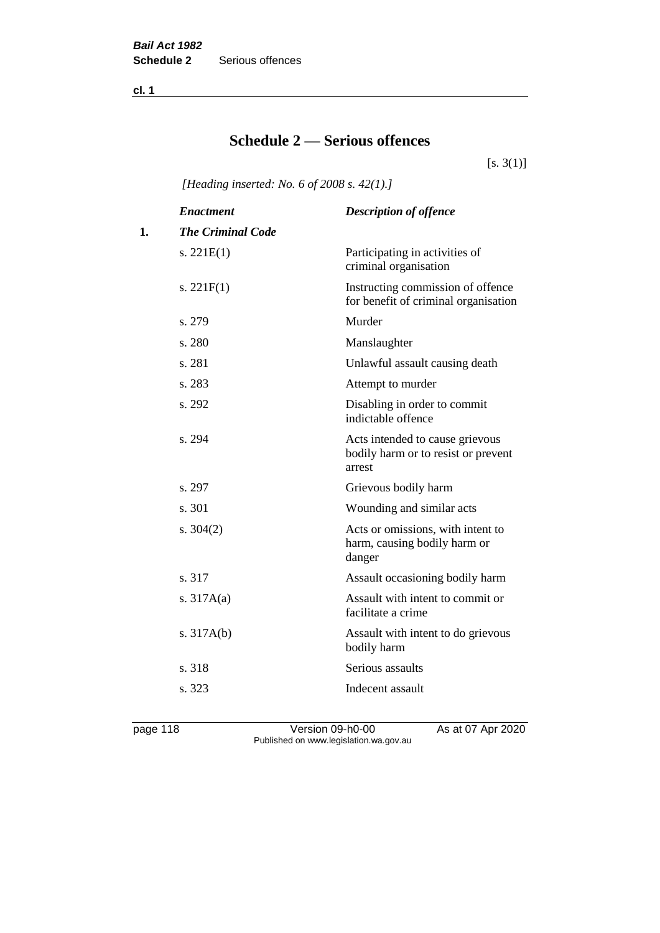**cl. 1**

## **Schedule 2 — Serious offences**

 $[s. 3(1)]$ 

*[Heading inserted: No. 6 of 2008 s. 42(1).]*

|    | <b>Enactment</b>         | <b>Description of offence</b>                                                    |
|----|--------------------------|----------------------------------------------------------------------------------|
| 1. | <b>The Criminal Code</b> |                                                                                  |
|    | s. $221E(1)$             | Participating in activities of<br>criminal organisation                          |
|    | s. $221F(1)$             | Instructing commission of offence<br>for benefit of criminal organisation        |
|    | s. 279                   | Murder                                                                           |
|    | s. 280                   | Manslaughter                                                                     |
|    | s. 281                   | Unlawful assault causing death                                                   |
|    | s. 283                   | Attempt to murder                                                                |
|    | s. 292                   | Disabling in order to commit<br>indictable offence                               |
|    | s. 294                   | Acts intended to cause grievous<br>bodily harm or to resist or prevent<br>arrest |
|    | s. 297                   | Grievous bodily harm                                                             |
|    | s. 301                   | Wounding and similar acts                                                        |
|    | s. $304(2)$              | Acts or omissions, with intent to<br>harm, causing bodily harm or<br>danger      |
|    | s. 317                   | Assault occasioning bodily harm                                                  |
|    | s. $317A(a)$             | Assault with intent to commit or<br>facilitate a crime                           |
|    | s. $317A(b)$             | Assault with intent to do grievous<br>bodily harm                                |
|    | s. 318                   | Serious assaults                                                                 |
|    | s. 323                   | Indecent assault                                                                 |
|    |                          |                                                                                  |

page 118 Version 09-h0-00 As at 07 Apr 2020 Published on www.legislation.wa.gov.au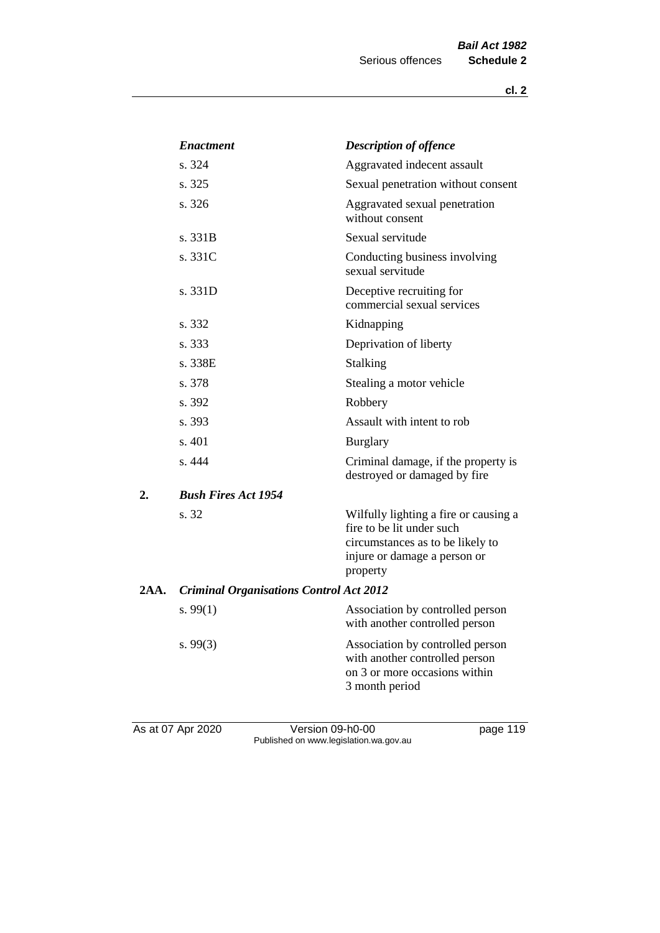|      | <b>Enactment</b>                               | <b>Description of offence</b>                                                                                                                      |
|------|------------------------------------------------|----------------------------------------------------------------------------------------------------------------------------------------------------|
|      | s. 324                                         | Aggravated indecent assault                                                                                                                        |
|      | s. 325                                         | Sexual penetration without consent                                                                                                                 |
|      | s. 326                                         | Aggravated sexual penetration<br>without consent                                                                                                   |
|      | s. 331B                                        | Sexual servitude                                                                                                                                   |
|      | s. 331C                                        | Conducting business involving<br>sexual servitude                                                                                                  |
|      | s. 331D                                        | Deceptive recruiting for<br>commercial sexual services                                                                                             |
|      | s. 332                                         | Kidnapping                                                                                                                                         |
|      | s. 333                                         | Deprivation of liberty                                                                                                                             |
|      | s. 338E                                        | <b>Stalking</b>                                                                                                                                    |
|      | s. 378                                         | Stealing a motor vehicle                                                                                                                           |
|      | s. 392                                         | Robbery                                                                                                                                            |
|      | s. 393                                         | Assault with intent to rob                                                                                                                         |
|      | s. 401                                         | <b>Burglary</b>                                                                                                                                    |
|      | s. 444                                         | Criminal damage, if the property is<br>destroyed or damaged by fire                                                                                |
| 2.   | <b>Bush Fires Act 1954</b>                     |                                                                                                                                                    |
|      | s. 32                                          | Wilfully lighting a fire or causing a<br>fire to be lit under such<br>circumstances as to be likely to<br>injure or damage a person or<br>property |
| 2AA. | <b>Criminal Organisations Control Act 2012</b> |                                                                                                                                                    |
|      | s. $99(1)$                                     | Association by controlled person<br>with another controlled person                                                                                 |
|      | s.99(3)                                        | Association by controlled person<br>with another controlled person<br>on 3 or more occasions within<br>3 month period                              |
|      |                                                |                                                                                                                                                    |

As at 07 Apr 2020 **Version 09-h0-00 page 119** Published on www.legislation.wa.gov.au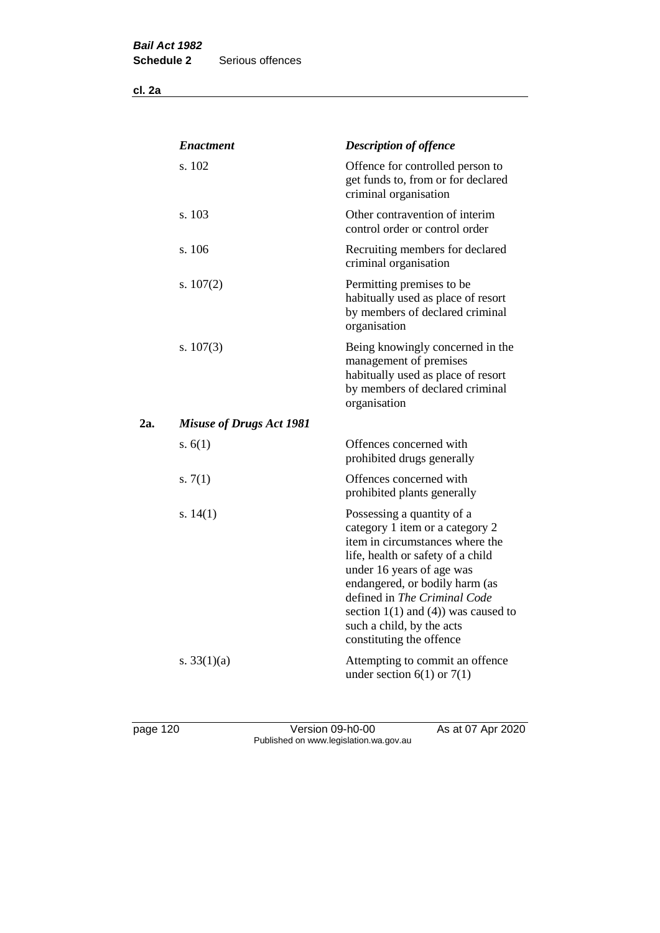**cl. 2a**

|     | <b>Enactment</b>                | <b>Description of offence</b>                                                                                                                                                                                                                                                                                                             |
|-----|---------------------------------|-------------------------------------------------------------------------------------------------------------------------------------------------------------------------------------------------------------------------------------------------------------------------------------------------------------------------------------------|
|     | s. 102                          | Offence for controlled person to<br>get funds to, from or for declared<br>criminal organisation                                                                                                                                                                                                                                           |
|     | s. 103                          | Other contravention of interim<br>control order or control order                                                                                                                                                                                                                                                                          |
|     | s. 106                          | Recruiting members for declared<br>criminal organisation                                                                                                                                                                                                                                                                                  |
|     | s. $107(2)$                     | Permitting premises to be<br>habitually used as place of resort<br>by members of declared criminal<br>organisation                                                                                                                                                                                                                        |
|     | s. $107(3)$                     | Being knowingly concerned in the<br>management of premises<br>habitually used as place of resort<br>by members of declared criminal<br>organisation                                                                                                                                                                                       |
| 2a. | <b>Misuse of Drugs Act 1981</b> |                                                                                                                                                                                                                                                                                                                                           |
|     | s. $6(1)$                       | Offences concerned with<br>prohibited drugs generally                                                                                                                                                                                                                                                                                     |
|     | s. $7(1)$                       | Offences concerned with<br>prohibited plants generally                                                                                                                                                                                                                                                                                    |
|     | s. $14(1)$                      | Possessing a quantity of a<br>category 1 item or a category 2<br>item in circumstances where the<br>life, health or safety of a child<br>under 16 years of age was<br>endangered, or bodily harm (as<br>defined in The Criminal Code<br>section $1(1)$ and $(4)$ ) was caused to<br>such a child, by the acts<br>constituting the offence |
|     | s. $33(1)(a)$                   | Attempting to commit an offence<br>under section $6(1)$ or $7(1)$                                                                                                                                                                                                                                                                         |

page 120 Version 09-h0-00 As at 07 Apr 2020 Published on www.legislation.wa.gov.au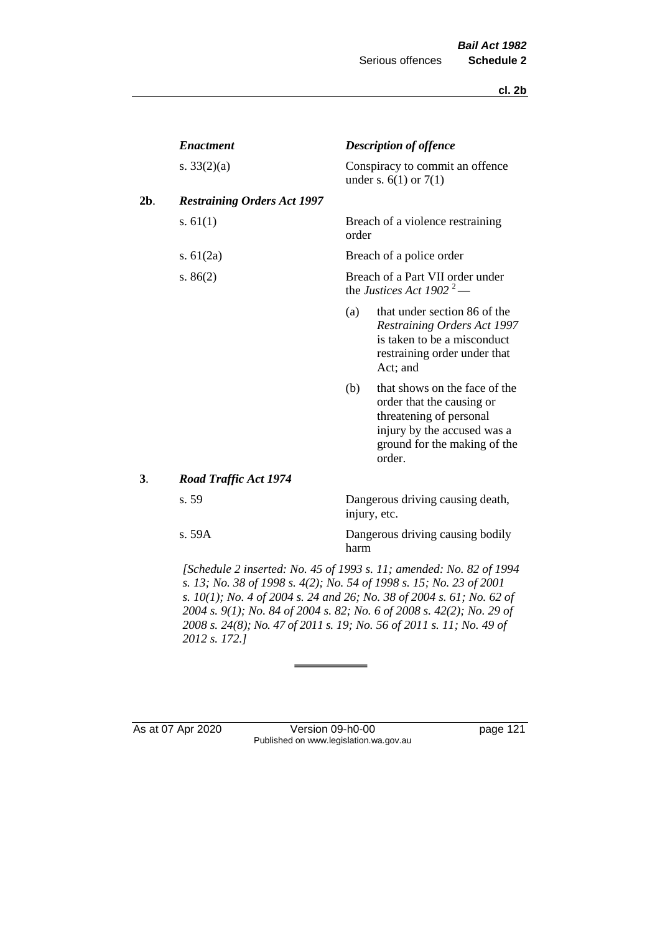|     | <b>Enactment</b>                   |              | <b>Description of offence</b>                                                                                                                                  |  |  |
|-----|------------------------------------|--------------|----------------------------------------------------------------------------------------------------------------------------------------------------------------|--|--|
|     | s. $33(2)(a)$                      |              | Conspiracy to commit an offence<br>under s. $6(1)$ or $7(1)$                                                                                                   |  |  |
| 2b. | <b>Restraining Orders Act 1997</b> |              |                                                                                                                                                                |  |  |
|     | s. $61(1)$                         | order        | Breach of a violence restraining                                                                                                                               |  |  |
|     | s. $61(2a)$                        |              | Breach of a police order                                                                                                                                       |  |  |
|     | s. $86(2)$                         |              | Breach of a Part VII order under<br>the Justices Act 1902 <sup>2</sup> —                                                                                       |  |  |
|     |                                    | (a)          | that under section 86 of the<br><b>Restraining Orders Act 1997</b><br>is taken to be a misconduct<br>restraining order under that<br>Act; and                  |  |  |
|     |                                    | (b)          | that shows on the face of the<br>order that the causing or<br>threatening of personal<br>injury by the accused was a<br>ground for the making of the<br>order. |  |  |
| 3.  | <b>Road Traffic Act 1974</b>       |              |                                                                                                                                                                |  |  |
|     | s. 59                              | injury, etc. | Dangerous driving causing death,                                                                                                                               |  |  |
|     | s.59A                              | harm         | Dangerous driving causing bodily                                                                                                                               |  |  |
|     |                                    |              |                                                                                                                                                                |  |  |

*[Schedule 2 inserted: No. 45 of 1993 s. 11; amended: No. 82 of 1994 s. 13; No. 38 of 1998 s. 4(2); No. 54 of 1998 s. 15; No. 23 of 2001 s. 10(1); No. 4 of 2004 s. 24 and 26; No. 38 of 2004 s. 61; No. 62 of 2004 s. 9(1); No. 84 of 2004 s. 82; No. 6 of 2008 s. 42(2); No. 29 of 2008 s. 24(8); No. 47 of 2011 s. 19; No. 56 of 2011 s. 11; No. 49 of 2012 s. 172.]* 

As at 07 Apr 2020 Version 09-h0-00 page 121 Published on www.legislation.wa.gov.au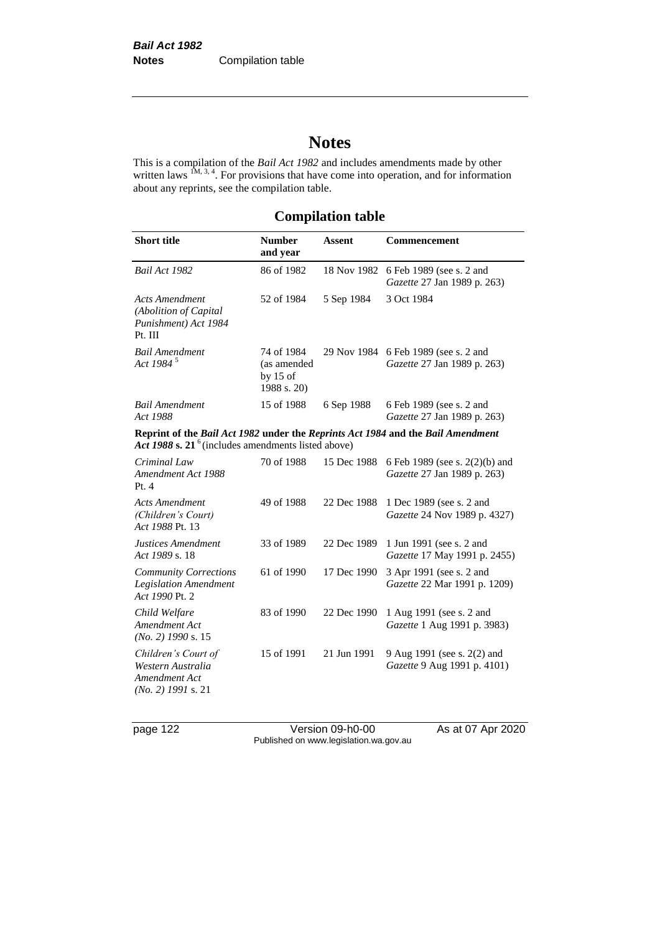# **Notes**

This is a compilation of the *Bail Act 1982* and includes amendments made by other written laws  $1M$ ,  $3, 4$ . For provisions that have come into operation, and for information about any reprints, see the compilation table.

## **Compilation table**

| <b>Short title</b>                                                                                                                       | <b>Number</b><br>and year                              | <b>Assent</b> | Commencement                                                        |
|------------------------------------------------------------------------------------------------------------------------------------------|--------------------------------------------------------|---------------|---------------------------------------------------------------------|
| Bail Act 1982                                                                                                                            | 86 of 1982                                             | 18 Nov 1982   | 6 Feb 1989 (see s. 2 and<br>Gazette 27 Jan 1989 p. 263)             |
| <b>Acts Amendment</b><br>(Abolition of Capital<br>Punishment) Act 1984<br>Pt. III                                                        | 52 of 1984                                             | 5 Sep 1984    | 3 Oct 1984                                                          |
| <b>Bail Amendment</b><br>Act 1984 <sup>5</sup>                                                                                           | 74 of 1984<br>(as amended<br>by $15$ of<br>1988 s. 20) |               | 29 Nov 1984 6 Feb 1989 (see s. 2 and<br>Gazette 27 Jan 1989 p. 263) |
| <b>Bail Amendment</b><br>Act 1988                                                                                                        | 15 of 1988                                             | 6 Sep 1988    | 6 Feb 1989 (see s. 2 and<br>Gazette 27 Jan 1989 p. 263)             |
| Reprint of the Bail Act 1982 under the Reprints Act 1984 and the Bail Amendment<br>Act 1988 s. $21^6$ (includes amendments listed above) |                                                        |               |                                                                     |
| Criminal Law<br>Amendment Act 1988<br>Pt. 4                                                                                              | 70 of 1988                                             | 15 Dec 1988   | 6 Feb 1989 (see s. 2(2)(b) and<br>Gazette 27 Jan 1989 p. 263)       |
| <b>Acts Amendment</b><br>(Children's Court)<br>Act 1988 Pt. 13                                                                           | 49 of 1988                                             | 22 Dec 1988   | 1 Dec 1989 (see s. 2 and<br>Gazette 24 Nov 1989 p. 4327)            |
| Justices Amendment<br>Act 1989 s. 18                                                                                                     | 33 of 1989                                             | 22 Dec 1989   | 1 Jun 1991 (see s. 2 and<br>Gazette 17 May 1991 p. 2455)            |
| <b>Community Corrections</b><br><b>Legislation Amendment</b><br>Act 1990 Pt. 2                                                           | 61 of 1990                                             | 17 Dec 1990   | 3 Apr 1991 (see s. 2 and<br>Gazette 22 Mar 1991 p. 1209)            |
| Child Welfare<br>Amendment Act<br>$(No. 2)$ 1990 s. 15                                                                                   | 83 of 1990                                             | 22 Dec 1990   | 1 Aug 1991 (see s. 2 and<br>Gazette 1 Aug 1991 p. 3983)             |
| Children's Court of<br>Western Australia<br>Amendment Act<br>$(No. 2)$ 1991 s. 21                                                        | 15 of 1991                                             | 21 Jun 1991   | 9 Aug 1991 (see s. 2(2) and<br>Gazette 9 Aug 1991 p. 4101)          |

page 122 Version 09-h0-00 As at 07 Apr 2020 Published on www.legislation.wa.gov.au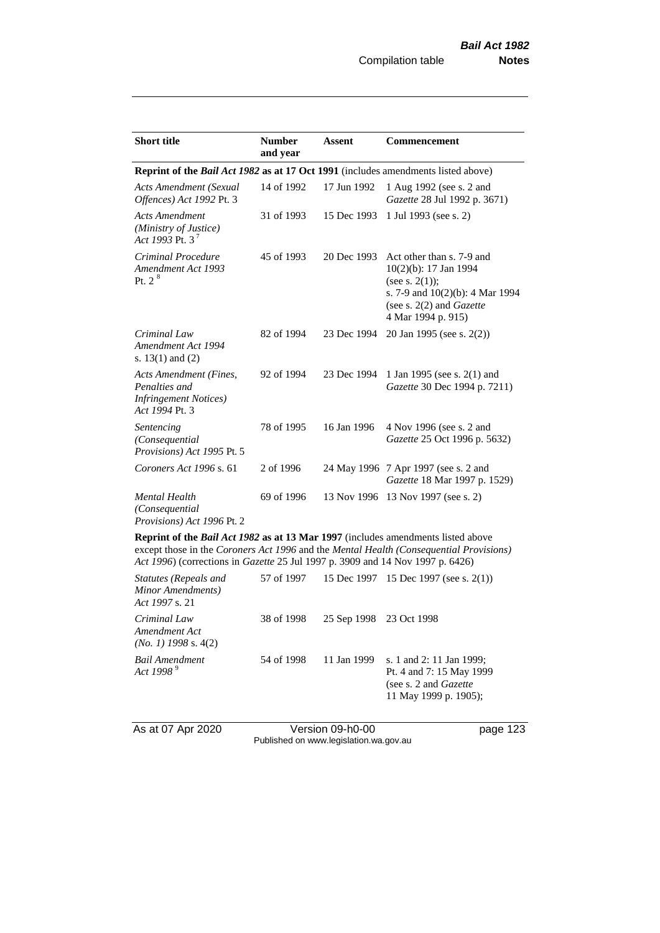| <b>Short title</b>                                                                         | <b>Number</b><br>and year | <b>Assent</b> | Commencement                                                                                                                                                             |  |
|--------------------------------------------------------------------------------------------|---------------------------|---------------|--------------------------------------------------------------------------------------------------------------------------------------------------------------------------|--|
| Reprint of the <i>Bail Act 1982</i> as at 17 Oct 1991 (includes amendments listed above)   |                           |               |                                                                                                                                                                          |  |
| <b>Acts Amendment (Sexual</b><br>Offences) Act 1992 Pt. 3                                  | 14 of 1992                | 17 Jun 1992   | 1 Aug 1992 (see s. 2 and<br>Gazette 28 Jul 1992 p. 3671)                                                                                                                 |  |
| <b>Acts Amendment</b><br>(Ministry of Justice)<br>Act 1993 Pt. 3 <sup>7</sup>              | 31 of 1993                | 15 Dec 1993   | 1 Jul 1993 (see s. 2)                                                                                                                                                    |  |
| Criminal Procedure<br>Amendment Act 1993<br>Pt. 2 <sup>8</sup>                             | 45 of 1993                | 20 Dec 1993   | Act other than s. 7-9 and<br>10(2)(b): 17 Jan 1994<br>(see s. $2(1)$ );<br>s. 7-9 and $10(2)(b)$ : 4 Mar 1994<br>(see s. $2(2)$ and <i>Gazette</i><br>4 Mar 1994 p. 915) |  |
| Criminal Law<br>Amendment Act 1994<br>s. $13(1)$ and $(2)$                                 | 82 of 1994                | 23 Dec 1994   | 20 Jan 1995 (see s. 2(2))                                                                                                                                                |  |
| Acts Amendment (Fines,<br>Penalties and<br><i>Infringement Notices</i> )<br>Act 1994 Pt. 3 | 92 of 1994                | 23 Dec 1994   | 1 Jan 1995 (see s. 2(1) and<br>Gazette 30 Dec 1994 p. 7211)                                                                                                              |  |
| Sentencing<br>(Consequential<br>Provisions) Act 1995 Pt. 5                                 | 78 of 1995                | 16 Jan 1996   | 4 Nov 1996 (see s. 2 and<br>Gazette 25 Oct 1996 p. 5632)                                                                                                                 |  |
| Coroners Act 1996 s. 61                                                                    | 2 of 1996                 |               | 24 May 1996 7 Apr 1997 (see s. 2 and<br>Gazette 18 Mar 1997 p. 1529)                                                                                                     |  |
| <b>Mental Health</b><br>(Consequential<br>Provisions) Act 1996 Pt. 2                       | 69 of 1996                |               | 13 Nov 1996 13 Nov 1997 (see s. 2)                                                                                                                                       |  |
| <b>Doprint of the Rail Act 1082 as at 13 Mar 1007</b> (includes emendments listed above    |                           |               |                                                                                                                                                                          |  |

**Reprint of the** *Bail Act 1982* **as at 13 Mar 1997** (includes amendments listed above except those in the *Coroners Act 1996* and the *Mental Health (Consequential Provisions) Act 1996*) (corrections in *Gazette* 25 Jul 1997 p. 3909 and 14 Nov 1997 p. 6426)

| Statutes (Repeals and<br>Minor Amendments)<br>Act 1997 s. 21 | 57 of 1997 |                         | 15 Dec 1997 15 Dec 1997 (see s. 2(1))                                                                           |
|--------------------------------------------------------------|------------|-------------------------|-----------------------------------------------------------------------------------------------------------------|
| Criminal Law<br>Amendment Act<br>$(No. 1)$ 1998 s. 4(2)      | 38 of 1998 | 25 Sep 1998 23 Oct 1998 |                                                                                                                 |
| Bail Amendment<br>Act 1998 <sup>9</sup>                      | 54 of 1998 | 11 Jan 1999             | s. 1 and 2: 11 Jan 1999;<br>Pt. 4 and 7: 15 May 1999<br>(see s. 2 and <i>Gazette</i> )<br>11 May 1999 p. 1905); |

As at 07 Apr 2020 Version 09-h0-00 page 123 Published on www.legislation.wa.gov.au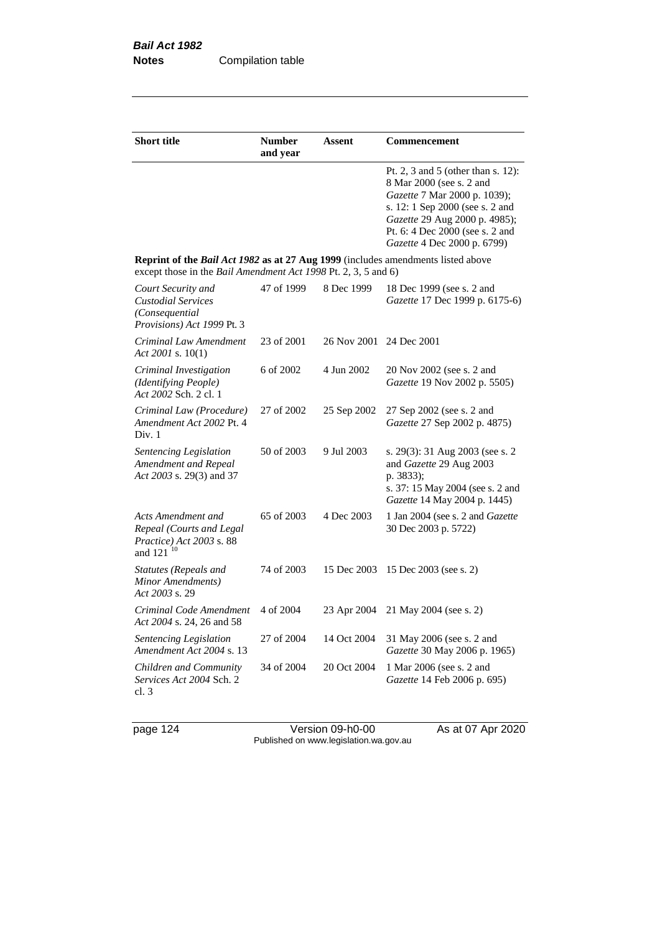| <b>Short title</b>                                                                                                                                 | <b>Number</b><br>and year | Assent      | Commencement                                                                                                                                                                                                                         |
|----------------------------------------------------------------------------------------------------------------------------------------------------|---------------------------|-------------|--------------------------------------------------------------------------------------------------------------------------------------------------------------------------------------------------------------------------------------|
|                                                                                                                                                    |                           |             | Pt. 2, 3 and 5 (other than s. 12):<br>8 Mar 2000 (see s. 2 and<br>Gazette 7 Mar 2000 p. 1039);<br>s. 12: 1 Sep 2000 (see s. 2 and<br>Gazette 29 Aug 2000 p. 4985);<br>Pt. 6: 4 Dec 2000 (see s. 2 and<br>Gazette 4 Dec 2000 p. 6799) |
| Reprint of the Bail Act 1982 as at 27 Aug 1999 (includes amendments listed above<br>except those in the Bail Amendment Act 1998 Pt. 2, 3, 5 and 6) |                           |             |                                                                                                                                                                                                                                      |
| Court Security and<br><b>Custodial Services</b><br>(Consequential)<br>Provisions) Act 1999 Pt. 3                                                   | 47 of 1999                | 8 Dec 1999  | 18 Dec 1999 (see s. 2 and<br>Gazette 17 Dec 1999 p. 6175-6)                                                                                                                                                                          |
| Criminal Law Amendment<br>Act 2001 s. $10(1)$                                                                                                      | 23 of 2001                | 26 Nov 2001 | 24 Dec 2001                                                                                                                                                                                                                          |
| Criminal Investigation<br>(Identifying People)<br>Act 2002 Sch. 2 cl. 1                                                                            | 6 of 2002                 | 4 Jun 2002  | 20 Nov 2002 (see s. 2 and<br>Gazette 19 Nov 2002 p. 5505)                                                                                                                                                                            |
| Criminal Law (Procedure)<br>Amendment Act 2002 Pt. 4<br>Div. 1                                                                                     | 27 of 2002                | 25 Sep 2002 | 27 Sep 2002 (see s. 2 and<br>Gazette 27 Sep 2002 p. 4875)                                                                                                                                                                            |
| Sentencing Legislation<br>Amendment and Repeal<br>Act 2003 s. 29(3) and 37                                                                         | 50 of 2003                | 9 Jul 2003  | s. 29(3): 31 Aug 2003 (see s. 2<br>and Gazette 29 Aug 2003<br>p. 3833);<br>s. 37: 15 May 2004 (see s. 2 and<br>Gazette 14 May 2004 p. 1445)                                                                                          |
| Acts Amendment and<br>Repeal (Courts and Legal<br>Practice) Act 2003 s. 88<br>and 121 <sup>10</sup>                                                | 65 of 2003                | 4 Dec 2003  | 1 Jan 2004 (see s. 2 and Gazette<br>30 Dec 2003 p. 5722)                                                                                                                                                                             |
| Statutes (Repeals and<br>Minor Amendments)<br>Act 2003 s. 29                                                                                       | 74 of 2003                | 15 Dec 2003 | 15 Dec 2003 (see s. 2)                                                                                                                                                                                                               |
| Criminal Code Amendment<br>Act 2004 s. 24, 26 and 58                                                                                               | 4 of 2004                 | 23 Apr 2004 | 21 May 2004 (see s. 2)                                                                                                                                                                                                               |
| Sentencing Legislation<br>Amendment Act 2004 s. 13                                                                                                 | 27 of 2004                | 14 Oct 2004 | 31 May 2006 (see s. 2 and<br>Gazette 30 May 2006 p. 1965)                                                                                                                                                                            |
| Children and Community<br>Services Act 2004 Sch. 2<br>cl.3                                                                                         | 34 of 2004                | 20 Oct 2004 | 1 Mar 2006 (see s. 2 and<br>Gazette 14 Feb 2006 p. 695)                                                                                                                                                                              |

page 124 Version 09-h0-00 As at 07 Apr 2020 Published on www.legislation.wa.gov.au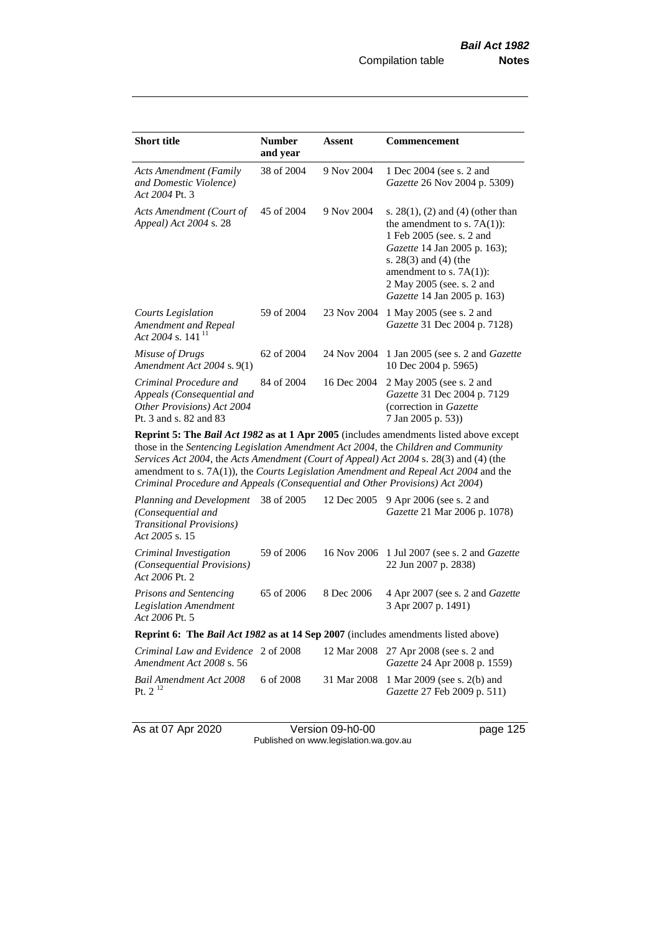| <b>Short title</b>                                                                                           | <b>Number</b><br>and year | Assent      | Commencement                                                                                                                                                                                                                                                           |  |  |
|--------------------------------------------------------------------------------------------------------------|---------------------------|-------------|------------------------------------------------------------------------------------------------------------------------------------------------------------------------------------------------------------------------------------------------------------------------|--|--|
| <b>Acts Amendment (Family</b><br>and Domestic Violence)<br>Act 2004 Pt. 3                                    | 38 of 2004                | 9 Nov 2004  | 1 Dec 2004 (see s. 2 and<br><i>Gazette</i> 26 Nov 2004 p. 5309)                                                                                                                                                                                                        |  |  |
| Acts Amendment (Court of<br>Appeal) Act 2004 s. 28                                                           | 45 of 2004                | 9 Nov 2004  | s. $28(1)$ , (2) and (4) (other than<br>the amendment to s. $7A(1)$ :<br>1 Feb 2005 (see. s. 2 and<br><i>Gazette</i> 14 Jan 2005 p. 163);<br>s. $28(3)$ and $(4)$ (the<br>amendment to s. $7A(1)$ :<br>2 May 2005 (see. s. 2 and<br><i>Gazette</i> 14 Jan 2005 p. 163) |  |  |
| Courts Legislation<br>Amendment and Repeal<br>Act 2004 s. 141 <sup>11</sup>                                  | 59 of 2004                | 23 Nov 2004 | 1 May 2005 (see s. 2 and<br>Gazette 31 Dec 2004 p. 7128)                                                                                                                                                                                                               |  |  |
| Misuse of Drugs<br>Amendment Act 2004 s. 9(1)                                                                | 62 of 2004                | 24 Nov 2004 | 1 Jan 2005 (see s. 2 and <i>Gazette</i><br>10 Dec 2004 p. 5965)                                                                                                                                                                                                        |  |  |
| Criminal Procedure and<br>Appeals (Consequential and<br>Other Provisions) Act 2004<br>Pt. 3 and s. 82 and 83 | 84 of 2004                | 16 Dec 2004 | 2 May 2005 (see s. 2 and<br>Gazette 31 Dec 2004 p. 7129<br>(correction in Gazette)<br>7 Jan 2005 p. 53))                                                                                                                                                               |  |  |
| Dopply 5. The Dail Act 1002 as at 1 Apr 2005 Gualidae amondments listed sharp speak                          |                           |             |                                                                                                                                                                                                                                                                        |  |  |

**Reprint 5: The** *Bail Act 1982* **as at 1 Apr 2005** (includes amendments listed above except those in the *Sentencing Legislation Amendment Act 2004*, the *Children and Community Services Act 2004*, the *Acts Amendment (Court of Appeal) Act 2004* s. 28(3) and (4) (the amendment to s. 7A(1)), the *Courts Legislation Amendment and Repeal Act 2004* and the *Criminal Procedure and Appeals (Consequential and Other Provisions) Act 2004*)

| Planning and Development<br>(Consequential and<br><b>Transitional Provisions</b> )<br>Act 2005 s. 15 | 38 of 2005 | 12 Dec 2005 | 9 Apr 2006 (see s. 2 and<br><i>Gazette</i> 21 Mar 2006 p. 1078)               |  |  |
|------------------------------------------------------------------------------------------------------|------------|-------------|-------------------------------------------------------------------------------|--|--|
| Criminal Investigation<br>(Consequential Provisions)<br>Act 2006 Pt. 2                               | 59 of 2006 |             | 16 Nov 2006 1 Jul 2007 (see s. 2 and <i>Gazette</i><br>22 Jun 2007 p. 2838)   |  |  |
| Prisons and Sentencing<br><b>Legislation Amendment</b><br>Act 2006 Pt. 5                             | 65 of 2006 | 8 Dec 2006  | 4 Apr 2007 (see s. 2 and Gazette<br>3 Apr 2007 p. 1491)                       |  |  |
| <b>Reprint 6:</b> The <i>Bail Act 1982</i> as at 14 Sep 2007 (includes amendments listed above)      |            |             |                                                                               |  |  |
| Criminal Law and Evidence 2 of 2008<br>Amendment Act 2008 s. 56                                      |            |             | 12 Mar 2008 27 Apr 2008 (see s. 2 and<br><i>Gazette</i> 24 Apr 2008 p. 1559)  |  |  |
| Bail Amendment Act 2008<br>Pt. $2^{12}$                                                              | 6 of 2008  |             | 31 Mar 2008 1 Mar 2009 (see s. 2(b) and<br><i>Gazette</i> 27 Feb 2009 p. 511) |  |  |

As at 07 Apr 2020 Version 09-h0-00 page 125 Published on www.legislation.wa.gov.au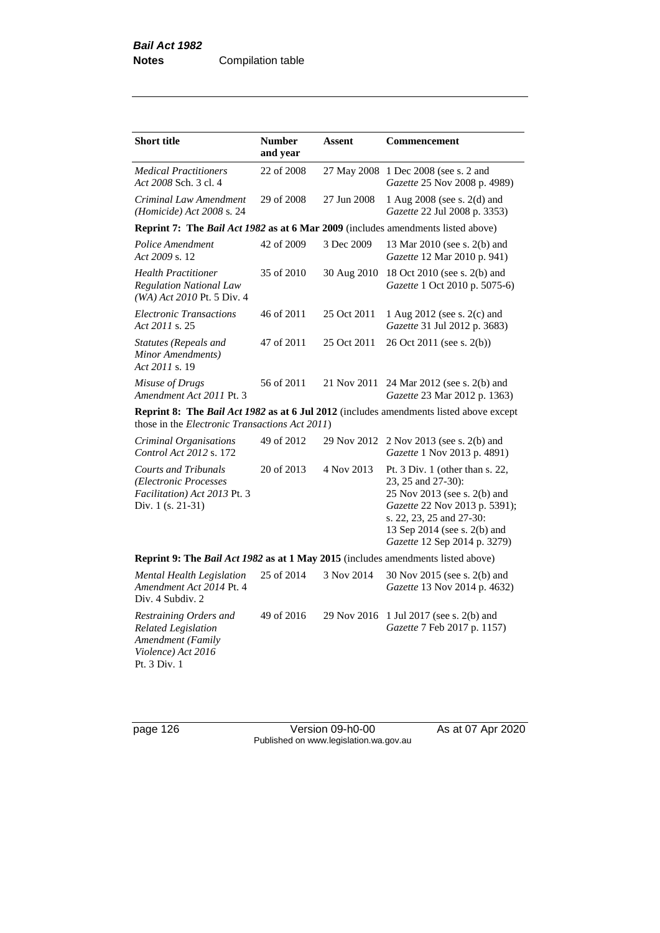| <b>Short title</b>                                                                                              | <b>Number</b><br>and year | <b>Assent</b> | <b>Commencement</b>                                                                                                                                                                                                |
|-----------------------------------------------------------------------------------------------------------------|---------------------------|---------------|--------------------------------------------------------------------------------------------------------------------------------------------------------------------------------------------------------------------|
| <b>Medical Practitioners</b><br>Act 2008 Sch. 3 cl. 4                                                           | 22 of 2008                | 27 May 2008   | 1 Dec 2008 (see s. 2 and<br>Gazette 25 Nov 2008 p. 4989)                                                                                                                                                           |
| Criminal Law Amendment<br>(Homicide) Act $2008$ s. 24                                                           | 29 of 2008                | 27 Jun 2008   | 1 Aug 2008 (see s. 2(d) and<br>Gazette 22 Jul 2008 p. 3353)                                                                                                                                                        |
| Reprint 7: The Bail Act 1982 as at 6 Mar 2009 (includes amendments listed above)                                |                           |               |                                                                                                                                                                                                                    |
| Police Amendment<br>Act 2009 s. 12                                                                              | 42 of 2009                | 3 Dec 2009    | 13 Mar 2010 (see s. 2(b) and<br>Gazette 12 Mar 2010 p. 941)                                                                                                                                                        |
| <b>Health Practitioner</b><br><b>Regulation National Law</b><br>(WA) Act 2010 Pt. 5 Div. 4                      | 35 of 2010                | 30 Aug 2010   | 18 Oct 2010 (see s. 2(b) and<br>Gazette 1 Oct 2010 p. 5075-6)                                                                                                                                                      |
| <b>Electronic Transactions</b><br>Act 2011 s. 25                                                                | 46 of 2011                | 25 Oct 2011   | 1 Aug 2012 (see s. 2(c) and<br>Gazette 31 Jul 2012 p. 3683)                                                                                                                                                        |
| Statutes (Repeals and<br>Minor Amendments)<br>Act 2011 s. 19                                                    | 47 of 2011                | 25 Oct 2011   | 26 Oct 2011 (see s. 2(b))                                                                                                                                                                                          |
| Misuse of Drugs<br>Amendment Act 2011 Pt. 3                                                                     | 56 of 2011                | 21 Nov 2011   | 24 Mar 2012 (see s. 2(b) and<br>Gazette 23 Mar 2012 p. 1363)                                                                                                                                                       |
| those in the <i>Electronic Transactions Act 2011</i> )                                                          |                           |               | Reprint 8: The Bail Act 1982 as at 6 Jul 2012 (includes amendments listed above except                                                                                                                             |
| Criminal Organisations<br>Control Act 2012 s. 172                                                               | 49 of 2012                | 29 Nov 2012   | 2 Nov 2013 (see s. 2(b) and<br>Gazette 1 Nov 2013 p. 4891)                                                                                                                                                         |
| <b>Courts and Tribunals</b><br>(Electronic Processes<br>Facilitation) Act 2013 Pt. 3<br>Div. $1$ (s. 21-31)     | 20 of 2013                | 4 Nov 2013    | Pt. 3 Div. 1 (other than s. 22,<br>23, 25 and 27-30):<br>25 Nov 2013 (see s. 2(b) and<br>Gazette 22 Nov 2013 p. 5391);<br>s. 22, 23, 25 and 27-30:<br>13 Sep 2014 (see s. 2(b) and<br>Gazette 12 Sep 2014 p. 3279) |
| Reprint 9: The Bail Act 1982 as at 1 May 2015 (includes amendments listed above)                                |                           |               |                                                                                                                                                                                                                    |
| Mental Health Legislation<br>Amendment Act 2014 Pt. 4<br>Div. 4 Subdiv. 2                                       | 25 of 2014                | 3 Nov 2014    | 30 Nov 2015 (see s. 2(b) and<br>Gazette 13 Nov 2014 p. 4632)                                                                                                                                                       |
| Restraining Orders and<br><b>Related Legislation</b><br>Amendment (Family<br>Violence) Act 2016<br>Pt. 3 Div. 1 | 49 of 2016                | 29 Nov 2016   | 1 Jul 2017 (see s. 2(b) and<br>Gazette 7 Feb 2017 p. 1157)                                                                                                                                                         |

page 126 Version 09-h0-00 As at 07 Apr 2020 Published on www.legislation.wa.gov.au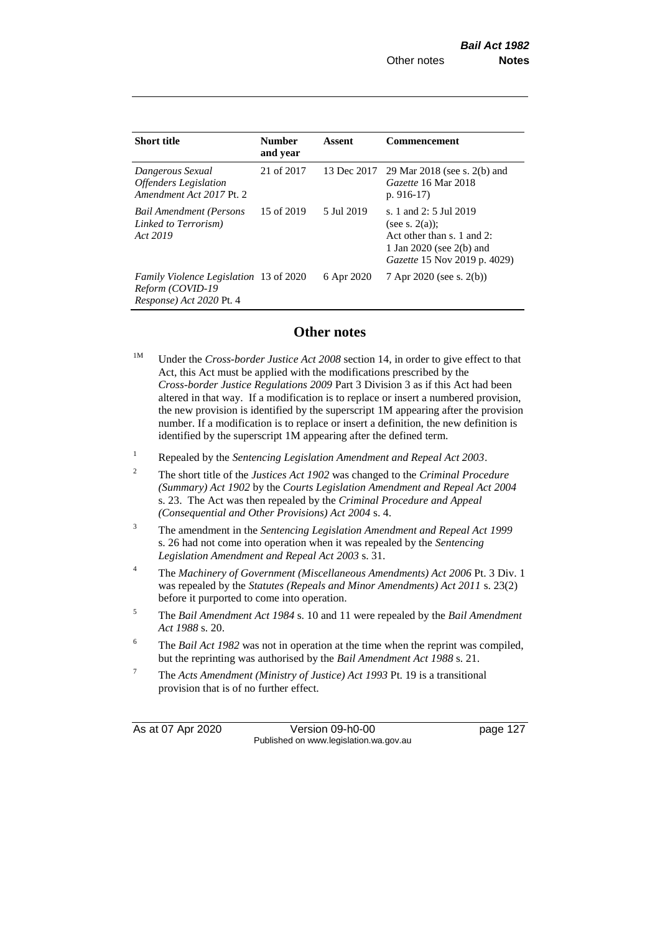| <b>Short title</b>                                                                            | <b>Number</b><br>and year | Assent      | <b>Commencement</b>                                                                                                                          |
|-----------------------------------------------------------------------------------------------|---------------------------|-------------|----------------------------------------------------------------------------------------------------------------------------------------------|
| Dangerous Sexual<br><b>Offenders</b> Legislation<br>Amendment Act 2017 Pt. 2                  | 21 of 2017                | 13 Dec 2017 | 29 Mar 2018 (see s. 2(b) and<br>Gazette 16 Mar 2018<br>p. $916-17$                                                                           |
| <b>Bail Amendment (Persons</b><br>Linked to Terrorism)<br>Act 2019                            | 15 of 2019                | 5 Jul 2019  | s. 1 and 2: 5 Jul 2019<br>(see s. $2(a)$ );<br>Act other than s. 1 and 2:<br>1 Jan 2020 (see 2(b) and<br><i>Gazette</i> 15 Nov 2019 p. 4029) |
| <i>Family Violence Legislation</i> 13 of 2020<br>Reform (COVID-19<br>Response) Act 2020 Pt. 4 |                           | 6 Apr 2020  | 7 Apr 2020 (see s. 2(b))                                                                                                                     |

## **Other notes**

- <sup>1M</sup> Under the *Cross-border Justice Act 2008* section 14, in order to give effect to that Act, this Act must be applied with the modifications prescribed by the *Cross-border Justice Regulations 2009* Part 3 Division 3 as if this Act had been altered in that way. If a modification is to replace or insert a numbered provision, the new provision is identified by the superscript 1M appearing after the provision number. If a modification is to replace or insert a definition, the new definition is identified by the superscript 1M appearing after the defined term.
- <sup>1</sup> Repealed by the *Sentencing Legislation Amendment and Repeal Act 2003*.
- <sup>2</sup> The short title of the *Justices Act 1902* was changed to the *Criminal Procedure (Summary) Act 1902* by the *Courts Legislation Amendment and Repeal Act 2004*  s. 23. The Act was then repealed by the *Criminal Procedure and Appeal (Consequential and Other Provisions) Act 2004* s. 4.
- <sup>3</sup> The amendment in the *Sentencing Legislation Amendment and Repeal Act 1999* s. 26 had not come into operation when it was repealed by the *Sentencing Legislation Amendment and Repeal Act 2003* s. 31.
- <sup>4</sup> The *Machinery of Government (Miscellaneous Amendments) Act 2006* Pt. 3 Div. 1 was repealed by the *Statutes (Repeals and Minor Amendments) Act 2011* s. 23(2) before it purported to come into operation.
- <sup>5</sup> The *Bail Amendment Act 1984* s. 10 and 11 were repealed by the *Bail Amendment Act 1988* s. 20.
- <sup>6</sup> The *Bail Act 1982* was not in operation at the time when the reprint was compiled, but the reprinting was authorised by the *Bail Amendment Act 1988* s. 21.
- <sup>7</sup> The *Acts Amendment (Ministry of Justice) Act 1993* Pt. 19 is a transitional provision that is of no further effect.

As at 07 Apr 2020 Version 09-h0-00 page 127 Published on www.legislation.wa.gov.au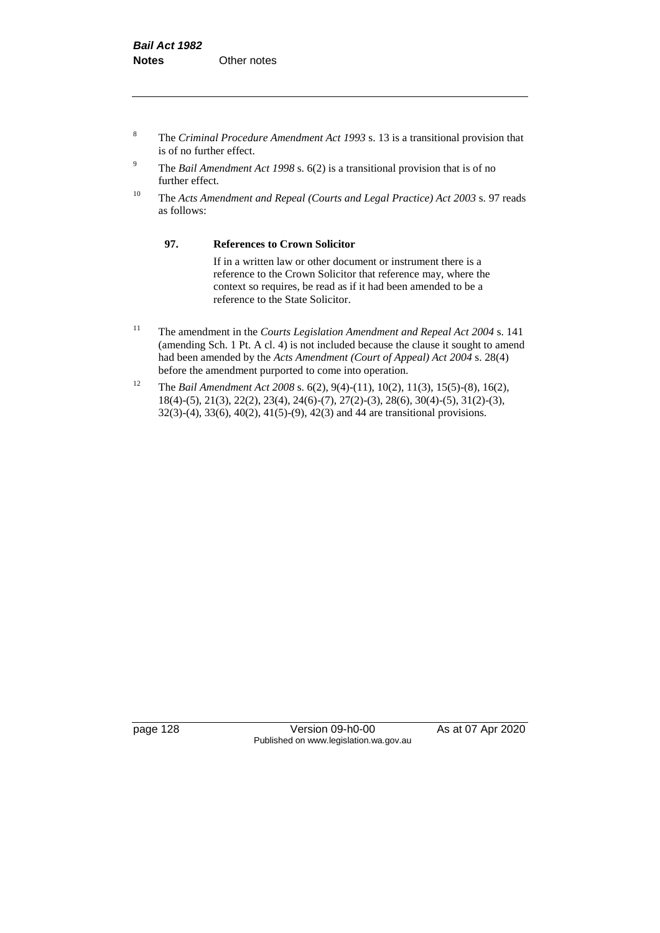- <sup>8</sup> The *Criminal Procedure Amendment Act 1993* s. 13 is a transitional provision that is of no further effect.
- <sup>9</sup> The *Bail Amendment Act 1998* s. 6(2) is a transitional provision that is of no further effect.
- <sup>10</sup> The *Acts Amendment and Repeal (Courts and Legal Practice) Act 2003* s. 97 reads as follows:

#### **97. References to Crown Solicitor**

If in a written law or other document or instrument there is a reference to the Crown Solicitor that reference may, where the context so requires, be read as if it had been amended to be a reference to the State Solicitor.

- <sup>11</sup> The amendment in the *Courts Legislation Amendment and Repeal Act 2004* s. 141 (amending Sch. 1 Pt. A cl. 4) is not included because the clause it sought to amend had been amended by the *Acts Amendment (Court of Appeal) Act 2004* s. 28(4) before the amendment purported to come into operation.
- <sup>12</sup> The *Bail Amendment Act 2008* s. 6(2), 9(4)-(11), 10(2), 11(3), 15(5)-(8), 16(2), 18(4)-(5), 21(3), 22(2), 23(4), 24(6)-(7), 27(2)-(3), 28(6), 30(4)-(5), 31(2)-(3), 32(3)-(4), 33(6), 40(2), 41(5)-(9), 42(3) and 44 are transitional provisions.

page 128 Version 09-h0-00 As at 07 Apr 2020 Published on www.legislation.wa.gov.au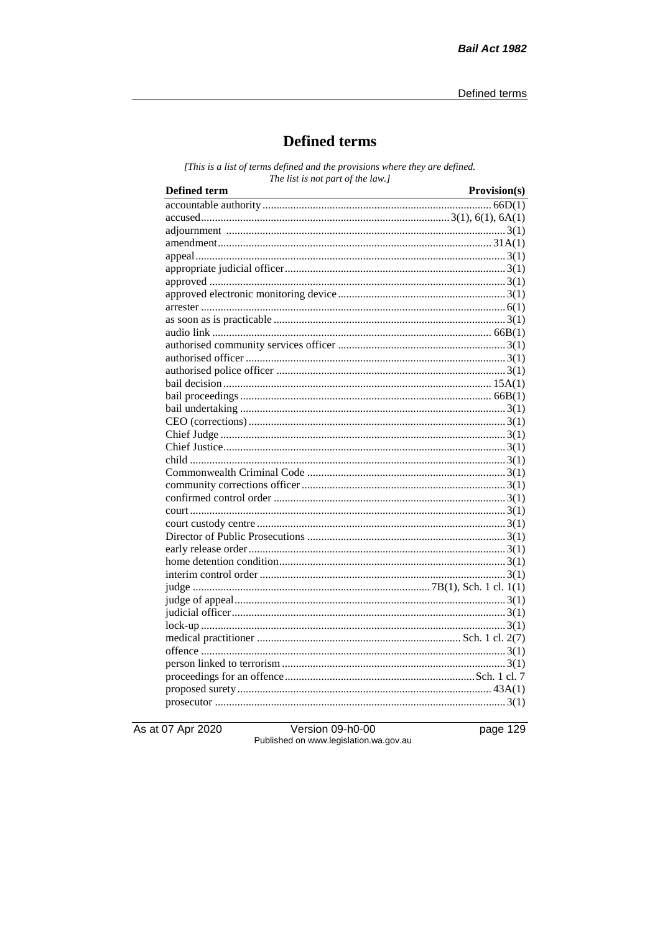# **Defined terms**

[This is a list of terms defined and the provisions where they are defined. The list is not part of the law.]

| <b>Defined term</b> | Provision(s) |
|---------------------|--------------|
|                     |              |
|                     |              |
|                     |              |
|                     |              |
|                     |              |
|                     |              |
|                     |              |
|                     |              |
|                     |              |
|                     |              |
|                     |              |
|                     |              |
|                     |              |
|                     |              |
|                     |              |
|                     |              |
|                     |              |
|                     |              |
|                     |              |
|                     |              |
|                     |              |
|                     |              |
|                     |              |
|                     |              |
|                     |              |
|                     |              |
|                     |              |
|                     |              |
|                     |              |
|                     |              |
|                     |              |
|                     |              |
|                     |              |
|                     |              |
|                     |              |
|                     |              |
|                     |              |
|                     |              |
|                     |              |
|                     |              |
|                     |              |

As at 07 Apr 2020

Version 09-h0-00 Published on www.legislation.wa.gov.au page 129